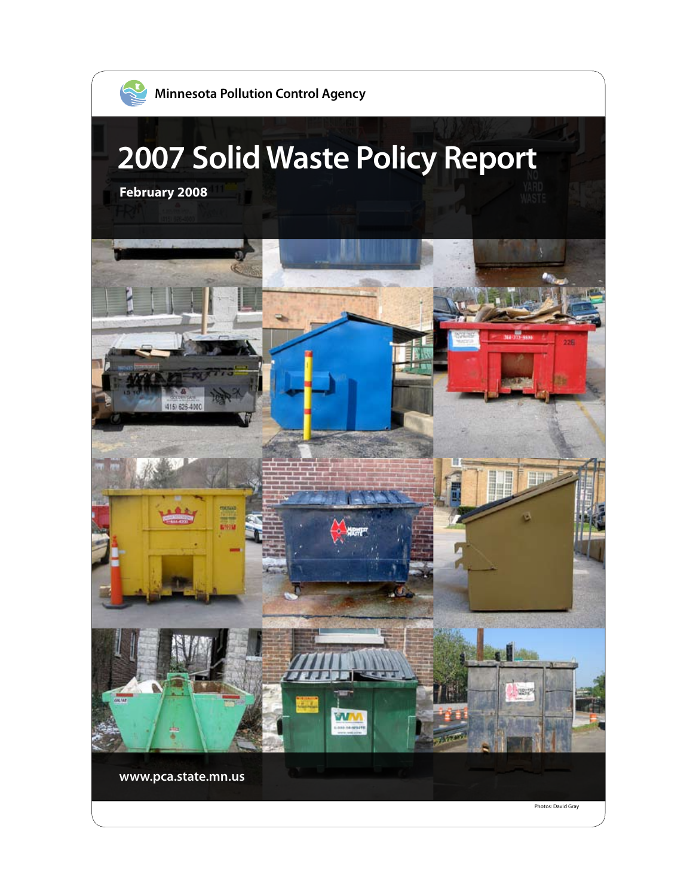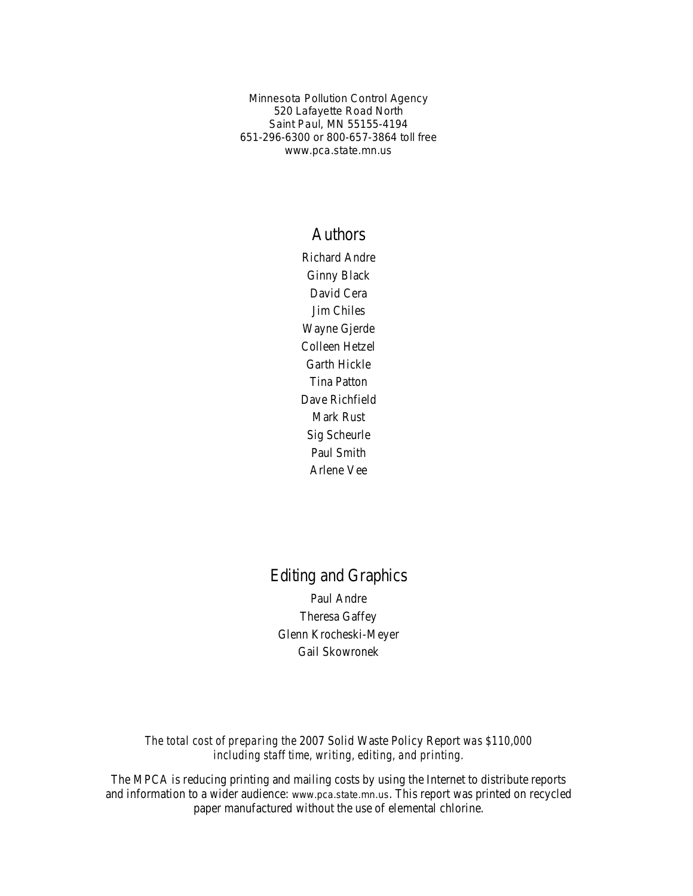Minnesota Pollution Control Agency 520 Lafayette Road North Saint Paul, MN 55155-4194 651-296-6300 or 800-657-3864 toll free www.pca.state.mn.us

#### Authors

Richard Andre Ginny Black David Cera Jim Chiles Wayne Gjerde Colleen Hetzel Garth Hickle Tina Patton Dave Richfield Mark Rust Sig Scheurle Paul Smith Arlene Vee

# Editing and Graphics

Paul Andre Theresa Gaffey Glenn Krocheski-Meyer Gail Skowronek

*The total cost of preparing the* 2007 Solid Waste Policy Report *was \$110,000 including staff time, writing, editing, and printing.*

The MPCA is reducing printing and mailing costs by using the Internet to distribute reports and information to a wider audience: www.pca.state.mn.us. This report was printed on recycled paper manufactured without the use of elemental chlorine.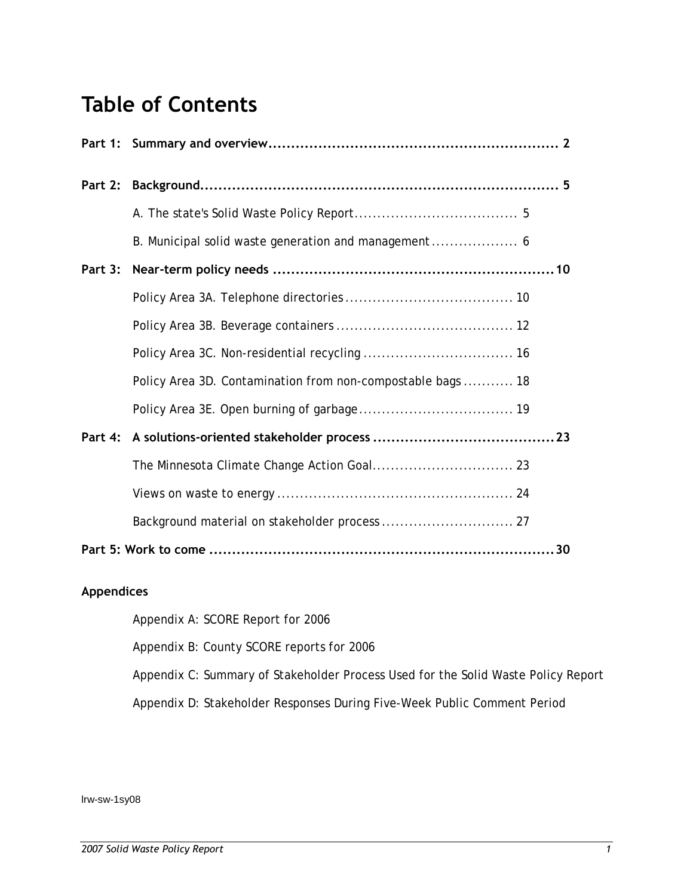# **Table of Contents**

| Policy Area 3D. Contamination from non-compostable bags  18 |  |  |  |  |  |
|-------------------------------------------------------------|--|--|--|--|--|
|                                                             |  |  |  |  |  |
|                                                             |  |  |  |  |  |
|                                                             |  |  |  |  |  |
|                                                             |  |  |  |  |  |
|                                                             |  |  |  |  |  |
|                                                             |  |  |  |  |  |

#### **Appendices**

[Appendix A: SCORE Report for 2006](#page-32-0) 

[Appendix B: County SCORE reports for 2006](#page-44-0) 

[Appendix C: Summary of Stakeholder Process Used for the Solid Waste Policy Report](#page-75-0) 

[Appendix D: Stakeholder Responses During Five-Week Public Comment Period](#page-77-0) 

lrw-sw-1sy08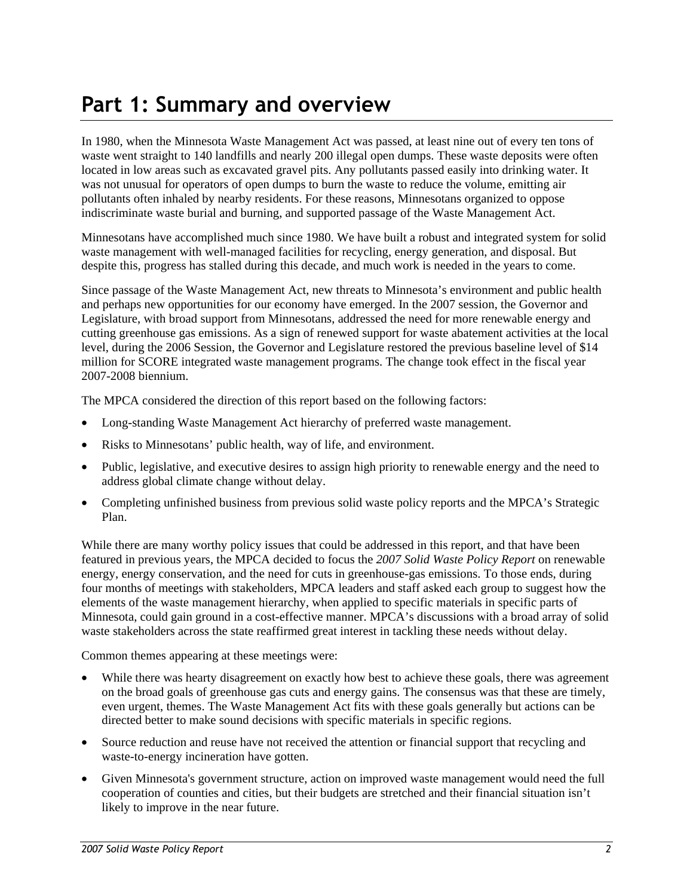# <span id="page-3-0"></span>**Part 1: Summary and overview**

In 1980, when the Minnesota Waste Management Act was passed, at least nine out of every ten tons of waste went straight to 140 landfills and nearly 200 illegal open dumps. These waste deposits were often located in low areas such as excavated gravel pits. Any pollutants passed easily into drinking water. It was not unusual for operators of open dumps to burn the waste to reduce the volume, emitting air pollutants often inhaled by nearby residents. For these reasons, Minnesotans organized to oppose indiscriminate waste burial and burning, and supported passage of the Waste Management Act.

Minnesotans have accomplished much since 1980. We have built a robust and integrated system for solid waste management with well-managed facilities for recycling, energy generation, and disposal. But despite this, progress has stalled during this decade, and much work is needed in the years to come.

Since passage of the Waste Management Act, new threats to Minnesota's environment and public health and perhaps new opportunities for our economy have emerged. In the 2007 session, the Governor and Legislature, with broad support from Minnesotans, addressed the need for more renewable energy and cutting greenhouse gas emissions. As a sign of renewed support for waste abatement activities at the local level, during the 2006 Session, the Governor and Legislature restored the previous baseline level of \$14 million for SCORE integrated waste management programs. The change took effect in the fiscal year 2007-2008 biennium.

The MPCA considered the direction of this report based on the following factors:

- Long-standing Waste Management Act hierarchy of preferred waste management.
- Risks to Minnesotans' public health, way of life, and environment.
- Public, legislative, and executive desires to assign high priority to renewable energy and the need to address global climate change without delay.
- Completing unfinished business from previous solid waste policy reports and the MPCA's Strategic Plan.

While there are many worthy policy issues that could be addressed in this report, and that have been featured in previous years, the MPCA decided to focus the *2007 Solid Waste Policy Report* on renewable energy, energy conservation, and the need for cuts in greenhouse-gas emissions. To those ends, during four months of meetings with stakeholders, MPCA leaders and staff asked each group to suggest how the elements of the waste management hierarchy, when applied to specific materials in specific parts of Minnesota, could gain ground in a cost-effective manner. MPCA's discussions with a broad array of solid waste stakeholders across the state reaffirmed great interest in tackling these needs without delay.

Common themes appearing at these meetings were:

- While there was hearty disagreement on exactly how best to achieve these goals, there was agreement on the broad goals of greenhouse gas cuts and energy gains. The consensus was that these are timely, even urgent, themes. The Waste Management Act fits with these goals generally but actions can be directed better to make sound decisions with specific materials in specific regions.
- Source reduction and reuse have not received the attention or financial support that recycling and waste-to-energy incineration have gotten.
- Given Minnesota's government structure, action on improved waste management would need the full cooperation of counties and cities, but their budgets are stretched and their financial situation isn't likely to improve in the near future.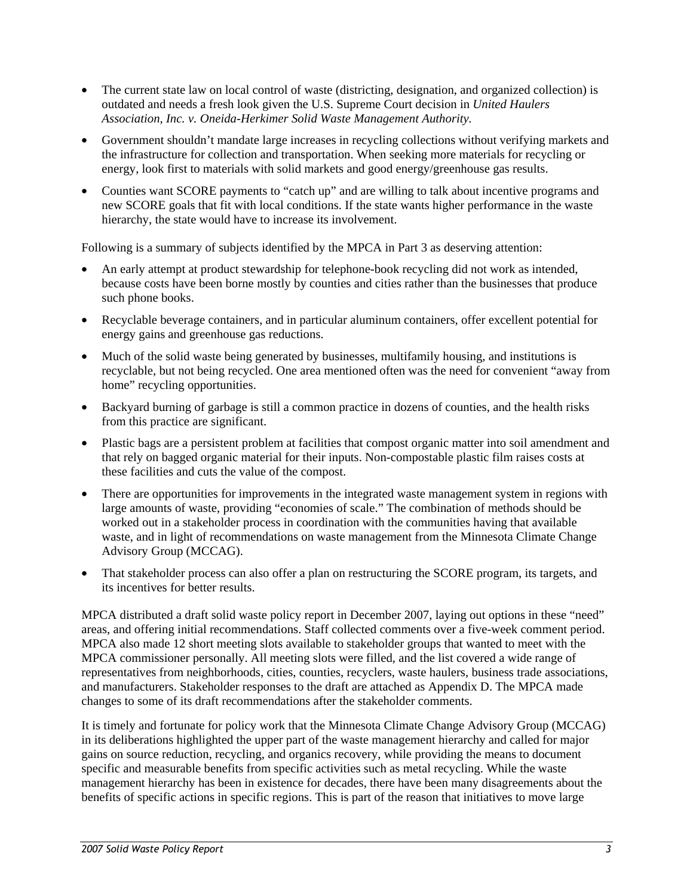- The current state law on local control of waste (districting, designation, and organized collection) is outdated and needs a fresh look given the U.S. Supreme Court decision in *United Haulers Association, Inc. v. Oneida-Herkimer Solid Waste Management Authority.*
- Government shouldn't mandate large increases in recycling collections without verifying markets and the infrastructure for collection and transportation. When seeking more materials for recycling or energy, look first to materials with solid markets and good energy/greenhouse gas results.
- Counties want SCORE payments to "catch up" and are willing to talk about incentive programs and new SCORE goals that fit with local conditions. If the state wants higher performance in the waste hierarchy, the state would have to increase its involvement.

Following is a summary of subjects identified by the MPCA in Part 3 as deserving attention:

- An early attempt at product stewardship for telephone-book recycling did not work as intended, because costs have been borne mostly by counties and cities rather than the businesses that produce such phone books.
- Recyclable beverage containers, and in particular aluminum containers, offer excellent potential for energy gains and greenhouse gas reductions.
- Much of the solid waste being generated by businesses, multifamily housing, and institutions is recyclable, but not being recycled. One area mentioned often was the need for convenient "away from home" recycling opportunities.
- Backyard burning of garbage is still a common practice in dozens of counties, and the health risks from this practice are significant.
- Plastic bags are a persistent problem at facilities that compost organic matter into soil amendment and that rely on bagged organic material for their inputs. Non-compostable plastic film raises costs at these facilities and cuts the value of the compost.
- There are opportunities for improvements in the integrated waste management system in regions with large amounts of waste, providing "economies of scale." The combination of methods should be worked out in a stakeholder process in coordination with the communities having that available waste, and in light of recommendations on waste management from the Minnesota Climate Change Advisory Group (MCCAG).
- That stakeholder process can also offer a plan on restructuring the SCORE program, its targets, and its incentives for better results.

MPCA distributed a draft solid waste policy report in December 2007, laying out options in these "need" areas, and offering initial recommendations. Staff collected comments over a five-week comment period. MPCA also made 12 short meeting slots available to stakeholder groups that wanted to meet with the MPCA commissioner personally. All meeting slots were filled, and the list covered a wide range of representatives from neighborhoods, cities, counties, recyclers, waste haulers, business trade associations, and manufacturers. Stakeholder responses to the draft are attached as Appendix D. The MPCA made changes to some of its draft recommendations after the stakeholder comments.

It is timely and fortunate for policy work that the Minnesota Climate Change Advisory Group (MCCAG) in its deliberations highlighted the upper part of the waste management hierarchy and called for major gains on source reduction, recycling, and organics recovery, while providing the means to document specific and measurable benefits from specific activities such as metal recycling. While the waste management hierarchy has been in existence for decades, there have been many disagreements about the benefits of specific actions in specific regions. This is part of the reason that initiatives to move large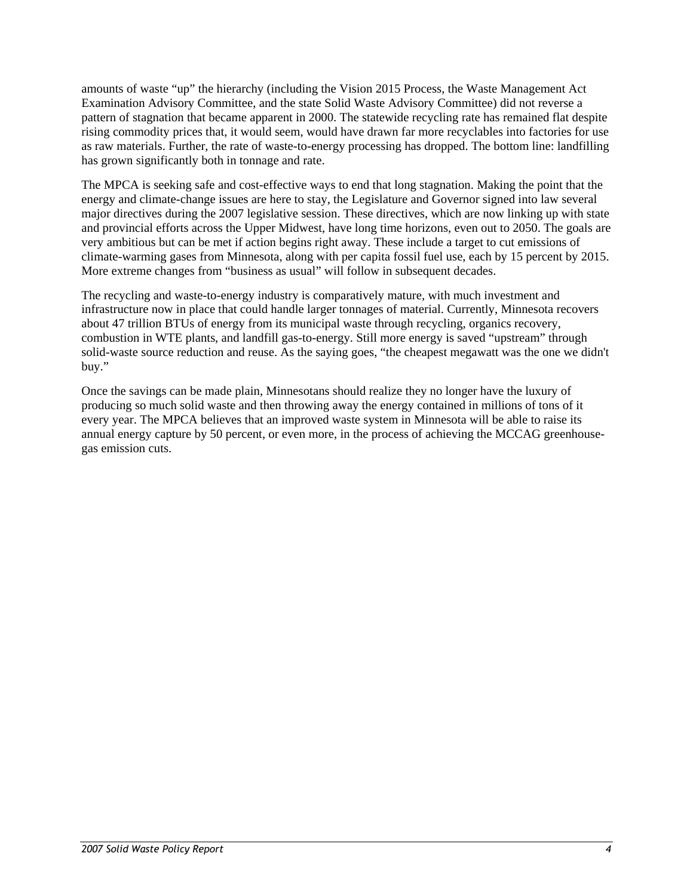amounts of waste "up" the hierarchy (including the Vision 2015 Process, the Waste Management Act Examination Advisory Committee, and the state Solid Waste Advisory Committee) did not reverse a pattern of stagnation that became apparent in 2000. The statewide recycling rate has remained flat despite rising commodity prices that, it would seem, would have drawn far more recyclables into factories for use as raw materials. Further, the rate of waste-to-energy processing has dropped. The bottom line: landfilling has grown significantly both in tonnage and rate.

The MPCA is seeking safe and cost-effective ways to end that long stagnation. Making the point that the energy and climate-change issues are here to stay, the Legislature and Governor signed into law several major directives during the 2007 legislative session. These directives, which are now linking up with state and provincial efforts across the Upper Midwest, have long time horizons, even out to 2050. The goals are very ambitious but can be met if action begins right away. These include a target to cut emissions of climate-warming gases from Minnesota, along with per capita fossil fuel use, each by 15 percent by 2015. More extreme changes from "business as usual" will follow in subsequent decades.

The recycling and waste-to-energy industry is comparatively mature, with much investment and infrastructure now in place that could handle larger tonnages of material. Currently, Minnesota recovers about 47 trillion BTUs of energy from its municipal waste through recycling, organics recovery, combustion in WTE plants, and landfill gas-to-energy. Still more energy is saved "upstream" through solid-waste source reduction and reuse. As the saying goes, "the cheapest megawatt was the one we didn't buy."

Once the savings can be made plain, Minnesotans should realize they no longer have the luxury of producing so much solid waste and then throwing away the energy contained in millions of tons of it every year. The MPCA believes that an improved waste system in Minnesota will be able to raise its annual energy capture by 50 percent, or even more, in the process of achieving the MCCAG greenhousegas emission cuts.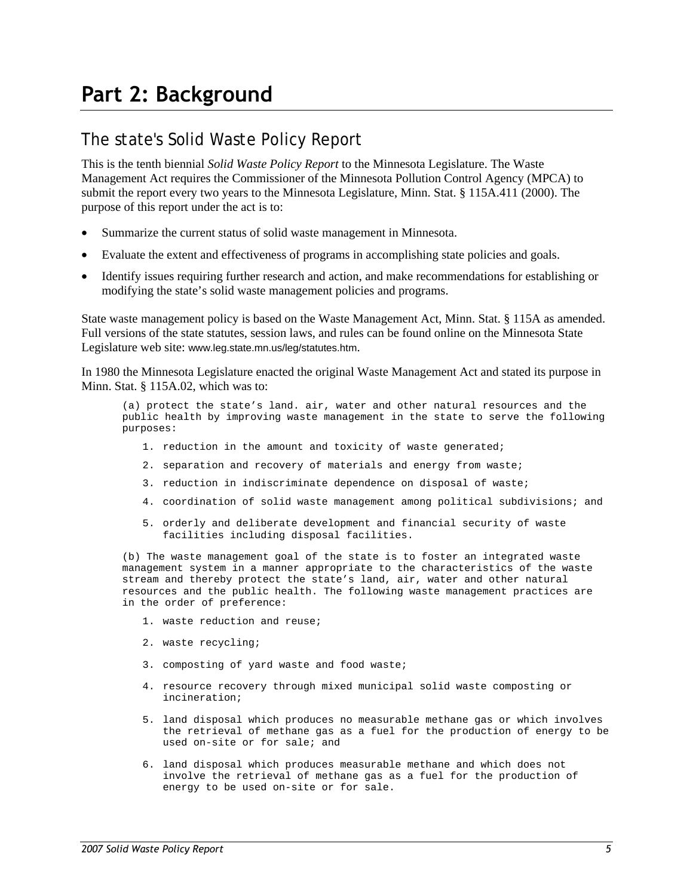# <span id="page-6-0"></span>The state's Solid Waste Policy Report

This is the tenth biennial *Solid Waste Policy Report* to the Minnesota Legislature. The Waste Management Act requires the Commissioner of the Minnesota Pollution Control Agency (MPCA) to submit the report every two years to the Minnesota Legislature, Minn. Stat. § 115A.411 (2000). The purpose of this report under the act is to:

- Summarize the current status of solid waste management in Minnesota.
- Evaluate the extent and effectiveness of programs in accomplishing state policies and goals.
- Identify issues requiring further research and action, and make recommendations for establishing or modifying the state's solid waste management policies and programs.

State waste management policy is based on the Waste Management Act, Minn. Stat. § 115A as amended. Full versions of the state statutes, session laws, and rules can be found online on the Minnesota State Legislature web site: [www.leg.state.mn.us/leg/statutes.htm](http://www.leg.state.mn.us/leg/statutes.htm).

In 1980 the Minnesota Legislature enacted the original Waste Management Act and stated its purpose in Minn. Stat. § 115A.02, which was to:

(a) protect the state's land. air, water and other natural resources and the public health by improving waste management in the state to serve the following purposes:

- 1. reduction in the amount and toxicity of waste generated;
- 2. separation and recovery of materials and energy from waste;
- 3. reduction in indiscriminate dependence on disposal of waste;
- 4. coordination of solid waste management among political subdivisions; and
- 5. orderly and deliberate development and financial security of waste facilities including disposal facilities.

(b) The waste management goal of the state is to foster an integrated waste management system in a manner appropriate to the characteristics of the waste stream and thereby protect the state's land, air, water and other natural resources and the public health. The following waste management practices are in the order of preference:

- 1. waste reduction and reuse;
- 2. waste recycling;
- 3. composting of yard waste and food waste;
- 4. resource recovery through mixed municipal solid waste composting or incineration;
- 5. land disposal which produces no measurable methane gas or which involves the retrieval of methane gas as a fuel for the production of energy to be used on-site or for sale; and
- 6. land disposal which produces measurable methane and which does not involve the retrieval of methane gas as a fuel for the production of energy to be used on-site or for sale.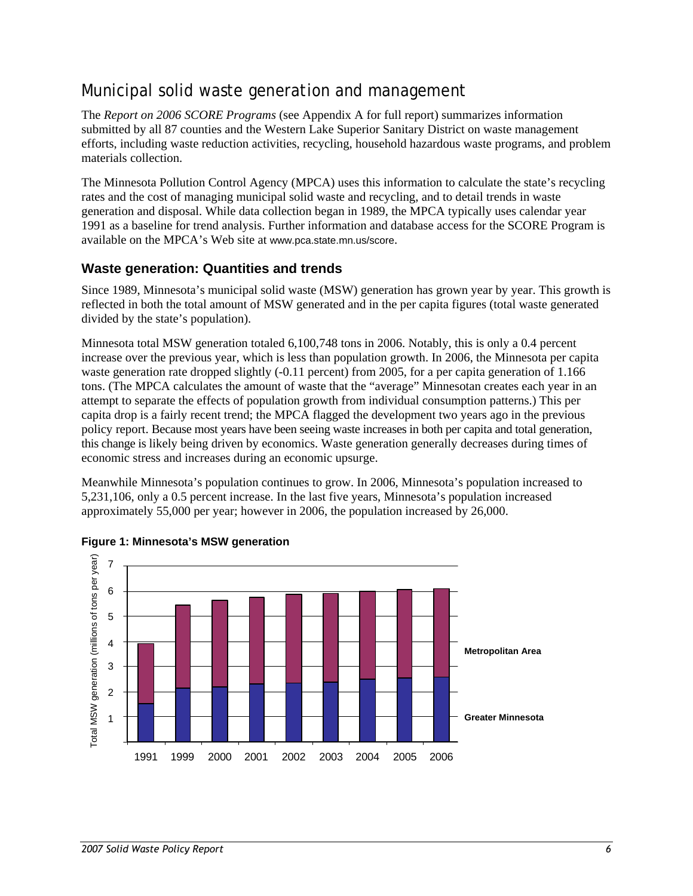# <span id="page-7-0"></span>Municipal solid waste generation and management

The *Report on 2006 SCORE Programs* (see Appendix A for full report) summarizes information submitted by all 87 counties and the Western Lake Superior Sanitary District on waste management efforts, including waste reduction activities, recycling, household hazardous waste programs, and problem materials collection.

The Minnesota Pollution Control Agency (MPCA) uses this information to calculate the state's recycling rates and the cost of managing municipal solid waste and recycling, and to detail trends in waste generation and disposal. While data collection began in 1989, the MPCA typically uses calendar year 1991 as a baseline for trend analysis. Further information and database access for the SCORE Program is available on the MPCA's Web site at www.pca.state.mn.us/score.

# **Waste generation: Quantities and trends**

Since 1989, Minnesota's municipal solid waste (MSW) generation has grown year by year. This growth is reflected in both the total amount of MSW generated and in the per capita figures (total waste generated divided by the state's population).

Minnesota total MSW generation totaled 6,100,748 tons in 2006. Notably, this is only a 0.4 percent increase over the previous year, which is less than population growth. In 2006, the Minnesota per capita waste generation rate dropped slightly (-0.11 percent) from 2005, for a per capita generation of 1.166 tons. (The MPCA calculates the amount of waste that the "average" Minnesotan creates each year in an attempt to separate the effects of population growth from individual consumption patterns.) This per capita drop is a fairly recent trend; the MPCA flagged the development two years ago in the previous policy report. Because most years have been seeing waste increases in both per capita and total generation, this change is likely being driven by economics. Waste generation generally decreases during times of economic stress and increases during an economic upsurge.

Meanwhile Minnesota's population continues to grow. In 2006, Minnesota's population increased to 5,231,106, only a 0.5 percent increase. In the last five years, Minnesota's population increased approximately 55,000 per year; however in 2006, the population increased by 26,000.



#### **Figure 1: Minnesota's MSW generation**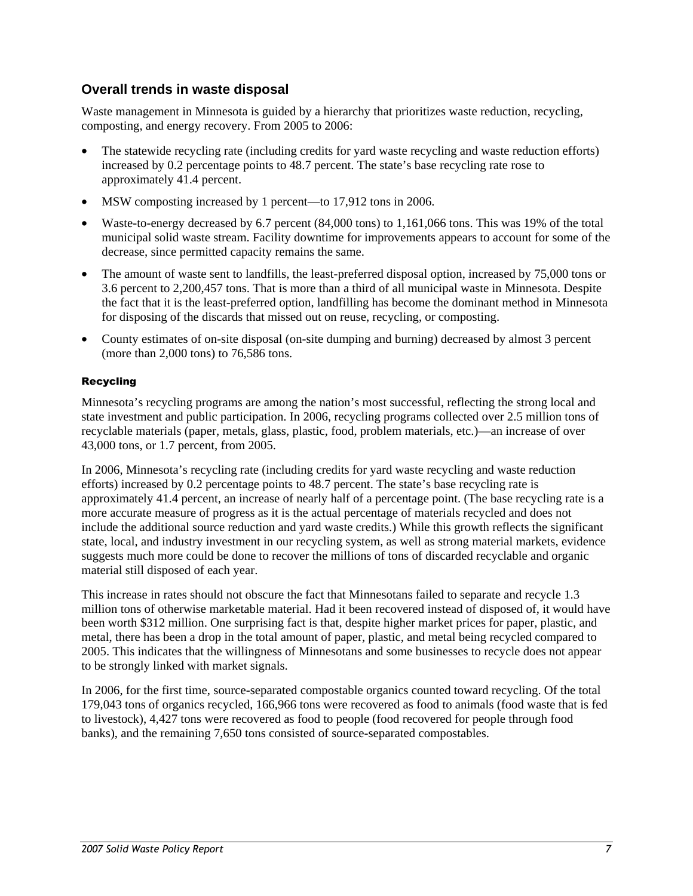## **Overall trends in waste disposal**

Waste management in Minnesota is guided by a hierarchy that prioritizes waste reduction, recycling, composting, and energy recovery. From 2005 to 2006:

- The statewide recycling rate (including credits for yard waste recycling and waste reduction efforts) increased by 0.2 percentage points to 48.7 percent. The state's base recycling rate rose to approximately 41.4 percent.
- MSW composting increased by 1 percent—to 17,912 tons in 2006.
- Waste-to-energy decreased by 6.7 percent (84,000 tons) to 1,161,066 tons. This was 19% of the total municipal solid waste stream. Facility downtime for improvements appears to account for some of the decrease, since permitted capacity remains the same.
- The amount of waste sent to landfills, the least-preferred disposal option, increased by 75,000 tons or 3.6 percent to 2,200,457 tons. That is more than a third of all municipal waste in Minnesota. Despite the fact that it is the least-preferred option, landfilling has become the dominant method in Minnesota for disposing of the discards that missed out on reuse, recycling, or composting.
- County estimates of on-site disposal (on-site dumping and burning) decreased by almost 3 percent (more than 2,000 tons) to 76,586 tons.

#### Recycling

Minnesota's recycling programs are among the nation's most successful, reflecting the strong local and state investment and public participation. In 2006, recycling programs collected over 2.5 million tons of recyclable materials (paper, metals, glass, plastic, food, problem materials, etc.)—an increase of over 43,000 tons, or 1.7 percent, from 2005.

In 2006, Minnesota's recycling rate (including credits for yard waste recycling and waste reduction efforts) increased by 0.2 percentage points to 48.7 percent. The state's base recycling rate is approximately 41.4 percent, an increase of nearly half of a percentage point. (The base recycling rate is a more accurate measure of progress as it is the actual percentage of materials recycled and does not include the additional source reduction and yard waste credits.) While this growth reflects the significant state, local, and industry investment in our recycling system, as well as strong material markets, evidence suggests much more could be done to recover the millions of tons of discarded recyclable and organic material still disposed of each year.

This increase in rates should not obscure the fact that Minnesotans failed to separate and recycle 1.3 million tons of otherwise marketable material. Had it been recovered instead of disposed of, it would have been worth \$312 million. One surprising fact is that, despite higher market prices for paper, plastic, and metal, there has been a drop in the total amount of paper, plastic, and metal being recycled compared to 2005. This indicates that the willingness of Minnesotans and some businesses to recycle does not appear to be strongly linked with market signals.

In 2006, for the first time, source-separated compostable organics counted toward recycling. Of the total 179,043 tons of organics recycled, 166,966 tons were recovered as food to animals (food waste that is fed to livestock), 4,427 tons were recovered as food to people (food recovered for people through food banks), and the remaining 7,650 tons consisted of source-separated compostables.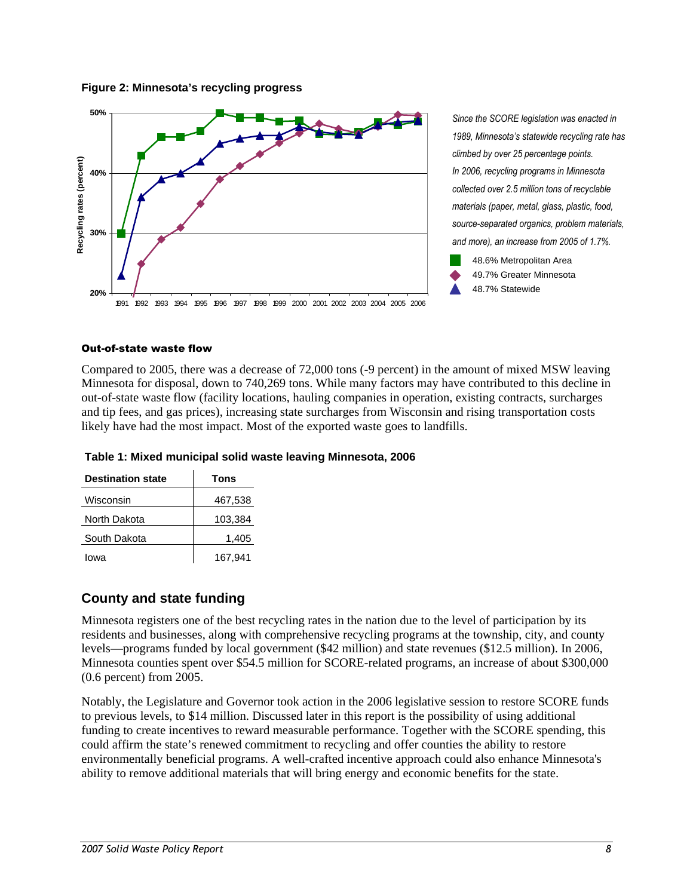#### **Figure 2: Minnesota's recycling progress**



*Since the SCORE legislation was enacted in 1989, Minnesota's statewide recycling rate has climbed by over 25 percentage points. In 2006, recycling programs in Minnesota collected over 2.5 million tons of recyclable materials (paper, metal, glass, plastic, food, source-separated organics, problem materials, and more), an increase from 2005 of 1.7%.* 



#### Out-of-state waste flow

Compared to 2005, there was a decrease of 72,000 tons (-9 percent) in the amount of mixed MSW leaving Minnesota for disposal, down to 740,269 tons. While many factors may have contributed to this decline in out-of-state waste flow (facility locations, hauling companies in operation, existing contracts, surcharges and tip fees, and gas prices), increasing state surcharges from Wisconsin and rising transportation costs likely have had the most impact. Most of the exported waste goes to landfills.

| Table 1: Mixed municipal solid waste leaving Minnesota, 2006 |
|--------------------------------------------------------------|
|--------------------------------------------------------------|

| <b>Destination state</b> | Tons    |
|--------------------------|---------|
| Wisconsin                | 467,538 |
| North Dakota             | 103,384 |
| South Dakota             | 1,405   |
| lowa                     | 167.941 |

### **County and state funding**

Minnesota registers one of the best recycling rates in the nation due to the level of participation by its residents and businesses, along with comprehensive recycling programs at the township, city, and county levels—programs funded by local government (\$42 million) and state revenues (\$12.5 million). In 2006, Minnesota counties spent over \$54.5 million for SCORE-related programs, an increase of about \$300,000 (0.6 percent) from 2005.

Notably, the Legislature and Governor took action in the 2006 legislative session to restore SCORE funds to previous levels, to \$14 million. Discussed later in this report is the possibility of using additional funding to create incentives to reward measurable performance. Together with the SCORE spending, this could affirm the state's renewed commitment to recycling and offer counties the ability to restore environmentally beneficial programs. A well-crafted incentive approach could also enhance Minnesota's ability to remove additional materials that will bring energy and economic benefits for the state.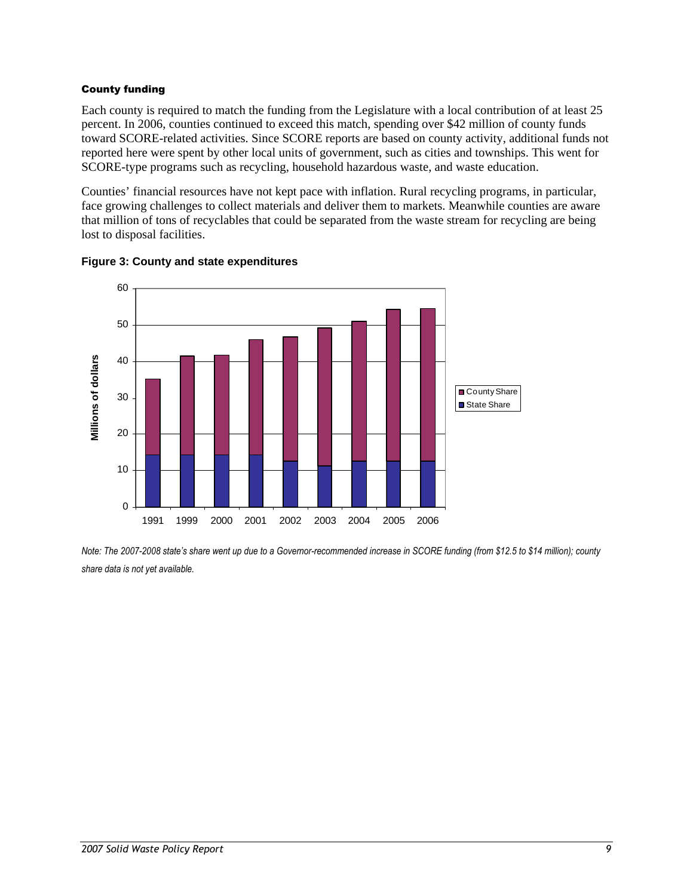#### County funding

Each county is required to match the funding from the Legislature with a local contribution of at least 25 percent. In 2006, counties continued to exceed this match, spending over \$42 million of county funds toward SCORE-related activities. Since SCORE reports are based on county activity, additional funds not reported here were spent by other local units of government, such as cities and townships. This went for SCORE-type programs such as recycling, household hazardous waste, and waste education.

Counties' financial resources have not kept pace with inflation. Rural recycling programs, in particular, face growing challenges to collect materials and deliver them to markets. Meanwhile counties are aware that million of tons of recyclables that could be separated from the waste stream for recycling are being lost to disposal facilities.



#### **Figure 3: County and state expenditures**

*Note: The 2007-2008 state's share went up due to a Governor-recommended increase in SCORE funding (from \$12.5 to \$14 million); county share data is not yet available.*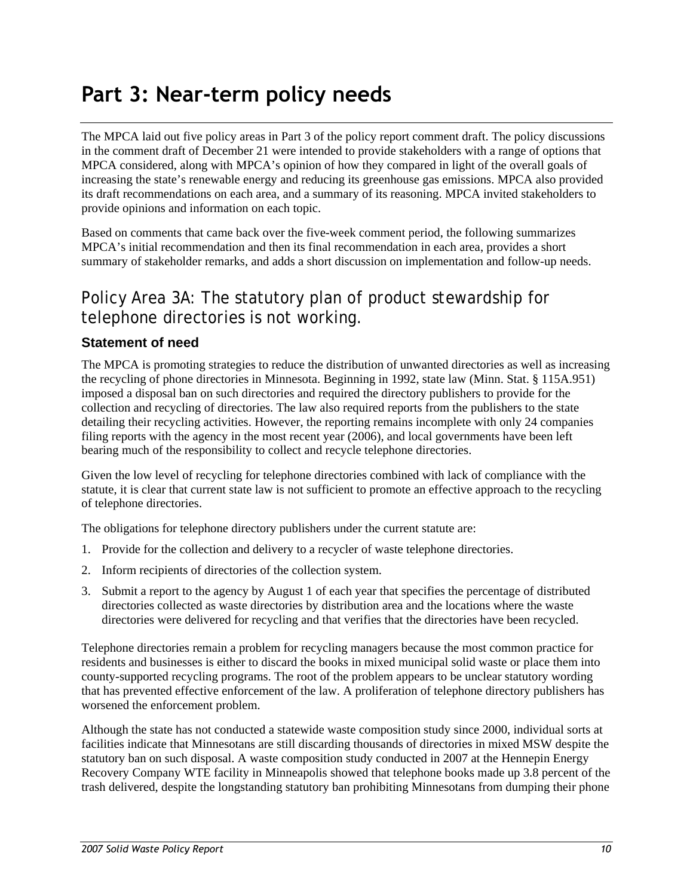# <span id="page-11-0"></span>**Part 3: Near-term policy needs**

The MPCA laid out five policy areas in Part 3 of the policy report comment draft. The policy discussions in the comment draft of December 21 were intended to provide stakeholders with a range of options that MPCA considered, along with MPCA's opinion of how they compared in light of the overall goals of increasing the state's renewable energy and reducing its greenhouse gas emissions. MPCA also provided its draft recommendations on each area, and a summary of its reasoning. MPCA invited stakeholders to provide opinions and information on each topic.

Based on comments that came back over the five-week comment period, the following summarizes MPCA's initial recommendation and then its final recommendation in each area, provides a short summary of stakeholder remarks, and adds a short discussion on implementation and follow-up needs.

# Policy Area 3A: The statutory plan of product stewardship for telephone directories is not working.

## **Statement of need**

The MPCA is promoting strategies to reduce the distribution of unwanted directories as well as increasing the recycling of phone directories in Minnesota. Beginning in 1992, state law (Minn. Stat. § 115A.951) imposed a disposal ban on such directories and required the directory publishers to provide for the collection and recycling of directories. The law also required reports from the publishers to the state detailing their recycling activities. However, the reporting remains incomplete with only 24 companies filing reports with the agency in the most recent year (2006), and local governments have been left bearing much of the responsibility to collect and recycle telephone directories.

Given the low level of recycling for telephone directories combined with lack of compliance with the statute, it is clear that current state law is not sufficient to promote an effective approach to the recycling of telephone directories.

The obligations for telephone directory publishers under the current statute are:

- 1. Provide for the collection and delivery to a recycler of waste telephone directories.
- 2. Inform recipients of directories of the collection system.
- 3. Submit a report to the agency by August 1 of each year that specifies the percentage of distributed directories collected as waste directories by distribution area and the locations where the waste directories were delivered for recycling and that verifies that the directories have been recycled.

Telephone directories remain a problem for recycling managers because the most common practice for residents and businesses is either to discard the books in mixed municipal solid waste or place them into county-supported recycling programs. The root of the problem appears to be unclear statutory wording that has prevented effective enforcement of the law. A proliferation of telephone directory publishers has worsened the enforcement problem.

Although the state has not conducted a statewide waste composition study since 2000, individual sorts at facilities indicate that Minnesotans are still discarding thousands of directories in mixed MSW despite the statutory ban on such disposal. A waste composition study conducted in 2007 at the Hennepin Energy Recovery Company WTE facility in Minneapolis showed that telephone books made up 3.8 percent of the trash delivered, despite the longstanding statutory ban prohibiting Minnesotans from dumping their phone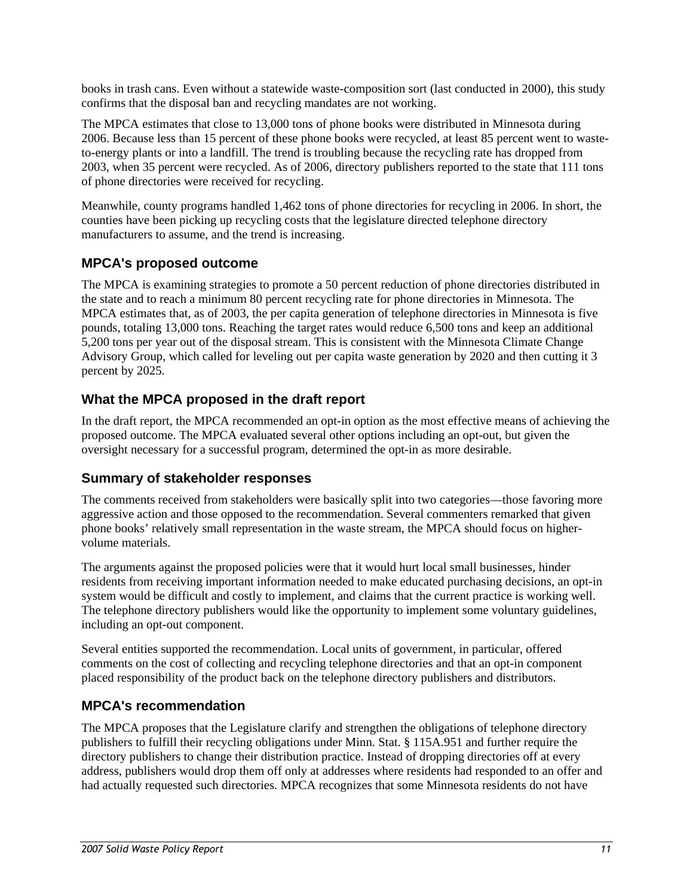books in trash cans. Even without a statewide waste-composition sort (last conducted in 2000), this study confirms that the disposal ban and recycling mandates are not working.

The MPCA estimates that close to 13,000 tons of phone books were distributed in Minnesota during 2006. Because less than 15 percent of these phone books were recycled, at least 85 percent went to wasteto-energy plants or into a landfill. The trend is troubling because the recycling rate has dropped from 2003, when 35 percent were recycled. As of 2006, directory publishers reported to the state that 111 tons of phone directories were received for recycling.

Meanwhile, county programs handled 1,462 tons of phone directories for recycling in 2006. In short, the counties have been picking up recycling costs that the legislature directed telephone directory manufacturers to assume, and the trend is increasing.

# **MPCA's proposed outcome**

The MPCA is examining strategies to promote a 50 percent reduction of phone directories distributed in the state and to reach a minimum 80 percent recycling rate for phone directories in Minnesota. The MPCA estimates that, as of 2003, the per capita generation of telephone directories in Minnesota is five pounds, totaling 13,000 tons. Reaching the target rates would reduce 6,500 tons and keep an additional 5,200 tons per year out of the disposal stream. This is consistent with the Minnesota Climate Change Advisory Group, which called for leveling out per capita waste generation by 2020 and then cutting it 3 percent by 2025.

## **What the MPCA proposed in the draft report**

In the draft report, the MPCA recommended an opt-in option as the most effective means of achieving the proposed outcome. The MPCA evaluated several other options including an opt-out, but given the oversight necessary for a successful program, determined the opt-in as more desirable.

### **Summary of stakeholder responses**

The comments received from stakeholders were basically split into two categories—those favoring more aggressive action and those opposed to the recommendation. Several commenters remarked that given phone books' relatively small representation in the waste stream, the MPCA should focus on highervolume materials.

The arguments against the proposed policies were that it would hurt local small businesses, hinder residents from receiving important information needed to make educated purchasing decisions, an opt-in system would be difficult and costly to implement, and claims that the current practice is working well. The telephone directory publishers would like the opportunity to implement some voluntary guidelines, including an opt-out component.

Several entities supported the recommendation. Local units of government, in particular, offered comments on the cost of collecting and recycling telephone directories and that an opt-in component placed responsibility of the product back on the telephone directory publishers and distributors.

### **MPCA's recommendation**

The MPCA proposes that the Legislature clarify and strengthen the obligations of telephone directory publishers to fulfill their recycling obligations under Minn. Stat. § 115A.951 and further require the directory publishers to change their distribution practice. Instead of dropping directories off at every address, publishers would drop them off only at addresses where residents had responded to an offer and had actually requested such directories. MPCA recognizes that some Minnesota residents do not have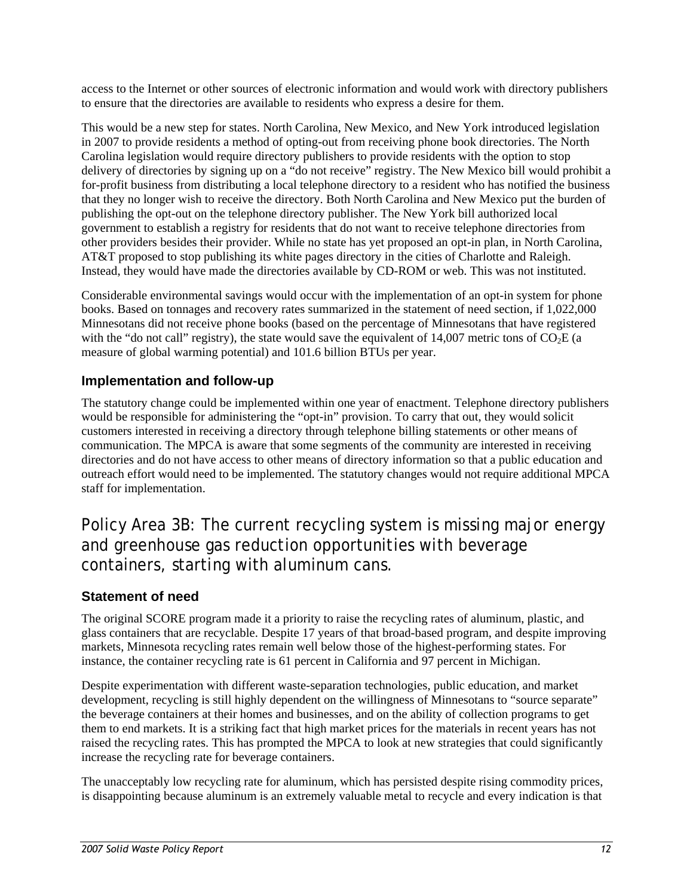<span id="page-13-0"></span>access to the Internet or other sources of electronic information and would work with directory publishers to ensure that the directories are available to residents who express a desire for them.

This would be a new step for states. North Carolina, New Mexico, and New York introduced legislation in 2007 to provide residents a method of opting-out from receiving phone book directories. The North Carolina legislation would require directory publishers to provide residents with the option to stop delivery of directories by signing up on a "do not receive" registry. The New Mexico bill would prohibit a for-profit business from distributing a local telephone directory to a resident who has notified the business that they no longer wish to receive the directory. Both North Carolina and New Mexico put the burden of publishing the opt-out on the telephone directory publisher. The New York bill authorized local government to establish a registry for residents that do not want to receive telephone directories from other providers besides their provider. While no state has yet proposed an opt-in plan, in North Carolina, AT&T proposed to stop publishing its white pages directory in the cities of Charlotte and Raleigh. Instead, they would have made the directories available by CD-ROM or web. This was not instituted.

Considerable environmental savings would occur with the implementation of an opt-in system for phone books. Based on tonnages and recovery rates summarized in the statement of need section, if 1,022,000 Minnesotans did not receive phone books (based on the percentage of Minnesotans that have registered with the "do not call" registry), the state would save the equivalent of  $14,007$  metric tons of CO<sub>2</sub>E (a measure of global warming potential) and 101.6 billion BTUs per year.

## **Implementation and follow-up**

The statutory change could be implemented within one year of enactment. Telephone directory publishers would be responsible for administering the "opt-in" provision. To carry that out, they would solicit customers interested in receiving a directory through telephone billing statements or other means of communication. The MPCA is aware that some segments of the community are interested in receiving directories and do not have access to other means of directory information so that a public education and outreach effort would need to be implemented. The statutory changes would not require additional MPCA staff for implementation.

Policy Area 3B: The current recycling system is missing major energy and greenhouse gas reduction opportunities with beverage containers, starting with aluminum cans.

# **Statement of need**

The original SCORE program made it a priority to raise the recycling rates of aluminum, plastic, and glass containers that are recyclable. Despite 17 years of that broad-based program, and despite improving markets, Minnesota recycling rates remain well below those of the highest-performing states. For instance, the container recycling rate is 61 percent in California and 97 percent in Michigan.

Despite experimentation with different waste-separation technologies, public education, and market development, recycling is still highly dependent on the willingness of Minnesotans to "source separate" the beverage containers at their homes and businesses, and on the ability of collection programs to get them to end markets. It is a striking fact that high market prices for the materials in recent years has not raised the recycling rates. This has prompted the MPCA to look at new strategies that could significantly increase the recycling rate for beverage containers.

The unacceptably low recycling rate for aluminum, which has persisted despite rising commodity prices, is disappointing because aluminum is an extremely valuable metal to recycle and every indication is that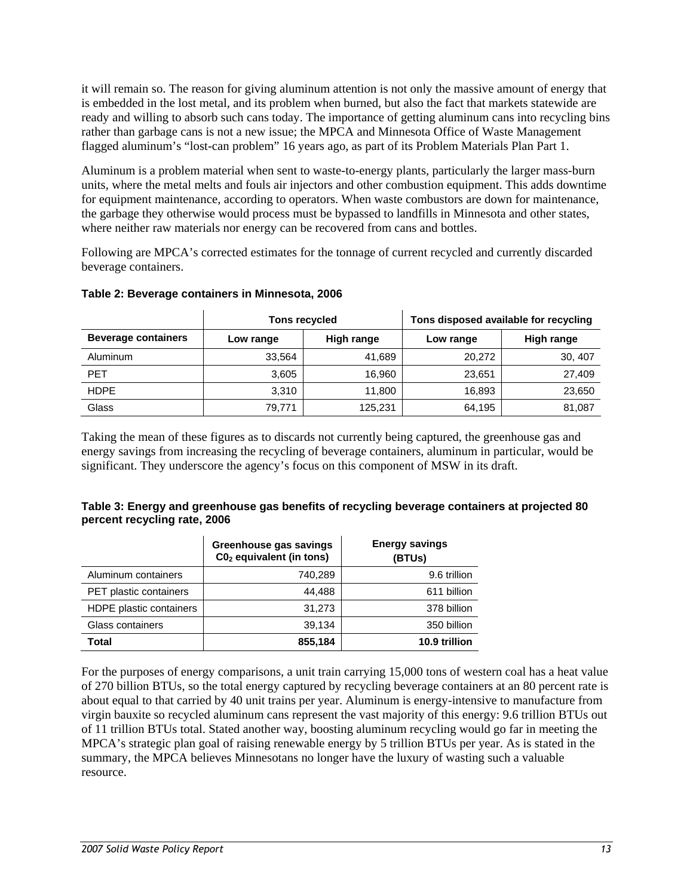it will remain so. The reason for giving aluminum attention is not only the massive amount of energy that is embedded in the lost metal, and its problem when burned, but also the fact that markets statewide are ready and willing to absorb such cans today. The importance of getting aluminum cans into recycling bins rather than garbage cans is not a new issue; the MPCA and Minnesota Office of Waste Management flagged aluminum's "lost-can problem" 16 years ago, as part of its Problem Materials Plan Part 1.

Aluminum is a problem material when sent to waste-to-energy plants, particularly the larger mass-burn units, where the metal melts and fouls air injectors and other combustion equipment. This adds downtime for equipment maintenance, according to operators. When waste combustors are down for maintenance, the garbage they otherwise would process must be bypassed to landfills in Minnesota and other states, where neither raw materials nor energy can be recovered from cans and bottles.

Following are MPCA's corrected estimates for the tonnage of current recycled and currently discarded beverage containers.

|                            | Tons recycled |            | Tons disposed available for recycling |            |  |  |
|----------------------------|---------------|------------|---------------------------------------|------------|--|--|
| <b>Beverage containers</b> | Low range     | High range | Low range                             | High range |  |  |
| Aluminum                   | 33.564        | 41,689     | 20,272                                | 30, 407    |  |  |
| <b>PET</b>                 | 3.605         | 16,960     | 23,651                                | 27,409     |  |  |
| <b>HDPE</b>                | 3.310         | 11,800     | 16,893                                | 23,650     |  |  |
| Glass                      | 79,771        | 125,231    | 64,195                                | 81,087     |  |  |

#### **Table 2: Beverage containers in Minnesota, 2006**

Taking the mean of these figures as to discards not currently being captured, the greenhouse gas and energy savings from increasing the recycling of beverage containers, aluminum in particular, would be significant. They underscore the agency's focus on this component of MSW in its draft.

#### **Table 3: Energy and greenhouse gas benefits of recycling beverage containers at projected 80 percent recycling rate, 2006**

|                         | Greenhouse gas savings<br>$CO2$ equivalent (in tons) | <b>Energy savings</b><br>(BTUs) |
|-------------------------|------------------------------------------------------|---------------------------------|
| Aluminum containers     | 740,289                                              | 9.6 trillion                    |
| PET plastic containers  | 44,488                                               | 611 billion                     |
| HDPE plastic containers | 31,273                                               | 378 billion                     |
| Glass containers        | 39,134                                               | 350 billion                     |
| Total                   | 855,184                                              | 10.9 trillion                   |

For the purposes of energy comparisons, a unit train carrying 15,000 tons of western coal has a heat value of 270 billion BTUs, so the total energy captured by recycling beverage containers at an 80 percent rate is about equal to that carried by 40 unit trains per year. Aluminum is energy-intensive to manufacture from virgin bauxite so recycled aluminum cans represent the vast majority of this energy: 9.6 trillion BTUs out of 11 trillion BTUs total. Stated another way, boosting aluminum recycling would go far in meeting the MPCA's strategic plan goal of raising renewable energy by 5 trillion BTUs per year. As is stated in the summary, the MPCA believes Minnesotans no longer have the luxury of wasting such a valuable resource.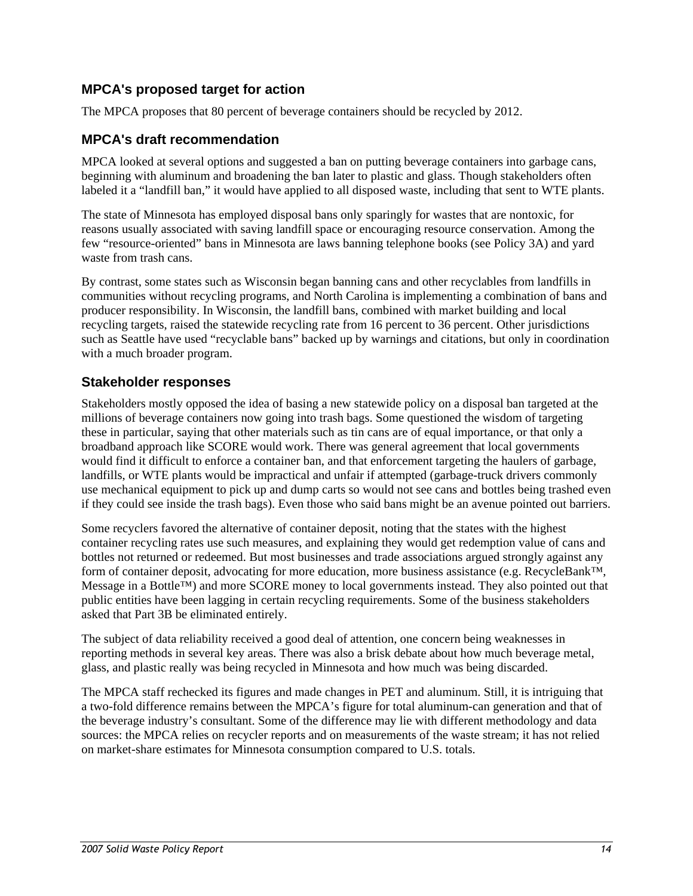## **MPCA's proposed target for action**

The MPCA proposes that 80 percent of beverage containers should be recycled by 2012.

### **MPCA's draft recommendation**

MPCA looked at several options and suggested a ban on putting beverage containers into garbage cans, beginning with aluminum and broadening the ban later to plastic and glass. Though stakeholders often labeled it a "landfill ban," it would have applied to all disposed waste, including that sent to WTE plants.

The state of Minnesota has employed disposal bans only sparingly for wastes that are nontoxic, for reasons usually associated with saving landfill space or encouraging resource conservation. Among the few "resource-oriented" bans in Minnesota are laws banning telephone books (see Policy 3A) and yard waste from trash cans.

By contrast, some states such as Wisconsin began banning cans and other recyclables from landfills in communities without recycling programs, and North Carolina is implementing a combination of bans and producer responsibility. In Wisconsin, the landfill bans, combined with market building and local recycling targets, raised the statewide recycling rate from 16 percent to 36 percent. Other jurisdictions such as Seattle have used "recyclable bans" backed up by warnings and citations, but only in coordination with a much broader program.

### **Stakeholder responses**

Stakeholders mostly opposed the idea of basing a new statewide policy on a disposal ban targeted at the millions of beverage containers now going into trash bags. Some questioned the wisdom of targeting these in particular, saying that other materials such as tin cans are of equal importance, or that only a broadband approach like SCORE would work. There was general agreement that local governments would find it difficult to enforce a container ban, and that enforcement targeting the haulers of garbage, landfills, or WTE plants would be impractical and unfair if attempted (garbage-truck drivers commonly use mechanical equipment to pick up and dump carts so would not see cans and bottles being trashed even if they could see inside the trash bags). Even those who said bans might be an avenue pointed out barriers.

Some recyclers favored the alternative of container deposit, noting that the states with the highest container recycling rates use such measures, and explaining they would get redemption value of cans and bottles not returned or redeemed. But most businesses and trade associations argued strongly against any form of container deposit, advocating for more education, more business assistance (e.g. RecycleBank™, Message in a Bottle™) and more SCORE money to local governments instead. They also pointed out that public entities have been lagging in certain recycling requirements. Some of the business stakeholders asked that Part 3B be eliminated entirely.

The subject of data reliability received a good deal of attention, one concern being weaknesses in reporting methods in several key areas. There was also a brisk debate about how much beverage metal, glass, and plastic really was being recycled in Minnesota and how much was being discarded.

The MPCA staff rechecked its figures and made changes in PET and aluminum. Still, it is intriguing that a two-fold difference remains between the MPCA's figure for total aluminum-can generation and that of the beverage industry's consultant. Some of the difference may lie with different methodology and data sources: the MPCA relies on recycler reports and on measurements of the waste stream; it has not relied on market-share estimates for Minnesota consumption compared to U.S. totals.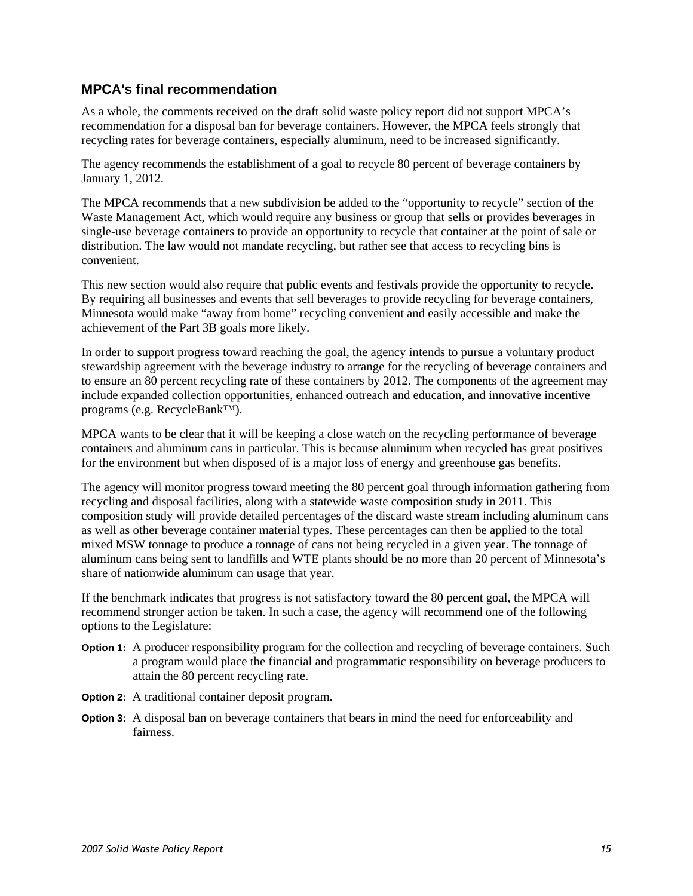### **MPCA's final recommendation**

As a whole, the comments received on the draft solid waste policy report did not support MPCA's recommendation for a disposal ban for beverage containers. However, the MPCA feels strongly that recycling rates for beverage containers, especially aluminum, need to be increased significantly.

The agency recommends the establishment of a goal to recycle 80 percent of beverage containers by January 1, 2012.

The MPCA recommends that a new subdivision be added to the "opportunity to recycle" section of the Waste Management Act, which would require any business or group that sells or provides beverages in single-use beverage containers to provide an opportunity to recycle that container at the point of sale or distribution. The law would not mandate recycling, but rather see that access to recycling bins is convenient.

This new section would also require that public events and festivals provide the opportunity to recycle. By requiring all businesses and events that sell beverages to provide recycling for beverage containers, Minnesota would make "away from home" recycling convenient and easily accessible and make the achievement of the Part 3B goals more likely.

In order to support progress toward reaching the goal, the agency intends to pursue a voluntary product stewardship agreement with the beverage industry to arrange for the recycling of beverage containers and to ensure an 80 percent recycling rate of these containers by 2012. The components of the agreement may include expanded collection opportunities, enhanced outreach and education, and innovative incentive programs (e.g. RecycleBank™).

MPCA wants to be clear that it will be keeping a close watch on the recycling performance of beverage containers and aluminum cans in particular. This is because aluminum when recycled has great positives for the environment but when disposed of is a major loss of energy and greenhouse gas benefits.

The agency will monitor progress toward meeting the 80 percent goal through information gathering from recycling and disposal facilities, along with a statewide waste composition study in 2011. This composition study will provide detailed percentages of the discard waste stream including aluminum cans as well as other beverage container material types. These percentages can then be applied to the total mixed MSW tonnage to produce a tonnage of cans not being recycled in a given year. The tonnage of aluminum cans being sent to landfills and WTE plants should be no more than 20 percent of Minnesota's share of nationwide aluminum can usage that year.

If the benchmark indicates that progress is not satisfactory toward the 80 percent goal, the MPCA will recommend stronger action be taken. In such a case, the agency will recommend one of the following options to the Legislature:

- **Option 1:** A producer responsibility program for the collection and recycling of beverage containers. Such a program would place the financial and programmatic responsibility on beverage producers to attain the 80 percent recycling rate.
- **Option 2:** A traditional container deposit program.
- **Option 3:** A disposal ban on beverage containers that bears in mind the need for enforceability and fairness.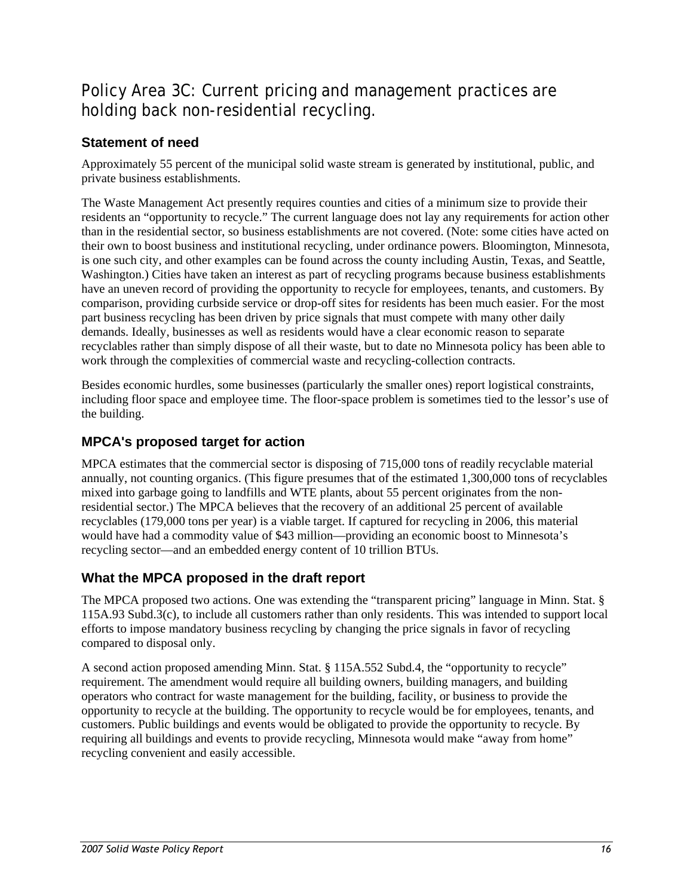# <span id="page-17-0"></span>Policy Area 3C: Current pricing and management practices are holding back non-residential recycling.

# **Statement of need**

Approximately 55 percent of the municipal solid waste stream is generated by institutional, public, and private business establishments.

The Waste Management Act presently requires counties and cities of a minimum size to provide their residents an "opportunity to recycle." The current language does not lay any requirements for action other than in the residential sector, so business establishments are not covered. (Note: some cities have acted on their own to boost business and institutional recycling, under ordinance powers. Bloomington, Minnesota, is one such city, and other examples can be found across the county including Austin, Texas, and Seattle, Washington.) Cities have taken an interest as part of recycling programs because business establishments have an uneven record of providing the opportunity to recycle for employees, tenants, and customers. By comparison, providing curbside service or drop-off sites for residents has been much easier. For the most part business recycling has been driven by price signals that must compete with many other daily demands. Ideally, businesses as well as residents would have a clear economic reason to separate recyclables rather than simply dispose of all their waste, but to date no Minnesota policy has been able to work through the complexities of commercial waste and recycling-collection contracts.

Besides economic hurdles, some businesses (particularly the smaller ones) report logistical constraints, including floor space and employee time. The floor-space problem is sometimes tied to the lessor's use of the building.

# **MPCA's proposed target for action**

MPCA estimates that the commercial sector is disposing of 715,000 tons of readily recyclable material annually, not counting organics. (This figure presumes that of the estimated 1,300,000 tons of recyclables mixed into garbage going to landfills and WTE plants, about 55 percent originates from the nonresidential sector.) The MPCA believes that the recovery of an additional 25 percent of available recyclables (179,000 tons per year) is a viable target. If captured for recycling in 2006, this material would have had a commodity value of \$43 million—providing an economic boost to Minnesota's recycling sector—and an embedded energy content of 10 trillion BTUs.

# **What the MPCA proposed in the draft report**

The MPCA proposed two actions. One was extending the "transparent pricing" language in Minn. Stat. § 115A.93 Subd.3(c), to include all customers rather than only residents. This was intended to support local efforts to impose mandatory business recycling by changing the price signals in favor of recycling compared to disposal only.

A second action proposed amending Minn. Stat. § 115A.552 Subd.4, the "opportunity to recycle" requirement. The amendment would require all building owners, building managers, and building operators who contract for waste management for the building, facility, or business to provide the opportunity to recycle at the building. The opportunity to recycle would be for employees, tenants, and customers. Public buildings and events would be obligated to provide the opportunity to recycle. By requiring all buildings and events to provide recycling, Minnesota would make "away from home" recycling convenient and easily accessible.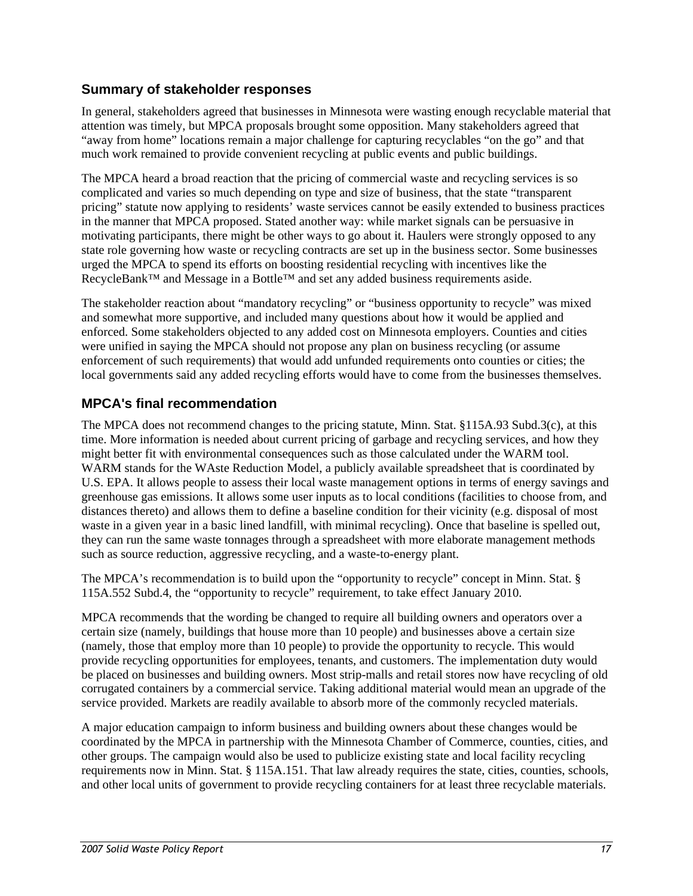## **Summary of stakeholder responses**

In general, stakeholders agreed that businesses in Minnesota were wasting enough recyclable material that attention was timely, but MPCA proposals brought some opposition. Many stakeholders agreed that "away from home" locations remain a major challenge for capturing recyclables "on the go" and that much work remained to provide convenient recycling at public events and public buildings.

The MPCA heard a broad reaction that the pricing of commercial waste and recycling services is so complicated and varies so much depending on type and size of business, that the state "transparent pricing" statute now applying to residents' waste services cannot be easily extended to business practices in the manner that MPCA proposed. Stated another way: while market signals can be persuasive in motivating participants, there might be other ways to go about it. Haulers were strongly opposed to any state role governing how waste or recycling contracts are set up in the business sector. Some businesses urged the MPCA to spend its efforts on boosting residential recycling with incentives like the RecycleBank™ and Message in a Bottle™ and set any added business requirements aside.

The stakeholder reaction about "mandatory recycling" or "business opportunity to recycle" was mixed and somewhat more supportive, and included many questions about how it would be applied and enforced. Some stakeholders objected to any added cost on Minnesota employers. Counties and cities were unified in saying the MPCA should not propose any plan on business recycling (or assume enforcement of such requirements) that would add unfunded requirements onto counties or cities; the local governments said any added recycling efforts would have to come from the businesses themselves.

# **MPCA's final recommendation**

The MPCA does not recommend changes to the pricing statute, Minn. Stat. §115A.93 Subd.3(c), at this time. More information is needed about current pricing of garbage and recycling services, and how they might better fit with environmental consequences such as those calculated under the WARM tool. WARM stands for the WAste Reduction Model, a publicly available spreadsheet that is coordinated by U.S. EPA. It allows people to assess their local waste management options in terms of energy savings and greenhouse gas emissions. It allows some user inputs as to local conditions (facilities to choose from, and distances thereto) and allows them to define a baseline condition for their vicinity (e.g. disposal of most waste in a given year in a basic lined landfill, with minimal recycling). Once that baseline is spelled out, they can run the same waste tonnages through a spreadsheet with more elaborate management methods such as source reduction, aggressive recycling, and a waste-to-energy plant.

The MPCA's recommendation is to build upon the "opportunity to recycle" concept in Minn. Stat. § 115A.552 Subd.4, the "opportunity to recycle" requirement, to take effect January 2010.

MPCA recommends that the wording be changed to require all building owners and operators over a certain size (namely, buildings that house more than 10 people) and businesses above a certain size (namely, those that employ more than 10 people) to provide the opportunity to recycle. This would provide recycling opportunities for employees, tenants, and customers. The implementation duty would be placed on businesses and building owners. Most strip-malls and retail stores now have recycling of old corrugated containers by a commercial service. Taking additional material would mean an upgrade of the service provided. Markets are readily available to absorb more of the commonly recycled materials.

A major education campaign to inform business and building owners about these changes would be coordinated by the MPCA in partnership with the Minnesota Chamber of Commerce, counties, cities, and other groups. The campaign would also be used to publicize existing state and local facility recycling requirements now in Minn. Stat. § 115A.151. That law already requires the state, cities, counties, schools, and other local units of government to provide recycling containers for at least three recyclable materials.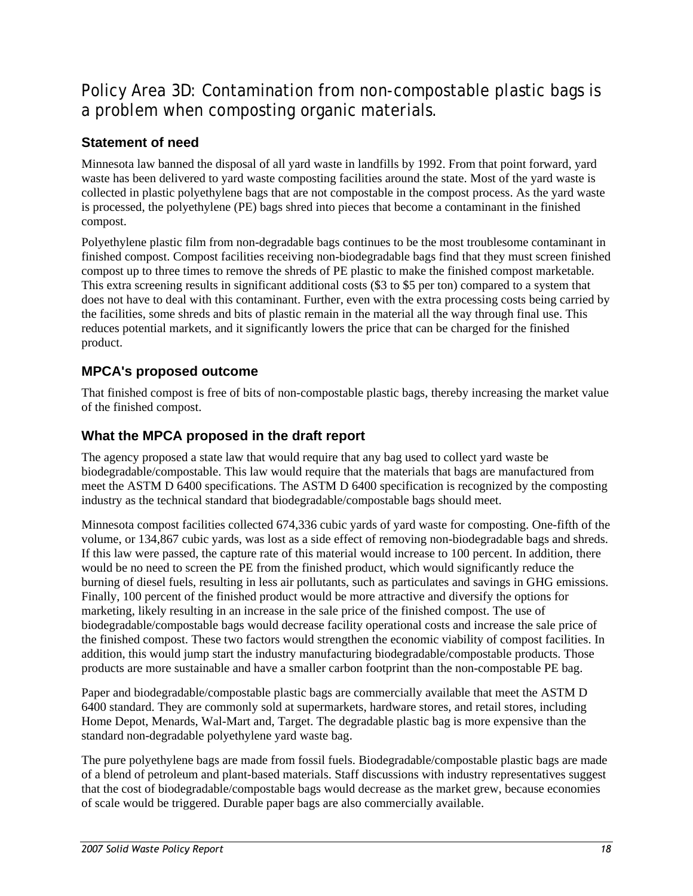# <span id="page-19-0"></span>Policy Area 3D: Contamination from non-compostable plastic bags is a problem when composting organic materials.

# **Statement of need**

Minnesota law banned the disposal of all yard waste in landfills by 1992. From that point forward, yard waste has been delivered to yard waste composting facilities around the state. Most of the yard waste is collected in plastic polyethylene bags that are not compostable in the compost process. As the yard waste is processed, the polyethylene (PE) bags shred into pieces that become a contaminant in the finished compost.

Polyethylene plastic film from non-degradable bags continues to be the most troublesome contaminant in finished compost. Compost facilities receiving non-biodegradable bags find that they must screen finished compost up to three times to remove the shreds of PE plastic to make the finished compost marketable. This extra screening results in significant additional costs (\$3 to \$5 per ton) compared to a system that does not have to deal with this contaminant. Further, even with the extra processing costs being carried by the facilities, some shreds and bits of plastic remain in the material all the way through final use. This reduces potential markets, and it significantly lowers the price that can be charged for the finished product.

# **MPCA's proposed outcome**

That finished compost is free of bits of non-compostable plastic bags, thereby increasing the market value of the finished compost.

# **What the MPCA proposed in the draft report**

The agency proposed a state law that would require that any bag used to collect yard waste be biodegradable/compostable. This law would require that the materials that bags are manufactured from meet the ASTM D 6400 specifications. The ASTM D 6400 specification is recognized by the composting industry as the technical standard that biodegradable/compostable bags should meet.

Minnesota compost facilities collected 674,336 cubic yards of yard waste for composting. One-fifth of the volume, or 134,867 cubic yards, was lost as a side effect of removing non-biodegradable bags and shreds. If this law were passed, the capture rate of this material would increase to 100 percent. In addition, there would be no need to screen the PE from the finished product, which would significantly reduce the burning of diesel fuels, resulting in less air pollutants, such as particulates and savings in GHG emissions. Finally, 100 percent of the finished product would be more attractive and diversify the options for marketing, likely resulting in an increase in the sale price of the finished compost. The use of biodegradable/compostable bags would decrease facility operational costs and increase the sale price of the finished compost. These two factors would strengthen the economic viability of compost facilities. In addition, this would jump start the industry manufacturing biodegradable/compostable products. Those products are more sustainable and have a smaller carbon footprint than the non-compostable PE bag.

Paper and biodegradable/compostable plastic bags are commercially available that meet the ASTM D 6400 standard. They are commonly sold at supermarkets, hardware stores, and retail stores, including Home Depot, Menards, Wal-Mart and, Target. The degradable plastic bag is more expensive than the standard non-degradable polyethylene yard waste bag.

The pure polyethylene bags are made from fossil fuels. Biodegradable/compostable plastic bags are made of a blend of petroleum and plant-based materials. Staff discussions with industry representatives suggest that the cost of biodegradable/compostable bags would decrease as the market grew, because economies of scale would be triggered. Durable paper bags are also commercially available.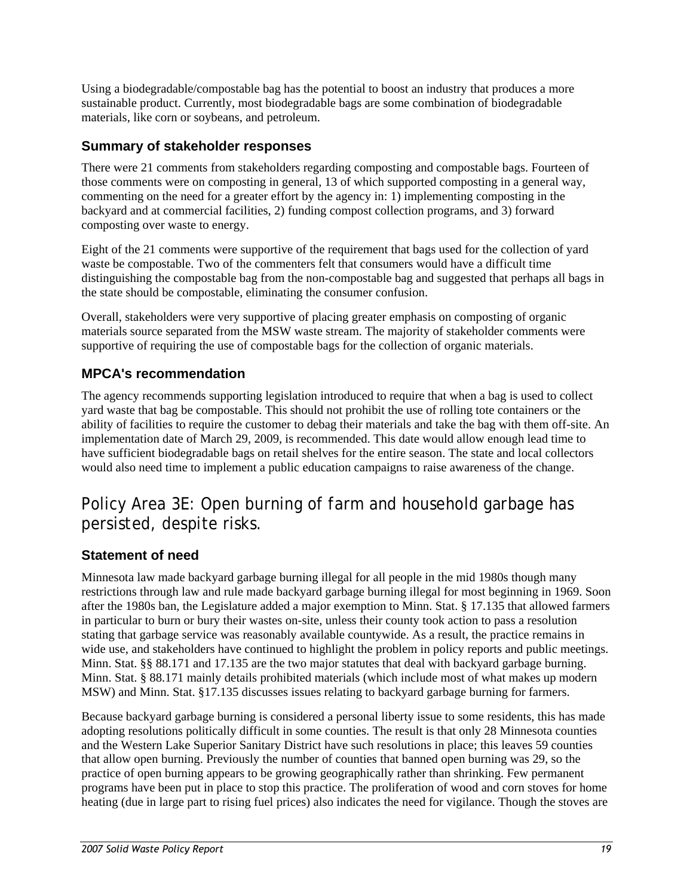<span id="page-20-0"></span>Using a biodegradable/compostable bag has the potential to boost an industry that produces a more sustainable product. Currently, most biodegradable bags are some combination of biodegradable materials, like corn or soybeans, and petroleum.

# **Summary of stakeholder responses**

There were 21 comments from stakeholders regarding composting and compostable bags. Fourteen of those comments were on composting in general, 13 of which supported composting in a general way, commenting on the need for a greater effort by the agency in: 1) implementing composting in the backyard and at commercial facilities, 2) funding compost collection programs, and 3) forward composting over waste to energy.

Eight of the 21 comments were supportive of the requirement that bags used for the collection of yard waste be compostable. Two of the commenters felt that consumers would have a difficult time distinguishing the compostable bag from the non-compostable bag and suggested that perhaps all bags in the state should be compostable, eliminating the consumer confusion.

Overall, stakeholders were very supportive of placing greater emphasis on composting of organic materials source separated from the MSW waste stream. The majority of stakeholder comments were supportive of requiring the use of compostable bags for the collection of organic materials.

# **MPCA's recommendation**

The agency recommends supporting legislation introduced to require that when a bag is used to collect yard waste that bag be compostable. This should not prohibit the use of rolling tote containers or the ability of facilities to require the customer to debag their materials and take the bag with them off-site. An implementation date of March 29, 2009, is recommended. This date would allow enough lead time to have sufficient biodegradable bags on retail shelves for the entire season. The state and local collectors would also need time to implement a public education campaigns to raise awareness of the change.

# Policy Area 3E: Open burning of farm and household garbage has persisted, despite risks.

# **Statement of need**

Minnesota law made backyard garbage burning illegal for all people in the mid 1980s though many restrictions through law and rule made backyard garbage burning illegal for most beginning in 1969. Soon after the 1980s ban, the Legislature added a major exemption to Minn. Stat. § 17.135 that allowed farmers in particular to burn or bury their wastes on-site, unless their county took action to pass a resolution stating that garbage service was reasonably available countywide. As a result, the practice remains in wide use, and stakeholders have continued to highlight the problem in policy reports and public meetings. Minn. Stat. §§ 88.171 and 17.135 are the two major statutes that deal with backyard garbage burning. Minn. Stat. § 88.171 mainly details prohibited materials (which include most of what makes up modern MSW) and Minn. Stat. §17.135 discusses issues relating to backyard garbage burning for farmers.

Because backyard garbage burning is considered a personal liberty issue to some residents, this has made adopting resolutions politically difficult in some counties. The result is that only 28 Minnesota counties and the Western Lake Superior Sanitary District have such resolutions in place; this leaves 59 counties that allow open burning. Previously the number of counties that banned open burning was 29, so the practice of open burning appears to be growing geographically rather than shrinking. Few permanent programs have been put in place to stop this practice. The proliferation of wood and corn stoves for home heating (due in large part to rising fuel prices) also indicates the need for vigilance. Though the stoves are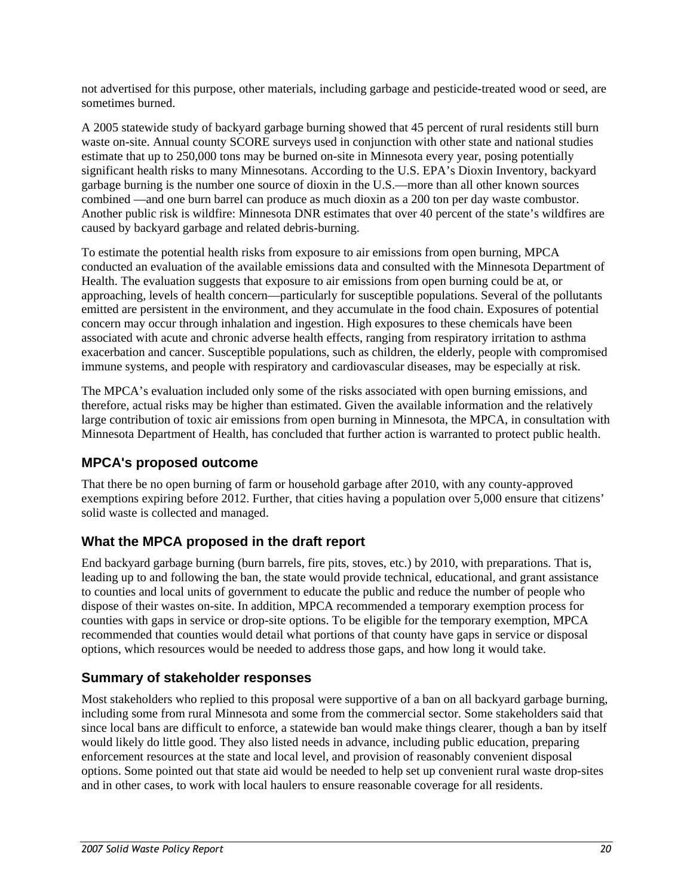not advertised for this purpose, other materials, including garbage and pesticide-treated wood or seed, are sometimes burned.

A 2005 statewide study of backyard garbage burning showed that 45 percent of rural residents still burn waste on-site. Annual county SCORE surveys used in conjunction with other state and national studies estimate that up to 250,000 tons may be burned on-site in Minnesota every year, posing potentially significant health risks to many Minnesotans. According to the U.S. EPA's Dioxin Inventory, backyard garbage burning is the number one source of dioxin in the U.S.—more than all other known sources combined —and one burn barrel can produce as much dioxin as a 200 ton per day waste combustor. Another public risk is wildfire: Minnesota DNR estimates that over 40 percent of the state's wildfires are caused by backyard garbage and related debris-burning.

To estimate the potential health risks from exposure to air emissions from open burning, MPCA conducted an evaluation of the available emissions data and consulted with the Minnesota Department of Health. The evaluation suggests that exposure to air emissions from open burning could be at, or approaching, levels of health concern—particularly for susceptible populations. Several of the pollutants emitted are persistent in the environment, and they accumulate in the food chain. Exposures of potential concern may occur through inhalation and ingestion. High exposures to these chemicals have been associated with acute and chronic adverse health effects, ranging from respiratory irritation to asthma exacerbation and cancer. Susceptible populations, such as children, the elderly, people with compromised immune systems, and people with respiratory and cardiovascular diseases, may be especially at risk.

The MPCA's evaluation included only some of the risks associated with open burning emissions, and therefore, actual risks may be higher than estimated. Given the available information and the relatively large contribution of toxic air emissions from open burning in Minnesota, the MPCA, in consultation with Minnesota Department of Health, has concluded that further action is warranted to protect public health.

# **MPCA's proposed outcome**

That there be no open burning of farm or household garbage after 2010, with any county-approved exemptions expiring before 2012. Further, that cities having a population over 5,000 ensure that citizens' solid waste is collected and managed.

# **What the MPCA proposed in the draft report**

End backyard garbage burning (burn barrels, fire pits, stoves, etc.) by 2010, with preparations. That is, leading up to and following the ban, the state would provide technical, educational, and grant assistance to counties and local units of government to educate the public and reduce the number of people who dispose of their wastes on-site. In addition, MPCA recommended a temporary exemption process for counties with gaps in service or drop-site options. To be eligible for the temporary exemption, MPCA recommended that counties would detail what portions of that county have gaps in service or disposal options, which resources would be needed to address those gaps, and how long it would take.

# **Summary of stakeholder responses**

Most stakeholders who replied to this proposal were supportive of a ban on all backyard garbage burning, including some from rural Minnesota and some from the commercial sector. Some stakeholders said that since local bans are difficult to enforce, a statewide ban would make things clearer, though a ban by itself would likely do little good. They also listed needs in advance, including public education, preparing enforcement resources at the state and local level, and provision of reasonably convenient disposal options. Some pointed out that state aid would be needed to help set up convenient rural waste drop-sites and in other cases, to work with local haulers to ensure reasonable coverage for all residents.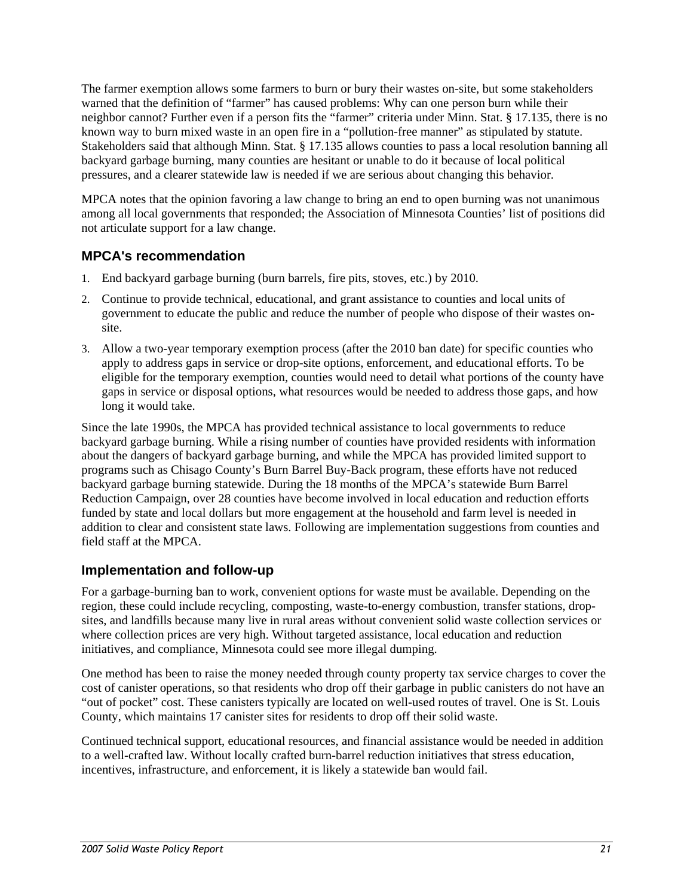The farmer exemption allows some farmers to burn or bury their wastes on-site, but some stakeholders warned that the definition of "farmer" has caused problems: Why can one person burn while their neighbor cannot? Further even if a person fits the "farmer" criteria under Minn. Stat. § 17.135, there is no known way to burn mixed waste in an open fire in a "pollution-free manner" as stipulated by statute. Stakeholders said that although Minn. Stat. § 17.135 allows counties to pass a local resolution banning all backyard garbage burning, many counties are hesitant or unable to do it because of local political pressures, and a clearer statewide law is needed if we are serious about changing this behavior.

MPCA notes that the opinion favoring a law change to bring an end to open burning was not unanimous among all local governments that responded; the Association of Minnesota Counties' list of positions did not articulate support for a law change.

## **MPCA's recommendation**

- 1. End backyard garbage burning (burn barrels, fire pits, stoves, etc.) by 2010.
- 2. Continue to provide technical, educational, and grant assistance to counties and local units of government to educate the public and reduce the number of people who dispose of their wastes onsite.
- 3. Allow a two-year temporary exemption process (after the 2010 ban date) for specific counties who apply to address gaps in service or drop-site options, enforcement, and educational efforts. To be eligible for the temporary exemption, counties would need to detail what portions of the county have gaps in service or disposal options, what resources would be needed to address those gaps, and how long it would take.

Since the late 1990s, the MPCA has provided technical assistance to local governments to reduce backyard garbage burning. While a rising number of counties have provided residents with information about the dangers of backyard garbage burning, and while the MPCA has provided limited support to programs such as Chisago County's Burn Barrel Buy-Back program, these efforts have not reduced backyard garbage burning statewide. During the 18 months of the MPCA's statewide Burn Barrel Reduction Campaign, over 28 counties have become involved in local education and reduction efforts funded by state and local dollars but more engagement at the household and farm level is needed in addition to clear and consistent state laws. Following are implementation suggestions from counties and field staff at the MPCA.

### **Implementation and follow-up**

For a garbage-burning ban to work, convenient options for waste must be available. Depending on the region, these could include recycling, composting, waste-to-energy combustion, transfer stations, dropsites, and landfills because many live in rural areas without convenient solid waste collection services or where collection prices are very high. Without targeted assistance, local education and reduction initiatives, and compliance, Minnesota could see more illegal dumping.

One method has been to raise the money needed through county property tax service charges to cover the cost of canister operations, so that residents who drop off their garbage in public canisters do not have an "out of pocket" cost. These canisters typically are located on well-used routes of travel. One is St. Louis County, which maintains 17 canister sites for residents to drop off their solid waste.

Continued technical support, educational resources, and financial assistance would be needed in addition to a well-crafted law. Without locally crafted burn-barrel reduction initiatives that stress education, incentives, infrastructure, and enforcement, it is likely a statewide ban would fail.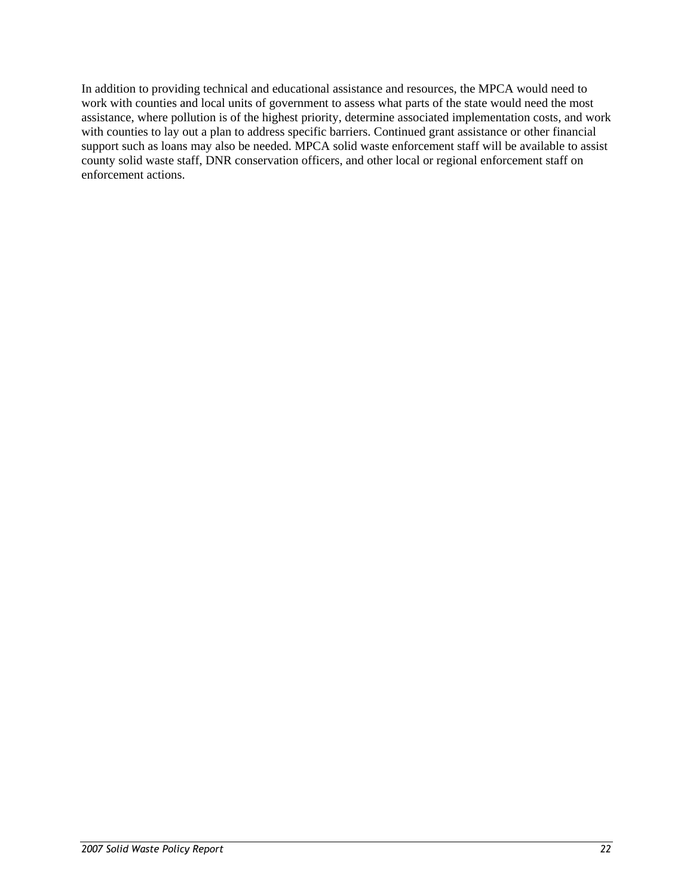In addition to providing technical and educational assistance and resources, the MPCA would need to work with counties and local units of government to assess what parts of the state would need the most assistance, where pollution is of the highest priority, determine associated implementation costs, and work with counties to lay out a plan to address specific barriers. Continued grant assistance or other financial support such as loans may also be needed. MPCA solid waste enforcement staff will be available to assist county solid waste staff, DNR conservation officers, and other local or regional enforcement staff on enforcement actions.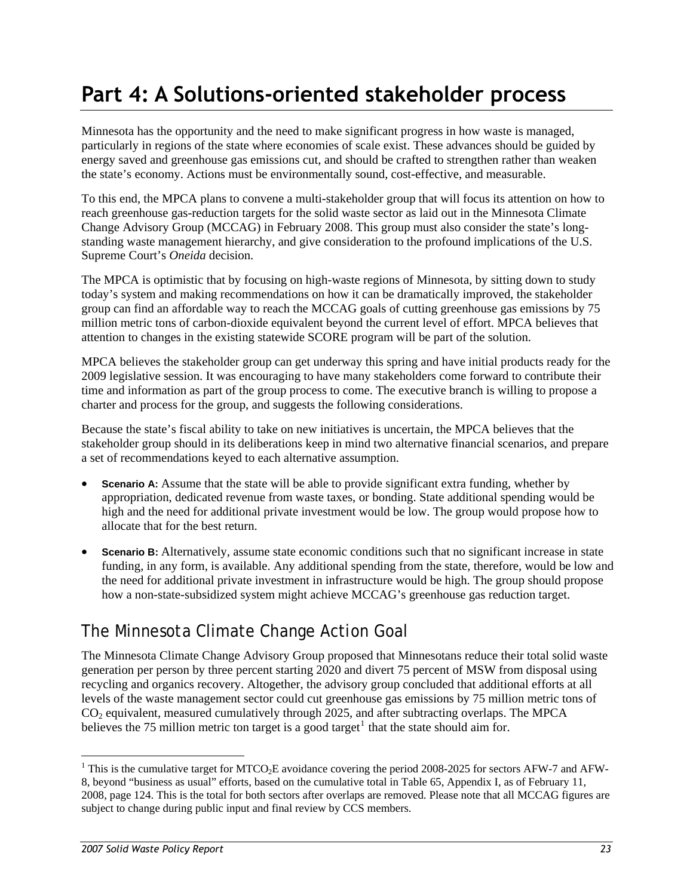# <span id="page-24-0"></span>**Part 4: A Solutions-oriented stakeholder process**

Minnesota has the opportunity and the need to make significant progress in how waste is managed, particularly in regions of the state where economies of scale exist. These advances should be guided by energy saved and greenhouse gas emissions cut, and should be crafted to strengthen rather than weaken the state's economy. Actions must be environmentally sound, cost-effective, and measurable.

To this end, the MPCA plans to convene a multi-stakeholder group that will focus its attention on how to reach greenhouse gas-reduction targets for the solid waste sector as laid out in the Minnesota Climate Change Advisory Group (MCCAG) in February 2008. This group must also consider the state's longstanding waste management hierarchy, and give consideration to the profound implications of the U.S. Supreme Court's *Oneida* decision.

The MPCA is optimistic that by focusing on high-waste regions of Minnesota, by sitting down to study today's system and making recommendations on how it can be dramatically improved, the stakeholder group can find an affordable way to reach the MCCAG goals of cutting greenhouse gas emissions by 75 million metric tons of carbon-dioxide equivalent beyond the current level of effort. MPCA believes that attention to changes in the existing statewide SCORE program will be part of the solution.

MPCA believes the stakeholder group can get underway this spring and have initial products ready for the 2009 legislative session. It was encouraging to have many stakeholders come forward to contribute their time and information as part of the group process to come. The executive branch is willing to propose a charter and process for the group, and suggests the following considerations.

Because the state's fiscal ability to take on new initiatives is uncertain, the MPCA believes that the stakeholder group should in its deliberations keep in mind two alternative financial scenarios, and prepare a set of recommendations keyed to each alternative assumption.

- **Scenario A:** Assume that the state will be able to provide significant extra funding, whether by appropriation, dedicated revenue from waste taxes, or bonding. State additional spending would be high and the need for additional private investment would be low. The group would propose how to allocate that for the best return.
- **Scenario B:** Alternatively, assume state economic conditions such that no significant increase in state funding, in any form, is available. Any additional spending from the state, therefore, would be low and the need for additional private investment in infrastructure would be high. The group should propose how a non-state-subsidized system might achieve MCCAG's greenhouse gas reduction target.

# The Minnesota Climate Change Action Goal

The Minnesota Climate Change Advisory Group proposed that Minnesotans reduce their total solid waste generation per person by three percent starting 2020 and divert 75 percent of MSW from disposal using recycling and organics recovery. Altogether, the advisory group concluded that additional efforts at all levels of the waste management sector could cut greenhouse gas emissions by 75 million metric tons of CO2 equivalent, measured cumulatively through 2025, and after subtracting overlaps. The MPCA believes the 75 million metric ton target is a good target<sup>[1](#page-24-1)</sup> that the state should aim for.

 $\overline{a}$ 

<span id="page-24-1"></span><sup>&</sup>lt;sup>1</sup> This is the cumulative target for MTCO<sub>2</sub>E avoidance covering the period 2008-2025 for sectors AFW-7 and AFW-8, beyond "business as usual" efforts, based on the cumulative total in Table 65, Appendix I, as of February 11, 2008, page 124. This is the total for both sectors after overlaps are removed. Please note that all MCCAG figures are subject to change during public input and final review by CCS members.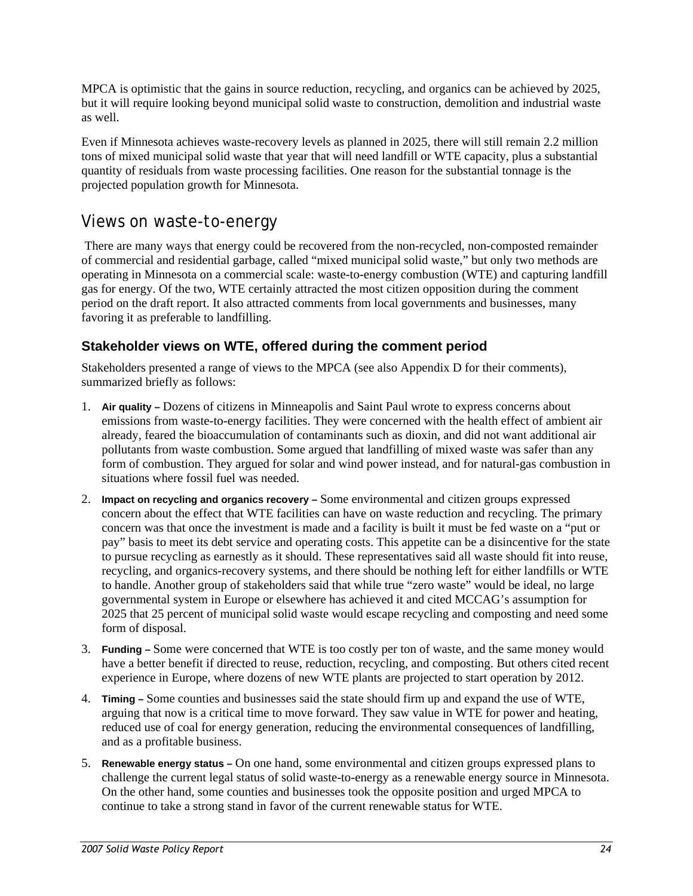<span id="page-25-0"></span>MPCA is optimistic that the gains in source reduction, recycling, and organics can be achieved by 2025, but it will require looking beyond municipal solid waste to construction, demolition and industrial waste as well.

Even if Minnesota achieves waste-recovery levels as planned in 2025, there will still remain 2.2 million tons of mixed municipal solid waste that year that will need landfill or WTE capacity, plus a substantial quantity of residuals from waste processing facilities. One reason for the substantial tonnage is the projected population growth for Minnesota.

# Views on waste-to-energy

 There are many ways that energy could be recovered from the non-recycled, non-composted remainder of commercial and residential garbage, called "mixed municipal solid waste," but only two methods are operating in Minnesota on a commercial scale: waste-to-energy combustion (WTE) and capturing landfill gas for energy. Of the two, WTE certainly attracted the most citizen opposition during the comment period on the draft report. It also attracted comments from local governments and businesses, many favoring it as preferable to landfilling.

# **Stakeholder views on WTE, offered during the comment period**

Stakeholders presented a range of views to the MPCA (see also Appendix D for their comments), summarized briefly as follows:

- 1. **Air quality** Dozens of citizens in Minneapolis and Saint Paul wrote to express concerns about emissions from waste-to-energy facilities. They were concerned with the health effect of ambient air already, feared the bioaccumulation of contaminants such as dioxin, and did not want additional air pollutants from waste combustion. Some argued that landfilling of mixed waste was safer than any form of combustion. They argued for solar and wind power instead, and for natural-gas combustion in situations where fossil fuel was needed.
- 2. **Impact on recycling and organics recovery** Some environmental and citizen groups expressed concern about the effect that WTE facilities can have on waste reduction and recycling. The primary concern was that once the investment is made and a facility is built it must be fed waste on a "put or pay" basis to meet its debt service and operating costs. This appetite can be a disincentive for the state to pursue recycling as earnestly as it should. These representatives said all waste should fit into reuse, recycling, and organics-recovery systems, and there should be nothing left for either landfills or WTE to handle. Another group of stakeholders said that while true "zero waste" would be ideal, no large governmental system in Europe or elsewhere has achieved it and cited MCCAG's assumption for 2025 that 25 percent of municipal solid waste would escape recycling and composting and need some form of disposal.
- 3. **Funding** Some were concerned that WTE is too costly per ton of waste, and the same money would have a better benefit if directed to reuse, reduction, recycling, and composting. But others cited recent experience in Europe, where dozens of new WTE plants are projected to start operation by 2012.
- 4. **Timing** Some counties and businesses said the state should firm up and expand the use of WTE, arguing that now is a critical time to move forward. They saw value in WTE for power and heating, reduced use of coal for energy generation, reducing the environmental consequences of landfilling, and as a profitable business.
- 5. **Renewable energy status** On one hand, some environmental and citizen groups expressed plans to challenge the current legal status of solid waste-to-energy as a renewable energy source in Minnesota. On the other hand, some counties and businesses took the opposite position and urged MPCA to continue to take a strong stand in favor of the current renewable status for WTE.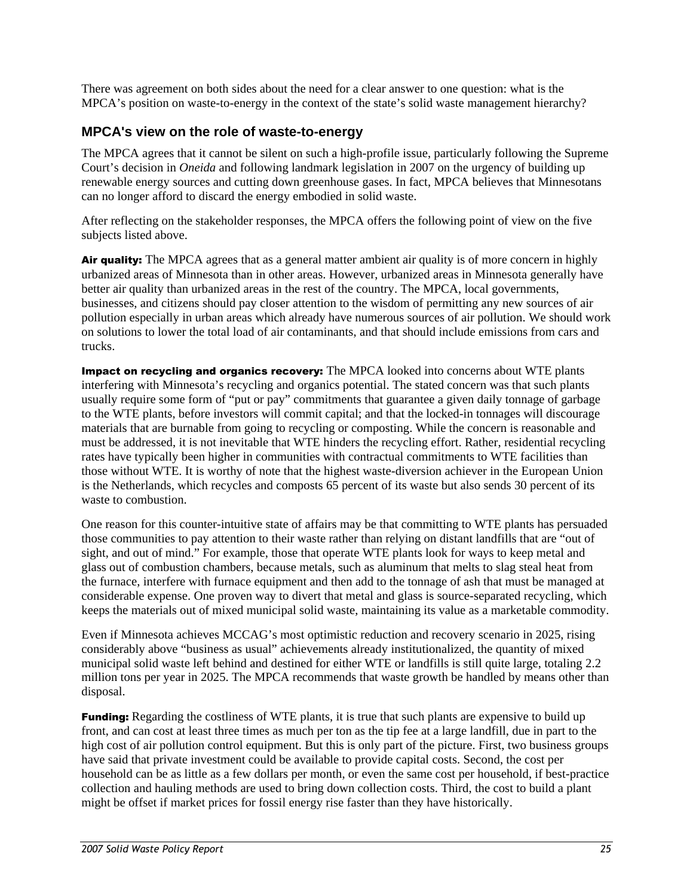There was agreement on both sides about the need for a clear answer to one question: what is the MPCA's position on waste-to-energy in the context of the state's solid waste management hierarchy?

#### **MPCA's view on the role of waste-to-energy**

The MPCA agrees that it cannot be silent on such a high-profile issue, particularly following the Supreme Court's decision in *Oneida* and following landmark legislation in 2007 on the urgency of building up renewable energy sources and cutting down greenhouse gases. In fact, MPCA believes that Minnesotans can no longer afford to discard the energy embodied in solid waste.

After reflecting on the stakeholder responses, the MPCA offers the following point of view on the five subjects listed above.

Air quality: The MPCA agrees that as a general matter ambient air quality is of more concern in highly urbanized areas of Minnesota than in other areas. However, urbanized areas in Minnesota generally have better air quality than urbanized areas in the rest of the country. The MPCA, local governments, businesses, and citizens should pay closer attention to the wisdom of permitting any new sources of air pollution especially in urban areas which already have numerous sources of air pollution. We should work on solutions to lower the total load of air contaminants, and that should include emissions from cars and trucks.

Impact on recycling and organics recovery: The MPCA looked into concerns about WTE plants interfering with Minnesota's recycling and organics potential. The stated concern was that such plants usually require some form of "put or pay" commitments that guarantee a given daily tonnage of garbage to the WTE plants, before investors will commit capital; and that the locked-in tonnages will discourage materials that are burnable from going to recycling or composting. While the concern is reasonable and must be addressed, it is not inevitable that WTE hinders the recycling effort. Rather, residential recycling rates have typically been higher in communities with contractual commitments to WTE facilities than those without WTE. It is worthy of note that the highest waste-diversion achiever in the European Union is the Netherlands, which recycles and composts 65 percent of its waste but also sends 30 percent of its waste to combustion.

One reason for this counter-intuitive state of affairs may be that committing to WTE plants has persuaded those communities to pay attention to their waste rather than relying on distant landfills that are "out of sight, and out of mind." For example, those that operate WTE plants look for ways to keep metal and glass out of combustion chambers, because metals, such as aluminum that melts to slag steal heat from the furnace, interfere with furnace equipment and then add to the tonnage of ash that must be managed at considerable expense. One proven way to divert that metal and glass is source-separated recycling, which keeps the materials out of mixed municipal solid waste, maintaining its value as a marketable commodity.

Even if Minnesota achieves MCCAG's most optimistic reduction and recovery scenario in 2025, rising considerably above "business as usual" achievements already institutionalized, the quantity of mixed municipal solid waste left behind and destined for either WTE or landfills is still quite large, totaling 2.2 million tons per year in 2025. The MPCA recommends that waste growth be handled by means other than disposal.

**Funding:** Regarding the costliness of WTE plants, it is true that such plants are expensive to build up front, and can cost at least three times as much per ton as the tip fee at a large landfill, due in part to the high cost of air pollution control equipment. But this is only part of the picture. First, two business groups have said that private investment could be available to provide capital costs. Second, the cost per household can be as little as a few dollars per month, or even the same cost per household, if best-practice collection and hauling methods are used to bring down collection costs. Third, the cost to build a plant might be offset if market prices for fossil energy rise faster than they have historically.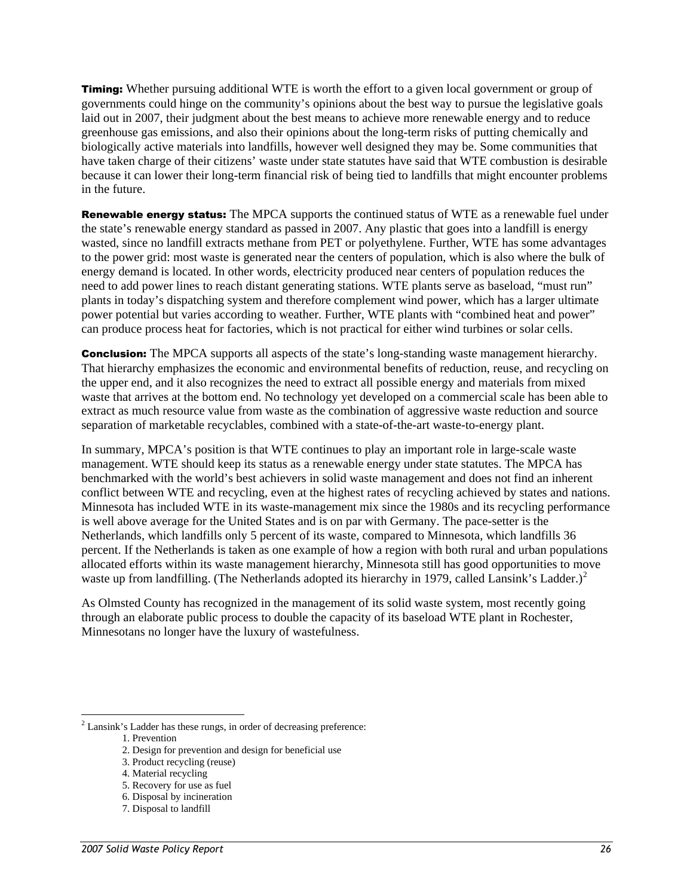**Timing:** Whether pursuing additional WTE is worth the effort to a given local government or group of governments could hinge on the community's opinions about the best way to pursue the legislative goals laid out in 2007, their judgment about the best means to achieve more renewable energy and to reduce greenhouse gas emissions, and also their opinions about the long-term risks of putting chemically and biologically active materials into landfills, however well designed they may be. Some communities that have taken charge of their citizens' waste under state statutes have said that WTE combustion is desirable because it can lower their long-term financial risk of being tied to landfills that might encounter problems in the future.

**Renewable energy status:** The MPCA supports the continued status of WTE as a renewable fuel under the state's renewable energy standard as passed in 2007. Any plastic that goes into a landfill is energy wasted, since no landfill extracts methane from PET or polyethylene. Further, WTE has some advantages to the power grid: most waste is generated near the centers of population, which is also where the bulk of energy demand is located. In other words, electricity produced near centers of population reduces the need to add power lines to reach distant generating stations. WTE plants serve as baseload, "must run" plants in today's dispatching system and therefore complement wind power, which has a larger ultimate power potential but varies according to weather. Further, WTE plants with "combined heat and power" can produce process heat for factories, which is not practical for either wind turbines or solar cells.

**Conclusion:** The MPCA supports all aspects of the state's long-standing waste management hierarchy. That hierarchy emphasizes the economic and environmental benefits of reduction, reuse, and recycling on the upper end, and it also recognizes the need to extract all possible energy and materials from mixed waste that arrives at the bottom end. No technology yet developed on a commercial scale has been able to extract as much resource value from waste as the combination of aggressive waste reduction and source separation of marketable recyclables, combined with a state-of-the-art waste-to-energy plant.

In summary, MPCA's position is that WTE continues to play an important role in large-scale waste management. WTE should keep its status as a renewable energy under state statutes. The MPCA has benchmarked with the world's best achievers in solid waste management and does not find an inherent conflict between WTE and recycling, even at the highest rates of recycling achieved by states and nations. Minnesota has included WTE in its waste-management mix since the 1980s and its recycling performance is well above average for the United States and is on par with Germany. The pace-setter is the Netherlands, which landfills only 5 percent of its waste, compared to Minnesota, which landfills 36 percent. If the Netherlands is taken as one example of how a region with both rural and urban populations allocated efforts within its waste management hierarchy, Minnesota still has good opportunities to move waste up from landfilling. (The Netherlands adopted its hierarchy in 1979, called Lansink's Ladder.) $^2$  $^2$ 

As Olmsted County has recognized in the management of its solid waste system, most recently going through an elaborate public process to double the capacity of its baseload WTE plant in Rochester, Minnesotans no longer have the luxury of wastefulness.

 $\overline{a}$ 

5. Recovery for use as fuel

<span id="page-27-0"></span> $2$  Lansink's Ladder has these rungs, in order of decreasing preference:

<sup>1.</sup> Prevention

<sup>2.</sup> Design for prevention and design for beneficial use

<sup>3.</sup> Product recycling (reuse)

<sup>4.</sup> Material recycling

<sup>6.</sup> Disposal by incineration

<sup>7.</sup> Disposal to landfill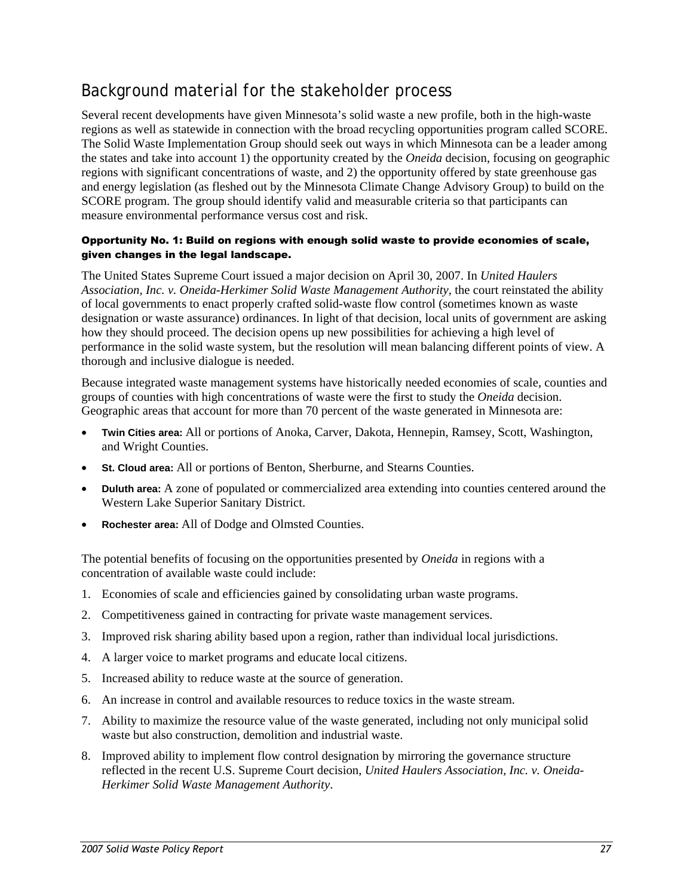# <span id="page-28-0"></span>Background material for the stakeholder process

Several recent developments have given Minnesota's solid waste a new profile, both in the high-waste regions as well as statewide in connection with the broad recycling opportunities program called SCORE. The Solid Waste Implementation Group should seek out ways in which Minnesota can be a leader among the states and take into account 1) the opportunity created by the *Oneida* decision, focusing on geographic regions with significant concentrations of waste, and 2) the opportunity offered by state greenhouse gas and energy legislation (as fleshed out by the Minnesota Climate Change Advisory Group) to build on the SCORE program. The group should identify valid and measurable criteria so that participants can measure environmental performance versus cost and risk.

#### Opportunity No. 1: Build on regions with enough solid waste to provide economies of scale, given changes in the legal landscape.

The United States Supreme Court issued a major decision on April 30, 2007. In *United Haulers Association, Inc. v. Oneida-Herkimer Solid Waste Management Authority,* the court reinstated the ability of local governments to enact properly crafted solid-waste flow control (sometimes known as waste designation or waste assurance) ordinances. In light of that decision, local units of government are asking how they should proceed. The decision opens up new possibilities for achieving a high level of performance in the solid waste system, but the resolution will mean balancing different points of view. A thorough and inclusive dialogue is needed.

Because integrated waste management systems have historically needed economies of scale, counties and groups of counties with high concentrations of waste were the first to study the *Oneida* decision. Geographic areas that account for more than 70 percent of the waste generated in Minnesota are:

- **Twin Cities area:** All or portions of Anoka, Carver, Dakota, Hennepin, Ramsey, Scott, Washington, and Wright Counties.
- **St. Cloud area:** All or portions of Benton, Sherburne, and Stearns Counties.
- **Duluth area:** A zone of populated or commercialized area extending into counties centered around the Western Lake Superior Sanitary District.
- **Rochester area:** All of Dodge and Olmsted Counties.

The potential benefits of focusing on the opportunities presented by *Oneida* in regions with a concentration of available waste could include:

- 1. Economies of scale and efficiencies gained by consolidating urban waste programs.
- 2. Competitiveness gained in contracting for private waste management services.
- 3. Improved risk sharing ability based upon a region, rather than individual local jurisdictions.
- 4. A larger voice to market programs and educate local citizens.
- 5. Increased ability to reduce waste at the source of generation.
- 6. An increase in control and available resources to reduce toxics in the waste stream.
- 7. Ability to maximize the resource value of the waste generated, including not only municipal solid waste but also construction, demolition and industrial waste.
- 8. Improved ability to implement flow control designation by mirroring the governance structure reflected in the recent U.S. Supreme Court decision, *United Haulers Association, Inc. v. Oneida-Herkimer Solid Waste Management Authority*.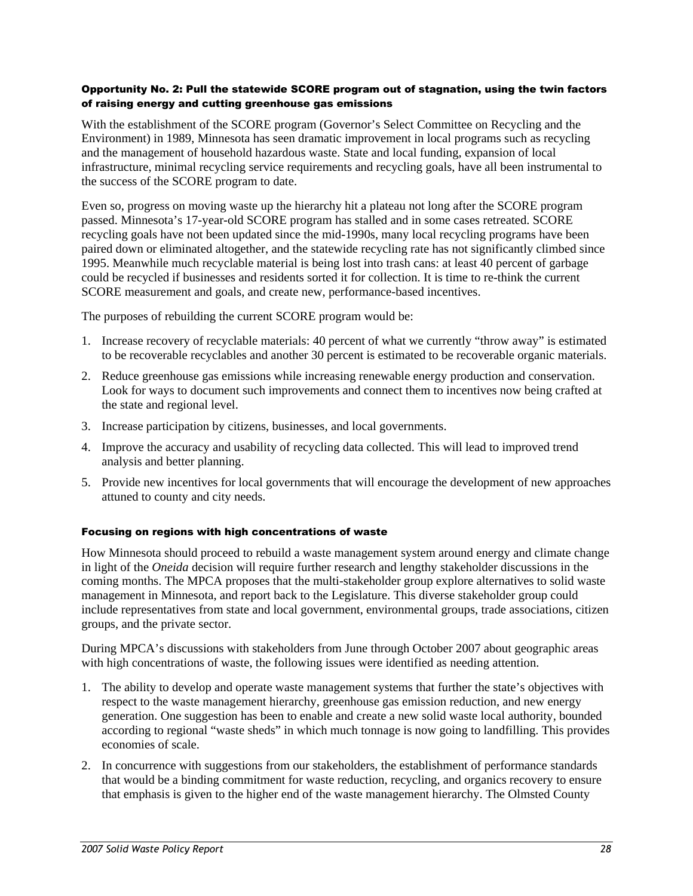#### Opportunity No. 2: Pull the statewide SCORE program out of stagnation, using the twin factors of raising energy and cutting greenhouse gas emissions

With the establishment of the SCORE program (Governor's Select Committee on Recycling and the Environment) in 1989, Minnesota has seen dramatic improvement in local programs such as recycling and the management of household hazardous waste. State and local funding, expansion of local infrastructure, minimal recycling service requirements and recycling goals, have all been instrumental to the success of the SCORE program to date.

Even so, progress on moving waste up the hierarchy hit a plateau not long after the SCORE program passed. Minnesota's 17-year-old SCORE program has stalled and in some cases retreated. SCORE recycling goals have not been updated since the mid-1990s, many local recycling programs have been paired down or eliminated altogether, and the statewide recycling rate has not significantly climbed since 1995. Meanwhile much recyclable material is being lost into trash cans: at least 40 percent of garbage could be recycled if businesses and residents sorted it for collection. It is time to re-think the current SCORE measurement and goals, and create new, performance-based incentives.

The purposes of rebuilding the current SCORE program would be:

- 1. Increase recovery of recyclable materials: 40 percent of what we currently "throw away" is estimated to be recoverable recyclables and another 30 percent is estimated to be recoverable organic materials.
- 2. Reduce greenhouse gas emissions while increasing renewable energy production and conservation. Look for ways to document such improvements and connect them to incentives now being crafted at the state and regional level.
- 3. Increase participation by citizens, businesses, and local governments.
- 4. Improve the accuracy and usability of recycling data collected. This will lead to improved trend analysis and better planning.
- 5. Provide new incentives for local governments that will encourage the development of new approaches attuned to county and city needs.

#### Focusing on regions with high concentrations of waste

How Minnesota should proceed to rebuild a waste management system around energy and climate change in light of the *Oneida* decision will require further research and lengthy stakeholder discussions in the coming months. The MPCA proposes that the multi-stakeholder group explore alternatives to solid waste management in Minnesota, and report back to the Legislature. This diverse stakeholder group could include representatives from state and local government, environmental groups, trade associations, citizen groups, and the private sector.

During MPCA's discussions with stakeholders from June through October 2007 about geographic areas with high concentrations of waste, the following issues were identified as needing attention.

- 1. The ability to develop and operate waste management systems that further the state's objectives with respect to the waste management hierarchy, greenhouse gas emission reduction, and new energy generation. One suggestion has been to enable and create a new solid waste local authority, bounded according to regional "waste sheds" in which much tonnage is now going to landfilling. This provides economies of scale.
- 2. In concurrence with suggestions from our stakeholders, the establishment of performance standards that would be a binding commitment for waste reduction, recycling, and organics recovery to ensure that emphasis is given to the higher end of the waste management hierarchy. The Olmsted County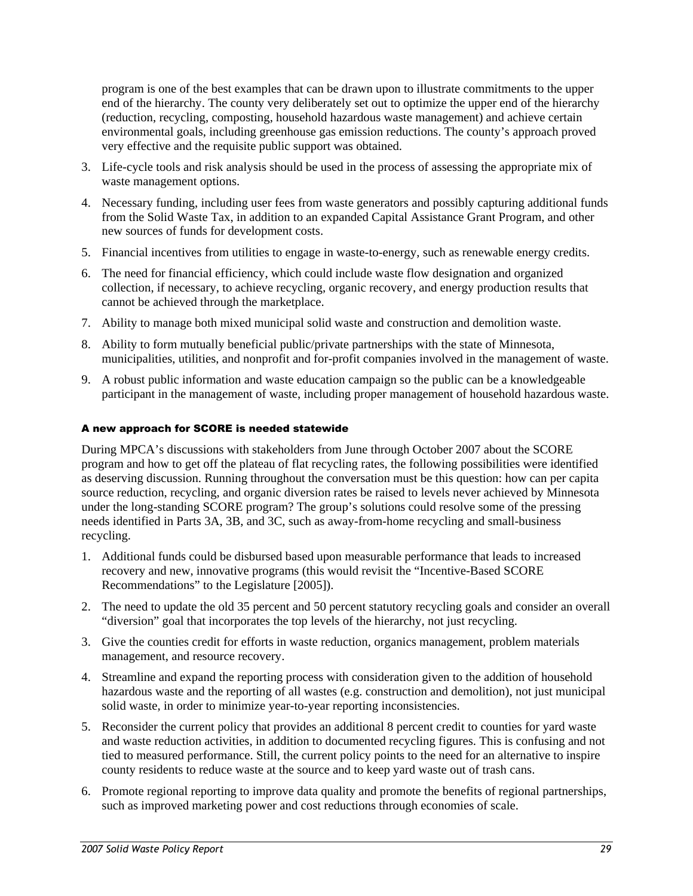program is one of the best examples that can be drawn upon to illustrate commitments to the upper end of the hierarchy. The county very deliberately set out to optimize the upper end of the hierarchy (reduction, recycling, composting, household hazardous waste management) and achieve certain environmental goals, including greenhouse gas emission reductions. The county's approach proved very effective and the requisite public support was obtained.

- 3. Life-cycle tools and risk analysis should be used in the process of assessing the appropriate mix of waste management options.
- 4. Necessary funding, including user fees from waste generators and possibly capturing additional funds from the Solid Waste Tax, in addition to an expanded Capital Assistance Grant Program, and other new sources of funds for development costs.
- 5. Financial incentives from utilities to engage in waste-to-energy, such as renewable energy credits.
- 6. The need for financial efficiency, which could include waste flow designation and organized collection, if necessary, to achieve recycling, organic recovery, and energy production results that cannot be achieved through the marketplace.
- 7. Ability to manage both mixed municipal solid waste and construction and demolition waste.
- 8. Ability to form mutually beneficial public/private partnerships with the state of Minnesota, municipalities, utilities, and nonprofit and for-profit companies involved in the management of waste.
- 9. A robust public information and waste education campaign so the public can be a knowledgeable participant in the management of waste, including proper management of household hazardous waste.

#### A new approach for SCORE is needed statewide

During MPCA's discussions with stakeholders from June through October 2007 about the SCORE program and how to get off the plateau of flat recycling rates, the following possibilities were identified as deserving discussion. Running throughout the conversation must be this question: how can per capita source reduction, recycling, and organic diversion rates be raised to levels never achieved by Minnesota under the long-standing SCORE program? The group's solutions could resolve some of the pressing needs identified in Parts 3A, 3B, and 3C, such as away-from-home recycling and small-business recycling.

- 1. Additional funds could be disbursed based upon measurable performance that leads to increased recovery and new, innovative programs (this would revisit the "Incentive-Based SCORE Recommendations" to the Legislature [2005]).
- 2. The need to update the old 35 percent and 50 percent statutory recycling goals and consider an overall "diversion" goal that incorporates the top levels of the hierarchy, not just recycling.
- 3. Give the counties credit for efforts in waste reduction, organics management, problem materials management, and resource recovery.
- 4. Streamline and expand the reporting process with consideration given to the addition of household hazardous waste and the reporting of all wastes (e.g. construction and demolition), not just municipal solid waste, in order to minimize year-to-year reporting inconsistencies.
- 5. Reconsider the current policy that provides an additional 8 percent credit to counties for yard waste and waste reduction activities, in addition to documented recycling figures. This is confusing and not tied to measured performance. Still, the current policy points to the need for an alternative to inspire county residents to reduce waste at the source and to keep yard waste out of trash cans.
- 6. Promote regional reporting to improve data quality and promote the benefits of regional partnerships, such as improved marketing power and cost reductions through economies of scale.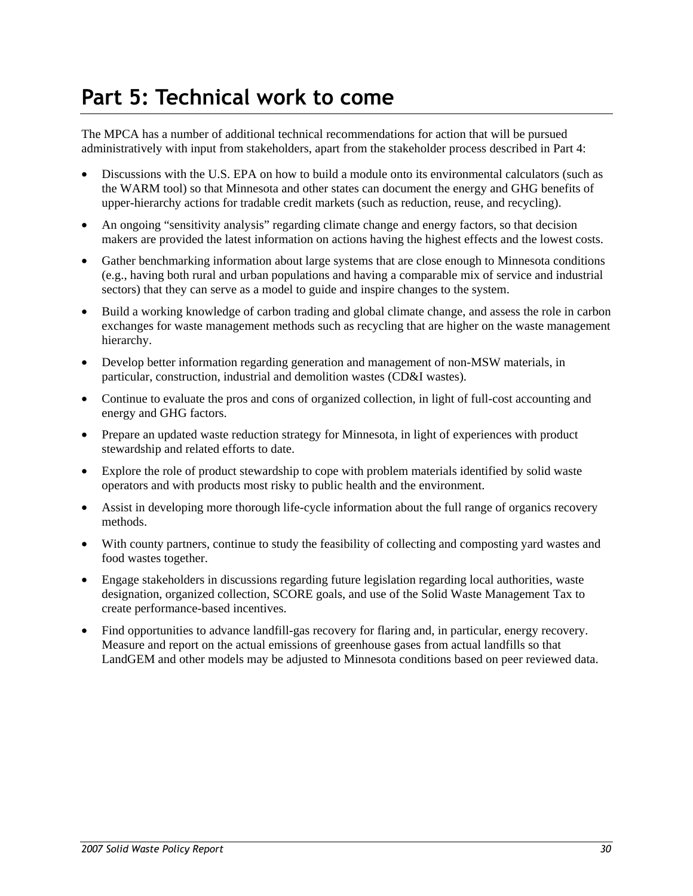# <span id="page-31-0"></span>**Part 5: Technical work to come**

The MPCA has a number of additional technical recommendations for action that will be pursued administratively with input from stakeholders, apart from the stakeholder process described in Part 4:

- Discussions with the U.S. EPA on how to build a module onto its environmental calculators (such as the WARM tool) so that Minnesota and other states can document the energy and GHG benefits of upper-hierarchy actions for tradable credit markets (such as reduction, reuse, and recycling).
- An ongoing "sensitivity analysis" regarding climate change and energy factors, so that decision makers are provided the latest information on actions having the highest effects and the lowest costs.
- Gather benchmarking information about large systems that are close enough to Minnesota conditions (e.g., having both rural and urban populations and having a comparable mix of service and industrial sectors) that they can serve as a model to guide and inspire changes to the system.
- Build a working knowledge of carbon trading and global climate change, and assess the role in carbon exchanges for waste management methods such as recycling that are higher on the waste management hierarchy.
- Develop better information regarding generation and management of non-MSW materials, in particular, construction, industrial and demolition wastes (CD&I wastes).
- Continue to evaluate the pros and cons of organized collection, in light of full-cost accounting and energy and GHG factors.
- Prepare an updated waste reduction strategy for Minnesota, in light of experiences with product stewardship and related efforts to date.
- Explore the role of product stewardship to cope with problem materials identified by solid waste operators and with products most risky to public health and the environment.
- Assist in developing more thorough life-cycle information about the full range of organics recovery methods.
- With county partners, continue to study the feasibility of collecting and composting yard wastes and food wastes together.
- Engage stakeholders in discussions regarding future legislation regarding local authorities, waste designation, organized collection, SCORE goals, and use of the Solid Waste Management Tax to create performance-based incentives.
- Find opportunities to advance landfill-gas recovery for flaring and, in particular, energy recovery. Measure and report on the actual emissions of greenhouse gases from actual landfills so that LandGEM and other models may be adjusted to Minnesota conditions based on peer reviewed data.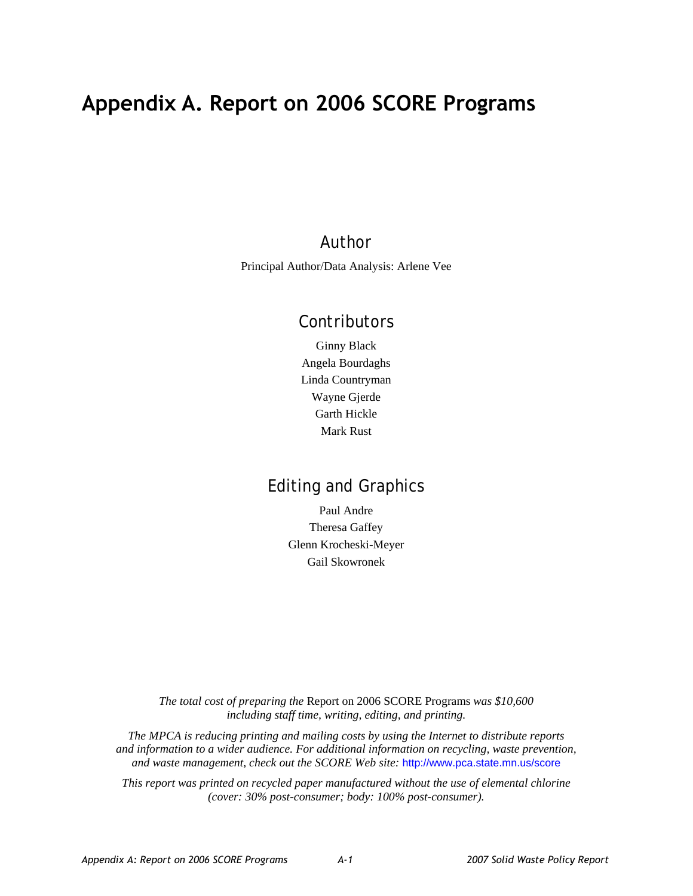# <span id="page-32-0"></span>**Appendix A. Report on 2006 SCORE Programs**

# Author

Principal Author/Data Analysis: Arlene Vee

# Contributors

Ginny Black Angela Bourdaghs Linda Countryman Wayne Gjerde Garth Hickle Mark Rust

# Editing and Graphics

Paul Andre Theresa Gaffey Glenn Krocheski-Meyer Gail Skowronek

*The total cost of preparing the* Report on 2006 SCORE Programs *was \$10,600 including staff time, writing, editing, and printing.* 

*The MPCA is reducing printing and mailing costs by using the Internet to distribute reports and information to a wider audience. For additional information on recycling, waste prevention, and waste management, check out the SCORE Web site:* http://www.pca.state.mn.us/score

*This report was printed on recycled paper manufactured without the use of elemental chlorine (cover: 30% post-consumer; body: 100% post-consumer).*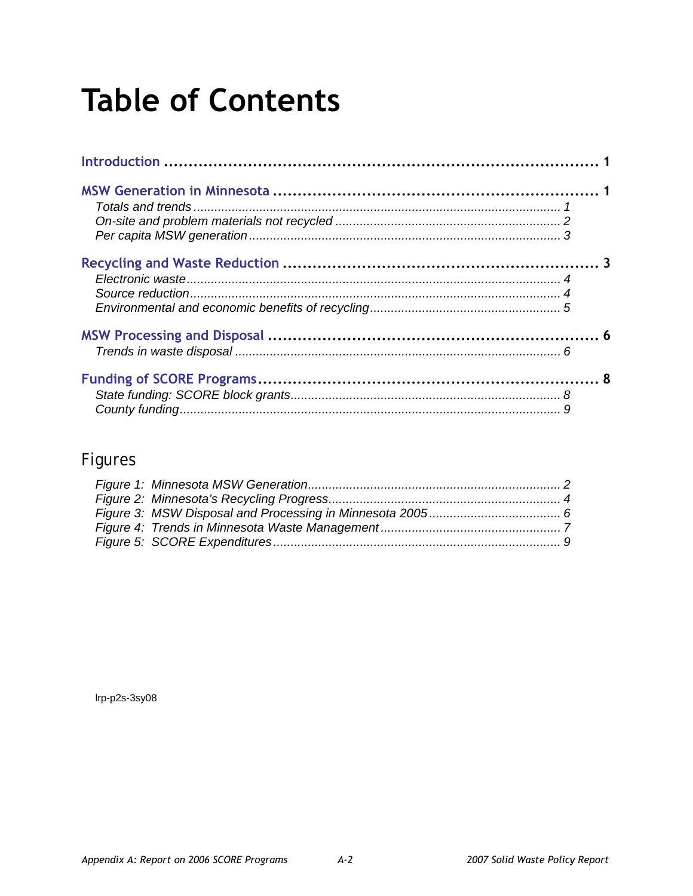# **Table of Contents**

# Figures

Irp-p2s-3sy08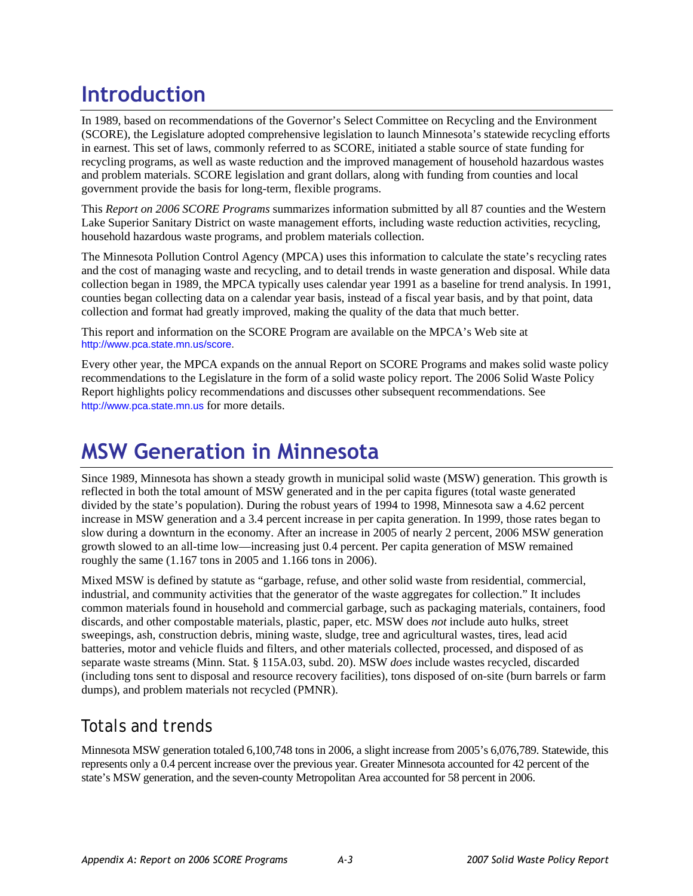# <span id="page-34-0"></span>**Introduction**

In 1989, based on recommendations of the Governor's Select Committee on Recycling and the Environment (SCORE), the Legislature adopted comprehensive legislation to launch Minnesota's statewide recycling efforts in earnest. This set of laws, commonly referred to as SCORE, initiated a stable source of state funding for recycling programs, as well as waste reduction and the improved management of household hazardous wastes and problem materials. SCORE legislation and grant dollars, along with funding from counties and local government provide the basis for long-term, flexible programs.

This *Report on 2006 SCORE Programs* summarizes information submitted by all 87 counties and the Western Lake Superior Sanitary District on waste management efforts, including waste reduction activities, recycling, household hazardous waste programs, and problem materials collection.

The Minnesota Pollution Control Agency (MPCA) uses this information to calculate the state's recycling rates and the cost of managing waste and recycling, and to detail trends in waste generation and disposal. While data collection began in 1989, the MPCA typically uses calendar year 1991 as a baseline for trend analysis. In 1991, counties began collecting data on a calendar year basis, instead of a fiscal year basis, and by that point, data collection and format had greatly improved, making the quality of the data that much better.

This report and information on the SCORE Program are available on the MPCA's Web site at [http://www.pca.state.mn.us/score.](http://www.pca.state.mn.us/score)

Every other year, the MPCA expands on the annual Report on SCORE Programs and makes solid waste policy recommendations to the Legislature in the form of a solid waste policy report. The 2006 Solid Waste Policy Report highlights policy recommendations and discusses other subsequent recommendations. See [http://www.pca.state.mn.us](http://www.pca.state.mn.us/) for more details.

# **MSW Generation in Minnesota**

Since 1989, Minnesota has shown a steady growth in municipal solid waste (MSW) generation. This growth is reflected in both the total amount of MSW generated and in the per capita figures (total waste generated divided by the state's population). During the robust years of 1994 to 1998, Minnesota saw a 4.62 percent increase in MSW generation and a 3.4 percent increase in per capita generation. In 1999, those rates began to slow during a downturn in the economy. After an increase in 2005 of nearly 2 percent, 2006 MSW generation growth slowed to an all-time low—increasing just 0.4 percent. Per capita generation of MSW remained roughly the same (1.167 tons in 2005 and 1.166 tons in 2006).

Mixed MSW is defined by statute as "garbage, refuse, and other solid waste from residential, commercial, industrial, and community activities that the generator of the waste aggregates for collection." It includes common materials found in household and commercial garbage, such as packaging materials, containers, food discards, and other compostable materials, plastic, paper, etc. MSW does *not* include auto hulks, street sweepings, ash, construction debris, mining waste, sludge, tree and agricultural wastes, tires, lead acid batteries, motor and vehicle fluids and filters, and other materials collected, processed, and disposed of as separate waste streams (Minn. Stat. § 115A.03, subd. 20). MSW *does* include wastes recycled, discarded (including tons sent to disposal and resource recovery facilities), tons disposed of on-site (burn barrels or farm dumps), and problem materials not recycled (PMNR).

# Totals and trends

Minnesota MSW generation totaled 6,100,748 tons in 2006, a slight increase from 2005's 6,076,789. Statewide, this represents only a 0.4 percent increase over the previous year. Greater Minnesota accounted for 42 percent of the state's MSW generation, and the seven-county Metropolitan Area accounted for 58 percent in 2006.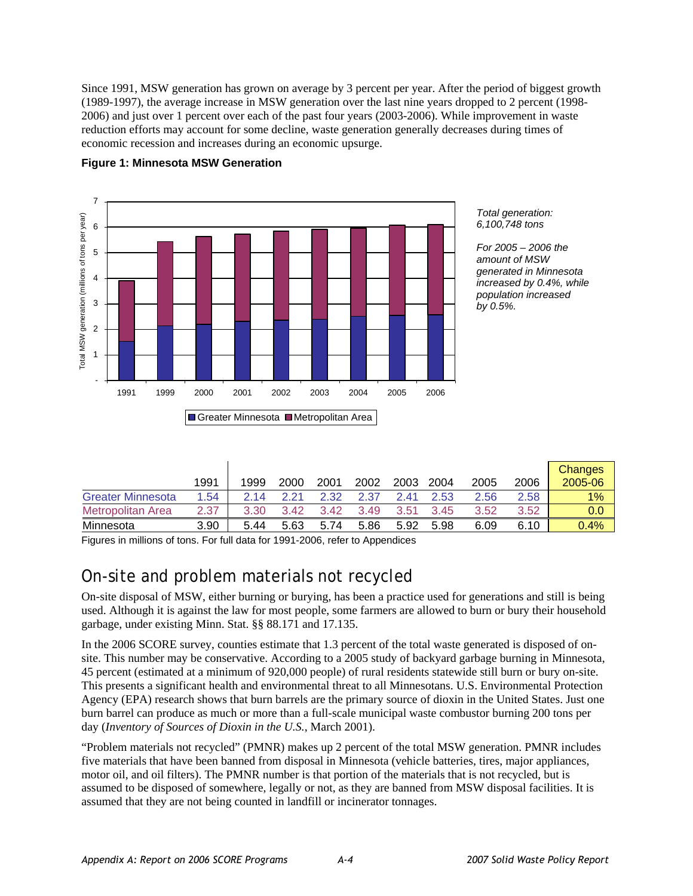<span id="page-35-0"></span>Since 1991, MSW generation has grown on average by 3 percent per year. After the period of biggest growth (1989-1997), the average increase in MSW generation over the last nine years dropped to 2 percent (1998- 2006) and just over 1 percent over each of the past four years (2003-2006). While improvement in waste reduction efforts may account for some decline, waste generation generally decreases during times of economic recession and increases during an economic upsurge.



#### **Figure 1: Minnesota MSW Generation**

| Total generation: |
|-------------------|
| 6,100,748 tons    |
|                   |

*For 2005 – 2006 the amount of MSW generated in Minnesota increased by 0.4%, while population increased by 0.5%.* 

|                          | 1991 | 1999 | 2000 | 2001 | 2002 | 2003 | 2004 | 2005 | 2006 | <b>Changes</b><br>2005-06 |
|--------------------------|------|------|------|------|------|------|------|------|------|---------------------------|
| <b>Greater Minnesota</b> | 1.54 | 2 14 | 2.21 | 2.32 | 2.37 | 241  | 2.53 | 2.56 | 2.58 | 1%                        |
| Metropolitan Area        | 2.37 | 3.30 | 3.42 | 3.42 | 3.49 | 3.51 | 3.45 | 3.52 | 3.52 | 0.0                       |
| Minnesota                | 3.90 | 5.44 | 5.63 | 5.74 | 5.86 | 5.92 | 5.98 | 6.09 | 6.10 | 0.4%                      |

Figures in millions of tons. For full data for 1991-2006, refer to Appendices

# On-site and problem materials not recycled

On-site disposal of MSW, either burning or burying, has been a practice used for generations and still is being used. Although it is against the law for most people, some farmers are allowed to burn or bury their household garbage, under existing Minn. Stat. §§ 88.171 and 17.135.

In the 2006 SCORE survey, counties estimate that 1.3 percent of the total waste generated is disposed of onsite. This number may be conservative. According to a 2005 study of backyard garbage burning in Minnesota, 45 percent (estimated at a minimum of 920,000 people) of rural residents statewide still burn or bury on-site. This presents a significant health and environmental threat to all Minnesotans. U.S. Environmental Protection Agency (EPA) research shows that burn barrels are the primary source of dioxin in the United States. Just one burn barrel can produce as much or more than a full-scale municipal waste combustor burning 200 tons per day (*Inventory of Sources of Dioxin in the U.S.*, March 2001).

"Problem materials not recycled" (PMNR) makes up 2 percent of the total MSW generation. PMNR includes five materials that have been banned from disposal in Minnesota (vehicle batteries, tires, major appliances, motor oil, and oil filters). The PMNR number is that portion of the materials that is not recycled, but is assumed to be disposed of somewhere, legally or not, as they are banned from MSW disposal facilities. It is assumed that they are not being counted in landfill or incinerator tonnages.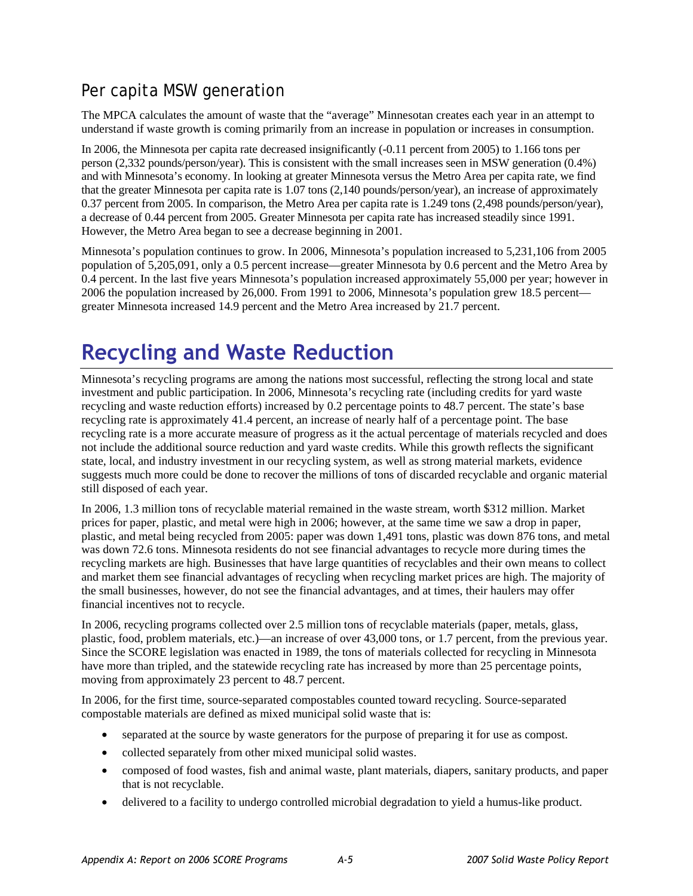# Per capita MSW generation

The MPCA calculates the amount of waste that the "average" Minnesotan creates each year in an attempt to understand if waste growth is coming primarily from an increase in population or increases in consumption.

In 2006, the Minnesota per capita rate decreased insignificantly (-0.11 percent from 2005) to 1.166 tons per person (2,332 pounds/person/year). This is consistent with the small increases seen in MSW generation (0.4%) and with Minnesota's economy. In looking at greater Minnesota versus the Metro Area per capita rate, we find that the greater Minnesota per capita rate is 1.07 tons (2,140 pounds/person/year), an increase of approximately 0.37 percent from 2005. In comparison, the Metro Area per capita rate is 1.249 tons (2,498 pounds/person/year), a decrease of 0.44 percent from 2005. Greater Minnesota per capita rate has increased steadily since 1991. However, the Metro Area began to see a decrease beginning in 2001.

Minnesota's population continues to grow. In 2006, Minnesota's population increased to 5,231,106 from 2005 population of 5,205,091, only a 0.5 percent increase—greater Minnesota by 0.6 percent and the Metro Area by 0.4 percent. In the last five years Minnesota's population increased approximately 55,000 per year; however in 2006 the population increased by 26,000. From 1991 to 2006, Minnesota's population grew 18.5 percent greater Minnesota increased 14.9 percent and the Metro Area increased by 21.7 percent.

# **Recycling and Waste Reduction**

Minnesota's recycling programs are among the nations most successful, reflecting the strong local and state investment and public participation. In 2006, Minnesota's recycling rate (including credits for yard waste recycling and waste reduction efforts) increased by 0.2 percentage points to 48.7 percent. The state's base recycling rate is approximately 41.4 percent, an increase of nearly half of a percentage point. The base recycling rate is a more accurate measure of progress as it the actual percentage of materials recycled and does not include the additional source reduction and yard waste credits. While this growth reflects the significant state, local, and industry investment in our recycling system, as well as strong material markets, evidence suggests much more could be done to recover the millions of tons of discarded recyclable and organic material still disposed of each year.

In 2006, 1.3 million tons of recyclable material remained in the waste stream, worth \$312 million. Market prices for paper, plastic, and metal were high in 2006; however, at the same time we saw a drop in paper, plastic, and metal being recycled from 2005: paper was down 1,491 tons, plastic was down 876 tons, and metal was down 72.6 tons. Minnesota residents do not see financial advantages to recycle more during times the recycling markets are high. Businesses that have large quantities of recyclables and their own means to collect and market them see financial advantages of recycling when recycling market prices are high. The majority of the small businesses, however, do not see the financial advantages, and at times, their haulers may offer financial incentives not to recycle.

In 2006, recycling programs collected over 2.5 million tons of recyclable materials (paper, metals, glass, plastic, food, problem materials, etc.)—an increase of over 43,000 tons, or 1.7 percent, from the previous year. Since the SCORE legislation was enacted in 1989, the tons of materials collected for recycling in Minnesota have more than tripled, and the statewide recycling rate has increased by more than 25 percentage points, moving from approximately 23 percent to 48.7 percent.

In 2006, for the first time, source-separated compostables counted toward recycling. Source-separated compostable materials are defined as mixed municipal solid waste that is:

- separated at the source by waste generators for the purpose of preparing it for use as compost.
- collected separately from other mixed municipal solid wastes.
- composed of food wastes, fish and animal waste, plant materials, diapers, sanitary products, and paper that is not recyclable.
- delivered to a facility to undergo controlled microbial degradation to yield a humus-like product.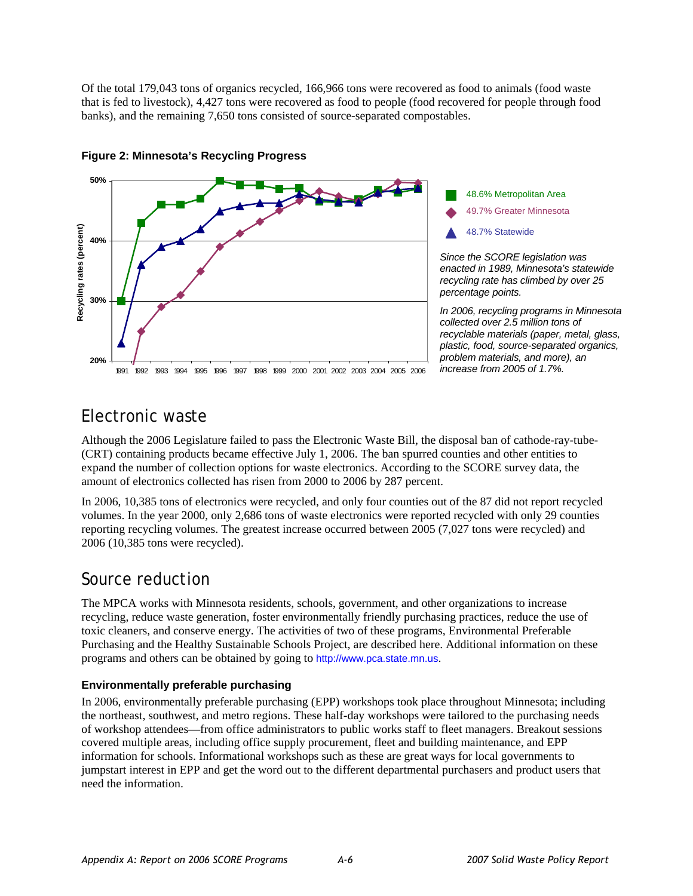Of the total 179,043 tons of organics recycled, 166,966 tons were recovered as food to animals (food waste that is fed to livestock), 4,427 tons were recovered as food to people (food recovered for people through food banks), and the remaining 7,650 tons consisted of source-separated compostables.



#### **Figure 2: Minnesota's Recycling Progress**

## Electronic waste

Although the 2006 Legislature failed to pass the Electronic Waste Bill, the disposal ban of cathode-ray-tube- (CRT) containing products became effective July 1, 2006. The ban spurred counties and other entities to expand the number of collection options for waste electronics. According to the SCORE survey data, the amount of electronics collected has risen from 2000 to 2006 by 287 percent.

In 2006, 10,385 tons of electronics were recycled, and only four counties out of the 87 did not report recycled volumes. In the year 2000, only 2,686 tons of waste electronics were reported recycled with only 29 counties reporting recycling volumes. The greatest increase occurred between 2005 (7,027 tons were recycled) and 2006 (10,385 tons were recycled).

## Source reduction

The MPCA works with Minnesota residents, schools, government, and other organizations to increase recycling, reduce waste generation, foster environmentally friendly purchasing practices, reduce the use of toxic cleaners, and conserve energy. The activities of two of these programs, Environmental Preferable Purchasing and the Healthy Sustainable Schools Project, are described here. Additional information on these programs and others can be obtained by going to http://[www.pca.state.mn.us](http://www.pca.state.mn.us/).

#### **Environmentally preferable purchasing**

In 2006, environmentally preferable purchasing (EPP) workshops took place throughout Minnesota; including the northeast, southwest, and metro regions. These half-day workshops were tailored to the purchasing needs of workshop attendees—from office administrators to public works staff to fleet managers. Breakout sessions covered multiple areas, including office supply procurement, fleet and building maintenance, and EPP information for schools. Informational workshops such as these are great ways for local governments to jumpstart interest in EPP and get the word out to the different departmental purchasers and product users that need the information.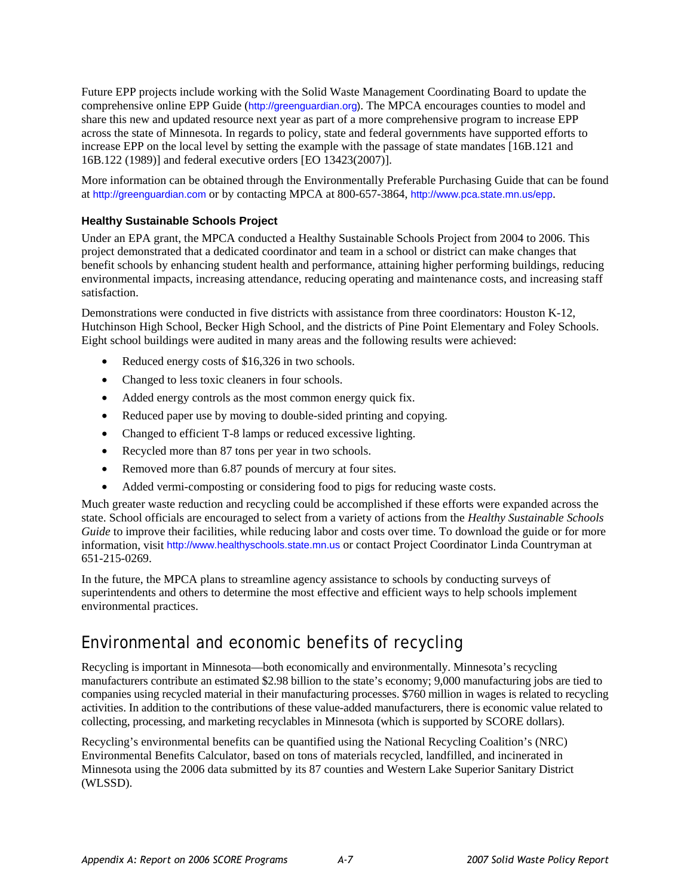Future EPP projects include working with the Solid Waste Management Coordinating Board to update the comprehensive online EPP Guide ([http://greenguardian.org\)](http://greenguardian.org/). The MPCA encourages counties to model and share this new and updated resource next year as part of a more comprehensive program to increase EPP across the state of Minnesota. In regards to policy, state and federal governments have supported efforts to increase EPP on the local level by setting the example with the passage of state mandates [16B.121 and 16B.122 (1989)] and federal executive orders [EO 13423(2007)].

More information can be obtained through the Environmentally Preferable Purchasing Guide that can be found at [http://greenguardian.com](http://greenguardian.com/) or by contacting MPCA at 800-657-3864, http://[www.pca.state.mn.us/epp](http://www.pca.state.mn.us/oea/epp).

#### **Healthy Sustainable Schools Project**

Under an EPA grant, the MPCA conducted a Healthy Sustainable Schools Project from 2004 to 2006. This project demonstrated that a dedicated coordinator and team in a school or district can make changes that benefit schools by enhancing student health and performance, attaining higher performing buildings, reducing environmental impacts, increasing attendance, reducing operating and maintenance costs, and increasing staff satisfaction.

Demonstrations were conducted in five districts with assistance from three coordinators: Houston K-12, Hutchinson High School, Becker High School, and the districts of Pine Point Elementary and Foley Schools. Eight school buildings were audited in many areas and the following results were achieved:

- Reduced energy costs of \$16,326 in two schools.
- Changed to less toxic cleaners in four schools.
- Added energy controls as the most common energy quick fix.
- Reduced paper use by moving to double-sided printing and copying.
- Changed to efficient T-8 lamps or reduced excessive lighting.
- Recycled more than 87 tons per year in two schools.
- Removed more than 6.87 pounds of mercury at four sites.
- Added vermi-composting or considering food to pigs for reducing waste costs.

Much greater waste reduction and recycling could be accomplished if these efforts were expanded across the state. School officials are encouraged to select from a variety of actions from the *Healthy Sustainable Schools Guide* to improve their facilities, while reducing labor and costs over time. To download the guide or for more information, visit [http://www.healthyschools.state.mn.us](http://www.healthyschools.state.mn.us/) or contact Project Coordinator Linda Countryman at 651-215-0269.

In the future, the MPCA plans to streamline agency assistance to schools by conducting surveys of superintendents and others to determine the most effective and efficient ways to help schools implement environmental practices.

## Environmental and economic benefits of recycling

Recycling is important in Minnesota—both economically and environmentally. Minnesota's recycling manufacturers contribute an estimated \$2.98 billion to the state's economy; 9,000 manufacturing jobs are tied to companies using recycled material in their manufacturing processes. \$760 million in wages is related to recycling activities. In addition to the contributions of these value-added manufacturers, there is economic value related to collecting, processing, and marketing recyclables in Minnesota (which is supported by SCORE dollars).

Recycling's environmental benefits can be quantified using the National Recycling Coalition's (NRC) Environmental Benefits Calculator, based on tons of materials recycled, landfilled, and incinerated in Minnesota using the 2006 data submitted by its 87 counties and Western Lake Superior Sanitary District (WLSSD).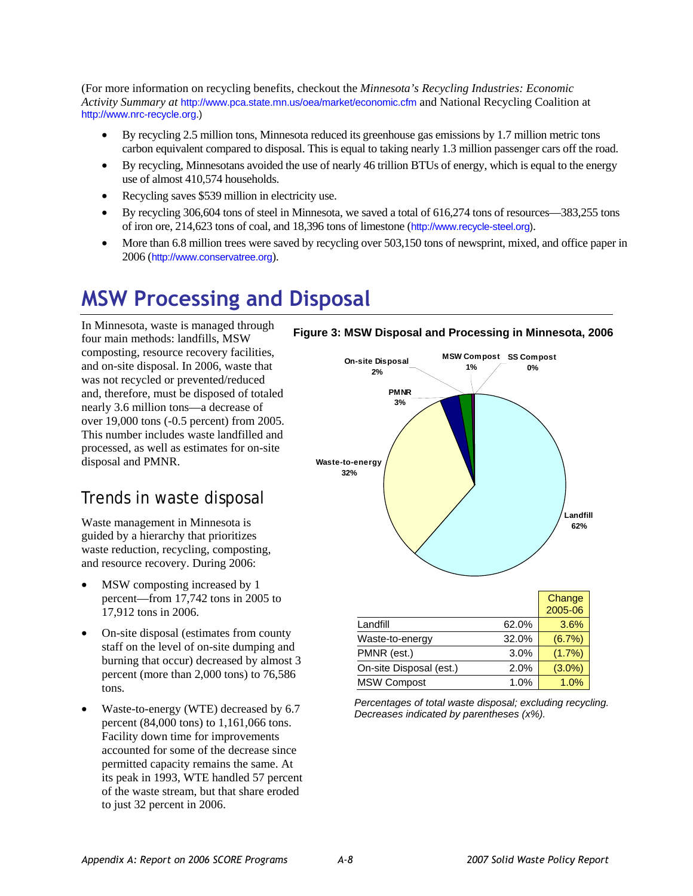(For more information on recycling benefits, checkout the *Minnesota's Recycling Industries: Economic Activity Summary at* http://[www.pca.state.mn.us/oea/market/economic.cfm](http://www.pca.state.mn.us/oea/market/economic.cfm) and National Recycling Coalition at http://[www.nrc-recycle.org](http://www.nrc-recycle.org/).)

- By recycling 2.5 million tons, Minnesota reduced its greenhouse gas emissions by 1.7 million metric tons carbon equivalent compared to disposal. This is equal to taking nearly 1.3 million passenger cars off the road.
- By recycling, Minnesotans avoided the use of nearly 46 trillion BTUs of energy, which is equal to the energy use of almost 410,574 households.
- Recycling saves \$539 million in electricity use.
- By recycling 306,604 tons of steel in Minnesota, we saved a total of 616,274 tons of resources—383,255 tons of iron ore, 214,623 tons of coal, and 18,396 tons of limestone (http:/[/www.recycle-steel.org](http://www.recycle-steel.org/)).
- More than 6.8 million trees were saved by recycling over 503,150 tons of newsprint, mixed, and office paper in 2006 (http://www.conservatree.org).

# **MSW Processing and Disposal**

In Minnesota, waste is managed through four main methods: landfills, MSW composting, resource recovery facilities, and on-site disposal. In 2006, waste that was not recycled or prevented/reduced and, therefore, must be disposed of totaled nearly 3.6 million tons—a decrease of over 19,000 tons (-0.5 percent) from 2005. This number includes waste landfilled and processed, as well as estimates for on-site disposal and PMNR.

## Trends in waste disposal

Waste management in Minnesota is guided by a hierarchy that prioritizes waste reduction, recycling, composting, and resource recovery. During 2006:

- MSW composting increased by 1 percent—from 17,742 tons in 2005 to 17,912 tons in 2006.
- On-site disposal (estimates from county staff on the level of on-site dumping and burning that occur) decreased by almost 3 percent (more than 2,000 tons) to 76,586 tons.
- Waste-to-energy (WTE) decreased by 6.7 percent (84,000 tons) to 1,161,066 tons. Facility down time for improvements accounted for some of the decrease since permitted capacity remains the same. At its peak in 1993, WTE handled 57 percent of the waste stream, but that share eroded to just 32 percent in 2006.

#### **Figure 3: MSW Disposal and Processing in Minnesota, 2006**



*Percentages of total waste disposal; excluding recycling. Decreases indicated by parentheses (x%).*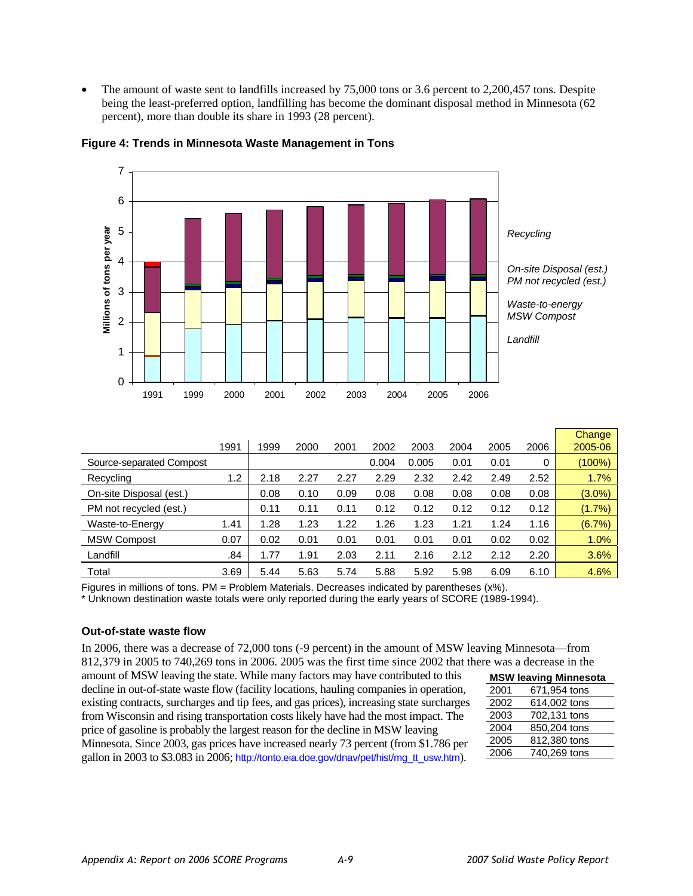The amount of waste sent to landfills increased by 75,000 tons or 3.6 percent to 2,200,457 tons. Despite being the least-preferred option, landfilling has become the dominant disposal method in Minnesota (62 percent), more than double its share in 1993 (28 percent).



#### **Figure 4: Trends in Minnesota Waste Management in Tons**

|                          |      |      |      |      |       |       |      |      |      | <b>Change</b> |
|--------------------------|------|------|------|------|-------|-------|------|------|------|---------------|
|                          | 1991 | 1999 | 2000 | 2001 | 2002  | 2003  | 2004 | 2005 | 2006 | 2005-06       |
| Source-separated Compost |      |      |      |      | 0.004 | 0.005 | 0.01 | 0.01 | 0    | (100%)        |
| Recycling                | 1.2  | 2.18 | 2.27 | 2.27 | 2.29  | 2.32  | 2.42 | 2.49 | 2.52 | 1.7%          |
| On-site Disposal (est.)  |      | 0.08 | 0.10 | 0.09 | 0.08  | 0.08  | 0.08 | 0.08 | 0.08 | $(3.0\%)$     |
| PM not recycled (est.)   |      | 0.11 | 0.11 | 0.11 | 0.12  | 0.12  | 0.12 | 0.12 | 0.12 | (1.7%)        |
| Waste-to-Energy          | 1.41 | 1.28 | 1.23 | 1.22 | 1.26  | 1.23  | 1.21 | 1.24 | 1.16 | (6.7%)        |
| <b>MSW Compost</b>       | 0.07 | 0.02 | 0.01 | 0.01 | 0.01  | 0.01  | 0.01 | 0.02 | 0.02 | 1.0%          |
| Landfill                 | .84  | 1.77 | 1.91 | 2.03 | 2.11  | 2.16  | 2.12 | 2.12 | 2.20 | 3.6%          |
| Total                    | 3.69 | 5.44 | 5.63 | 5.74 | 5.88  | 5.92  | 5.98 | 6.09 | 6.10 | 4.6%          |

Figures in millions of tons. PM = Problem Materials. Decreases indicated by parentheses (x%).

\* Unknown destination waste totals were only reported during the early years of SCORE (1989-1994).

#### **Out-of-state waste flow**

In 2006, there was a decrease of 72,000 tons (-9 percent) in the amount of MSW leaving Minnesota—from 812,379 in 2005 to 740,269 tons in 2006. 2005 was the first time since 2002 that there was a decrease in the

amount of MSW leaving the state. While many factors may have contributed to this decline in out-of-state waste flow (facility locations, hauling companies in operation, existing contracts, surcharges and tip fees, and gas prices), increasing state surcharges from Wisconsin and rising transportation costs likely have had the most impact. The price of gasoline is probably the largest reason for the decline in MSW leaving Minnesota. Since 2003, gas prices have increased nearly 73 percent (from \$1.786 per gallon in 2003 to \$3.083 in 2006; [http://tonto.eia.doe.gov/dnav/pet/hist/mg\\_tt\\_usw.htm](http://tonto.eia.doe.gov/dnav/pet/hist/mg_tt_usw.htm)).

|      | <b>MSW leaving Minnesota</b> |
|------|------------------------------|
| 2001 | 671,954 tons                 |
| 2002 | 614,002 tons                 |
| 2003 | 702,131 tons                 |
| 2004 | 850,204 tons                 |
| 2005 | 812,380 tons                 |
| 2006 | 740,269 tons                 |
|      |                              |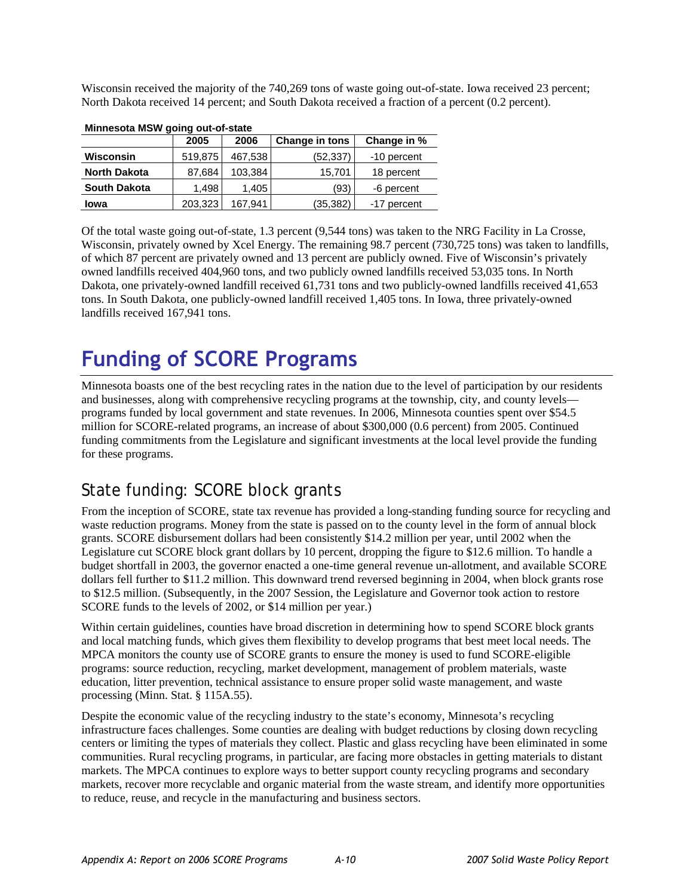Wisconsin received the majority of the 740,269 tons of waste going out-of-state. Iowa received 23 percent; North Dakota received 14 percent; and South Dakota received a fraction of a percent (0.2 percent).

| Minnesota MSW going out-of-state |         |         |                       |             |  |  |  |  |
|----------------------------------|---------|---------|-----------------------|-------------|--|--|--|--|
|                                  | 2005    | 2006    | <b>Change in tons</b> | Change in % |  |  |  |  |
| Wisconsin                        | 519,875 | 467,538 | (52,337)              | -10 percent |  |  |  |  |
| <b>North Dakota</b>              | 87,684  | 103,384 | 15,701                | 18 percent  |  |  |  |  |
| <b>South Dakota</b>              | 1,498   | 1,405   | (93)                  | -6 percent  |  |  |  |  |
| Iowa                             | 203,323 | 167.941 | (35, 382)             | -17 percent |  |  |  |  |

**Minnesota MSW going out-of-state** 

Of the total waste going out-of-state, 1.3 percent (9,544 tons) was taken to the NRG Facility in La Crosse, Wisconsin, privately owned by Xcel Energy. The remaining 98.7 percent (730,725 tons) was taken to landfills, of which 87 percent are privately owned and 13 percent are publicly owned. Five of Wisconsin's privately owned landfills received 404,960 tons, and two publicly owned landfills received 53,035 tons. In North Dakota, one privately-owned landfill received 61,731 tons and two publicly-owned landfills received 41,653 tons. In South Dakota, one publicly-owned landfill received 1,405 tons. In Iowa, three privately-owned landfills received 167,941 tons.

# **Funding of SCORE Programs**

Minnesota boasts one of the best recycling rates in the nation due to the level of participation by our residents and businesses, along with comprehensive recycling programs at the township, city, and county levels programs funded by local government and state revenues. In 2006, Minnesota counties spent over \$54.5 million for SCORE-related programs, an increase of about \$300,000 (0.6 percent) from 2005. Continued funding commitments from the Legislature and significant investments at the local level provide the funding for these programs.

# State funding: SCORE block grants

From the inception of SCORE, state tax revenue has provided a long-standing funding source for recycling and waste reduction programs. Money from the state is passed on to the county level in the form of annual block grants. SCORE disbursement dollars had been consistently \$14.2 million per year, until 2002 when the Legislature cut SCORE block grant dollars by 10 percent, dropping the figure to \$12.6 million. To handle a budget shortfall in 2003, the governor enacted a one-time general revenue un-allotment, and available SCORE dollars fell further to \$11.2 million. This downward trend reversed beginning in 2004, when block grants rose to \$12.5 million. (Subsequently, in the 2007 Session, the Legislature and Governor took action to restore SCORE funds to the levels of 2002, or \$14 million per year.)

Within certain guidelines, counties have broad discretion in determining how to spend SCORE block grants and local matching funds, which gives them flexibility to develop programs that best meet local needs. The MPCA monitors the county use of SCORE grants to ensure the money is used to fund SCORE-eligible programs: source reduction, recycling, market development, management of problem materials, waste education, litter prevention, technical assistance to ensure proper solid waste management, and waste processing (Minn. Stat. § 115A.55).

Despite the economic value of the recycling industry to the state's economy, Minnesota's recycling infrastructure faces challenges. Some counties are dealing with budget reductions by closing down recycling centers or limiting the types of materials they collect. Plastic and glass recycling have been eliminated in some communities. Rural recycling programs, in particular, are facing more obstacles in getting materials to distant markets. The MPCA continues to explore ways to better support county recycling programs and secondary markets, recover more recyclable and organic material from the waste stream, and identify more opportunities to reduce, reuse, and recycle in the manufacturing and business sectors.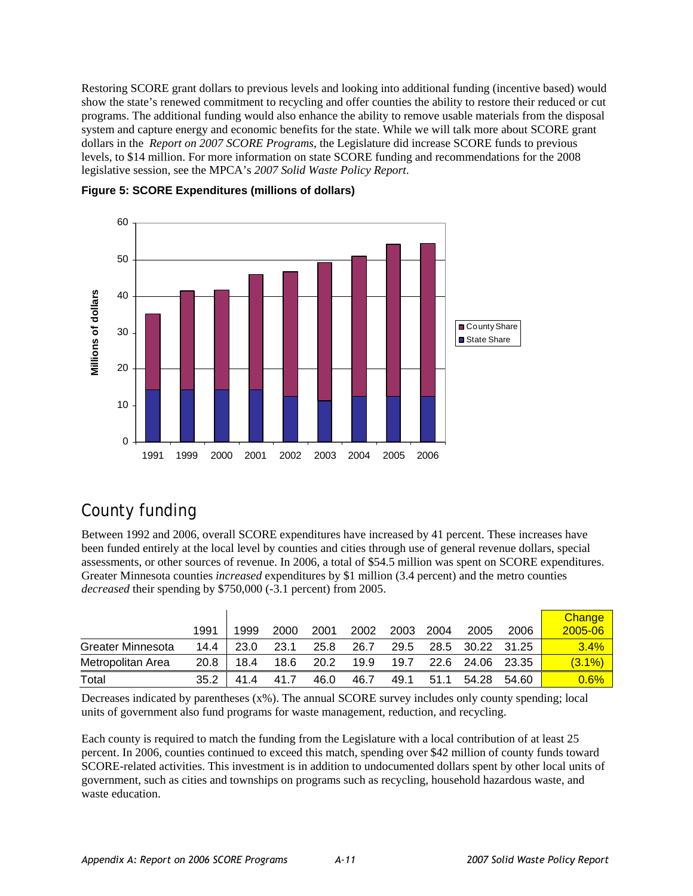Restoring SCORE grant dollars to previous levels and looking into additional funding (incentive based) would show the state's renewed commitment to recycling and offer counties the ability to restore their reduced or cut programs. The additional funding would also enhance the ability to remove usable materials from the disposal system and capture energy and economic benefits for the state. While we will talk more about SCORE grant dollars in the *Report on 2007 SCORE Programs*, the Legislature did increase SCORE funds to previous levels, to \$14 million. For more information on state SCORE funding and recommendations for the 2008 legislative session, see the MPCA's *2007 Solid Waste Policy Report*.





# County funding

Between 1992 and 2006, overall SCORE expenditures have increased by 41 percent. These increases have been funded entirely at the local level by counties and cities through use of general revenue dollars, special assessments, or other sources of revenue. In 2006, a total of \$54.5 million was spent on SCORE expenditures. Greater Minnesota counties *increased* expenditures by \$1 million (3.4 percent) and the metro counties *decreased* their spending by \$750,000 (-3.1 percent) from 2005.

|                   | 1991 | 1999 | 2000 | 2001 | 2002 | 2003 | 2004 | 2005        | 2006  | Change<br>2005-06 |
|-------------------|------|------|------|------|------|------|------|-------------|-------|-------------------|
| Greater Minnesota | 14.4 | 23.0 | 23.1 | 25.8 | 26.7 | 29.5 | 28.5 | 30.22 31.25 |       | 3.4%              |
| Metropolitan Area | 20.8 | 18.4 | 18.6 | 20.2 | 19.9 | 19.7 | 22.6 | 24.06       | 23.35 | $(3.1\%)$         |
| Total             | 35.2 | 414  | 41.7 | 46.0 | 46.7 | 49.1 | 51.1 | 54.28       | 54.60 | 0.6%              |

Decreases indicated by parentheses (x%). The annual SCORE survey includes only county spending; local units of government also fund programs for waste management, reduction, and recycling.

Each county is required to match the funding from the Legislature with a local contribution of at least 25 percent. In 2006, counties continued to exceed this match, spending over \$42 million of county funds toward SCORE-related activities. This investment is in addition to undocumented dollars spent by other local units of government, such as cities and townships on programs such as recycling, household hazardous waste, and waste education.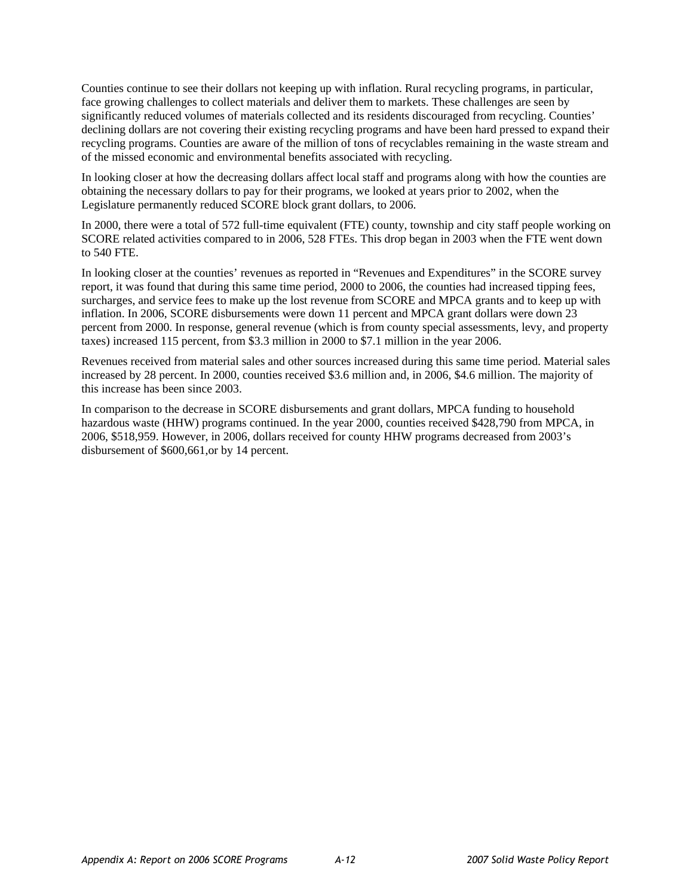Counties continue to see their dollars not keeping up with inflation. Rural recycling programs, in particular, face growing challenges to collect materials and deliver them to markets. These challenges are seen by significantly reduced volumes of materials collected and its residents discouraged from recycling. Counties' declining dollars are not covering their existing recycling programs and have been hard pressed to expand their recycling programs. Counties are aware of the million of tons of recyclables remaining in the waste stream and of the missed economic and environmental benefits associated with recycling.

In looking closer at how the decreasing dollars affect local staff and programs along with how the counties are obtaining the necessary dollars to pay for their programs, we looked at years prior to 2002, when the Legislature permanently reduced SCORE block grant dollars, to 2006.

In 2000, there were a total of 572 full-time equivalent (FTE) county, township and city staff people working on SCORE related activities compared to in 2006, 528 FTEs. This drop began in 2003 when the FTE went down to 540 FTE.

In looking closer at the counties' revenues as reported in "Revenues and Expenditures" in the SCORE survey report, it was found that during this same time period, 2000 to 2006, the counties had increased tipping fees, surcharges, and service fees to make up the lost revenue from SCORE and MPCA grants and to keep up with inflation. In 2006, SCORE disbursements were down 11 percent and MPCA grant dollars were down 23 percent from 2000. In response, general revenue (which is from county special assessments, levy, and property taxes) increased 115 percent, from \$3.3 million in 2000 to \$7.1 million in the year 2006.

Revenues received from material sales and other sources increased during this same time period. Material sales increased by 28 percent. In 2000, counties received \$3.6 million and, in 2006, \$4.6 million. The majority of this increase has been since 2003.

In comparison to the decrease in SCORE disbursements and grant dollars, MPCA funding to household hazardous waste (HHW) programs continued. In the year 2000, counties received \$428,790 from MPCA, in 2006, \$518,959. However, in 2006, dollars received for county HHW programs decreased from 2003's disbursement of \$600,661,or by 14 percent.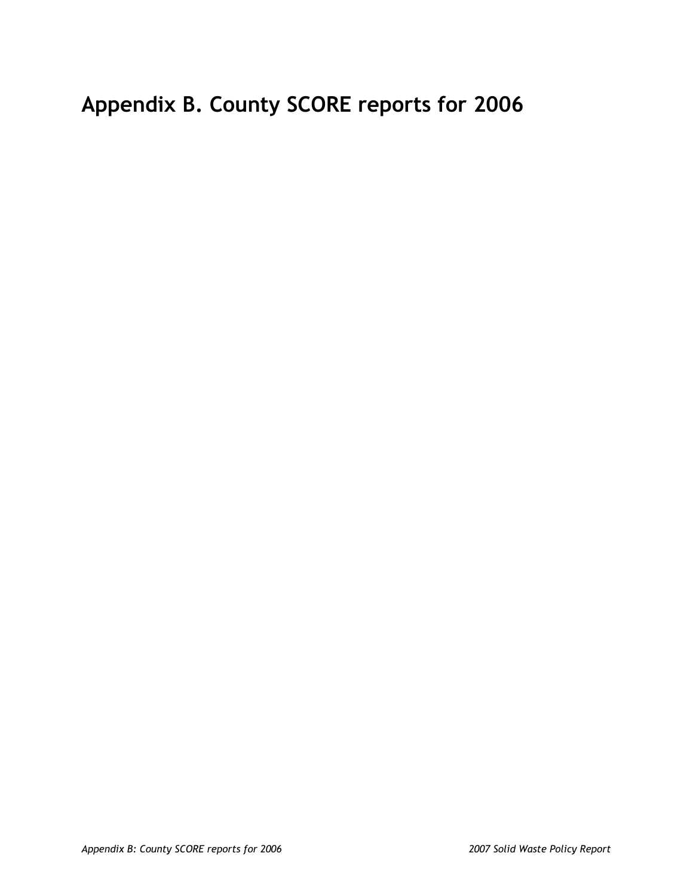# **Appendix B. County SCORE reports for 2006**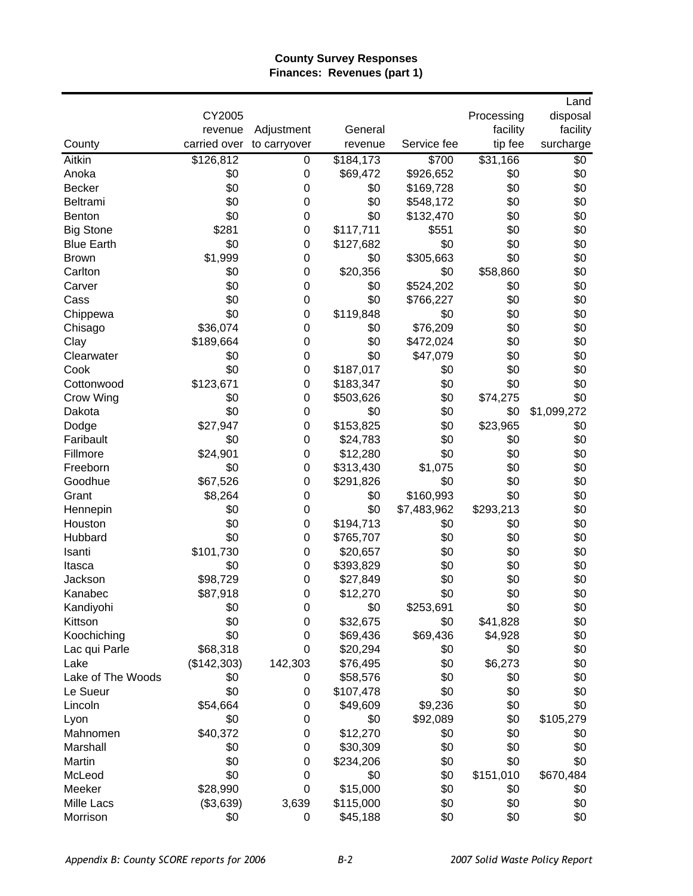## **County Survey Responses Finances: Revenues (part 1)**

|                   |              |                  |           |             |            | Land        |
|-------------------|--------------|------------------|-----------|-------------|------------|-------------|
|                   | CY2005       |                  |           |             | Processing | disposal    |
|                   | revenue      | Adjustment       | General   |             | facility   | facility    |
| County            | carried over | to carryover     | revenue   | Service fee | tip fee    | surcharge   |
| Aitkin            | \$126,812    | 0                | \$184,173 | \$700       | \$31,166   | \$0         |
| Anoka             | \$0          | $\mathbf 0$      | \$69,472  | \$926,652   | \$0        | \$0         |
| <b>Becker</b>     | \$0          | $\mathbf 0$      | \$0       | \$169,728   | \$0        | \$0         |
| Beltrami          | \$0          | $\mathbf 0$      | \$0       | \$548,172   | \$0        | \$0         |
| <b>Benton</b>     | \$0          | $\mathbf 0$      | \$0       | \$132,470   | \$0        | \$0         |
| <b>Big Stone</b>  | \$281        | $\mathbf 0$      | \$117,711 | \$551       | \$0        | \$0         |
| <b>Blue Earth</b> | \$0          | $\mathbf 0$      | \$127,682 | \$0         | \$0        | \$0         |
| <b>Brown</b>      | \$1,999      | $\mathbf 0$      | \$0       | \$305,663   | \$0        | \$0         |
| Carlton           | \$0          | $\mathbf 0$      | \$20,356  | \$0         | \$58,860   | \$0         |
| Carver            | \$0          | $\mathbf 0$      | \$0       | \$524,202   | \$0        | \$0         |
| Cass              | \$0          | $\mathbf 0$      | \$0       | \$766,227   | \$0        | \$0         |
| Chippewa          | \$0          | 0                | \$119,848 | \$0         | \$0        | \$0         |
| Chisago           | \$36,074     | 0                | \$0       | \$76,209    | \$0        | \$0         |
| Clay              | \$189,664    | 0                | \$0       | \$472,024   | \$0        | \$0         |
| Clearwater        | \$0          | 0                | \$0       | \$47,079    | \$0        | \$0         |
| Cook              | \$0          | $\mathbf 0$      | \$187,017 | \$0         | \$0        | \$0         |
| Cottonwood        | \$123,671    | 0                | \$183,347 | \$0         | \$0        | \$0         |
| Crow Wing         | \$0          | 0                | \$503,626 | \$0         | \$74,275   | \$0         |
| Dakota            | \$0          | 0                | \$0       | \$0         | \$0        | \$1,099,272 |
| Dodge             | \$27,947     | 0                | \$153,825 | \$0         | \$23,965   | \$0         |
| Faribault         | \$0          | 0                | \$24,783  | \$0         | \$0        | \$0         |
| Fillmore          | \$24,901     | 0                | \$12,280  | \$0         | \$0        | \$0         |
| Freeborn          | \$0          | $\mathbf 0$      | \$313,430 | \$1,075     | \$0        | \$0         |
| Goodhue           | \$67,526     | 0                | \$291,826 | \$0         | \$0        | \$0         |
| Grant             | \$8,264      | 0                | \$0       | \$160,993   | \$0        | \$0         |
| Hennepin          | \$0          | $\mathbf 0$      | \$0       | \$7,483,962 | \$293,213  | \$0         |
| Houston           | \$0          | $\mathbf 0$      | \$194,713 | \$0         | \$0        | \$0         |
| Hubbard           | \$0          | 0                | \$765,707 | \$0         | \$0        | \$0         |
| Isanti            | \$101,730    | 0                | \$20,657  | \$0         | \$0        | \$0         |
| Itasca            | \$0          | 0                | \$393,829 | \$0         | \$0        | \$0         |
| Jackson           | \$98,729     | $\mathbf 0$      | \$27,849  | \$0         | \$0        | \$0         |
| Kanabec           | \$87,918     | $\mathbf 0$      | \$12,270  | \$0         | \$0        | \$0         |
| Kandiyohi         | \$0          | 0                | \$0       | \$253,691   | \$0        | \$0         |
| Kittson           | \$0          | 0                | \$32,675  | \$0         | \$41,828   | \$0         |
| Koochiching       | \$0          | 0                | \$69,436  | \$69,436    | \$4,928    | \$0         |
| Lac qui Parle     | \$68,318     | 0                | \$20,294  | \$0         | \$0        | \$0         |
| Lake              | (\$142,303)  | 142,303          | \$76,495  | \$0         | \$6,273    | \$0         |
| Lake of The Woods | \$0          | 0                | \$58,576  | \$0         | \$0        | \$0         |
| Le Sueur          | \$0          | 0                | \$107,478 | \$0         | \$0        | \$0         |
| Lincoln           | \$54,664     | 0                | \$49,609  | \$9,236     | \$0        | \$0         |
| Lyon              | \$0          | 0                | \$0       | \$92,089    | \$0        | \$105,279   |
| Mahnomen          | \$40,372     | $\mathbf 0$      | \$12,270  | \$0         | \$0        | \$0         |
| Marshall          | \$0          | 0                | \$30,309  | \$0         | \$0        | \$0         |
| Martin            | \$0          | $\mathbf 0$      | \$234,206 | \$0         | \$0        | \$0         |
| McLeod            | \$0          | $\mathbf 0$      | \$0       | \$0         | \$151,010  | \$670,484   |
| Meeker            | \$28,990     | $\boldsymbol{0}$ | \$15,000  | \$0         | \$0        | \$0         |
| Mille Lacs        | (\$3,639)    | 3,639            | \$115,000 | \$0         | \$0        | \$0         |
| Morrison          | \$0          | $\pmb{0}$        | \$45,188  | \$0         | \$0        | \$0         |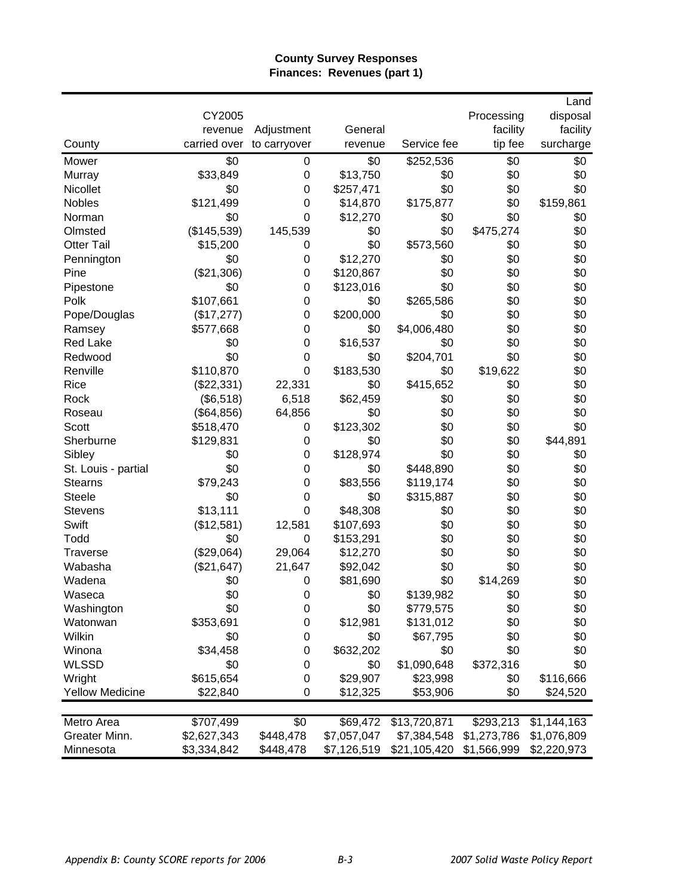## **County Survey Responses Finances: Revenues (part 1)**

| County                           | CY2005<br>revenue<br>carried over | Adjustment<br>to carryover | General<br>revenue   | Service fee  | Processing<br>facility<br>tip fee | Land<br>disposal<br>facility<br>surcharge |
|----------------------------------|-----------------------------------|----------------------------|----------------------|--------------|-----------------------------------|-------------------------------------------|
| Mower                            | \$0                               | 0                          | \$0                  | \$252,536    | \$0                               | \$0                                       |
| Murray                           | \$33,849                          | $\mathbf 0$                | \$13,750             | \$0          | \$0                               | \$0                                       |
| Nicollet                         | \$0                               | 0                          | \$257,471            | \$0          | \$0                               | \$0                                       |
| Nobles                           | \$121,499                         | $\mathbf 0$                | \$14,870             | \$175,877    | \$0                               | \$159,861                                 |
| Norman                           | \$0                               | $\mathbf 0$                | \$12,270             | \$0          | \$0                               | \$0                                       |
| Olmsted                          | (\$145,539)                       | 145,539                    | \$0                  | \$0          | \$475,274                         | \$0                                       |
| <b>Otter Tail</b>                | \$15,200                          | 0                          | \$0                  | \$573,560    | \$0                               | \$0                                       |
| Pennington                       | \$0                               | $\mathbf 0$                | \$12,270             | \$0          | \$0                               | \$0                                       |
| Pine                             | (\$21,306)                        | 0                          | \$120,867            | \$0          | \$0                               | \$0                                       |
| Pipestone                        | \$0                               | 0                          | \$123,016            | \$0          | \$0                               | \$0                                       |
| Polk                             | \$107,661                         | 0                          | \$0                  | \$265,586    | \$0                               | \$0                                       |
| Pope/Douglas                     | (\$17,277)                        | 0                          | \$200,000            | \$0          | \$0                               | \$0                                       |
| Ramsey                           | \$577,668                         | 0                          | \$0                  | \$4,006,480  | \$0                               | \$0                                       |
| <b>Red Lake</b>                  | \$0                               | 0                          | \$16,537             | \$0          | \$0                               | \$0                                       |
| Redwood                          | \$0                               | 0                          | \$0                  | \$204,701    | \$0                               | \$0                                       |
| Renville                         | \$110,870                         | 0                          | \$183,530            | \$0          | \$19,622                          | \$0                                       |
| Rice                             | (\$22,331)                        | 22,331                     | \$0                  | \$415,652    | \$0                               | \$0                                       |
| Rock                             | (\$6,518)                         | 6,518                      | \$62,459             | \$0          | \$0                               | \$0                                       |
| Roseau                           | (\$64, 856)                       | 64,856                     | \$0                  | \$0          | \$0                               | \$0                                       |
| Scott                            | \$518,470                         | 0                          | \$123,302            | \$0          | \$0                               | \$0                                       |
| Sherburne                        | \$129,831                         | $\mathbf 0$                | \$0                  | \$0          | \$0                               | \$44,891                                  |
| Sibley                           | \$0                               | 0                          | \$128,974            | \$0          | \$0                               | \$0                                       |
| St. Louis - partial              | \$0                               | 0                          | \$0                  | \$448,890    | \$0                               | \$0                                       |
| <b>Stearns</b>                   | \$79,243                          | 0                          | \$83,556             | \$119,174    | \$0                               | \$0                                       |
| <b>Steele</b>                    | \$0                               | $\mathbf 0$                | \$0                  | \$315,887    | \$0                               | \$0                                       |
| <b>Stevens</b>                   | \$13,111                          | $\boldsymbol{0}$           | \$48,308             | \$0          | \$0                               | \$0                                       |
| Swift                            | (\$12,581)                        | 12,581                     | \$107,693            | \$0          | \$0                               | \$0                                       |
| Todd                             | \$0                               | $\mathbf 0$                | \$153,291            | \$0          | \$0                               | \$0                                       |
| <b>Traverse</b>                  | (\$29,064)                        | 29,064                     | \$12,270             | \$0          | \$0                               | \$0                                       |
| Wabasha                          | (\$21,647)                        | 21,647                     | \$92,042             | \$0          | \$0                               | \$0                                       |
| Wadena                           | \$0                               | 0                          | \$81,690             | \$0          | \$14,269                          | \$0                                       |
| Waseca                           | \$0                               | $\Omega$                   | \$0                  | \$139,982    | \$0                               | \$0                                       |
| Washington                       | \$0                               | 0                          | \$0                  | \$779,575    | \$0                               | \$0                                       |
| Watonwan                         | \$353,691                         | 0                          | \$12,981             | \$131,012    | \$0                               | \$0                                       |
| Wilkin                           | \$0                               | 0                          | \$0                  | \$67,795     | \$0                               | \$0                                       |
| Winona                           | \$34,458                          |                            | \$632,202            | \$0          | \$0                               | \$0                                       |
| <b>WLSSD</b>                     | \$0                               | 0<br>0                     | \$0                  | \$1,090,648  | \$372,316                         | \$0                                       |
|                                  |                                   |                            |                      | \$23,998     | \$0                               |                                           |
| Wright<br><b>Yellow Medicine</b> | \$615,654<br>\$22,840             | 0<br>0                     | \$29,907<br>\$12,325 |              | \$0                               | \$116,666<br>\$24,520                     |
|                                  |                                   |                            |                      | \$53,906     |                                   |                                           |
| Metro Area                       | \$707,499                         | \$0                        | \$69,472             | \$13,720,871 | \$293,213                         | \$1,144,163                               |
| Greater Minn.                    | \$2,627,343                       | \$448,478                  | \$7,057,047          | \$7,384,548  | \$1,273,786                       | \$1,076,809                               |
|                                  |                                   |                            |                      |              |                                   |                                           |
| Minnesota                        | \$3,334,842                       | \$448,478                  | \$7,126,519          | \$21,105,420 | \$1,566,999                       | \$2,220,973                               |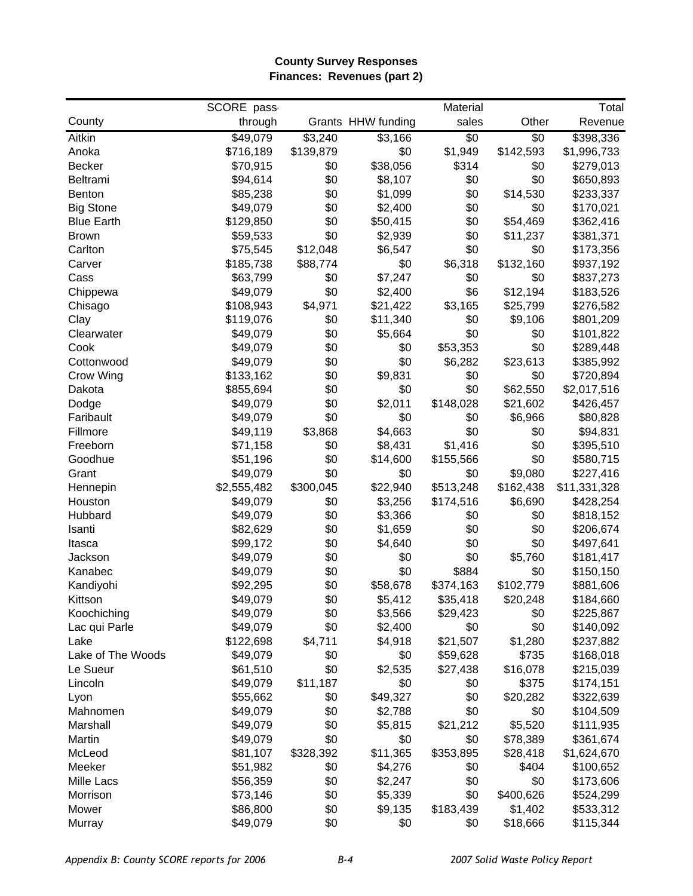#### **County Survey Responses Finances: Revenues (part 2)**

|                   | SCORE pass  |           |                    | Material       |           | Total        |
|-------------------|-------------|-----------|--------------------|----------------|-----------|--------------|
| County            | through     |           | Grants HHW funding | sales          | Other     | Revenue      |
| Aitkin            | \$49,079    | \$3,240   | \$3,166            | $\sqrt[6]{30}$ | \$0       | \$398,336    |
| Anoka             | \$716,189   | \$139,879 | \$0                | \$1,949        | \$142,593 | \$1,996,733  |
| <b>Becker</b>     | \$70,915    | \$0       | \$38,056           | \$314          | \$0       | \$279,013    |
| Beltrami          | \$94,614    | \$0       | \$8,107            | \$0            | \$0       | \$650,893    |
| Benton            | \$85,238    | \$0       | \$1,099            | \$0            | \$14,530  | \$233,337    |
| <b>Big Stone</b>  | \$49,079    | \$0       | \$2,400            | \$0            | \$0       | \$170,021    |
| <b>Blue Earth</b> | \$129,850   | \$0       | \$50,415           | \$0            | \$54,469  | \$362,416    |
| <b>Brown</b>      | \$59,533    | \$0       | \$2,939            | \$0            | \$11,237  | \$381,371    |
| Carlton           | \$75,545    | \$12,048  | \$6,547            | \$0            | \$0       | \$173,356    |
| Carver            | \$185,738   | \$88,774  | \$0                | \$6,318        | \$132,160 | \$937,192    |
| Cass              | \$63,799    | \$0       | \$7,247            | \$0            | \$0       | \$837,273    |
| Chippewa          | \$49,079    | \$0       | \$2,400            | \$6            | \$12,194  | \$183,526    |
| Chisago           | \$108,943   | \$4,971   | \$21,422           | \$3,165        | \$25,799  | \$276,582    |
| Clay              | \$119,076   | \$0       | \$11,340           | \$0            | \$9,106   | \$801,209    |
| Clearwater        | \$49,079    | \$0       | \$5,664            | \$0            | \$0       | \$101,822    |
| Cook              | \$49,079    | \$0       | \$0                | \$53,353       | \$0       | \$289,448    |
| Cottonwood        | \$49,079    | \$0       | \$0                | \$6,282        | \$23,613  | \$385,992    |
| Crow Wing         | \$133,162   | \$0       | \$9,831            | \$0            | \$0       | \$720,894    |
| Dakota            | \$855,694   | \$0       | \$0                | \$0            | \$62,550  | \$2,017,516  |
| Dodge             | \$49,079    | \$0       | \$2,011            | \$148,028      | \$21,602  | \$426,457    |
| Faribault         | \$49,079    | \$0       | \$0                | \$0            | \$6,966   | \$80,828     |
| Fillmore          | \$49,119    | \$3,868   | \$4,663            | \$0            | \$0       | \$94,831     |
| Freeborn          | \$71,158    | \$0       | \$8,431            | \$1,416        | \$0       | \$395,510    |
| Goodhue           | \$51,196    | \$0       | \$14,600           | \$155,566      | \$0       | \$580,715    |
| Grant             | \$49,079    | \$0       | \$0                | \$0            | \$9,080   | \$227,416    |
| Hennepin          | \$2,555,482 | \$300,045 | \$22,940           | \$513,248      | \$162,438 | \$11,331,328 |
| Houston           | \$49,079    | \$0       | \$3,256            | \$174,516      | \$6,690   | \$428,254    |
| Hubbard           | \$49,079    | \$0       | \$3,366            | \$0            | \$0       | \$818,152    |
| Isanti            | \$82,629    | \$0       | \$1,659            | \$0            | \$0       | \$206,674    |
| Itasca            | \$99,172    | \$0       | \$4,640            | \$0            | \$0       | \$497,641    |
| Jackson           | \$49,079    | \$0       | \$0                | \$0            | \$5,760   | \$181,417    |
| Kanabec           | \$49,079    | \$0       | \$0                | \$884          | \$0       | \$150,150    |
| Kandiyohi         | \$92,295    | \$0       | \$58,678           | \$374,163      | \$102,779 | \$881,606    |
| Kittson           | \$49,079    | \$0       | \$5,412            | \$35,418       | \$20,248  | \$184,660    |
| Koochiching       | \$49,079    | \$0       | \$3,566            | \$29,423       | \$0       | \$225,867    |
| Lac qui Parle     | \$49,079    | \$0       | \$2,400            | \$0            | \$0       | \$140,092    |
| Lake              | \$122,698   | \$4,711   | \$4,918            | \$21,507       | \$1,280   | \$237,882    |
| Lake of The Woods | \$49,079    | \$0       | \$0                | \$59,628       | \$735     | \$168,018    |
| Le Sueur          | \$61,510    | \$0       | \$2,535            | \$27,438       | \$16,078  | \$215,039    |
| Lincoln           | \$49,079    | \$11,187  | \$0                | \$0            | \$375     | \$174,151    |
| Lyon              | \$55,662    | \$0       | \$49,327           | \$0            | \$20,282  | \$322,639    |
| Mahnomen          | \$49,079    | \$0       | \$2,788            | \$0            | \$0       | \$104,509    |
| Marshall          | \$49,079    | \$0       | \$5,815            | \$21,212       | \$5,520   | \$111,935    |
| Martin            | \$49,079    | \$0       | \$0                | \$0            | \$78,389  | \$361,674    |
| McLeod            | \$81,107    | \$328,392 | \$11,365           | \$353,895      | \$28,418  | \$1,624,670  |
| Meeker            | \$51,982    | \$0       | \$4,276            | \$0            | \$404     | \$100,652    |
| Mille Lacs        | \$56,359    | \$0       | \$2,247            | \$0            | \$0       | \$173,606    |
| Morrison          | \$73,146    | \$0       | \$5,339            | \$0            | \$400,626 | \$524,299    |
| Mower             | \$86,800    | \$0       | \$9,135            | \$183,439      | \$1,402   | \$533,312    |
| Murray            | \$49,079    | \$0       | \$0                | \$0            | \$18,666  | \$115,344    |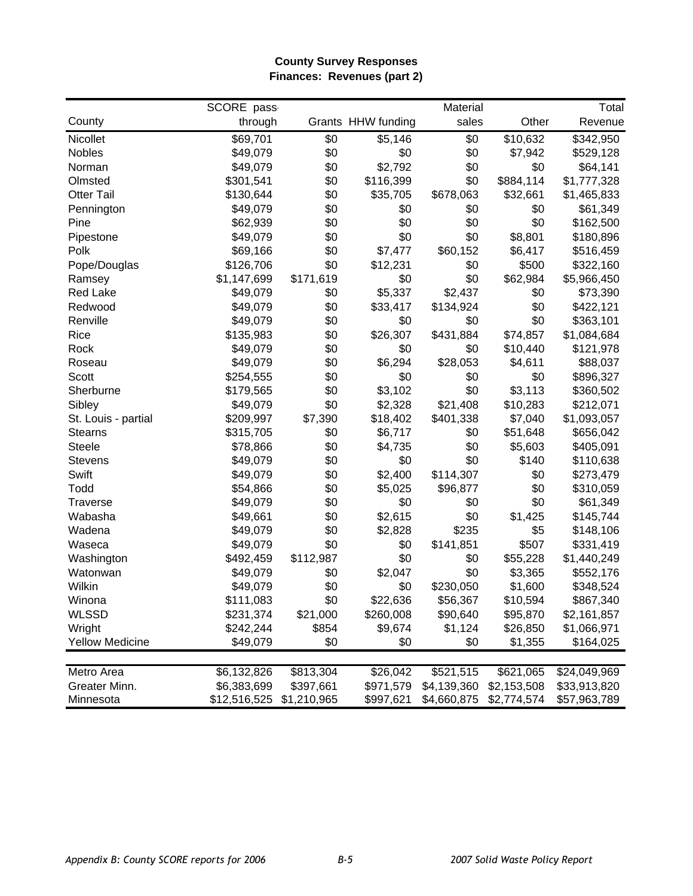#### **County Survey Responses Finances: Revenues (part 2)**

|                        | SCORE pass   |             |                    | Material    |             | Total        |
|------------------------|--------------|-------------|--------------------|-------------|-------------|--------------|
| County                 | through      |             | Grants HHW funding | sales       | Other       | Revenue      |
| Nicollet               | \$69,701     | \$0         | \$5,146            | \$0         | \$10,632    | \$342,950    |
| Nobles                 | \$49,079     | \$0         | \$0                | \$0         | \$7,942     | \$529,128    |
| Norman                 | \$49,079     | \$0         | \$2,792            | \$0         | \$0         | \$64,141     |
| Olmsted                | \$301,541    | \$0         | \$116,399          | \$0         | \$884,114   | \$1,777,328  |
| <b>Otter Tail</b>      | \$130,644    | \$0         | \$35,705           | \$678,063   | \$32,661    | \$1,465,833  |
| Pennington             | \$49,079     | \$0         | \$0                | \$0         | \$0         | \$61,349     |
| Pine                   | \$62,939     | \$0         | \$0                | \$0         | \$0         | \$162,500    |
| Pipestone              | \$49,079     | \$0         | \$0                | \$0         | \$8,801     | \$180,896    |
| Polk                   | \$69,166     | \$0         | \$7,477            | \$60,152    | \$6,417     | \$516,459    |
| Pope/Douglas           | \$126,706    | \$0         | \$12,231           | \$0         | \$500       | \$322,160    |
| Ramsey                 | \$1,147,699  | \$171,619   | \$0                | \$0         | \$62,984    | \$5,966,450  |
| <b>Red Lake</b>        | \$49,079     | \$0         | \$5,337            | \$2,437     | \$0         | \$73,390     |
| Redwood                | \$49,079     | \$0         | \$33,417           | \$134,924   | \$0         | \$422,121    |
| Renville               | \$49,079     | \$0         | \$0                | \$0         | \$0         | \$363,101    |
| Rice                   | \$135,983    | \$0         | \$26,307           | \$431,884   | \$74,857    | \$1,084,684  |
| Rock                   | \$49,079     | \$0         | \$0                | \$0         | \$10,440    | \$121,978    |
| Roseau                 | \$49,079     | \$0         | \$6,294            | \$28,053    | \$4,611     | \$88,037     |
| Scott                  | \$254,555    | \$0         | \$0                | \$0         | \$0         | \$896,327    |
| Sherburne              | \$179,565    | \$0         | \$3,102            | \$0         | \$3,113     | \$360,502    |
| Sibley                 | \$49,079     | \$0         | \$2,328            | \$21,408    | \$10,283    | \$212,071    |
| St. Louis - partial    | \$209,997    | \$7,390     | \$18,402           | \$401,338   | \$7,040     | \$1,093,057  |
| <b>Stearns</b>         | \$315,705    | \$0         | \$6,717            | \$0         | \$51,648    | \$656,042    |
| <b>Steele</b>          | \$78,866     | \$0         | \$4,735            | \$0         | \$5,603     | \$405,091    |
| <b>Stevens</b>         | \$49,079     | \$0         | \$0                | \$0         | \$140       | \$110,638    |
| Swift                  | \$49,079     | \$0         | \$2,400            | \$114,307   | \$0         | \$273,479    |
| Todd                   | \$54,866     | \$0         | \$5,025            | \$96,877    | \$0         | \$310,059    |
| <b>Traverse</b>        | \$49,079     | \$0         | \$0                | \$0         | \$0         | \$61,349     |
| Wabasha                | \$49,661     | \$0         | \$2,615            | \$0         | \$1,425     | \$145,744    |
| Wadena                 | \$49,079     | \$0         | \$2,828            | \$235       | \$5         | \$148,106    |
| Waseca                 | \$49,079     | \$0         | \$0                | \$141,851   | \$507       | \$331,419    |
| Washington             | \$492,459    | \$112,987   | \$0                | \$0         | \$55,228    | \$1,440,249  |
| Watonwan               | \$49,079     | \$0         | \$2,047            | \$0         | \$3,365     | \$552,176    |
| Wilkin                 | \$49,079     | \$0         | \$0                | \$230,050   | \$1,600     | \$348,524    |
| Winona                 | \$111,083    | \$0         | \$22,636           | \$56,367    | \$10,594    | \$867,340    |
| <b>WLSSD</b>           | \$231,374    | \$21,000    | \$260,008          | \$90,640    | \$95,870    | \$2,161,857  |
| Wright                 | \$242,244    | \$854       | \$9,674            | \$1,124     | \$26,850    | \$1,066,971  |
| <b>Yellow Medicine</b> | \$49,079     | \$0         | \$0                | \$0         | \$1,355     | \$164,025    |
|                        |              |             |                    |             |             |              |
| Metro Area             | \$6,132,826  | \$813,304   | \$26,042           | \$521,515   | \$621,065   | \$24,049,969 |
| Greater Minn.          | \$6,383,699  | \$397,661   | \$971,579          | \$4,139,360 | \$2,153,508 | \$33,913,820 |
| Minnesota              | \$12,516,525 | \$1,210,965 | \$997,621          | \$4,660,875 | \$2,774,574 | \$57,963,789 |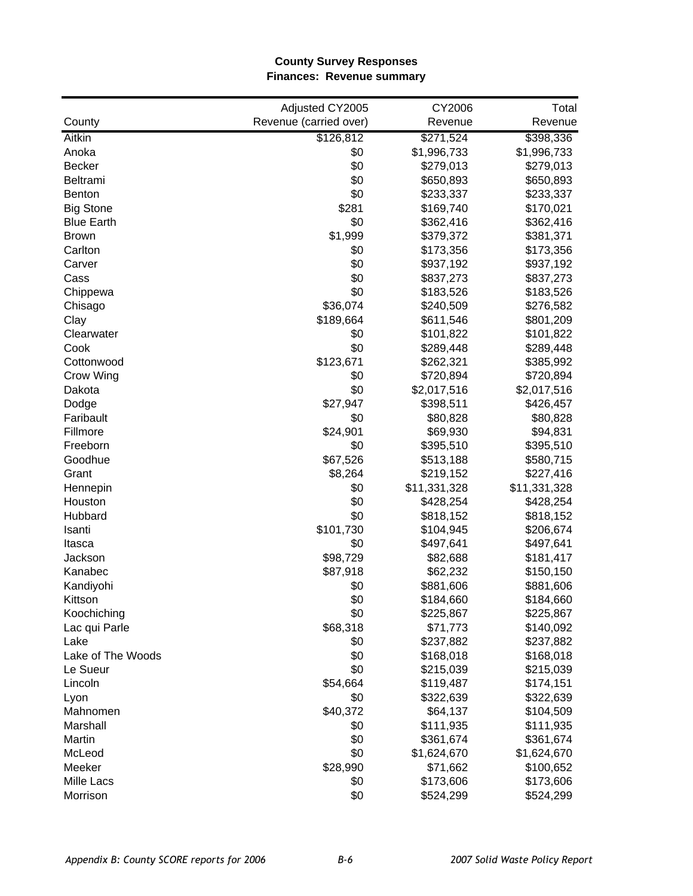#### **County Survey Responses Finances: Revenue summary**

|                   | Adjusted CY2005        | CY2006       | Total        |
|-------------------|------------------------|--------------|--------------|
| County            | Revenue (carried over) | Revenue      | Revenue      |
| <b>Aitkin</b>     | \$126,812              | \$271,524    | \$398,336    |
| Anoka             | \$0                    | \$1,996,733  | \$1,996,733  |
| <b>Becker</b>     | \$0                    | \$279,013    | \$279,013    |
| <b>Beltrami</b>   | \$0                    | \$650,893    | \$650,893    |
| <b>Benton</b>     | \$0                    | \$233,337    | \$233,337    |
| <b>Big Stone</b>  | \$281                  | \$169,740    | \$170,021    |
| <b>Blue Earth</b> | \$0                    | \$362,416    | \$362,416    |
| <b>Brown</b>      | \$1,999                | \$379,372    | \$381,371    |
| Carlton           | \$0                    | \$173,356    | \$173,356    |
| Carver            | \$0                    | \$937,192    | \$937,192    |
| Cass              | \$0                    | \$837,273    | \$837,273    |
| Chippewa          | \$0                    | \$183,526    | \$183,526    |
| Chisago           | \$36,074               | \$240,509    | \$276,582    |
| Clay              | \$189,664              | \$611,546    | \$801,209    |
| Clearwater        | \$0                    | \$101,822    | \$101,822    |
| Cook              | \$0                    | \$289,448    | \$289,448    |
| Cottonwood        | \$123,671              | \$262,321    | \$385,992    |
| Crow Wing         | \$0                    | \$720,894    | \$720,894    |
| Dakota            | \$0                    | \$2,017,516  | \$2,017,516  |
| Dodge             | \$27,947               | \$398,511    | \$426,457    |
| Faribault         | \$0                    | \$80,828     | \$80,828     |
| Fillmore          | \$24,901               | \$69,930     | \$94,831     |
| Freeborn          | \$0                    | \$395,510    | \$395,510    |
| Goodhue           | \$67,526               | \$513,188    | \$580,715    |
| Grant             | \$8,264                | \$219,152    | \$227,416    |
| Hennepin          | \$0                    | \$11,331,328 | \$11,331,328 |
| Houston           | \$0                    | \$428,254    | \$428,254    |
| Hubbard           | \$0                    | \$818,152    | \$818,152    |
| Isanti            | \$101,730              | \$104,945    | \$206,674    |
| Itasca            | \$0                    | \$497,641    | \$497,641    |
| Jackson           | \$98,729               | \$82,688     | \$181,417    |
| Kanabec           | \$87,918               | \$62,232     | \$150,150    |
| Kandiyohi         | \$0                    | \$881,606    | \$881,606    |
| Kittson           | \$0                    | \$184,660    | \$184,660    |
| Koochiching       | \$0                    | \$225,867    | \$225,867    |
| Lac qui Parle     | \$68,318               | \$71,773     | \$140,092    |
| Lake              | \$0                    | \$237,882    | \$237,882    |
| Lake of The Woods | \$0                    | \$168,018    | \$168,018    |
| Le Sueur          | \$0                    | \$215,039    | \$215,039    |
| Lincoln           | \$54,664               | \$119,487    | \$174,151    |
| Lyon              | \$0                    | \$322,639    | \$322,639    |
| Mahnomen          | \$40,372               | \$64,137     | \$104,509    |
| Marshall          | \$0                    | \$111,935    | \$111,935    |
| Martin            | \$0                    | \$361,674    | \$361,674    |
| McLeod            | \$0                    | \$1,624,670  | \$1,624,670  |
| Meeker            | \$28,990               | \$71,662     | \$100,652    |
| Mille Lacs        | \$0                    | \$173,606    | \$173,606    |
| Morrison          | \$0                    | \$524,299    | \$524,299    |
|                   |                        |              |              |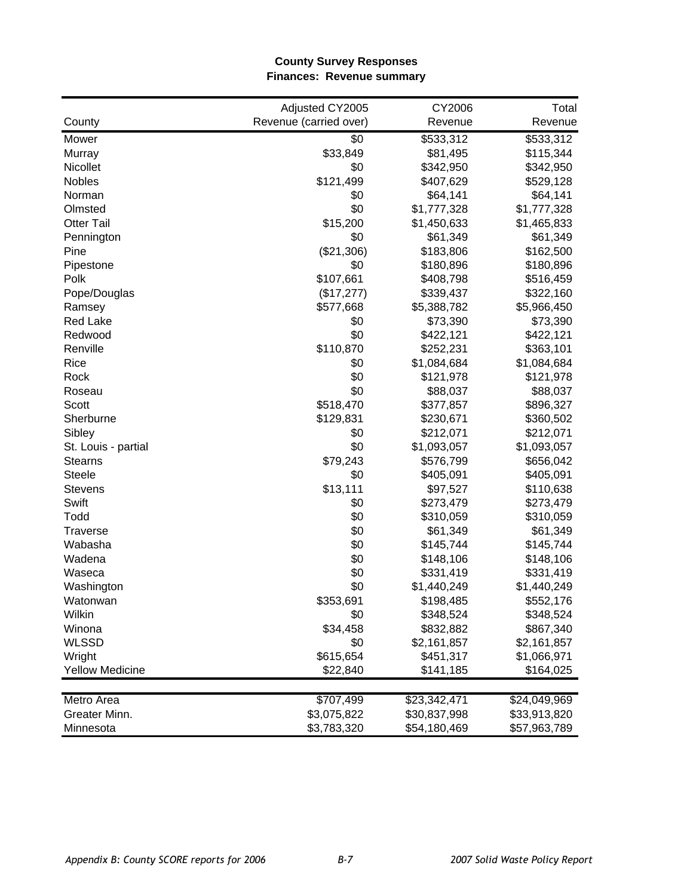#### **County Survey Responses Finances: Revenue summary**

|                        | Adjusted CY2005        | CY2006       | Total        |
|------------------------|------------------------|--------------|--------------|
| County                 | Revenue (carried over) | Revenue      | Revenue      |
| Mower                  | \$0                    | \$533,312    | \$533,312    |
| Murray                 | \$33,849               | \$81,495     | \$115,344    |
| <b>Nicollet</b>        | \$0                    | \$342,950    | \$342,950    |
| <b>Nobles</b>          | \$121,499              | \$407,629    | \$529,128    |
| Norman                 | \$0                    | \$64,141     | \$64,141     |
| Olmsted                | \$0                    | \$1,777,328  | \$1,777,328  |
| <b>Otter Tail</b>      | \$15,200               | \$1,450,633  | \$1,465,833  |
| Pennington             | \$0                    | \$61,349     | \$61,349     |
| Pine                   | (\$21,306)             | \$183,806    | \$162,500    |
| Pipestone              | \$0                    | \$180,896    | \$180,896    |
| Polk                   | \$107,661              | \$408,798    | \$516,459    |
| Pope/Douglas           | (\$17,277)             | \$339,437    | \$322,160    |
| Ramsey                 | \$577,668              | \$5,388,782  | \$5,966,450  |
| <b>Red Lake</b>        | \$0                    | \$73,390     | \$73,390     |
| Redwood                | \$0                    | \$422,121    | \$422,121    |
| Renville               | \$110,870              | \$252,231    | \$363,101    |
| Rice                   | \$0                    | \$1,084,684  | \$1,084,684  |
| Rock                   | \$0                    | \$121,978    | \$121,978    |
| Roseau                 | \$0                    | \$88,037     | \$88,037     |
| Scott                  | \$518,470              | \$377,857    | \$896,327    |
| Sherburne              | \$129,831              | \$230,671    | \$360,502    |
| Sibley                 | \$0                    | \$212,071    | \$212,071    |
| St. Louis - partial    | \$0                    | \$1,093,057  | \$1,093,057  |
| <b>Stearns</b>         | \$79,243               | \$576,799    | \$656,042    |
| <b>Steele</b>          | \$0                    | \$405,091    | \$405,091    |
| <b>Stevens</b>         | \$13,111               | \$97,527     | \$110,638    |
| Swift                  | \$0                    | \$273,479    | \$273,479    |
| Todd                   | \$0                    | \$310,059    | \$310,059    |
| <b>Traverse</b>        | \$0                    | \$61,349     | \$61,349     |
| Wabasha                | \$0                    | \$145,744    | \$145,744    |
| Wadena                 | \$0                    | \$148,106    | \$148,106    |
| Waseca                 | \$0                    | \$331,419    | \$331,419    |
| Washington             | \$0                    | \$1,440,249  | \$1,440,249  |
| Watonwan               | \$353,691              | \$198,485    | \$552,176    |
| Wilkin                 | \$0                    | \$348,524    | \$348,524    |
| Winona                 | \$34,458               | \$832,882    | \$867,340    |
| <b>WLSSD</b>           | \$0                    | \$2,161,857  | \$2,161,857  |
| Wright                 | \$615,654              | \$451,317    | \$1,066,971  |
| <b>Yellow Medicine</b> | \$22,840               | \$141,185    | \$164,025    |
|                        |                        |              |              |
| Metro Area             | \$707,499              | \$23,342,471 | \$24,049,969 |
| Greater Minn.          | \$3,075,822            | \$30,837,998 | \$33,913,820 |
| Minnesota              | \$3,783,320            | \$54,180,469 | \$57,963,789 |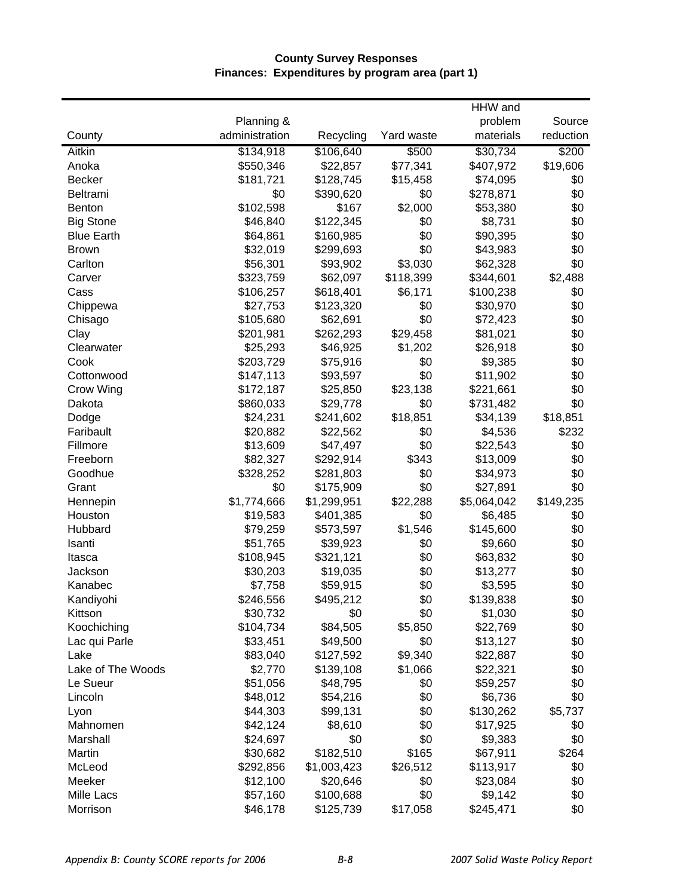## **County Survey Responses Finances: Expenditures by program area (part 1)**

|                   |                |             |            | HHW and     |           |
|-------------------|----------------|-------------|------------|-------------|-----------|
|                   | Planning &     |             |            | problem     | Source    |
| County            | administration | Recycling   | Yard waste | materials   | reduction |
| <b>Aitkin</b>     | \$134,918      | \$106,640   | \$500      | \$30,734    | \$200     |
| Anoka             | \$550,346      | \$22,857    | \$77,341   | \$407,972   | \$19,606  |
| <b>Becker</b>     | \$181,721      | \$128,745   | \$15,458   | \$74,095    | \$0       |
| Beltrami          | \$0            | \$390,620   | \$0        | \$278,871   | \$0       |
| <b>Benton</b>     | \$102,598      | \$167       | \$2,000    | \$53,380    | \$0       |
| <b>Big Stone</b>  | \$46,840       | \$122,345   | \$0        | \$8,731     | \$0       |
| <b>Blue Earth</b> | \$64,861       | \$160,985   | \$0        | \$90,395    | \$0       |
| <b>Brown</b>      | \$32,019       | \$299,693   | \$0        | \$43,983    | \$0       |
| Carlton           | \$56,301       | \$93,902    | \$3,030    | \$62,328    | \$0       |
| Carver            | \$323,759      | \$62,097    | \$118,399  | \$344,601   | \$2,488   |
| Cass              | \$106,257      | \$618,401   | \$6,171    | \$100,238   | \$0       |
| Chippewa          | \$27,753       | \$123,320   | \$0        | \$30,970    | \$0       |
| Chisago           | \$105,680      | \$62,691    | \$0        | \$72,423    | \$0       |
| Clay              | \$201,981      | \$262,293   | \$29,458   | \$81,021    | \$0       |
| Clearwater        | \$25,293       | \$46,925    | \$1,202    | \$26,918    | \$0       |
| Cook              | \$203,729      | \$75,916    | \$0        | \$9,385     | \$0       |
| Cottonwood        | \$147,113      | \$93,597    | \$0        | \$11,902    | \$0       |
| Crow Wing         | \$172,187      | \$25,850    | \$23,138   | \$221,661   | \$0       |
| Dakota            | \$860,033      | \$29,778    | \$0        | \$731,482   | \$0       |
| Dodge             | \$24,231       | \$241,602   | \$18,851   | \$34,139    | \$18,851  |
| Faribault         | \$20,882       | \$22,562    | \$0        | \$4,536     | \$232     |
| Fillmore          | \$13,609       | \$47,497    | \$0        | \$22,543    | \$0       |
| Freeborn          | \$82,327       | \$292,914   | \$343      | \$13,009    | \$0       |
| Goodhue           | \$328,252      | \$281,803   | \$0        | \$34,973    | \$0       |
| Grant             | \$0            | \$175,909   | \$0        | \$27,891    | \$0       |
| Hennepin          | \$1,774,666    | \$1,299,951 | \$22,288   | \$5,064,042 | \$149,235 |
| Houston           | \$19,583       | \$401,385   | \$0        | \$6,485     | \$0       |
| Hubbard           | \$79,259       | \$573,597   | \$1,546    | \$145,600   | \$0       |
| Isanti            | \$51,765       | \$39,923    | \$0        | \$9,660     | \$0       |
| Itasca            | \$108,945      | \$321,121   | \$0        | \$63,832    | \$0       |
| Jackson           | \$30,203       | \$19,035    | \$0        | \$13,277    | \$0       |
| Kanabec           | \$7,758        | \$59,915    | \$0        | \$3,595     | \$0       |
| Kandiyohi         | \$246,556      | \$495,212   | \$0        | \$139,838   | \$0       |
| Kittson           | \$30,732       | \$0         | \$0        | \$1,030     | \$0       |
| Koochiching       | \$104,734      | \$84,505    | \$5,850    | \$22,769    | \$0       |
| Lac qui Parle     | \$33,451       | \$49,500    | \$0        | \$13,127    | \$0       |
| Lake              | \$83,040       | \$127,592   | \$9,340    | \$22,887    | \$0       |
| Lake of The Woods | \$2,770        | \$139,108   | \$1,066    | \$22,321    | \$0       |
| Le Sueur          | \$51,056       | \$48,795    | \$0        | \$59,257    | \$0       |
| Lincoln           | \$48,012       | \$54,216    | \$0        | \$6,736     | \$0       |
| Lyon              | \$44,303       | \$99,131    | \$0        | \$130,262   | \$5,737   |
| Mahnomen          | \$42,124       | \$8,610     | \$0        | \$17,925    | \$0       |
| Marshall          | \$24,697       | \$0         | \$0        | \$9,383     | \$0       |
| Martin            | \$30,682       | \$182,510   | \$165      | \$67,911    | \$264     |
| McLeod            | \$292,856      | \$1,003,423 | \$26,512   | \$113,917   | \$0       |
| Meeker            | \$12,100       | \$20,646    | \$0        | \$23,084    | \$0       |
| Mille Lacs        | \$57,160       | \$100,688   | \$0        | \$9,142     | \$0       |
| Morrison          | \$46,178       | \$125,739   | \$17,058   | \$245,471   | \$0       |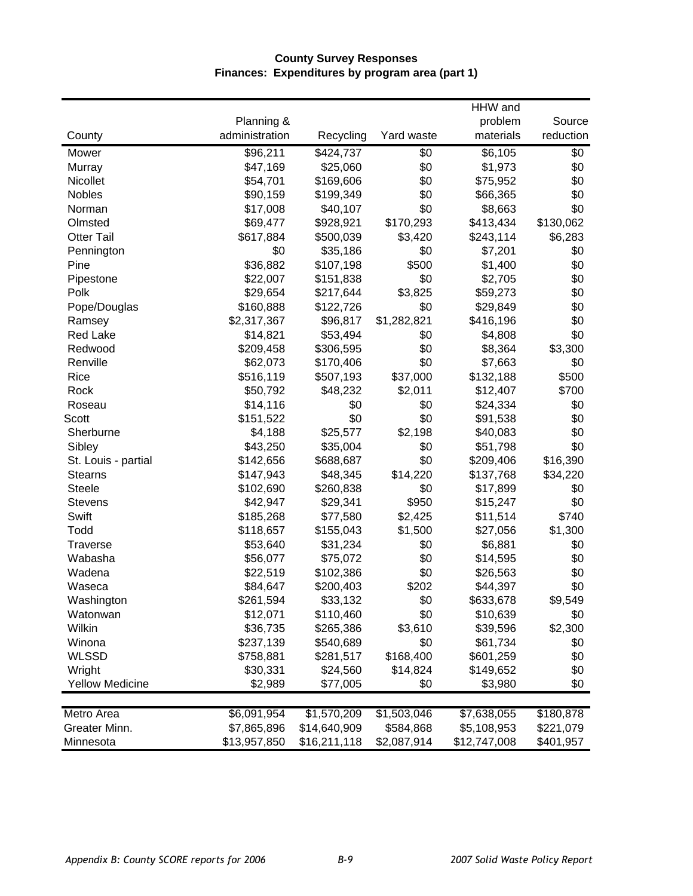## **County Survey Responses Finances: Expenditures by program area (part 1)**

|                        |                |              |             | HHW and      |           |
|------------------------|----------------|--------------|-------------|--------------|-----------|
|                        | Planning &     |              |             | problem      | Source    |
| County                 | administration | Recycling    | Yard waste  | materials    | reduction |
| Mower                  | \$96,211       | \$424,737    | \$0         | \$6,105      | \$0       |
| Murray                 | \$47,169       | \$25,060     | \$0         | \$1,973      | \$0       |
| Nicollet               | \$54,701       | \$169,606    | \$0         | \$75,952     | \$0       |
| Nobles                 | \$90,159       | \$199,349    | \$0         | \$66,365     | \$0       |
| Norman                 | \$17,008       | \$40,107     | \$0         | \$8,663      | \$0       |
| Olmsted                | \$69,477       | \$928,921    | \$170,293   | \$413,434    | \$130,062 |
| <b>Otter Tail</b>      | \$617,884      | \$500,039    | \$3,420     | \$243,114    | \$6,283   |
| Pennington             | \$0            | \$35,186     | \$0         | \$7,201      | \$0       |
| Pine                   | \$36,882       | \$107,198    | \$500       | \$1,400      | \$0       |
| Pipestone              | \$22,007       | \$151,838    | \$0         | \$2,705      | \$0       |
| Polk                   | \$29,654       | \$217,644    | \$3,825     | \$59,273     | \$0       |
| Pope/Douglas           | \$160,888      | \$122,726    | \$0         | \$29,849     | \$0       |
| Ramsey                 | \$2,317,367    | \$96,817     | \$1,282,821 | \$416,196    | \$0       |
| <b>Red Lake</b>        | \$14,821       | \$53,494     | \$0         | \$4,808      | \$0       |
| Redwood                | \$209,458      | \$306,595    | \$0         | \$8,364      | \$3,300   |
| Renville               | \$62,073       | \$170,406    | \$0         | \$7,663      | \$0       |
| Rice                   | \$516,119      | \$507,193    | \$37,000    | \$132,188    | \$500     |
| Rock                   | \$50,792       | \$48,232     | \$2,011     | \$12,407     | \$700     |
| Roseau                 | \$14,116       | \$0          | \$0         | \$24,334     | \$0       |
| Scott                  | \$151,522      | \$0          | \$0         | \$91,538     | \$0       |
| Sherburne              | \$4,188        | \$25,577     | \$2,198     | \$40,083     | \$0       |
| Sibley                 | \$43,250       | \$35,004     | \$0         | \$51,798     | \$0       |
| St. Louis - partial    | \$142,656      | \$688,687    | \$0         | \$209,406    | \$16,390  |
| <b>Stearns</b>         | \$147,943      | \$48,345     | \$14,220    | \$137,768    | \$34,220  |
| <b>Steele</b>          | \$102,690      | \$260,838    | \$0         | \$17,899     | \$0       |
| <b>Stevens</b>         | \$42,947       | \$29,341     | \$950       | \$15,247     | \$0       |
| Swift                  | \$185,268      | \$77,580     | \$2,425     | \$11,514     | \$740     |
| Todd                   | \$118,657      | \$155,043    | \$1,500     | \$27,056     | \$1,300   |
| Traverse               | \$53,640       | \$31,234     | \$0         | \$6,881      | \$0       |
| Wabasha                | \$56,077       | \$75,072     | \$0         | \$14,595     | \$0       |
| Wadena                 | \$22,519       | \$102,386    | \$0         | \$26,563     | \$0       |
| Waseca                 | \$84,647       | \$200,403    | \$202       | \$44,397     | \$0       |
| Washington             | \$261,594      | \$33,132     | \$0         | \$633,678    | \$9,549   |
| Watonwan               | \$12,071       | \$110,460    | \$0         | \$10,639     | \$0       |
| Wilkin                 | \$36,735       | \$265,386    | \$3,610     | \$39,596     | \$2,300   |
| Winona                 | \$237,139      | \$540,689    | \$0         | \$61,734     | \$0       |
| <b>WLSSD</b>           | \$758,881      | \$281,517    | \$168,400   | \$601,259    | \$0       |
| Wright                 | \$30,331       | \$24,560     | \$14,824    | \$149,652    | \$0       |
| <b>Yellow Medicine</b> | \$2,989        | \$77,005     | \$0         | \$3,980      | \$0       |
| Metro Area             | \$6,091,954    | \$1,570,209  | \$1,503,046 | \$7,638,055  | \$180,878 |
| Greater Minn.          | \$7,865,896    | \$14,640,909 | \$584,868   | \$5,108,953  | \$221,079 |
| Minnesota              | \$13,957,850   | \$16,211,118 | \$2,087,914 | \$12,747,008 | \$401,957 |
|                        |                |              |             |              |           |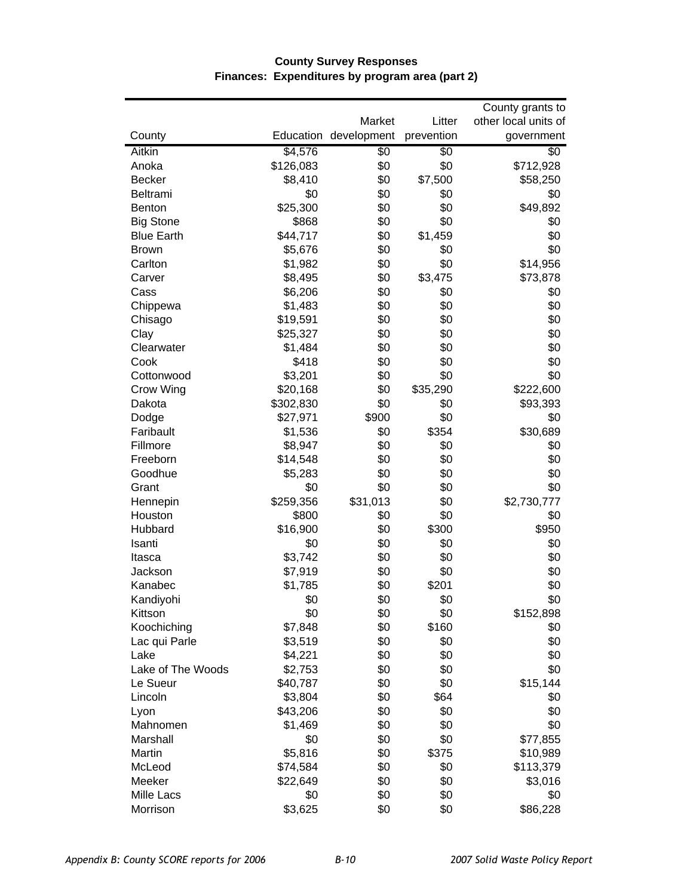|                   |                   | Market                | Litter         | County grants to<br>other local units of |
|-------------------|-------------------|-----------------------|----------------|------------------------------------------|
| County            |                   | Education development | prevention     | government                               |
|                   |                   |                       |                |                                          |
| <b>Aitkin</b>     | \$4,576           | $\overline{50}$       | \$0            | \$0                                      |
| Anoka             | \$126,083         | \$0                   | \$0            | \$712,928                                |
| <b>Becker</b>     | \$8,410           | \$0                   | \$7,500<br>\$0 | \$58,250                                 |
| Beltrami          | \$0               | \$0<br>\$0            | \$0            | \$0                                      |
| Benton            | \$25,300<br>\$868 | \$0                   | \$0            | \$49,892<br>\$0                          |
| <b>Big Stone</b>  |                   | \$0                   |                | \$0                                      |
| <b>Blue Earth</b> | \$44,717          |                       | \$1,459        |                                          |
| <b>Brown</b>      | \$5,676           | \$0                   | \$0            | \$0                                      |
| Carlton           | \$1,982           | \$0                   | \$0            | \$14,956                                 |
| Carver            | \$8,495           | \$0                   | \$3,475        | \$73,878                                 |
| Cass              | \$6,206           | \$0                   | \$0            | \$0                                      |
| Chippewa          | \$1,483           | \$0                   | \$0            | \$0                                      |
| Chisago           | \$19,591          | \$0                   | \$0            | \$0                                      |
| Clay              | \$25,327          | \$0                   | \$0            | \$0                                      |
| Clearwater        | \$1,484           | \$0                   | \$0            | \$0                                      |
| Cook              | \$418             | \$0                   | \$0            | \$0                                      |
| Cottonwood        | \$3,201           | \$0                   | \$0            | \$0                                      |
| Crow Wing         | \$20,168          | \$0                   | \$35,290       | \$222,600                                |
| Dakota            | \$302,830         | \$0                   | \$0            | \$93,393                                 |
| Dodge             | \$27,971          | \$900                 | \$0            | \$0                                      |
| Faribault         | \$1,536           | \$0                   | \$354          | \$30,689                                 |
| Fillmore          | \$8,947           | \$0                   | \$0            | \$0                                      |
| Freeborn          | \$14,548          | \$0                   | \$0            | \$0                                      |
| Goodhue           | \$5,283           | \$0                   | \$0            | \$0                                      |
| Grant             | \$0               | \$0                   | \$0            | \$0                                      |
| Hennepin          | \$259,356         | \$31,013              | \$0            | \$2,730,777                              |
| Houston           | \$800             | \$0                   | \$0            | \$0                                      |
| Hubbard           | \$16,900          | \$0                   | \$300          | \$950                                    |
| Isanti            | \$0               | \$0                   | \$0            | \$0                                      |
| Itasca            | \$3,742           | \$0                   | \$0            | \$0                                      |
| Jackson           | \$7,919           | \$0                   | \$0            | \$0                                      |
| Kanabec           | \$1,785           | \$0                   | \$201          | \$0                                      |
| Kandiyohi         | \$0               | \$0                   | \$0            | \$0                                      |
| Kittson           | \$0               | \$0                   | \$0            | \$152,898                                |
| Koochiching       | \$7,848           | \$0                   | \$160          | \$0                                      |
| Lac qui Parle     | \$3,519           | \$0                   | \$0            | \$0                                      |
| Lake              | \$4,221           | \$0                   | \$0            | \$0                                      |
| Lake of The Woods | \$2,753           | \$0                   | \$0            | \$0                                      |
| Le Sueur          | \$40,787          | \$0                   | \$0            | \$15,144                                 |
| Lincoln           | \$3,804           | \$0                   | \$64           | \$0                                      |
| Lyon              | \$43,206          | \$0                   | \$0            | \$0                                      |
| Mahnomen          | \$1,469           | \$0                   | \$0            | \$0                                      |
| Marshall          | \$0               | \$0                   | \$0            | \$77,855                                 |
| Martin            | \$5,816           | \$0                   | \$375          | \$10,989                                 |
| McLeod            | \$74,584          | \$0                   | \$0            | \$113,379                                |
| Meeker            | \$22,649          | \$0                   | \$0            | \$3,016                                  |
| Mille Lacs        | \$0               | \$0                   | \$0            | \$0                                      |
| Morrison          | \$3,625           | \$0                   | \$0            | \$86,228                                 |

## **County Survey Responses Finances: Expenditures by program area (part 2)**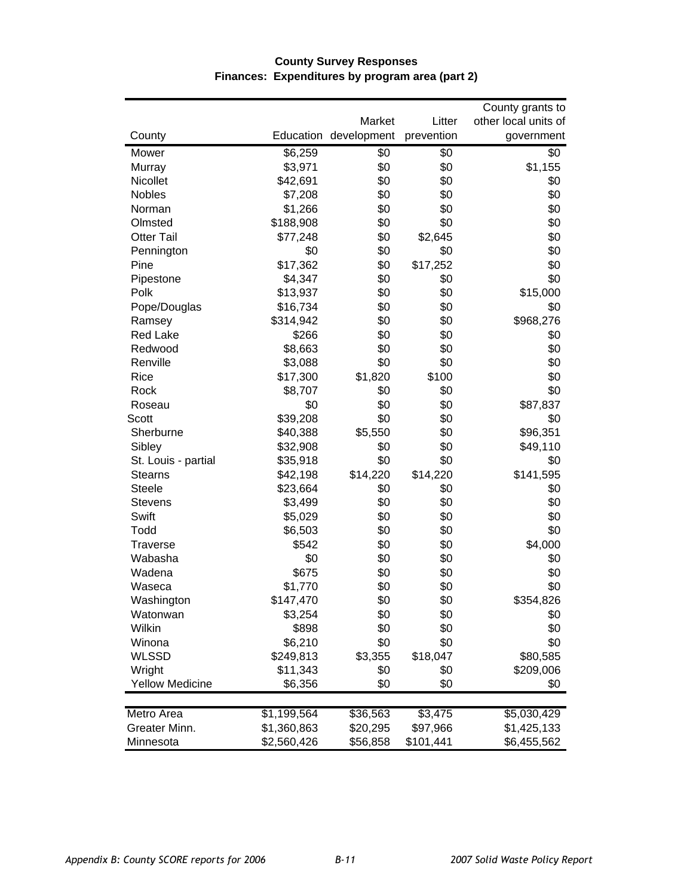|                        |             |                                 |                      | County grants to                   |
|------------------------|-------------|---------------------------------|----------------------|------------------------------------|
| County                 |             | Market<br>Education development | Litter<br>prevention | other local units of<br>government |
|                        |             |                                 |                      |                                    |
| Mower                  | \$6,259     | \$0                             | \$0                  | \$0                                |
| Murray                 | \$3,971     | \$0                             | \$0                  | \$1,155                            |
| Nicollet               | \$42,691    | \$0                             | \$0                  | \$0                                |
| Nobles                 | \$7,208     | \$0                             | \$0                  | \$0                                |
| Norman                 | \$1,266     | \$0                             | \$0                  | \$0                                |
| Olmsted                | \$188,908   | \$0                             | \$0                  | \$0                                |
| <b>Otter Tail</b>      | \$77,248    | \$0                             | \$2,645              | \$0                                |
| Pennington             | \$0         | \$0                             | \$0                  | \$0                                |
| Pine                   | \$17,362    | \$0                             | \$17,252             | \$0                                |
| Pipestone              | \$4,347     | \$0                             | \$0                  | \$0                                |
| Polk                   | \$13,937    | \$0                             | \$0                  | \$15,000                           |
| Pope/Douglas           | \$16,734    | \$0                             | \$0                  | \$0                                |
| Ramsey                 | \$314,942   | \$0                             | \$0                  | \$968,276                          |
| <b>Red Lake</b>        | \$266       | \$0                             | \$0                  | \$0                                |
| Redwood                | \$8,663     | \$0                             | \$0                  | \$0                                |
| Renville               | \$3,088     | \$0                             | \$0                  | \$0                                |
| Rice                   | \$17,300    | \$1,820                         | \$100                | \$0                                |
| Rock                   | \$8,707     | \$0                             | \$0                  | \$0                                |
| Roseau                 | \$0         | \$0                             | \$0                  | \$87,837                           |
| Scott                  | \$39,208    | \$0                             | \$0                  | \$0                                |
| Sherburne              | \$40,388    | \$5,550                         | \$0                  | \$96,351                           |
| Sibley                 | \$32,908    | \$0                             | \$0                  | \$49,110                           |
| St. Louis - partial    | \$35,918    | \$0                             | \$0                  | \$0                                |
| <b>Stearns</b>         | \$42,198    | \$14,220                        | \$14,220             | \$141,595                          |
| <b>Steele</b>          | \$23,664    | \$0                             | \$0                  | \$0                                |
| <b>Stevens</b>         | \$3,499     | \$0                             | \$0                  | \$0                                |
| Swift                  | \$5,029     | \$0                             | \$0                  | \$0                                |
| Todd                   | \$6,503     | \$0                             | \$0                  | \$0                                |
| <b>Traverse</b>        | \$542       | \$0                             | \$0                  | \$4,000                            |
| Wabasha                | \$0         | \$0                             | \$0                  | \$0                                |
| Wadena                 | \$675       | \$0                             | \$0                  | \$0                                |
| Waseca                 | \$1,770     | \$0                             | \$0                  | \$0                                |
| Washington             | \$147,470   | \$0                             | \$0                  | \$354,826                          |
| Watonwan               | \$3,254     | \$0                             | \$0                  | \$0                                |
| Wilkin                 | \$898       | \$0                             | \$0                  | \$0                                |
| Winona                 | \$6,210     | \$0                             | \$0                  | \$0                                |
| <b>WLSSD</b>           | \$249,813   | \$3,355                         | \$18,047             | \$80,585                           |
| Wright                 | \$11,343    | \$0                             | \$0                  | \$209,006                          |
| <b>Yellow Medicine</b> | \$6,356     | \$0                             | \$0                  | \$0                                |
|                        |             |                                 |                      |                                    |
| Metro Area             | \$1,199,564 | \$36,563                        | \$3,475              | \$5,030,429                        |
| Greater Minn.          | \$1,360,863 | \$20,295                        | \$97,966             | \$1,425,133                        |
| Minnesota              | \$2,560,426 | \$56,858                        | \$101,441            | \$6,455,562                        |

#### **County Survey Responses Finances: Expenditures by program area (part 2)**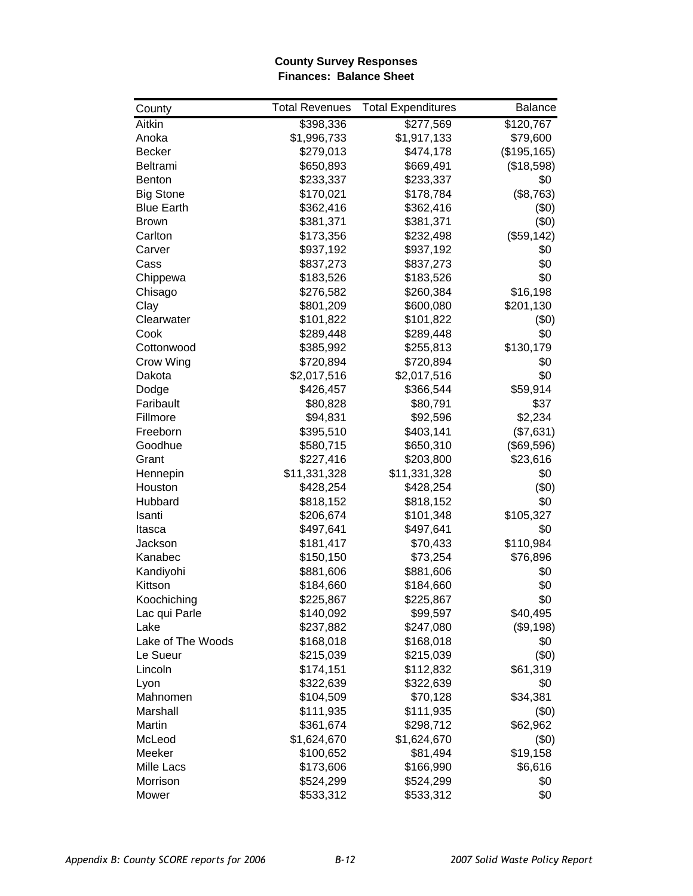#### **County Survey Responses Finances: Balance Sheet**

| County            | <b>Total Revenues</b> | <b>Total Expenditures</b> | <b>Balance</b> |
|-------------------|-----------------------|---------------------------|----------------|
| <b>Aitkin</b>     | \$398,336             | \$277,569                 | \$120,767      |
| Anoka             | \$1,996,733           | \$1,917,133               | \$79,600       |
| <b>Becker</b>     | \$279,013             | \$474,178                 | (\$195, 165)   |
| <b>Beltrami</b>   | \$650,893             | \$669,491                 | (\$18,598)     |
| <b>Benton</b>     | \$233,337             | \$233,337                 | \$0            |
| <b>Big Stone</b>  | \$170,021             | \$178,784                 | (\$8,763)      |
| <b>Blue Earth</b> | \$362,416             | \$362,416                 | (50)           |
| <b>Brown</b>      | \$381,371             | \$381,371                 | (50)           |
| Carlton           | \$173,356             | \$232,498                 | (\$59,142)     |
| Carver            | \$937,192             | \$937,192                 | \$0            |
| Cass              | \$837,273             | \$837,273                 | \$0            |
| Chippewa          | \$183,526             | \$183,526                 | \$0            |
| Chisago           | \$276,582             | \$260,384                 | \$16,198       |
| Clay              | \$801,209             | \$600,080                 | \$201,130      |
| Clearwater        | \$101,822             | \$101,822                 | (\$0)          |
| Cook              | \$289,448             | \$289,448                 | \$0            |
| Cottonwood        | \$385,992             | \$255,813                 | \$130,179      |
| Crow Wing         | \$720,894             | \$720,894                 | \$0            |
| Dakota            | \$2,017,516           | \$2,017,516               | \$0            |
| Dodge             | \$426,457             | \$366,544                 | \$59,914       |
| Faribault         | \$80,828              | \$80,791                  | \$37           |
| Fillmore          | \$94,831              | \$92,596                  | \$2,234        |
| Freeborn          | \$395,510             | \$403,141                 | (\$7,631)      |
| Goodhue           | \$580,715             | \$650,310                 | (\$69,596)     |
| Grant             | \$227,416             | \$203,800                 | \$23,616       |
| Hennepin          | \$11,331,328          | \$11,331,328              | \$0            |
| Houston           | \$428,254             | \$428,254                 | (50)           |
| Hubbard           | \$818,152             | \$818,152                 | \$0            |
| Isanti            | \$206,674             | \$101,348                 | \$105,327      |
| Itasca            | \$497,641             | \$497,641                 | \$0            |
| Jackson           | \$181,417             | \$70,433                  | \$110,984      |
| Kanabec           | \$150,150             | \$73,254                  | \$76,896       |
| Kandiyohi         | \$881,606             | \$881,606                 | \$0            |
| Kittson           | \$184,660             | \$184,660                 | \$0            |
| Koochiching       | \$225,867             | \$225,867                 | \$0            |
| Lac qui Parle     | \$140,092             | \$99,597                  | \$40,495       |
| Lake              | \$237,882             | \$247,080                 | (\$9,198)      |
| Lake of The Woods | \$168,018             | \$168,018                 | \$0            |
| Le Sueur          | \$215,039             | \$215,039                 | (50)           |
| Lincoln           | \$174,151             | \$112,832                 | \$61,319       |
| Lyon              | \$322,639             | \$322,639                 | \$0            |
| Mahnomen          | \$104,509             | \$70,128                  | \$34,381       |
| Marshall          | \$111,935             | \$111,935                 | (\$0)          |
| Martin            | \$361,674             | \$298,712                 | \$62,962       |
| McLeod            | \$1,624,670           | \$1,624,670               | (50)           |
| Meeker            | \$100,652             | \$81,494                  | \$19,158       |
| Mille Lacs        | \$173,606             | \$166,990                 | \$6,616        |
| Morrison          | \$524,299             | \$524,299                 | \$0            |
| Mower             | \$533,312             | \$533,312                 | \$0            |
|                   |                       |                           |                |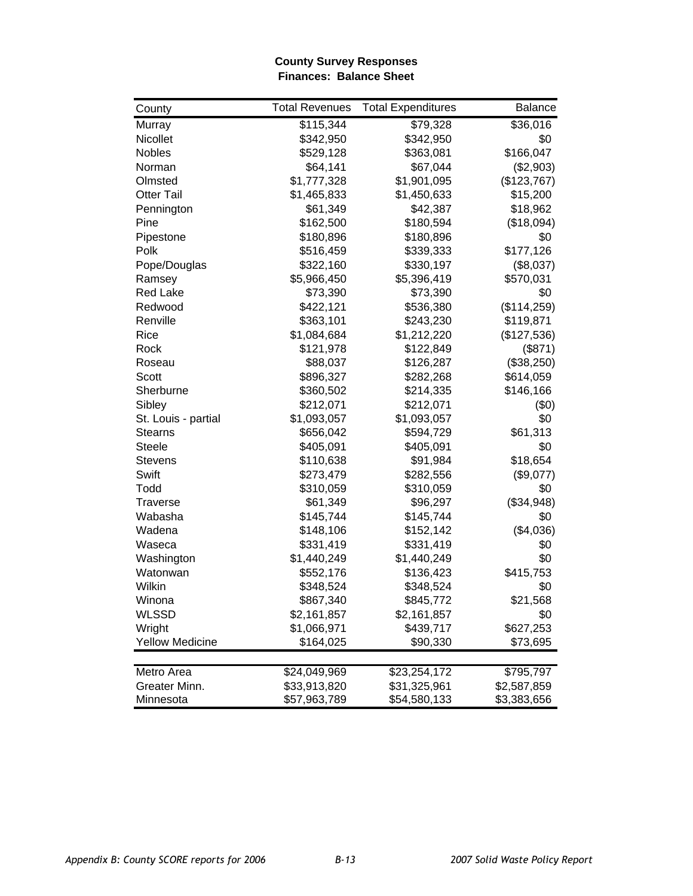#### **County Survey Responses Finances: Balance Sheet**

| County                 | <b>Total Revenues</b> | <b>Total Expenditures</b> | Balance     |
|------------------------|-----------------------|---------------------------|-------------|
| Murray                 | \$115,344             | \$79,328                  | \$36,016    |
| Nicollet               | \$342,950             | \$342,950                 | \$0         |
| Nobles                 | \$529,128             | \$363,081                 | \$166,047   |
| Norman                 | \$64,141              | \$67,044                  | (\$2,903)   |
| Olmsted                | \$1,777,328           | \$1,901,095               | (\$123,767) |
| <b>Otter Tail</b>      | \$1,465,833           | \$1,450,633               | \$15,200    |
| Pennington             | \$61,349              | \$42,387                  | \$18,962    |
| Pine                   | \$162,500             | \$180,594                 | (\$18,094)  |
| Pipestone              | \$180,896             | \$180,896                 | \$0         |
| Polk                   | \$516,459             | \$339,333                 | \$177,126   |
| Pope/Douglas           | \$322,160             | \$330,197                 | (\$8,037)   |
| Ramsey                 | \$5,966,450           | \$5,396,419               | \$570,031   |
| <b>Red Lake</b>        | \$73,390              | \$73,390                  | \$0         |
| Redwood                | \$422,121             | \$536,380                 | (\$114,259) |
| Renville               | \$363,101             | \$243,230                 | \$119,871   |
| Rice                   | \$1,084,684           | \$1,212,220               | (\$127,536) |
| Rock                   | \$121,978             | \$122,849                 | (\$871)     |
| Roseau                 | \$88,037              | \$126,287                 | (\$38,250)  |
| Scott                  | \$896,327             | \$282,268                 | \$614,059   |
| Sherburne              | \$360,502             | \$214,335                 | \$146,166   |
| Sibley                 | \$212,071             | \$212,071                 | (50)        |
| St. Louis - partial    | \$1,093,057           | \$1,093,057               | \$0         |
| <b>Stearns</b>         | \$656,042             | \$594,729                 | \$61,313    |
| <b>Steele</b>          | \$405,091             | \$405,091                 | \$0         |
| <b>Stevens</b>         | \$110,638             | \$91,984                  | \$18,654    |
| Swift                  | \$273,479             | \$282,556                 | (\$9,077)   |
| Todd                   | \$310,059             | \$310,059                 | \$0         |
| <b>Traverse</b>        | \$61,349              | \$96,297                  | (\$34,948)  |
| Wabasha                | \$145,744             | \$145,744                 | \$0         |
| Wadena                 | \$148,106             | \$152,142                 | (\$4,036)   |
| Waseca                 | \$331,419             | \$331,419                 | \$0         |
| Washington             | \$1,440,249           | \$1,440,249               | \$0         |
| Watonwan               | \$552,176             | \$136,423                 | \$415,753   |
| Wilkin                 | \$348,524             | \$348,524                 | \$0         |
| Winona                 | \$867,340             | \$845,772                 | \$21,568    |
| <b>WLSSD</b>           | \$2,161,857           | \$2,161,857               | \$0         |
| Wright                 | \$1,066,971           | \$439,717                 | \$627,253   |
| <b>Yellow Medicine</b> | \$164,025             | \$90,330                  | \$73,695    |
|                        |                       |                           |             |
| Metro Area             | \$24,049,969          | \$23,254,172              | \$795,797   |
| Greater Minn.          | \$33,913,820          | \$31,325,961              | \$2,587,859 |
| Minnesota              | \$57,963,789          | \$54,580,133              | \$3,383,656 |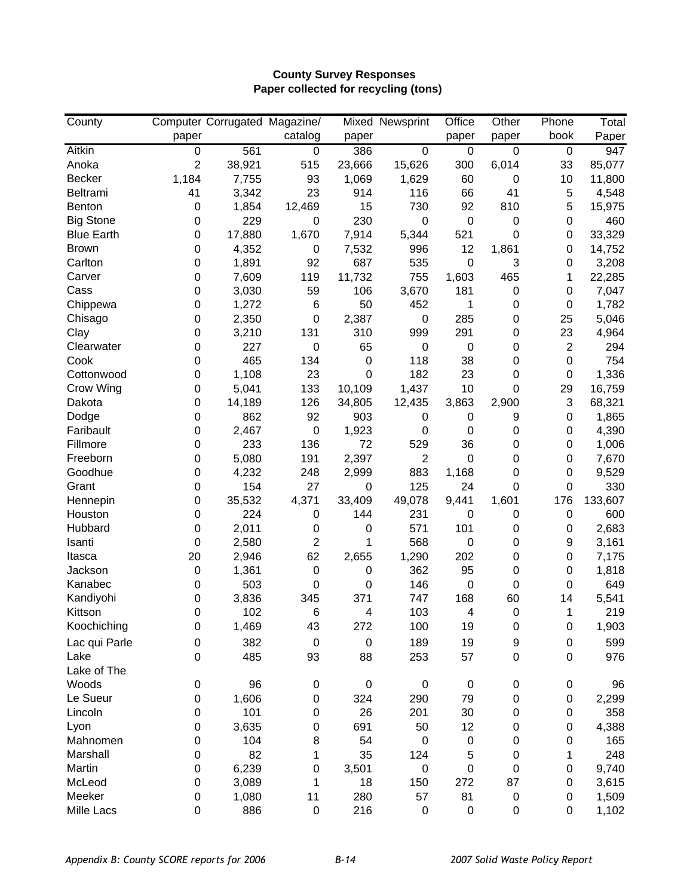## **County Survey Responses Paper collected for recycling (tons)**

| County            |                  | Computer Corrugated Magazine/ |                |                  | Mixed Newsprint  | Office           | Other       | Phone          | Total   |
|-------------------|------------------|-------------------------------|----------------|------------------|------------------|------------------|-------------|----------------|---------|
|                   | paper            |                               | catalog        | paper            |                  | paper            | paper       | book           | Paper   |
| Aitkin            | 0                | 561                           | $\pmb{0}$      | 386              | 0                | $\overline{0}$   | 0           | 0              | 947     |
| Anoka             | $\overline{2}$   | 38,921                        | 515            | 23,666           | 15,626           | 300              | 6,014       | 33             | 85,077  |
| <b>Becker</b>     | 1,184            | 7,755                         | 93             | 1,069            | 1,629            | 60               | $\mathbf 0$ | 10             | 11,800  |
| Beltrami          | 41               | 3,342                         | 23             | 914              | 116              | 66               | 41          | 5              | 4,548   |
| <b>Benton</b>     | $\boldsymbol{0}$ | 1,854                         | 12,469         | 15               | 730              | 92               | 810         | 5              | 15,975  |
| <b>Big Stone</b>  | 0                | 229                           | 0              | 230              | 0                | $\boldsymbol{0}$ | $\mathbf 0$ | 0              | 460     |
| <b>Blue Earth</b> | 0                | 17,880                        | 1,670          | 7,914            | 5,344            | 521              | 0           | 0              | 33,329  |
| <b>Brown</b>      | 0                | 4,352                         | 0              | 7,532            | 996              | 12               | 1,861       | 0              | 14,752  |
| Carlton           | 0                | 1,891                         | 92             | 687              | 535              | $\mathbf 0$      | 3           | 0              | 3,208   |
| Carver            | 0                | 7,609                         | 119            | 11,732           | 755              | 1,603            | 465         | 1              | 22,285  |
| Cass              | 0                | 3,030                         | 59             | 106              | 3,670            | 181              | $\mathbf 0$ | 0              | 7,047   |
| Chippewa          | 0                | 1,272                         | 6              | 50               | 452              | 1                | $\mathbf 0$ | 0              | 1,782   |
| Chisago           | 0                | 2,350                         | 0              | 2,387            | 0                | 285              | $\mathbf 0$ | 25             | 5,046   |
| Clay              | 0                | 3,210                         | 131            | 310              | 999              | 291              | $\mathbf 0$ | 23             | 4,964   |
| Clearwater        | 0                | 227                           | 0              | 65               | 0                | $\mathbf 0$      | $\mathbf 0$ | $\overline{2}$ | 294     |
| Cook              | 0                | 465                           | 134            | $\mathbf 0$      | 118              | 38               | $\mathbf 0$ | 0              | 754     |
| Cottonwood        | 0                | 1,108                         | 23             | 0                | 182              | 23               | 0           | 0              | 1,336   |
| Crow Wing         | 0                | 5,041                         | 133            | 10,109           | 1,437            | 10               | 0           | 29             | 16,759  |
| Dakota            | 0                | 14,189                        | 126            | 34,805           | 12,435           | 3,863            | 2,900       | 3              | 68,321  |
| Dodge             | 0                | 862                           | 92             | 903              | 0                | 0                | 9           | 0              | 1,865   |
| Faribault         | 0                | 2,467                         | $\pmb{0}$      | 1,923            | 0                | $\mathbf 0$      | $\mathbf 0$ | 0              | 4,390   |
| Fillmore          | 0                | 233                           | 136            | 72               | 529              | 36               | 0           | 0              | 1,006   |
| Freeborn          | 0                | 5,080                         | 191            | 2,397            | $\overline{2}$   | $\mathbf 0$      | $\mathbf 0$ | 0              | 7,670   |
| Goodhue           | 0                | 4,232                         | 248            | 2,999            | 883              | 1,168            | $\mathbf 0$ | 0              | 9,529   |
| Grant             | 0                | 154                           | 27             | 0                | 125              | 24               | 0           | 0              | 330     |
| Hennepin          | 0                | 35,532                        | 4,371          | 33,409           | 49,078           | 9,441            | 1,601       | 176            | 133,607 |
| Houston           | 0                | 224                           | 0              | 144              | 231              | 0                | 0           | 0              | 600     |
| Hubbard           | 0                | 2,011                         | 0              | 0                | 571              | 101              | 0           | 0              | 2,683   |
| Isanti            | 0                | 2,580                         | $\overline{2}$ | 1                | 568              | 0                | 0           | 9              | 3,161   |
| Itasca            | 20               | 2,946                         | 62             | 2,655            | 1,290            | 202              | 0           | 0              | 7,175   |
| Jackson           | 0                | 1,361                         | $\pmb{0}$      | 0                | 362              | 95               | $\mathbf 0$ | 0              | 1,818   |
| Kanabec           | 0                | 503                           | 0              | 0                | 146              | $\boldsymbol{0}$ | $\mathbf 0$ | 0              | 649     |
| Kandiyohi         | 0                | 3,836                         | 345            | 371              | 747              | 168              | 60          | 14             | 5,541   |
| Kittson           | 0                | 102                           | 6              | 4                | 103              | $\overline{4}$   | $\mathbf 0$ | 1              | 219     |
| Koochiching       | 0                | 1,469                         | 43             | 272              | 100              | 19               | $\pmb{0}$   | 0              | 1,903   |
| Lac qui Parle     | 0                | 382                           | $\pmb{0}$      | $\boldsymbol{0}$ | 189              | 19               | 9           | 0              | 599     |
| Lake              | $\Omega$         | 485                           | 93             | 88               | 253              | 57               | $\pmb{0}$   | 0              | 976     |
| Lake of The       |                  |                               |                |                  |                  |                  |             |                |         |
| Woods             | 0                | 96                            | 0              | $\boldsymbol{0}$ | 0                | $\pmb{0}$        | $\pmb{0}$   | 0              | 96      |
| Le Sueur          | 0                | 1,606                         | 0              | 324              | 290              | 79               | $\pmb{0}$   | 0              | 2,299   |
| Lincoln           | 0                | 101                           | 0              | 26               | 201              | 30               | $\pmb{0}$   | 0              | 358     |
| Lyon              | 0                | 3,635                         | 0              | 691              | 50               | 12               | $\pmb{0}$   | 0              | 4,388   |
| Mahnomen          | 0                | 104                           | 8              | 54               | $\boldsymbol{0}$ | 0                | $\mathbf 0$ | 0              | 165     |
| Marshall          | 0                | 82                            | 1              | 35               | 124              | 5                | $\mathbf 0$ | 1              | 248     |
| Martin            | 0                | 6,239                         | 0              | 3,501            | 0                | 0                | $\mathbf 0$ | 0              | 9,740   |
| McLeod            | 0                | 3,089                         | 1              | 18               | 150              | 272              | 87          | 0              | 3,615   |
| Meeker            | 0                | 1,080                         | 11             | 280              | 57               | 81               | $\pmb{0}$   | 0              | 1,509   |
| Mille Lacs        | 0                | 886                           | $\pmb{0}$      | 216              | 0                | $\pmb{0}$        | $\pmb{0}$   | 0              | 1,102   |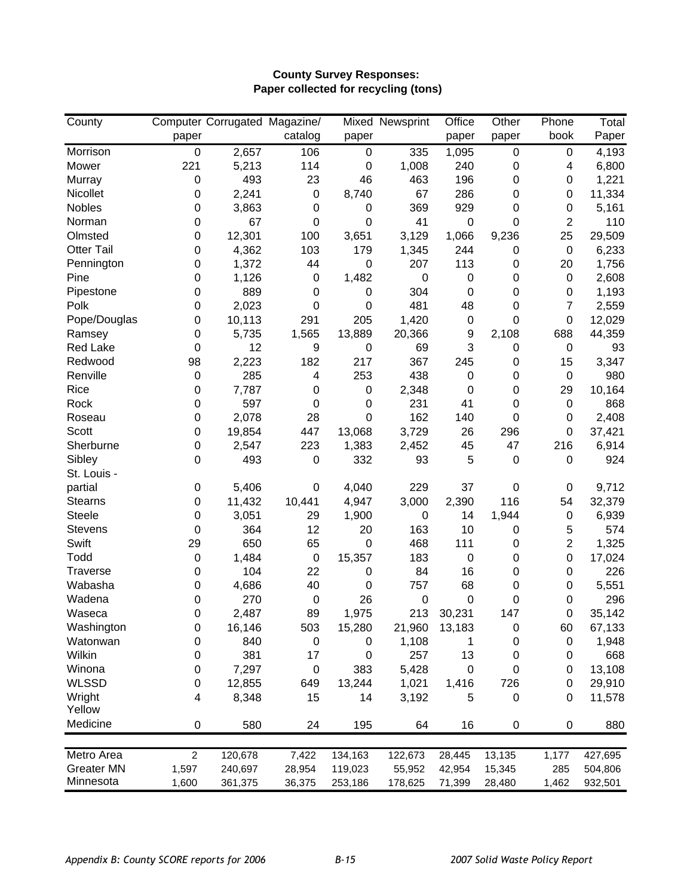## **County Survey Responses: Paper collected for recycling (tons)**

| Computer Corrugated Magazine/<br><b>Mixed Newsprint</b><br>Paper<br>catalog<br>book<br>paper<br>paper<br>paper<br>paper<br>106<br>Morrison<br>1,095<br>$\pmb{0}$<br>2,657<br>$\boldsymbol{0}$<br>335<br>0<br>4,193<br>0<br>221<br>114<br>1,008<br>240<br>6,800<br>Mower<br>5,213<br>$\mathbf 0$<br>0<br>4<br>493<br>23<br>46<br>463<br>196<br>Murray<br>$\mathbf 0$<br>1,221<br>0<br>0<br>Nicollet<br>2,241<br>8,740<br>67<br>286<br>11,334<br>$\mathbf 0$<br>0<br>0<br>0<br>Nobles<br>369<br>929<br>0<br>3,863<br>0<br>$\mathbf 0$<br>5,161<br>0<br>0<br>41<br>$\overline{2}$<br>Norman<br>$\mathbf 0$<br>67<br>$\mathbf 0$<br>0<br>$\pmb{0}$<br>0<br>110<br>12,301<br>3,129<br>29,509<br>Olmsted<br>$\mathbf 0$<br>100<br>3,651<br>1,066<br>9,236<br>25<br>4,362<br>103<br>179<br>1,345<br>244<br>6,233<br><b>Otter Tail</b><br>0<br>0<br>$\mathbf 0$<br>1,372<br>207<br>113<br>1,756<br>0<br>44<br>$\mathbf 0$<br>0<br>20<br>Pennington<br>1,126<br>1,482<br>$\mathbf 0$<br>2,608<br>Pine<br>0<br>$\pmb{0}$<br>$\mathbf 0$<br>$\mathbf 0$<br>0<br>889<br>304<br>0<br>$\mathbf 0$<br>$\boldsymbol{0}$<br>0<br>0<br>1,193<br>Pipestone<br>0<br>481<br>Polk<br>2,023<br>48<br>$\overline{7}$<br>2,559<br>0<br>$\mathbf 0$<br>0<br>0<br>10,113<br>205<br>1,420<br>0<br>12,029<br>0<br>291<br>$\mathbf 0$<br>0<br>Pope/Douglas<br>5,735<br>13,889<br>20,366<br>44,359<br>0<br>1,565<br>9<br>2,108<br>688<br>Ramsey<br><b>Red Lake</b><br>12<br>9<br>69<br>3<br>93<br>0<br>$\mathbf 0$<br>0<br>$\pmb{0}$<br>Redwood<br>2,223<br>182<br>217<br>367<br>245<br>3,347<br>98<br>0<br>15<br>Renville<br>285<br>$\overline{\mathbf{4}}$<br>253<br>438<br>980<br>$\pmb{0}$<br>$\mathbf 0$<br>0<br>$\pmb{0}$<br>Rice<br>7,787<br>2,348<br>$\mathbf 0$<br>$\mathbf 0$<br>$\mathbf 0$<br>29<br>10,164<br>0<br>0<br>Rock<br>597<br>231<br>41<br>868<br>$\mathbf 0$<br>0<br>0<br>0<br>0<br>2,078<br>28<br>162<br>140<br>2,408<br>Roseau<br>0<br>0<br>0<br>0<br>Scott<br>13,068<br>3,729<br>26<br>296<br>37,421<br>0<br>19,854<br>447<br>0 |
|---------------------------------------------------------------------------------------------------------------------------------------------------------------------------------------------------------------------------------------------------------------------------------------------------------------------------------------------------------------------------------------------------------------------------------------------------------------------------------------------------------------------------------------------------------------------------------------------------------------------------------------------------------------------------------------------------------------------------------------------------------------------------------------------------------------------------------------------------------------------------------------------------------------------------------------------------------------------------------------------------------------------------------------------------------------------------------------------------------------------------------------------------------------------------------------------------------------------------------------------------------------------------------------------------------------------------------------------------------------------------------------------------------------------------------------------------------------------------------------------------------------------------------------------------------------------------------------------------------------------------------------------------------------------------------------------------------------------------------------------------------------------------------------------------------------------------------------------------------------------------------------------------------------------------------------------------------------------------------------------------------------------------|
|                                                                                                                                                                                                                                                                                                                                                                                                                                                                                                                                                                                                                                                                                                                                                                                                                                                                                                                                                                                                                                                                                                                                                                                                                                                                                                                                                                                                                                                                                                                                                                                                                                                                                                                                                                                                                                                                                                                                                                                                                           |
|                                                                                                                                                                                                                                                                                                                                                                                                                                                                                                                                                                                                                                                                                                                                                                                                                                                                                                                                                                                                                                                                                                                                                                                                                                                                                                                                                                                                                                                                                                                                                                                                                                                                                                                                                                                                                                                                                                                                                                                                                           |
|                                                                                                                                                                                                                                                                                                                                                                                                                                                                                                                                                                                                                                                                                                                                                                                                                                                                                                                                                                                                                                                                                                                                                                                                                                                                                                                                                                                                                                                                                                                                                                                                                                                                                                                                                                                                                                                                                                                                                                                                                           |
|                                                                                                                                                                                                                                                                                                                                                                                                                                                                                                                                                                                                                                                                                                                                                                                                                                                                                                                                                                                                                                                                                                                                                                                                                                                                                                                                                                                                                                                                                                                                                                                                                                                                                                                                                                                                                                                                                                                                                                                                                           |
|                                                                                                                                                                                                                                                                                                                                                                                                                                                                                                                                                                                                                                                                                                                                                                                                                                                                                                                                                                                                                                                                                                                                                                                                                                                                                                                                                                                                                                                                                                                                                                                                                                                                                                                                                                                                                                                                                                                                                                                                                           |
|                                                                                                                                                                                                                                                                                                                                                                                                                                                                                                                                                                                                                                                                                                                                                                                                                                                                                                                                                                                                                                                                                                                                                                                                                                                                                                                                                                                                                                                                                                                                                                                                                                                                                                                                                                                                                                                                                                                                                                                                                           |
|                                                                                                                                                                                                                                                                                                                                                                                                                                                                                                                                                                                                                                                                                                                                                                                                                                                                                                                                                                                                                                                                                                                                                                                                                                                                                                                                                                                                                                                                                                                                                                                                                                                                                                                                                                                                                                                                                                                                                                                                                           |
|                                                                                                                                                                                                                                                                                                                                                                                                                                                                                                                                                                                                                                                                                                                                                                                                                                                                                                                                                                                                                                                                                                                                                                                                                                                                                                                                                                                                                                                                                                                                                                                                                                                                                                                                                                                                                                                                                                                                                                                                                           |
|                                                                                                                                                                                                                                                                                                                                                                                                                                                                                                                                                                                                                                                                                                                                                                                                                                                                                                                                                                                                                                                                                                                                                                                                                                                                                                                                                                                                                                                                                                                                                                                                                                                                                                                                                                                                                                                                                                                                                                                                                           |
|                                                                                                                                                                                                                                                                                                                                                                                                                                                                                                                                                                                                                                                                                                                                                                                                                                                                                                                                                                                                                                                                                                                                                                                                                                                                                                                                                                                                                                                                                                                                                                                                                                                                                                                                                                                                                                                                                                                                                                                                                           |
|                                                                                                                                                                                                                                                                                                                                                                                                                                                                                                                                                                                                                                                                                                                                                                                                                                                                                                                                                                                                                                                                                                                                                                                                                                                                                                                                                                                                                                                                                                                                                                                                                                                                                                                                                                                                                                                                                                                                                                                                                           |
|                                                                                                                                                                                                                                                                                                                                                                                                                                                                                                                                                                                                                                                                                                                                                                                                                                                                                                                                                                                                                                                                                                                                                                                                                                                                                                                                                                                                                                                                                                                                                                                                                                                                                                                                                                                                                                                                                                                                                                                                                           |
|                                                                                                                                                                                                                                                                                                                                                                                                                                                                                                                                                                                                                                                                                                                                                                                                                                                                                                                                                                                                                                                                                                                                                                                                                                                                                                                                                                                                                                                                                                                                                                                                                                                                                                                                                                                                                                                                                                                                                                                                                           |
|                                                                                                                                                                                                                                                                                                                                                                                                                                                                                                                                                                                                                                                                                                                                                                                                                                                                                                                                                                                                                                                                                                                                                                                                                                                                                                                                                                                                                                                                                                                                                                                                                                                                                                                                                                                                                                                                                                                                                                                                                           |
|                                                                                                                                                                                                                                                                                                                                                                                                                                                                                                                                                                                                                                                                                                                                                                                                                                                                                                                                                                                                                                                                                                                                                                                                                                                                                                                                                                                                                                                                                                                                                                                                                                                                                                                                                                                                                                                                                                                                                                                                                           |
|                                                                                                                                                                                                                                                                                                                                                                                                                                                                                                                                                                                                                                                                                                                                                                                                                                                                                                                                                                                                                                                                                                                                                                                                                                                                                                                                                                                                                                                                                                                                                                                                                                                                                                                                                                                                                                                                                                                                                                                                                           |
|                                                                                                                                                                                                                                                                                                                                                                                                                                                                                                                                                                                                                                                                                                                                                                                                                                                                                                                                                                                                                                                                                                                                                                                                                                                                                                                                                                                                                                                                                                                                                                                                                                                                                                                                                                                                                                                                                                                                                                                                                           |
|                                                                                                                                                                                                                                                                                                                                                                                                                                                                                                                                                                                                                                                                                                                                                                                                                                                                                                                                                                                                                                                                                                                                                                                                                                                                                                                                                                                                                                                                                                                                                                                                                                                                                                                                                                                                                                                                                                                                                                                                                           |
|                                                                                                                                                                                                                                                                                                                                                                                                                                                                                                                                                                                                                                                                                                                                                                                                                                                                                                                                                                                                                                                                                                                                                                                                                                                                                                                                                                                                                                                                                                                                                                                                                                                                                                                                                                                                                                                                                                                                                                                                                           |
|                                                                                                                                                                                                                                                                                                                                                                                                                                                                                                                                                                                                                                                                                                                                                                                                                                                                                                                                                                                                                                                                                                                                                                                                                                                                                                                                                                                                                                                                                                                                                                                                                                                                                                                                                                                                                                                                                                                                                                                                                           |
|                                                                                                                                                                                                                                                                                                                                                                                                                                                                                                                                                                                                                                                                                                                                                                                                                                                                                                                                                                                                                                                                                                                                                                                                                                                                                                                                                                                                                                                                                                                                                                                                                                                                                                                                                                                                                                                                                                                                                                                                                           |
|                                                                                                                                                                                                                                                                                                                                                                                                                                                                                                                                                                                                                                                                                                                                                                                                                                                                                                                                                                                                                                                                                                                                                                                                                                                                                                                                                                                                                                                                                                                                                                                                                                                                                                                                                                                                                                                                                                                                                                                                                           |
| Sherburne<br>223<br>47<br>$\mathbf 0$<br>2,547<br>1,383<br>2,452<br>45<br>216<br>6,914                                                                                                                                                                                                                                                                                                                                                                                                                                                                                                                                                                                                                                                                                                                                                                                                                                                                                                                                                                                                                                                                                                                                                                                                                                                                                                                                                                                                                                                                                                                                                                                                                                                                                                                                                                                                                                                                                                                                    |
| Sibley<br>493<br>332<br>0<br>$\mathbf 0$<br>93<br>5<br>0<br>0<br>924                                                                                                                                                                                                                                                                                                                                                                                                                                                                                                                                                                                                                                                                                                                                                                                                                                                                                                                                                                                                                                                                                                                                                                                                                                                                                                                                                                                                                                                                                                                                                                                                                                                                                                                                                                                                                                                                                                                                                      |
| St. Louis -                                                                                                                                                                                                                                                                                                                                                                                                                                                                                                                                                                                                                                                                                                                                                                                                                                                                                                                                                                                                                                                                                                                                                                                                                                                                                                                                                                                                                                                                                                                                                                                                                                                                                                                                                                                                                                                                                                                                                                                                               |
| partial<br>229<br>5,406<br>4,040<br>37<br>0<br>9,712<br>0<br>0<br>0                                                                                                                                                                                                                                                                                                                                                                                                                                                                                                                                                                                                                                                                                                                                                                                                                                                                                                                                                                                                                                                                                                                                                                                                                                                                                                                                                                                                                                                                                                                                                                                                                                                                                                                                                                                                                                                                                                                                                       |
| <b>Stearns</b><br>11,432<br>4,947<br>3,000<br>2,390<br>116<br>32,379<br>0<br>10,441<br>54                                                                                                                                                                                                                                                                                                                                                                                                                                                                                                                                                                                                                                                                                                                                                                                                                                                                                                                                                                                                                                                                                                                                                                                                                                                                                                                                                                                                                                                                                                                                                                                                                                                                                                                                                                                                                                                                                                                                 |
| <b>Steele</b><br>3,051<br>1,900<br>6,939<br>0<br>29<br>$\boldsymbol{0}$<br>14<br>1,944<br>0                                                                                                                                                                                                                                                                                                                                                                                                                                                                                                                                                                                                                                                                                                                                                                                                                                                                                                                                                                                                                                                                                                                                                                                                                                                                                                                                                                                                                                                                                                                                                                                                                                                                                                                                                                                                                                                                                                                               |
| <b>Stevens</b><br>12<br>20<br>163<br>10<br>0<br>364<br>0<br>5<br>574                                                                                                                                                                                                                                                                                                                                                                                                                                                                                                                                                                                                                                                                                                                                                                                                                                                                                                                                                                                                                                                                                                                                                                                                                                                                                                                                                                                                                                                                                                                                                                                                                                                                                                                                                                                                                                                                                                                                                      |
| Swift<br>$\overline{c}$<br>650<br>65<br>468<br>111<br>1,325<br>29<br>0<br>0                                                                                                                                                                                                                                                                                                                                                                                                                                                                                                                                                                                                                                                                                                                                                                                                                                                                                                                                                                                                                                                                                                                                                                                                                                                                                                                                                                                                                                                                                                                                                                                                                                                                                                                                                                                                                                                                                                                                               |
| Todd<br>183<br>$\boldsymbol{0}$<br>1,484<br>$\pmb{0}$<br>15,357<br>$\pmb{0}$<br>0<br>$\mathbf 0$<br>17,024                                                                                                                                                                                                                                                                                                                                                                                                                                                                                                                                                                                                                                                                                                                                                                                                                                                                                                                                                                                                                                                                                                                                                                                                                                                                                                                                                                                                                                                                                                                                                                                                                                                                                                                                                                                                                                                                                                                |
| 104<br>16<br>226<br>0<br>22<br>$\pmb{0}$<br>84<br>0<br>0<br><b>Traverse</b>                                                                                                                                                                                                                                                                                                                                                                                                                                                                                                                                                                                                                                                                                                                                                                                                                                                                                                                                                                                                                                                                                                                                                                                                                                                                                                                                                                                                                                                                                                                                                                                                                                                                                                                                                                                                                                                                                                                                               |
| 40<br>68<br>Wabasha<br>4,686<br>$\boldsymbol{0}$<br>757<br>0<br>5,551<br>0<br>0                                                                                                                                                                                                                                                                                                                                                                                                                                                                                                                                                                                                                                                                                                                                                                                                                                                                                                                                                                                                                                                                                                                                                                                                                                                                                                                                                                                                                                                                                                                                                                                                                                                                                                                                                                                                                                                                                                                                           |
| 270<br>$\boldsymbol{0}$<br>296<br>Wadena<br>0<br>$\pmb{0}$<br>26<br>$\mathbf 0$<br>0<br>0                                                                                                                                                                                                                                                                                                                                                                                                                                                                                                                                                                                                                                                                                                                                                                                                                                                                                                                                                                                                                                                                                                                                                                                                                                                                                                                                                                                                                                                                                                                                                                                                                                                                                                                                                                                                                                                                                                                                 |
| $\mathbf 0$<br>2,487<br>89<br>1,975<br>213<br>30,231<br>147<br>35,142<br>Waseca<br>0                                                                                                                                                                                                                                                                                                                                                                                                                                                                                                                                                                                                                                                                                                                                                                                                                                                                                                                                                                                                                                                                                                                                                                                                                                                                                                                                                                                                                                                                                                                                                                                                                                                                                                                                                                                                                                                                                                                                      |
| 503<br>67,133<br>Washington<br>$\pmb{0}$<br>16,146<br>15,280<br>21,960<br>13,183<br>$\pmb{0}$<br>60                                                                                                                                                                                                                                                                                                                                                                                                                                                                                                                                                                                                                                                                                                                                                                                                                                                                                                                                                                                                                                                                                                                                                                                                                                                                                                                                                                                                                                                                                                                                                                                                                                                                                                                                                                                                                                                                                                                       |
| 1,108<br>Watonwan<br>840<br>$\pmb{0}$<br>0<br>1,948<br>0<br>0<br>0<br>1                                                                                                                                                                                                                                                                                                                                                                                                                                                                                                                                                                                                                                                                                                                                                                                                                                                                                                                                                                                                                                                                                                                                                                                                                                                                                                                                                                                                                                                                                                                                                                                                                                                                                                                                                                                                                                                                                                                                                   |
| Wilkin<br>381<br>257<br>13<br>17<br>0<br>668<br>0<br>0<br>0                                                                                                                                                                                                                                                                                                                                                                                                                                                                                                                                                                                                                                                                                                                                                                                                                                                                                                                                                                                                                                                                                                                                                                                                                                                                                                                                                                                                                                                                                                                                                                                                                                                                                                                                                                                                                                                                                                                                                               |
| 7,297<br>383<br>5,428<br>$\mathbf 0$<br>13,108<br>Winona<br>$\mathbf 0$<br>0<br>0<br>0                                                                                                                                                                                                                                                                                                                                                                                                                                                                                                                                                                                                                                                                                                                                                                                                                                                                                                                                                                                                                                                                                                                                                                                                                                                                                                                                                                                                                                                                                                                                                                                                                                                                                                                                                                                                                                                                                                                                    |
| <b>WLSSD</b><br>12,855<br>13,244<br>1,021<br>1,416<br>726<br>29,910<br>0<br>649<br>0                                                                                                                                                                                                                                                                                                                                                                                                                                                                                                                                                                                                                                                                                                                                                                                                                                                                                                                                                                                                                                                                                                                                                                                                                                                                                                                                                                                                                                                                                                                                                                                                                                                                                                                                                                                                                                                                                                                                      |
| Wright<br>4<br>8,348<br>15<br>3,192<br>0<br>11,578<br>14<br>5<br>0                                                                                                                                                                                                                                                                                                                                                                                                                                                                                                                                                                                                                                                                                                                                                                                                                                                                                                                                                                                                                                                                                                                                                                                                                                                                                                                                                                                                                                                                                                                                                                                                                                                                                                                                                                                                                                                                                                                                                        |
| Yellow                                                                                                                                                                                                                                                                                                                                                                                                                                                                                                                                                                                                                                                                                                                                                                                                                                                                                                                                                                                                                                                                                                                                                                                                                                                                                                                                                                                                                                                                                                                                                                                                                                                                                                                                                                                                                                                                                                                                                                                                                    |
| Medicine<br>24<br>195<br>16<br>580<br>64<br>0<br>880<br>0<br>0                                                                                                                                                                                                                                                                                                                                                                                                                                                                                                                                                                                                                                                                                                                                                                                                                                                                                                                                                                                                                                                                                                                                                                                                                                                                                                                                                                                                                                                                                                                                                                                                                                                                                                                                                                                                                                                                                                                                                            |
| Metro Area<br>$\overline{c}$<br>120,678<br>134,163<br>28,445<br>13,135<br>1,177<br>427,695<br>7,422<br>122,673                                                                                                                                                                                                                                                                                                                                                                                                                                                                                                                                                                                                                                                                                                                                                                                                                                                                                                                                                                                                                                                                                                                                                                                                                                                                                                                                                                                                                                                                                                                                                                                                                                                                                                                                                                                                                                                                                                            |
| <b>Greater MN</b><br>1,597<br>240,697<br>28,954<br>119,023<br>55,952<br>42,954<br>15,345<br>285<br>504,806                                                                                                                                                                                                                                                                                                                                                                                                                                                                                                                                                                                                                                                                                                                                                                                                                                                                                                                                                                                                                                                                                                                                                                                                                                                                                                                                                                                                                                                                                                                                                                                                                                                                                                                                                                                                                                                                                                                |
| Minnesota<br>1,600<br>361,375<br>36,375<br>178,625<br>71,399<br>1,462<br>932,501<br>253,186<br>28,480                                                                                                                                                                                                                                                                                                                                                                                                                                                                                                                                                                                                                                                                                                                                                                                                                                                                                                                                                                                                                                                                                                                                                                                                                                                                                                                                                                                                                                                                                                                                                                                                                                                                                                                                                                                                                                                                                                                     |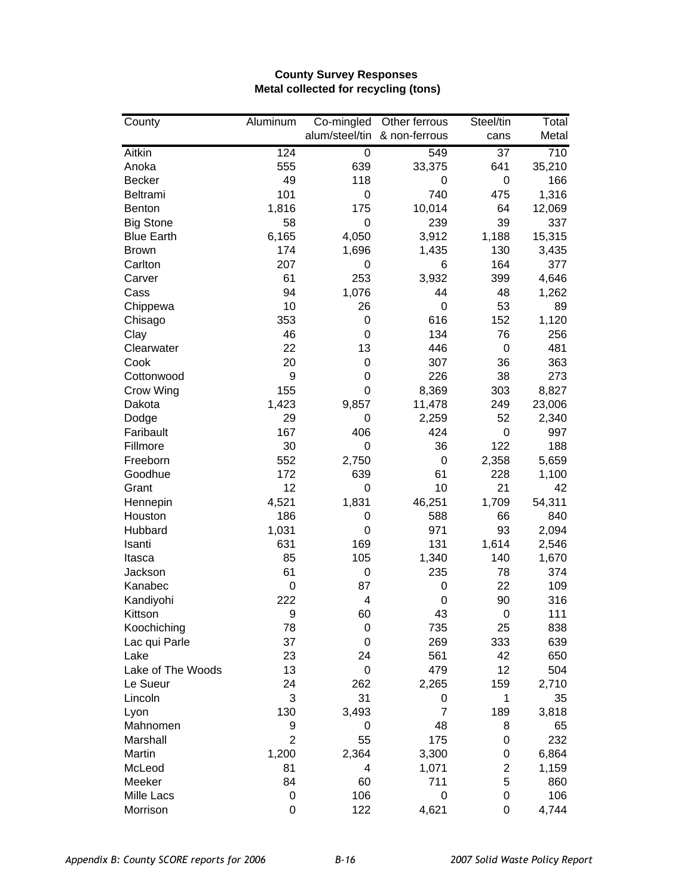## **County Survey Responses Metal collected for recycling (tons)**

| County            | Aluminum       | Co-mingled     | Other ferrous  | Steel/tin        | Total  |
|-------------------|----------------|----------------|----------------|------------------|--------|
|                   |                | alum/steel/tin | & non-ferrous  | cans             | Metal  |
| Aitkin            | 124            | 0              | 549            | $\overline{37}$  | 710    |
| Anoka             | 555            | 639            | 33,375         | 641              | 35,210 |
| <b>Becker</b>     | 49             | 118            | 0              | $\boldsymbol{0}$ | 166    |
| Beltrami          | 101            | 0              | 740            | 475              | 1,316  |
| Benton            | 1,816          | 175            | 10,014         | 64               | 12,069 |
| <b>Big Stone</b>  | 58             | 0              | 239            | 39               | 337    |
| <b>Blue Earth</b> | 6,165          | 4,050          | 3,912          | 1,188            | 15,315 |
| <b>Brown</b>      | 174            | 1,696          | 1,435          | 130              | 3,435  |
| Carlton           | 207            | 0              | 6              | 164              | 377    |
| Carver            | 61             | 253            | 3,932          | 399              | 4,646  |
| Cass              | 94             | 1,076          | 44             | 48               | 1,262  |
| Chippewa          | 10             | 26             | 0              | 53               | 89     |
| Chisago           | 353            | 0              | 616            | 152              | 1,120  |
| Clay              | 46             | 0              | 134            | 76               | 256    |
| Clearwater        | 22             | 13             | 446            | $\boldsymbol{0}$ | 481    |
| Cook              | 20             | 0              | 307            | 36               | 363    |
| Cottonwood        | 9              | 0              | 226            | 38               | 273    |
| Crow Wing         | 155            | 0              | 8,369          | 303              | 8,827  |
| Dakota            | 1,423          | 9,857          | 11,478         | 249              | 23,006 |
| Dodge             | 29             | 0              | 2,259          | 52               | 2,340  |
| Faribault         | 167            | 406            | 424            | $\boldsymbol{0}$ | 997    |
| Fillmore          | 30             | 0              | 36             | 122              | 188    |
| Freeborn          | 552            | 2,750          | 0              | 2,358            | 5,659  |
| Goodhue           | 172            | 639            | 61             | 228              | 1,100  |
| Grant             | 12             | 0              | 10             | 21               | 42     |
| Hennepin          | 4,521          | 1,831          | 46,251         | 1,709            | 54,311 |
| Houston           | 186            | 0              | 588            | 66               | 840    |
| Hubbard           | 1,031          | 0              | 971            | 93               | 2,094  |
| Isanti            | 631            | 169            | 131            | 1,614            | 2,546  |
| Itasca            | 85             | 105            | 1,340          | 140              | 1,670  |
| Jackson           | 61             | 0              | 235            | 78               | 374    |
| Kanabec           | 0              | 87             | 0              | 22               | 109    |
| Kandiyohi         | 222            | 4              | 0              | 90               | 316    |
| Kittson           | 9              | 60             | 43             | $\mathbf 0$      | 111    |
| Koochiching       | 78             | 0              | 735            | 25               | 838    |
| Lac qui Parle     | 37             | 0              | 269            | 333              | 639    |
| Lake              | 23             | 24             | 561            | 42               | 650    |
| Lake of The Woods | 13             | 0              | 479            | 12               | 504    |
| Le Sueur          | 24             | 262            | 2,265          | 159              | 2,710  |
| Lincoln           | 3              | 31             | 0              | 1                | 35     |
| Lyon              | 130            | 3,493          | $\overline{7}$ | 189              | 3,818  |
| Mahnomen          | 9              | 0              | 48             | 8                | 65     |
| Marshall          | $\overline{2}$ | 55             | 175            | 0                | 232    |
| Martin            | 1,200          | 2,364          | 3,300          | 0                | 6,864  |
| McLeod            | 81             | 4              | 1,071          | $\mathbf 2$      | 1,159  |
| Meeker            | 84             | 60             | 711            | 5                | 860    |
| Mille Lacs        | 0              | 106            | 0              | 0                | 106    |
| Morrison          | $\mathbf 0$    | 122            | 4,621          | $\boldsymbol{0}$ | 4,744  |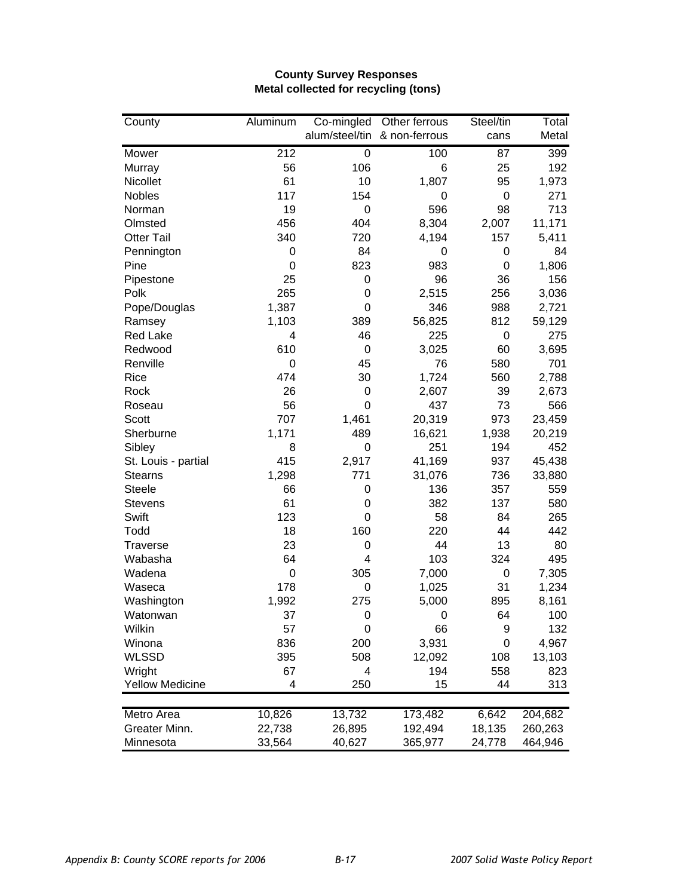### **County Survey Responses Metal collected for recycling (tons)**

| County                 | Aluminum    | Co-mingled | Other ferrous                | Steel/tin        | Total   |
|------------------------|-------------|------------|------------------------------|------------------|---------|
|                        |             |            | alum/steel/tin & non-ferrous | cans             | Metal   |
| Mower                  | 212         | 0          | 100                          | 87               | 399     |
| Murray                 | 56          | 106        | 6                            | 25               | 192     |
| Nicollet               | 61          | 10         | 1,807                        | 95               | 1,973   |
| <b>Nobles</b>          | 117         | 154        | 0                            | $\mathbf 0$      | 271     |
| Norman                 | 19          | 0          | 596                          | 98               | 713     |
| Olmsted                | 456         | 404        | 8,304                        | 2,007            | 11,171  |
| <b>Otter Tail</b>      | 340         | 720        | 4,194                        | 157              | 5,411   |
| Pennington             | $\mathbf 0$ | 84         | 0                            | 0                | 84      |
| Pine                   | 0           | 823        | 983                          | $\mathbf 0$      | 1,806   |
| Pipestone              | 25          | 0          | 96                           | 36               | 156     |
| Polk                   | 265         | 0          | 2,515                        | 256              | 3,036   |
| Pope/Douglas           | 1,387       | 0          | 346                          | 988              | 2,721   |
| Ramsey                 | 1,103       | 389        | 56,825                       | 812              | 59,129  |
| <b>Red Lake</b>        | 4           | 46         | 225                          | $\boldsymbol{0}$ | 275     |
| Redwood                | 610         | 0          | 3,025                        | 60               | 3,695   |
| Renville               | $\mathbf 0$ | 45         | 76                           | 580              | 701     |
| Rice                   | 474         | 30         | 1,724                        | 560              | 2,788   |
| Rock                   | 26          | 0          | 2,607                        | 39               | 2,673   |
| Roseau                 | 56          | 0          | 437                          | 73               | 566     |
| Scott                  | 707         | 1,461      | 20,319                       | 973              | 23,459  |
| Sherburne              | 1,171       | 489        | 16,621                       | 1,938            | 20,219  |
| Sibley                 | 8           | 0          | 251                          | 194              | 452     |
| St. Louis - partial    | 415         | 2,917      | 41,169                       | 937              | 45,438  |
| <b>Stearns</b>         | 1,298       | 771        | 31,076                       | 736              | 33,880  |
| <b>Steele</b>          | 66          | 0          | 136                          | 357              | 559     |
| <b>Stevens</b>         | 61          | 0          | 382                          | 137              | 580     |
| Swift                  | 123         | 0          | 58                           | 84               | 265     |
| Todd                   | 18          | 160        | 220                          | 44               | 442     |
| <b>Traverse</b>        | 23          | 0          | 44                           | 13               | 80      |
| Wabasha                | 64          | 4          | 103                          | 324              | 495     |
| Wadena                 | $\mathbf 0$ | 305        | 7,000                        | $\pmb{0}$        | 7,305   |
| Waseca                 | 178         | 0          | 1,025                        | 31               | 1,234   |
| Washington             | 1,992       | 275        | 5,000                        | 895              | 8,161   |
| Watonwan               | 37          | 0          | 0                            | 64               | 100     |
| Wilkin                 | 57          | 0          | 66                           | 9                | 132     |
| Winona                 | 836         | 200        | 3,931                        | 0                | 4,967   |
| <b>WLSSD</b>           | 395         | 508        | 12,092                       | 108              | 13,103  |
| Wright                 | 67          | 4          | 194                          | 558              | 823     |
| <b>Yellow Medicine</b> | 4           | 250        | 15                           | 44               | 313     |
| Metro Area             | 10,826      | 13,732     | 173,482                      | 6,642            | 204,682 |
| Greater Minn.          | 22,738      | 26,895     | 192,494                      | 18,135           | 260,263 |
| Minnesota              | 33,564      | 40,627     | 365,977                      | 24,778           | 464,946 |
|                        |             |            |                              |                  |         |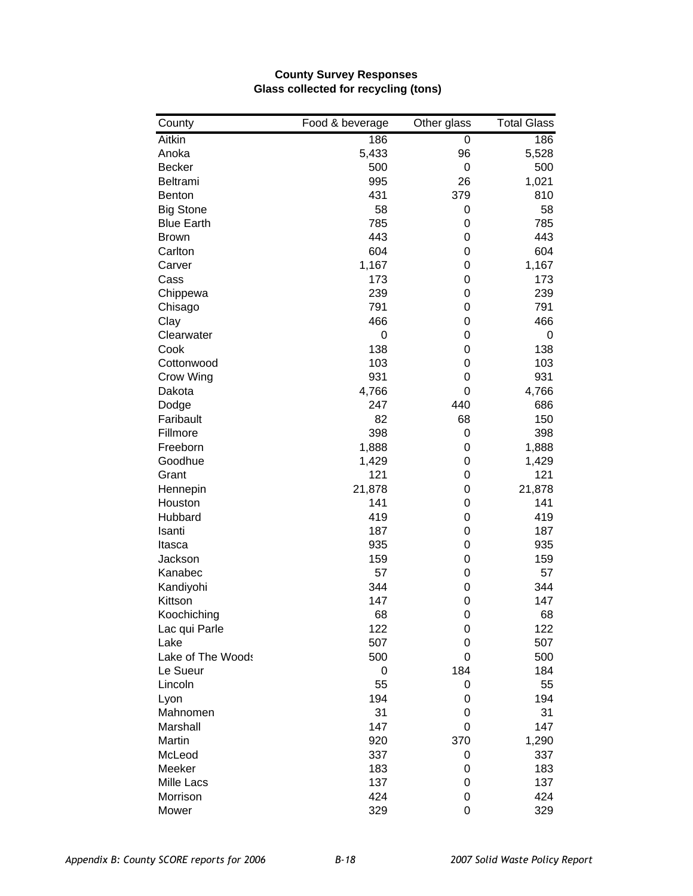| County                | Food & beverage | Other glass | <b>Total Glass</b> |
|-----------------------|-----------------|-------------|--------------------|
| Aitkin                | 186             | 0           | 186                |
| Anoka                 | 5,433           | 96          | 5,528              |
| <b>Becker</b>         | 500             | 0           | 500                |
| Beltrami              | 995             | 26          | 1,021              |
| Benton                | 431             | 379         | 810                |
| <b>Big Stone</b>      | 58              | 0           | 58                 |
| <b>Blue Earth</b>     | 785             | 0           | 785                |
| <b>Brown</b>          | 443             | 0           | 443                |
| Carlton               | 604             | 0           | 604                |
| Carver                | 1,167           | 0           | 1,167              |
| Cass                  | 173             | 0           | 173                |
| Chippewa              | 239             | 0           | 239                |
| Chisago               | 791             | 0           | 791                |
| Clay                  | 466             | 0           | 466                |
| Clearwater            | $\mathbf 0$     | 0           | 0                  |
| Cook                  | 138             | 0           | 138                |
| Cottonwood            | 103             | 0           | 103                |
| Crow Wing             | 931             | 0           | 931                |
| Dakota                | 4,766           | 0           | 4,766              |
| Dodge                 | 247             | 440         | 686                |
| Faribault             | 82              | 68          | 150                |
| Fillmore              | 398             | 0           | 398                |
| Freeborn              | 1,888           | 0           | 1,888              |
| Goodhue               | 1,429           | 0           | 1,429              |
| Grant                 | 121             | 0           | 121                |
| Hennepin              | 21,878          | 0           | 21,878             |
| Houston               | 141             | 0           | 141                |
| Hubbard               | 419             | 0           | 419                |
| Isanti                | 187             | 0           | 187                |
| Itasca                | 935             | 0           | 935                |
| Jackson               | 159             | 0           | 159                |
| Kanabec               | 57              | 0           | 57                 |
| Kandiyohi             | 344             | 0           | 344                |
| Kittson               | 147             | 0           | 147                |
|                       | 68              | 0           | 68                 |
| Koochiching           |                 |             | 122                |
| Lac qui Parle<br>Lake | 122<br>507      | 0           | 507                |
| Lake of The Woods     | 500             | 0<br>0      | 500                |
|                       |                 | 184         | 184                |
| Le Sueur              | 0               |             |                    |
| Lincoln               | 55              | 0           | 55                 |
| Lyon                  | 194             | 0           | 194                |
| Mahnomen              | 31              | 0           | 31                 |
| Marshall              | 147             | 0           | 147                |
| Martin                | 920             | 370         | 1,290              |
| McLeod                | 337             | 0           | 337                |
| Meeker                | 183             | 0           | 183                |
| Mille Lacs            | 137             | 0           | 137                |
| Morrison              | 424             | 0           | 424                |
| Mower                 | 329             | 0           | 329                |

## **County Survey Responses Glass collected for recycling (tons)**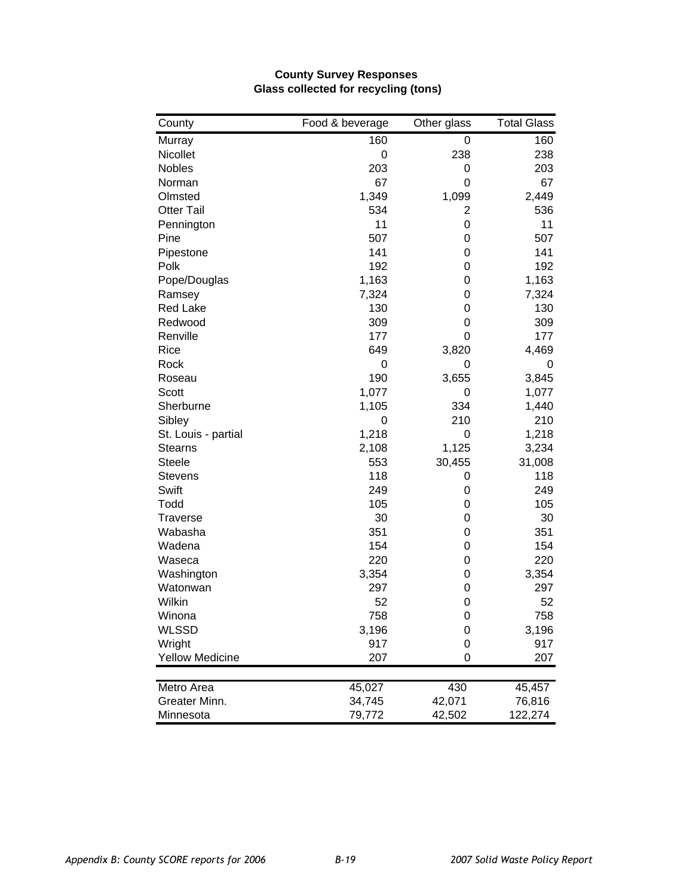| County                 | Food & beverage | Other glass | <b>Total Glass</b> |
|------------------------|-----------------|-------------|--------------------|
| Murray                 | 160             | 0           | 160                |
| Nicollet               | $\mathbf 0$     | 238         | 238                |
| <b>Nobles</b>          | 203             | 0           | 203                |
| Norman                 | 67              | 0           | 67                 |
| Olmsted                | 1,349           | 1,099       | 2,449              |
| <b>Otter Tail</b>      | 534             | 2           | 536                |
| Pennington             | 11              | 0           | 11                 |
| Pine                   | 507             | 0           | 507                |
| Pipestone              | 141             | 0           | 141                |
| Polk                   | 192             | 0           | 192                |
| Pope/Douglas           | 1,163           | 0           | 1,163              |
| Ramsey                 | 7,324           | 0           | 7,324              |
| <b>Red Lake</b>        | 130             | 0           | 130                |
| Redwood                | 309             | 0           | 309                |
| Renville               | 177             | 0           | 177                |
| Rice                   | 649             | 3,820       | 4,469              |
| Rock                   | $\mathbf 0$     | 0           | 0                  |
| Roseau                 | 190             | 3,655       | 3,845              |
| Scott                  | 1,077           | 0           | 1,077              |
| Sherburne              | 1,105           | 334         | 1,440              |
| Sibley                 | 0               | 210         | 210                |
| St. Louis - partial    | 1,218           | 0           | 1,218              |
| <b>Stearns</b>         | 2,108           | 1,125       | 3,234              |
| <b>Steele</b>          | 553             | 30,455      | 31,008             |
| <b>Stevens</b>         | 118             | 0           | 118                |
| Swift                  | 249             | 0           | 249                |
| Todd                   | 105             | 0           | 105                |
| <b>Traverse</b>        | 30              | 0           | 30                 |
| Wabasha                | 351             | 0           | 351                |
| Wadena                 | 154             | 0           | 154                |
| Waseca                 | 220             | 0           | 220                |
| Washington             | 3,354           | 0           | 3,354              |
| Watonwan               | 297             | 0           | 297                |
| Wilkin                 | 52              | $\mathbf 0$ | 52                 |
| Winona                 | 758             | 0           | 758                |
| <b>WLSSD</b>           | 3,196           | 0           | 3,196              |
| Wright                 | 917             | 0           | 917                |
| <b>Yellow Medicine</b> | 207             | 0           | 207                |
| Metro Area             | 45,027          | 430         | 45,457             |
| Greater Minn.          | 34,745          | 42,071      | 76,816             |
| Minnesota              | 79,772          | 42,502      | 122,274            |

### **County Survey Responses Glass collected for recycling (tons)**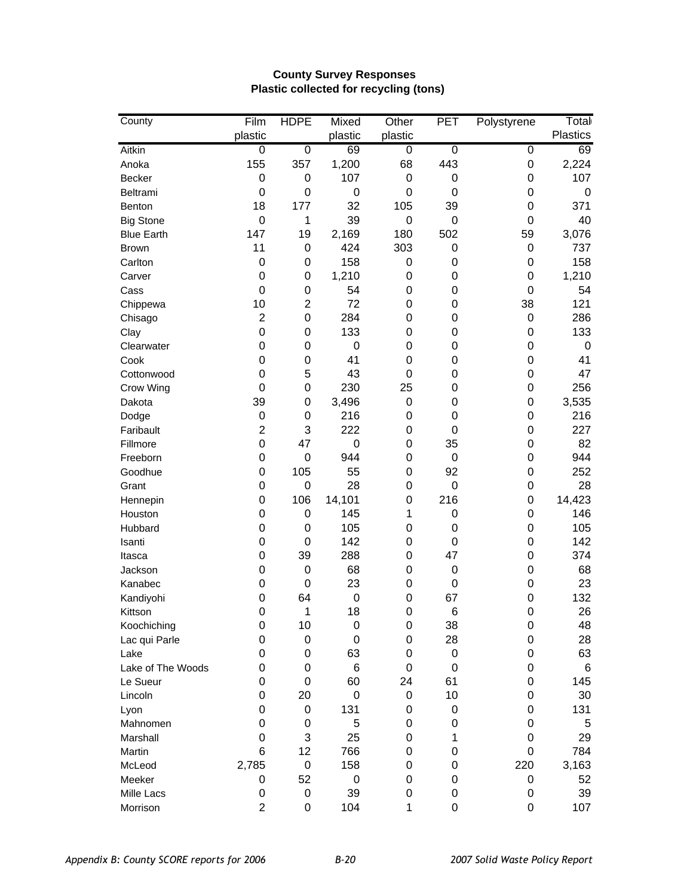| County            | Film             | <b>HDPE</b>      | Mixed            | Other            | <b>PET</b>       | Polystyrene | Total           |
|-------------------|------------------|------------------|------------------|------------------|------------------|-------------|-----------------|
|                   | plastic          |                  | plastic          | plastic          |                  |             | <b>Plastics</b> |
| Aitkin            | $\boldsymbol{0}$ | 0                | 69               | 0                | $\pmb{0}$        | 0           | 69              |
| Anoka             | 155              | 357              | 1,200            | 68               | 443              | 0           | 2,224           |
| Becker            | 0                | 0                | 107              | 0                | $\pmb{0}$        | 0           | 107             |
| Beltrami          | $\mathbf 0$      | 0                | 0                | $\mathbf 0$      | $\mathbf 0$      | 0           | $\mathbf 0$     |
| Benton            | 18               | 177              | 32               | 105              | 39               | 0           | 371             |
| <b>Big Stone</b>  | $\mathbf 0$      | 1                | 39               | $\mathbf 0$      | $\boldsymbol{0}$ | 0           | 40              |
| <b>Blue Earth</b> | 147              | 19               | 2,169            | 180              | 502              | 59          | 3,076           |
| <b>Brown</b>      | 11               | $\boldsymbol{0}$ | 424              | 303              | $\pmb{0}$        | 0           | 737             |
| Carlton           | $\boldsymbol{0}$ | 0                | 158              | $\boldsymbol{0}$ | 0                | 0           | 158             |
| Carver            | $\mathbf 0$      | 0                | 1,210            | 0                | 0                | 0           | 1,210           |
| Cass              | 0                | 0                | 54               | 0                | 0                | 0           | 54              |
| Chippewa          | 10               | $\overline{c}$   | 72               | 0                | 0                | 38          | 121             |
| Chisago           | $\overline{2}$   | 0                | 284              | 0                | 0                | 0           | 286             |
| Clay              | $\mathbf 0$      | $\boldsymbol{0}$ | 133              | 0                | 0                | 0           | 133             |
| Clearwater        | 0                | 0                | 0                | 0                | 0                | 0           | $\mathbf 0$     |
| Cook              | 0                | 0                | 41               | 0                | 0                | 0           | 41              |
| Cottonwood        | $\mathbf 0$      | 5                | 43               | 0                | 0                | 0           | 47              |
| Crow Wing         | $\mathbf 0$      | $\boldsymbol{0}$ | 230              | 25               | 0                | 0           | 256             |
| Dakota            | 39               | 0                | 3,496            | 0                | 0                | 0           | 3,535           |
| Dodge             | $\pmb{0}$        | $\boldsymbol{0}$ | 216              | 0                | 0                | 0           | 216             |
| Faribault         | $\overline{2}$   | 3                | 222              | 0                | 0                | 0           | 227             |
| Fillmore          | $\mathbf 0$      | 47               | 0                | $\mathbf 0$      | 35               | 0           | 82              |
| Freeborn          | 0                | $\boldsymbol{0}$ | 944              | $\mathbf 0$      | $\mathbf 0$      | 0           | 944             |
| Goodhue           | 0                | 105              | 55               | $\mathbf 0$      | 92               | 0           | 252             |
| Grant             | 0                | $\boldsymbol{0}$ | 28               | $\mathbf 0$      | $\mathbf 0$      | 0           | 28              |
| Hennepin          | $\mathbf 0$      | 106              | 14,101           | $\mathbf 0$      | 216              | 0           | 14,423          |
| Houston           | 0                | 0                | 145              | 1                | 0                | 0           | 146             |
| Hubbard           | 0                | 0                | 105              | 0                | 0                | 0           | 105             |
| Isanti            | 0                | 0                | 142              | 0                | $\pmb{0}$        | 0           | 142             |
| Itasca            | 0                | 39               | 288              | 0                | 47               | 0           | 374             |
| Jackson           | 0                | $\boldsymbol{0}$ | 68               | 0                | $\pmb{0}$        | 0           | 68              |
| Kanabec           | 0                | 0                | 23               | 0                | 0                | 0           | 23              |
| Kandiyohi         | 0                | 64               | $\boldsymbol{0}$ | 0                | 67               | 0           | 132             |
| Kittson           | $\mathbf 0$      | $\mathbf{1}$     | 18               | $\mathbf 0$      | 6                | 0           | 26              |
| Koochiching       | 0                | 10               | 0                | 0                | 38               | 0           | 48              |
| Lac qui Parle     | 0                | $\boldsymbol{0}$ | 0                | 0                | 28               | 0           | 28              |
| Lake              | 0                | $\boldsymbol{0}$ | 63               | 0                | $\pmb{0}$        | 0           | 63              |
| Lake of The Woods | 0                | $\boldsymbol{0}$ | 6                | 0                | $\mathbf 0$      | 0           | $\,6$           |
| Le Sueur          | 0                | $\mathbf 0$      | 60               | 24               | 61               | 0           | 145             |
| Lincoln           | 0                | 20               | 0                | 0                | 10               | 0           | 30              |
| Lyon              | 0                | $\pmb{0}$        | 131              | 0                | 0                | 0           | 131             |
| Mahnomen          | 0                | 0                | 5                | $\mathbf 0$      | 0                | 0           | 5               |
| Marshall          | 0                | 3                | 25               | 0                | 1                | 0           | 29              |
| Martin            | 6                | 12               | 766              | 0                | 0                | 0           | 784             |
| McLeod            | 2,785            | $\pmb{0}$        | 158              | 0                | 0                | 220         | 3,163           |
| Meeker            | 0                | 52               | $\pmb{0}$        | 0                | 0                | 0           | 52              |
| Mille Lacs        | 0                | $\mathbf 0$      | 39               | 0                | 0                | 0           | 39              |
| Morrison          | $\overline{2}$   | 0                | 104              | 1                | 0                | 0           | 107             |

## **County Survey Responses Plastic collected for recycling (tons)**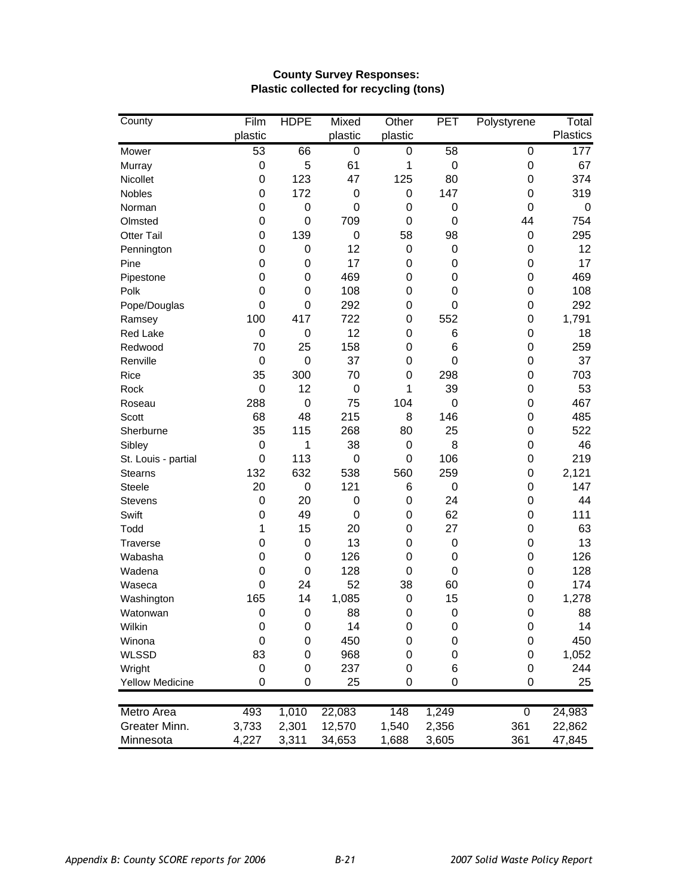| County                 | Film        | <b>HDPE</b>      | Mixed            | Other            | PET         | Polystyrene      | Total           |
|------------------------|-------------|------------------|------------------|------------------|-------------|------------------|-----------------|
|                        | plastic     |                  | plastic          | plastic          |             |                  | <b>Plastics</b> |
| Mower                  | 53          | 66               | 0                | 0                | 58          | 0                | 177             |
| Murray                 | 0           | 5                | 61               | 1                | $\mathbf 0$ | $\mathbf 0$      | 67              |
| Nicollet               | 0           | 123              | 47               | 125              | 80          | 0                | 374             |
| Nobles                 | 0           | 172              | 0                | $\mathbf 0$      | 147         | 0                | 319             |
| Norman                 | 0           | $\boldsymbol{0}$ | 0                | $\mathbf 0$      | 0           | 0                | 0               |
| Olmsted                | 0           | $\boldsymbol{0}$ | 709              | $\mathbf 0$      | 0           | 44               | 754             |
| <b>Otter Tail</b>      | 0           | 139              | 0                | 58               | 98          | $\boldsymbol{0}$ | 295             |
| Pennington             | 0           | 0                | 12               | $\mathbf 0$      | 0           | $\mathbf 0$      | 12              |
| Pine                   | 0           | $\mathbf 0$      | 17               | $\mathbf 0$      | 0           | $\mathbf 0$      | 17              |
| Pipestone              | 0           | 0                | 469              | 0                | 0           | 0                | 469             |
| Polk                   | 0           | 0                | 108              | $\mathbf 0$      | 0           | 0                | 108             |
| Pope/Douglas           | $\mathbf 0$ | 0                | 292              | $\mathbf 0$      | 0           | 0                | 292             |
| Ramsey                 | 100         | 417              | 722              | $\mathbf 0$      | 552         | 0                | 1,791           |
| <b>Red Lake</b>        | 0           | 0                | 12               | 0                | 6           | 0                | 18              |
| Redwood                | 70          | 25               | 158              | 0                | 6           | 0                | 259             |
| Renville               | 0           | $\boldsymbol{0}$ | 37               | 0                | 0           | 0                | 37              |
| Rice                   | 35          | 300              | 70               | $\mathbf 0$      | 298         | 0                | 703             |
| Rock                   | $\mathbf 0$ | 12               | $\boldsymbol{0}$ | 1                | 39          | 0                | 53              |
| Roseau                 | 288         | $\mathbf 0$      | 75               | 104              | 0           | 0                | 467             |
| Scott                  | 68          | 48               | 215              | 8                | 146         | 0                | 485             |
| Sherburne              | 35          | 115              | 268              | 80               | 25          | $\mathbf 0$      | 522             |
| Sibley                 | $\mathbf 0$ | 1                | 38               | $\mathbf 0$      | 8           | $\mathbf 0$      | 46              |
| St. Louis - partial    | $\mathbf 0$ | 113              | 0                | $\mathbf 0$      | 106         | 0                | 219             |
| <b>Stearns</b>         | 132         | 632              | 538              | 560              | 259         | 0                | 2,121           |
| <b>Steele</b>          | 20          | 0                | 121              | 6                | 0           | 0                | 147             |
| Stevens                | 0           | 20               | 0                | 0                | 24          | 0                | 44              |
| Swift                  | 0           | 49               | 0                | 0                | 62          | 0                | 111             |
| Todd                   | 1           | 15               | 20               | $\mathbf 0$      | 27          | 0                | 63              |
| <b>Traverse</b>        | 0           | 0                | 13               | $\mathbf 0$      | $\pmb{0}$   | 0                | 13              |
| Wabasha                | 0           | 0                | 126              | 0                | 0           | 0                | 126             |
| Wadena                 | 0           | 0                | 128              | 0                | 0           | 0                | 128             |
| Waseca                 | $\mathbf 0$ | 24               | 52               | 38               | 60          | 0                | 174             |
| Washington             | 165         | 14               | 1,085            | $\boldsymbol{0}$ | 15          | 0                | 1,278           |
| Watonwan               | $\mathbf 0$ | $\boldsymbol{0}$ | 88               | $\mathbf 0$      | $\mathbf 0$ | 0                | 88              |
| Wilkin                 | 0           | 0                | 14               | 0                | 0           | $\mathbf 0$      | 14              |
| Winona                 | 0           | 0                | 450              | 0                | 0           | 0                | 450             |
| <b>WLSSD</b>           | 83          | $\mathbf 0$      | 968              | 0                | 0           | 0                | 1,052           |
| Wright                 | 0           | $\mathbf 0$      | 237              | 0                | 6           | 0                | 244             |
| <b>Yellow Medicine</b> | 0           | 0                | 25               | 0                | 0           | 0                | 25              |
|                        |             |                  |                  |                  |             |                  |                 |
| Metro Area             | 493         | 1,010            | 22,083           | 148              | 1,249       | $\overline{0}$   | 24,983          |
| Greater Minn.          | 3,733       | 2,301            | 12,570           | 1,540            | 2,356       | 361              | 22,862          |
| Minnesota              | 4,227       | 3,311            | 34,653           | 1,688            | 3,605       | 361              | 47,845          |

## **County Survey Responses: Plastic collected for recycling (tons)**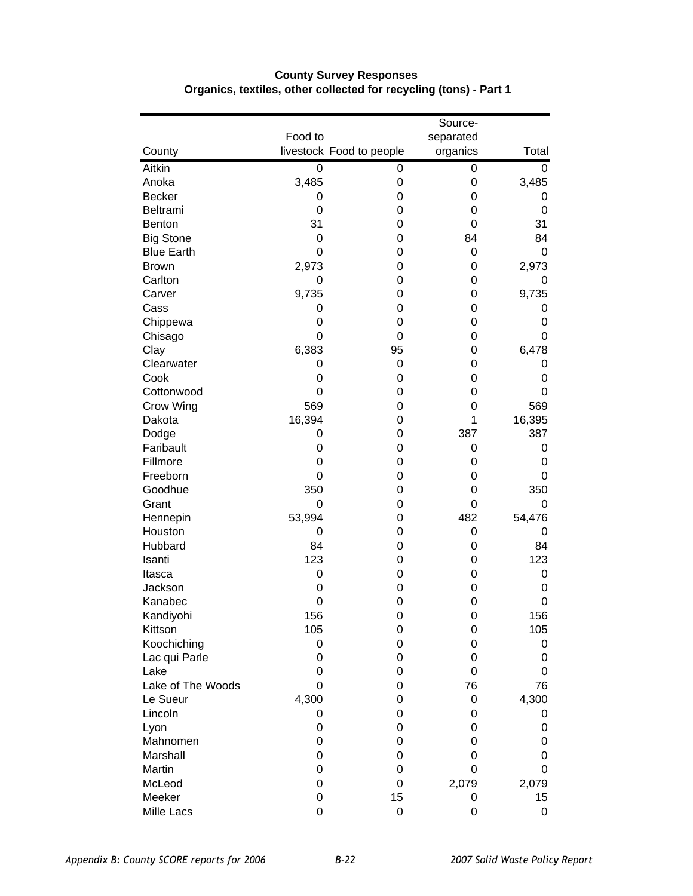|                   |         |                          | Source-     |        |
|-------------------|---------|--------------------------|-------------|--------|
|                   | Food to |                          | separated   |        |
| County            |         | livestock Food to people | organics    | Total  |
| Aitkin            | 0       | 0                        | 0           | 0      |
| Anoka             | 3,485   | 0                        | 0           | 3,485  |
| <b>Becker</b>     | 0       | 0                        | 0           | 0      |
| Beltrami          | 0       | 0                        | 0           | 0      |
| <b>Benton</b>     | 31      | 0                        | $\mathbf 0$ | 31     |
| <b>Big Stone</b>  | 0       | 0                        | 84          | 84     |
| <b>Blue Earth</b> | 0       | 0                        | 0           | 0      |
| <b>Brown</b>      | 2,973   | 0                        | 0           | 2,973  |
| Carlton           | 0       | 0                        | 0           | 0      |
| Carver            | 9,735   | 0                        | 0           | 9,735  |
| Cass              | 0       | 0                        | 0           | 0      |
| Chippewa          | 0       | 0                        | 0           | 0      |
| Chisago           | 0       | 0                        | 0           | 0      |
| Clay              | 6,383   | 95                       | 0           | 6,478  |
| Clearwater        | 0       | 0                        | 0           | 0      |
| Cook              | 0       | 0                        | 0           | 0      |
| Cottonwood        | 0       | 0                        | 0           | 0      |
| Crow Wing         | 569     | 0                        | 0           | 569    |
| Dakota            | 16,394  | 0                        | 1           | 16,395 |
| Dodge             | 0       | 0                        | 387         | 387    |
| Faribault         | 0       | 0                        | 0           | 0      |
| Fillmore          | 0       | 0                        | 0           | 0      |
| Freeborn          | 0       | 0                        | 0           | 0      |
| Goodhue           | 350     | 0                        | 0           | 350    |
| Grant             | 0       | 0                        | 0           | 0      |
| Hennepin          | 53,994  | 0                        | 482         | 54,476 |
| Houston           | 0       | 0                        | 0           | 0      |
| Hubbard           | 84      | 0                        | 0           | 84     |
| Isanti            | 123     | 0                        | 0           | 123    |
| Itasca            | 0       | 0                        | 0           | 0      |
| Jackson           | 0       | 0                        | 0           | 0      |
| Kanabec           | 0       | 0                        | 0           | 0      |
| Kandiyohi         | 156     | 0                        | 0           | 156    |
| Kittson           | 105     | 0                        | 0           | 105    |
| Koochiching       | 0       | 0                        | 0           | 0      |
| Lac qui Parle     | 0       | 0                        | 0           | 0      |
| Lake              | 0       | 0                        | 0           | 0      |
| Lake of The Woods | 0       | 0                        | 76          | 76     |
| Le Sueur          | 4,300   | 0                        | 0           | 4,300  |
| Lincoln           | 0       | 0                        | 0           | 0      |
| Lyon              | 0       | 0                        | 0           | 0      |
| Mahnomen          | 0       | 0                        | 0           | 0      |
| Marshall          | 0       | 0                        | 0           | 0      |
| Martin            | 0       | 0                        | 0           | 0      |
| McLeod            | 0       | 0                        | 2,079       | 2,079  |
| Meeker            | 0       | 15                       | 0           | 15     |
| Mille Lacs        | 0       | 0                        | 0           | 0      |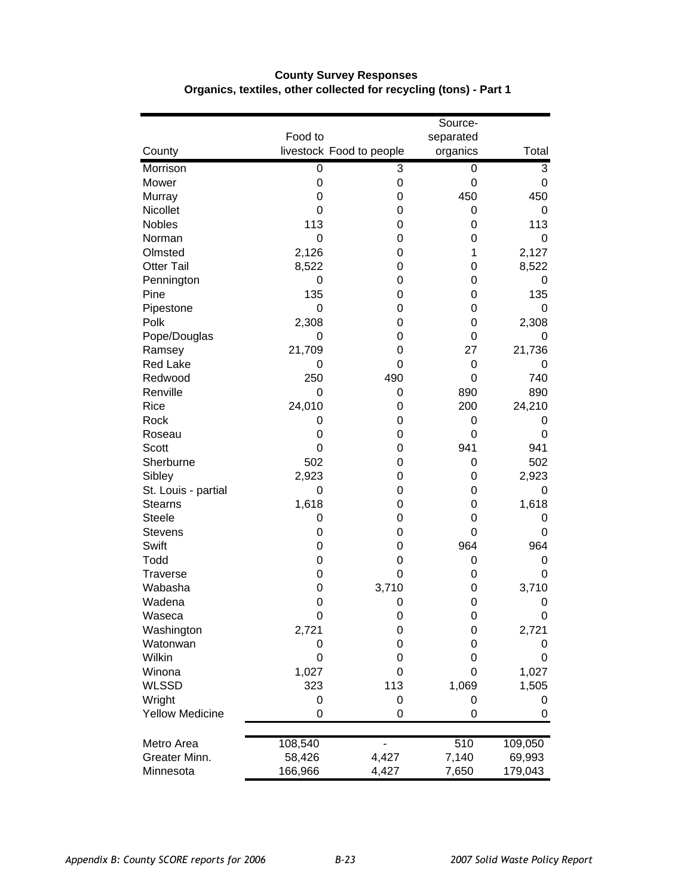|                        |         |                          | Source-   |         |
|------------------------|---------|--------------------------|-----------|---------|
|                        | Food to |                          | separated |         |
| County                 |         | livestock Food to people | organics  | Total   |
| Morrison               | 0       | 3                        | 0         | 3       |
| Mower                  | 0       | 0                        | 0         | 0       |
| Murray                 | 0       | 0                        | 450       | 450     |
| Nicollet               | 0       | 0                        | 0         | 0       |
| <b>Nobles</b>          | 113     | 0                        | 0         | 113     |
| Norman                 | 0       | 0                        | 0         | 0       |
| Olmsted                | 2,126   | 0                        | 1         | 2,127   |
| <b>Otter Tail</b>      | 8,522   | 0                        | 0         | 8,522   |
| Pennington             | 0       | 0                        | 0         | 0       |
| Pine                   | 135     | 0                        | 0         | 135     |
| Pipestone              | 0       | 0                        | 0         | 0       |
| Polk                   | 2,308   | 0                        | 0         | 2,308   |
| Pope/Douglas           | 0       | 0                        | 0         | 0       |
| Ramsey                 | 21,709  | 0                        | 27        | 21,736  |
| <b>Red Lake</b>        | 0       | 0                        | 0         | 0       |
| Redwood                | 250     | 490                      | 0         | 740     |
| Renville               | 0       | 0                        | 890       | 890     |
| Rice                   | 24,010  | 0                        | 200       | 24,210  |
| Rock                   | 0       | 0                        | 0         | 0       |
| Roseau                 | 0       | 0                        | 0         | 0       |
| Scott                  | 0       | 0                        | 941       | 941     |
| Sherburne              | 502     | 0                        | 0         | 502     |
| Sibley                 | 2,923   | 0                        | 0         | 2,923   |
| St. Louis - partial    | 0       | 0                        | 0         | 0       |
| <b>Stearns</b>         | 1,618   | 0                        | 0         | 1,618   |
| Steele                 | 0       | 0                        | 0         | 0       |
| <b>Stevens</b>         | 0       | 0                        | 0         | 0       |
| Swift                  | 0       | 0                        | 964       | 964     |
| Todd                   | 0       | 0                        | 0         | 0       |
| <b>Traverse</b>        | 0       | 0                        | 0         | 0       |
| Wabasha                | 0       | 3,710                    | 0         | 3,710   |
| Wadena                 | 0       | 0                        | 0         | 0       |
| Waseca                 | 0       | 0                        | 0         | 0       |
| Washington             | 2,721   | 0                        | 0         | 2,721   |
| Watonwan               | 0       | 0                        | 0         | 0       |
| Wilkin                 | 0       | 0                        | 0         | 0       |
| Winona                 | 1,027   | 0                        | 0         | 1,027   |
| <b>WLSSD</b>           | 323     | 113                      | 1,069     | 1,505   |
| Wright                 | 0       | 0                        | 0         | 0       |
| <b>Yellow Medicine</b> | 0       | 0                        | 0         | 0       |
| Metro Area             | 108,540 |                          | 510       | 109,050 |
| Greater Minn.          | 58,426  | 4,427                    | 7,140     | 69,993  |
| Minnesota              | 166,966 | 4,427                    | 7,650     | 179,043 |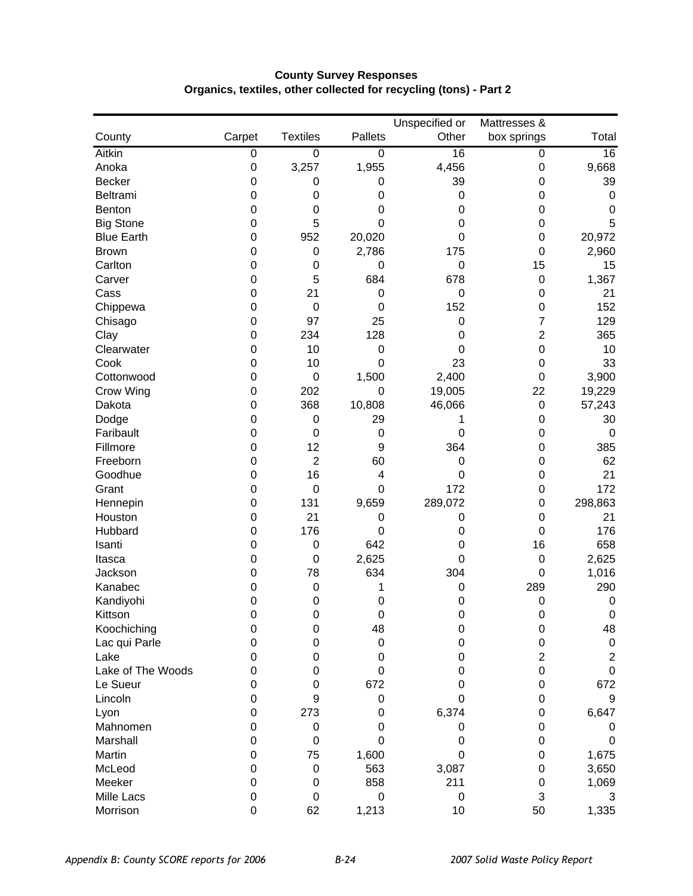|                   |                  |                  |                | Unspecified or   | Mattresses &     |                 |
|-------------------|------------------|------------------|----------------|------------------|------------------|-----------------|
| County            | Carpet           | <b>Textiles</b>  | <b>Pallets</b> | Other            | box springs      | Total           |
| Aitkin            | $\overline{0}$   | $\overline{0}$   | $\overline{0}$ | 16               | $\overline{0}$   | $\overline{16}$ |
| Anoka             | $\pmb{0}$        | 3,257            | 1,955          | 4,456            | 0                | 9,668           |
| <b>Becker</b>     | 0                | 0                | 0              | 39               | 0                | 39              |
| Beltrami          | 0                | 0                | 0              | 0                | 0                | $\mathbf 0$     |
| Benton            | 0                | 0                | 0              | 0                | 0                | 0               |
| <b>Big Stone</b>  | 0                | 5                | 0              | 0                | 0                | 5               |
| <b>Blue Earth</b> | 0                | 952              | 20,020         | 0                | 0                | 20,972          |
| <b>Brown</b>      | 0                | 0                | 2,786          | 175              | 0                | 2,960           |
| Carlton           | 0                | $\boldsymbol{0}$ | 0              | $\boldsymbol{0}$ | 15               | 15              |
| Carver            | 0                | 5                | 684            | 678              | $\mathbf 0$      | 1,367           |
| Cass              | 0                | 21               | 0              | $\mathbf 0$      | 0                | 21              |
| Chippewa          | 0                | $\boldsymbol{0}$ | $\mathbf 0$    | 152              | 0                | 152             |
| Chisago           | 0                | 97               | 25             | $\mathbf 0$      | 7                | 129             |
| Clay              | 0                | 234              | 128            | 0                | 2                | 365             |
| Clearwater        | 0                | 10               | 0              | 0                | 0                | 10              |
| Cook              | 0                | 10               | $\mathbf 0$    | 23               | 0                | 33              |
| Cottonwood        | 0                | $\boldsymbol{0}$ | 1,500          | 2,400            | 0                | 3,900           |
| Crow Wing         | 0                | 202              | 0              | 19,005           | 22               | 19,229          |
| Dakota            | 0                | 368              | 10,808         | 46,066           | $\boldsymbol{0}$ | 57,243          |
| Dodge             | 0                | $\boldsymbol{0}$ | 29             | 1                | 0                | 30              |
| Faribault         | 0                | $\boldsymbol{0}$ | 0              | 0                | 0                | $\mathbf 0$     |
| Fillmore          | 0                | 12               | 9              | 364              | 0                | 385             |
| Freeborn          | 0                | $\overline{2}$   | 60             | 0                | 0                | 62              |
| Goodhue           | 0                | 16               | 4              | $\mathbf 0$      | 0                | 21              |
| Grant             | 0                | $\boldsymbol{0}$ | 0              | 172              | 0                | 172             |
| Hennepin          | 0                | 131              | 9,659          | 289,072          | 0                | 298,863         |
| Houston           | 0                | 21               | 0              | 0                | 0                | 21              |
| Hubbard           | 0                | 176              | 0              | 0                | 0                | 176             |
| Isanti            | 0                | 0                | 642            | 0                | 16               | 658             |
| Itasca            | 0                | $\mathbf 0$      | 2,625          | 0                | 0                | 2,625           |
| Jackson           | 0                | 78               | 634            | 304              | 0                | 1,016           |
| Kanabec           | 0                | $\boldsymbol{0}$ | 1              | 0                | 289              | 290             |
| Kandiyohi         | 0                | 0                | 0              | 0                | 0                | $\mathbf 0$     |
| Kittson           | 0                | $\mathbf 0$      | 0              | 0                | 0                | $\mathbf 0$     |
| Koochiching       | 0                | 0                | 48             | 0                | $\mathbf 0$      | 48              |
| Lac qui Parle     | 0                | 0                | 0              | 0                | 0                | $\pmb{0}$       |
| Lake              | 0                | 0                | 0              | 0                | $\overline{c}$   | $\overline{2}$  |
| Lake of The Woods | 0                | 0                | 0              | 0                | 0                | $\mathbf 0$     |
| Le Sueur          | 0                | 0                | 672            | 0                | 0                | 672             |
| Lincoln           | 0                | 9                | 0              | 0                | 0                | 9               |
| Lyon              | 0                | 273              | 0              | 6,374            | 0                | 6,647           |
| Mahnomen          | 0                | 0                | 0              | 0                | 0                | 0               |
| Marshall          | 0                | 0                | 0              | 0                | 0                | 0               |
| Martin            | 0                | 75               | 1,600          | 0                | 0                | 1,675           |
| McLeod            | $\Omega$         | $\boldsymbol{0}$ | 563            | 3,087            | 0                | 3,650           |
| Meeker            | 0                | 0                | 858            | 211              | 0                | 1,069           |
| Mille Lacs        | $\mathbf 0$      | 0                | 0              | $\mathbf 0$      | 3                | 3               |
| Morrison          | $\boldsymbol{0}$ | 62               | 1,213          | 10               | 50               | 1,335           |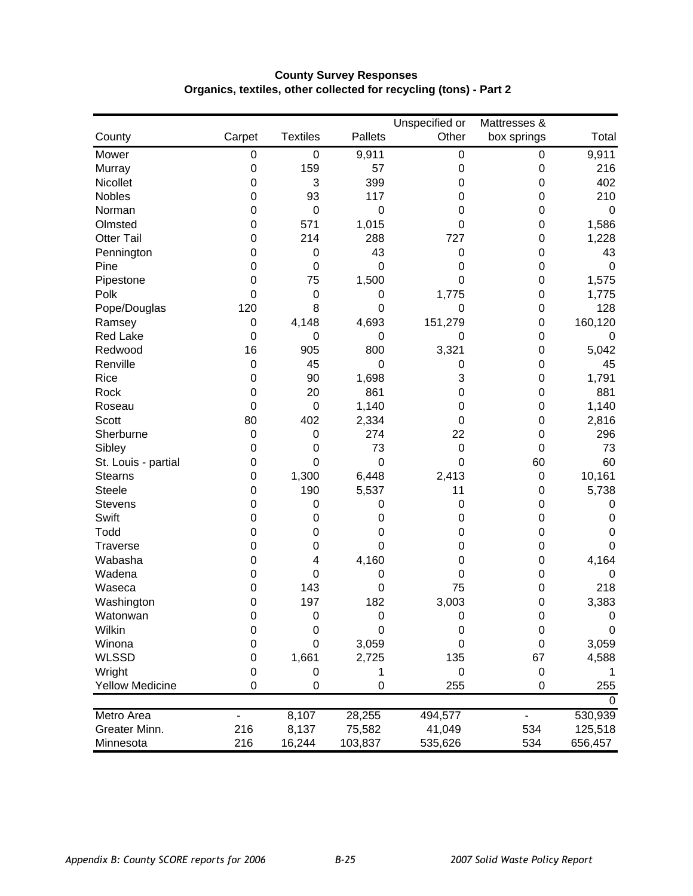|                        |                  |                  |                | Unspecified or | Mattresses & |             |
|------------------------|------------------|------------------|----------------|----------------|--------------|-------------|
| County                 | Carpet           | <b>Textiles</b>  | <b>Pallets</b> | Other          | box springs  | Total       |
| Mower                  | 0                | $\boldsymbol{0}$ | 9,911          | 0              | $\mathbf 0$  | 9,911       |
| Murray                 | $\boldsymbol{0}$ | 159              | 57             | 0              | $\mathbf 0$  | 216         |
| Nicollet               | 0                | 3                | 399            | 0              | 0            | 402         |
| <b>Nobles</b>          | 0                | 93               | 117            | 0              | 0            | 210         |
| Norman                 | 0                | $\boldsymbol{0}$ | $\mathbf 0$    | 0              | 0            | $\mathbf 0$ |
| Olmsted                | 0                | 571              | 1,015          | 0              | 0            | 1,586       |
| <b>Otter Tail</b>      | 0                | 214              | 288            | 727            | 0            | 1,228       |
| Pennington             | 0                | $\boldsymbol{0}$ | 43             | $\mathbf 0$    | 0            | 43          |
| Pine                   | 0                | $\mathbf 0$      | 0              | 0              | 0            | $\mathbf 0$ |
| Pipestone              | 0                | 75               | 1,500          | $\mathbf 0$    | 0            | 1,575       |
| Polk                   | $\Omega$         | $\mathbf 0$      | 0              | 1,775          | 0            | 1,775       |
| Pope/Douglas           | 120              | 8                | 0              | $\mathbf 0$    | 0            | 128         |
| Ramsey                 | $\pmb{0}$        | 4,148            | 4,693          | 151,279        | 0            | 160,120     |
| <b>Red Lake</b>        | 0                | 0                | 0              | 0              | 0            | 0           |
| Redwood                | 16               | 905              | 800            | 3,321          | 0            | 5,042       |
| Renville               | $\boldsymbol{0}$ | 45               | 0              | $\mathbf 0$    | 0            | 45          |
| Rice                   | 0                | 90               | 1,698          | 3              | 0            | 1,791       |
| Rock                   | 0                | 20               | 861            | 0              | 0            | 881         |
| Roseau                 | $\Omega$         | $\boldsymbol{0}$ | 1,140          | 0              | 0            | 1,140       |
| <b>Scott</b>           | 80               | 402              | 2,334          | 0              | 0            | 2,816       |
| Sherburne              | 0                | 0                | 274            | 22             | 0            | 296         |
| Sibley                 | 0                | 0                | 73             | $\mathbf 0$    | 0            | 73          |
| St. Louis - partial    | 0                | $\mathbf 0$      | $\mathbf 0$    | $\mathbf 0$    | 60           | 60          |
| <b>Stearns</b>         | 0                | 1,300            | 6,448          | 2,413          | $\mathbf 0$  | 10,161      |
| <b>Steele</b>          | 0                | 190              | 5,537          | 11             | 0            | 5,738       |
| <b>Stevens</b>         | 0                | $\mathbf 0$      | 0              | 0              | 0            | 0           |
| Swift                  | 0                | 0                | 0              | 0              | 0            | $\mathbf 0$ |
| Todd                   | 0                | 0                | 0              | 0              | 0            | 0           |
| <b>Traverse</b>        | 0                | $\mathbf 0$      | 0              | 0              | 0            | 0           |
| Wabasha                | 0                | 4                | 4,160          | 0              | 0            | 4,164       |
| Wadena                 | 0                | $\boldsymbol{0}$ | 0              | 0              | 0            | $\mathbf 0$ |
| Waseca                 | 0                | 143              | 0              | 75             | 0            | 218         |
| Washington             | 0                | 197              | 182            | 3,003          | 0            | 3,383       |
| Watonwan               | $\mathbf 0$      | 0                | $\mathbf 0$    | $\mathbf 0$    | 0            | $\mathbf 0$ |
| Wilkin                 | $\mathbf 0$      | 0                | 0              | $\mathbf 0$    | $\mathbf 0$  | 0           |
| Winona                 | $\Omega$         | 0                | 3,059          | 0              | 0            | 3,059       |
| <b>WLSSD</b>           | 0                | 1,661            | 2,725          | 135            | 67           | 4,588       |
| Wright                 | 0                | 0                | 1              | 0              | $\mathbf 0$  |             |
| <b>Yellow Medicine</b> | 0                | 0                | $\mathbf 0$    | 255            | 0            | 255         |
|                        |                  |                  |                |                |              | $\Omega$    |
| <b>Metro Area</b>      |                  | 8,107            | 28,255         | 494,577        |              | 530,939     |
| Greater Minn.          | 216              | 8,137            | 75,582         | 41,049         | 534          | 125,518     |
| Minnesota              | 216              | 16,244           | 103,837        | 535,626        | 534          | 656,457     |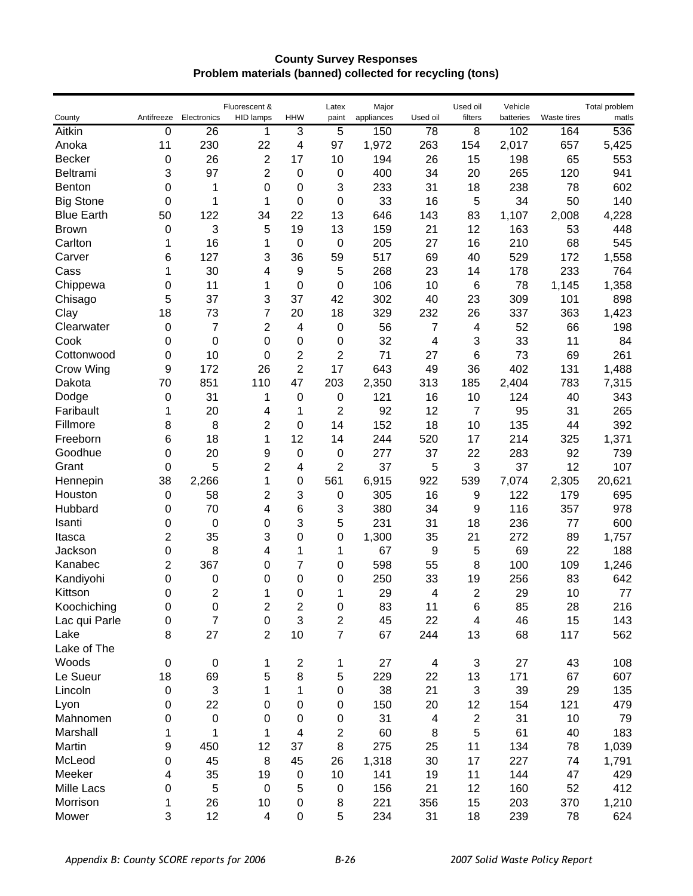#### **County Survey Responses Problem materials (banned) collected for recycling (tons)**

| County            | Antifreeze       | Electronics    | Fluorescent &<br><b>HID lamps</b> | <b>HHW</b>                | Latex<br>paint   | Major<br>appliances | Used oil                | Used oil<br>filters | Vehicle<br>batteries | Waste tires | Total problem<br>matls |
|-------------------|------------------|----------------|-----------------------------------|---------------------------|------------------|---------------------|-------------------------|---------------------|----------------------|-------------|------------------------|
| Aitkin            | $\pmb{0}$        | 26             | 1                                 | 3                         | 5                | 150                 | 78                      | $\overline{8}$      | 102                  | 164         | 536                    |
| Anoka             | 11               | 230            | 22                                | 4                         | 97               | 1,972               | 263                     | 154                 | 2,017                | 657         | 5,425                  |
| <b>Becker</b>     | 0                | 26             | $\overline{2}$                    | 17                        | 10               | 194                 | 26                      | 15                  | 198                  | 65          | 553                    |
| Beltrami          | 3                | 97             | $\overline{2}$                    | $\mathbf 0$               | 0                | 400                 | 34                      | 20                  | 265                  | 120         | 941                    |
| Benton            | 0                | 1              | 0                                 | 0                         | 3                | 233                 | 31                      | 18                  | 238                  | 78          | 602                    |
| <b>Big Stone</b>  | 0                | 1              | 1                                 | $\mathbf 0$               | 0                | 33                  | 16                      | 5                   | 34                   | 50          | 140                    |
| <b>Blue Earth</b> | 50               | 122            | 34                                | 22                        | 13               | 646                 | 143                     | 83                  | 1,107                | 2,008       | 4,228                  |
| <b>Brown</b>      | 0                | 3              | 5                                 | 19                        | 13               | 159                 | 21                      | 12                  | 163                  | 53          | 448                    |
| Carlton           | 1                | 16             | 1                                 | $\mathbf 0$               | 0                | 205                 | 27                      | 16                  | 210                  | 68          | 545                    |
| Carver            | 6                | 127            | 3                                 | 36                        | 59               | 517                 | 69                      | 40                  | 529                  | 172         | 1,558                  |
| Cass              | 1                | 30             | 4                                 | 9                         | 5                | 268                 | 23                      | 14                  | 178                  | 233         | 764                    |
| Chippewa          | 0                | 11             | 1                                 | $\boldsymbol{0}$          | 0                | 106                 | 10                      | 6                   | 78                   | 1,145       | 1,358                  |
| Chisago           | 5                | 37             | 3                                 | 37                        | 42               | 302                 | 40                      | 23                  | 309                  | 101         | 898                    |
| Clay              | 18               | 73             | 7                                 | 20                        | 18               | 329                 | 232                     | 26                  | 337                  | 363         | 1,423                  |
| Clearwater        | 0                | 7              | 2                                 | $\overline{4}$            | $\boldsymbol{0}$ | 56                  | 7                       | 4                   | 52                   | 66          | 198                    |
| Cook              | 0                | 0              | 0                                 | $\mathbf 0$               | $\boldsymbol{0}$ | 32                  | 4                       | 3                   | 33                   | 11          | 84                     |
| Cottonwood        | 0                | 10             | 0                                 | $\overline{2}$            | 2                | 71                  | 27                      | 6                   | 73                   | 69          | 261                    |
| Crow Wing         | 9                | 172            | 26                                | $\overline{c}$            | 17               | 643                 | 49                      | 36                  | 402                  | 131         | 1,488                  |
| Dakota            | 70               | 851            | 110                               | 47                        | 203              | 2,350               | 313                     | 185                 | 2,404                | 783         | 7,315                  |
| Dodge             | 0                | 31             | 1                                 | $\mathbf 0$               | 0                | 121                 | 16                      | 10                  | 124                  | 40          | 343                    |
| Faribault         | 1                | 20             | 4                                 | 1                         | 2                | 92                  | 12                      | 7                   | 95                   | 31          | 265                    |
| Fillmore          | 8                | 8              | $\overline{c}$                    | $\mathbf 0$               | 14               | 152                 | 18                      | 10                  | 135                  | 44          | 392                    |
| Freeborn          | 6                | 18             | 1                                 | 12                        | 14               | 244                 | 520                     | 17                  | 214                  | 325         | 1,371                  |
| Goodhue           | 0                | 20             | 9                                 | $\mathbf 0$               | 0                | 277                 | 37                      | 22                  | 283                  | 92          | 739                    |
| Grant             | 0                | 5              | 2                                 | 4                         | 2                | 37                  | 5                       | 3                   | 37                   | 12          | 107                    |
| Hennepin          | 38               | 2,266          | 1                                 | 0                         | 561              | 6,915               | 922                     | 539                 | 7,074                | 2,305       | 20,621                 |
| Houston           | 0                | 58             | $\overline{c}$                    | 3                         | 0                | 305                 | 16                      | 9                   | 122                  | 179         | 695                    |
| Hubbard           | 0                | 70             | 4                                 | 6                         | 3                | 380                 | 34                      | 9                   | 116                  | 357         | 978                    |
| Isanti            | 0                | 0              | 0                                 | 3                         | 5                | 231                 | 31                      | 18                  | 236                  | 77          | 600                    |
| Itasca            | 2                | 35             | 3                                 | 0                         | 0                | 1,300               | 35                      | 21                  | 272                  | 89          | 1,757                  |
| Jackson           | 0                | 8              | 4                                 | 1                         | 1                | 67                  | 9                       | 5                   | 69                   | 22          | 188                    |
| Kanabec           | 2                | 367            | 0                                 | 7                         | 0                | 598                 | 55                      | 8                   | 100                  | 109         | 1,246                  |
| Kandiyohi         | 0                | 0              | 0                                 | $\mathbf 0$               | 0                | 250                 | 33                      | 19                  | 256                  | 83          | 642                    |
| Kittson           | 0                | 2              | 1                                 | 0                         | 1                | 29                  | 4                       | 2                   | 29                   | 10          | 77                     |
| Koochiching       | 0                | 0              | 2                                 | $\overline{c}$            | 0                | 83                  | 11                      | 6                   | 85                   | 28          | 216                    |
| Lac qui Parle     | $\pmb{0}$        | $\overline{7}$ | $\pmb{0}$                         | $\ensuremath{\mathsf{3}}$ | $\overline{c}$   | 45                  | 22                      | 4                   | 46                   | 15          | 143                    |
| Lake              | 8                | 27             | $\overline{2}$                    | 10                        | $\overline{7}$   | 67                  | 244                     | 13                  | 68                   | 117         | 562                    |
| Lake of The       |                  |                |                                   |                           |                  |                     |                         |                     |                      |             |                        |
| Woods             | $\mathbf 0$      | $\pmb{0}$      | 1                                 | $\boldsymbol{2}$          | 1                | 27                  | $\overline{\mathbf{4}}$ | 3                   | 27                   | 43          | 108                    |
| Le Sueur          | 18               | 69             | 5                                 | 8                         | 5                | 229                 | 22                      | 13                  | 171                  | 67          | 607                    |
| Lincoln           | $\boldsymbol{0}$ | 3              | 1                                 | 1                         | 0                | 38                  | 21                      | 3                   | 39                   | 29          | 135                    |
| Lyon              | $\boldsymbol{0}$ | 22             | 0                                 | $\pmb{0}$                 | 0                | 150                 | 20                      | 12                  | 154                  | 121         | 479                    |
| Mahnomen          | 0                | 0              | 0                                 | $\boldsymbol{0}$          | 0                | 31                  | 4                       | $\boldsymbol{2}$    | 31                   | 10          | 79                     |
| Marshall          | 1                | 1              | 1                                 | $\overline{4}$            | $\boldsymbol{2}$ | 60                  | 8                       | 5                   | 61                   | 40          | 183                    |
| Martin            | 9                | 450            | 12                                | 37                        | 8                | 275                 | 25                      | 11                  | 134                  | 78          | 1,039                  |
| McLeod            | $\boldsymbol{0}$ | 45             | 8                                 | 45                        | 26               | 1,318               | 30                      | 17                  | 227                  | 74          | 1,791                  |
| Meeker            | 4                | 35             | 19                                | $\pmb{0}$                 | 10               | 141                 | 19                      | 11                  | 144                  | 47          | 429                    |
| Mille Lacs        | $\boldsymbol{0}$ | 5              | $\mathbf 0$                       | 5                         | 0                | 156                 | 21                      | 12                  | 160                  | 52          | 412                    |
| Morrison          | 1                | 26             | 10                                | 0                         | 8                | 221                 | 356                     | 15                  | 203                  | 370         | 1,210                  |
| Mower             | 3                | 12             | 4                                 | 0                         | 5                | 234                 | 31                      | 18                  | 239                  | 78          | 624                    |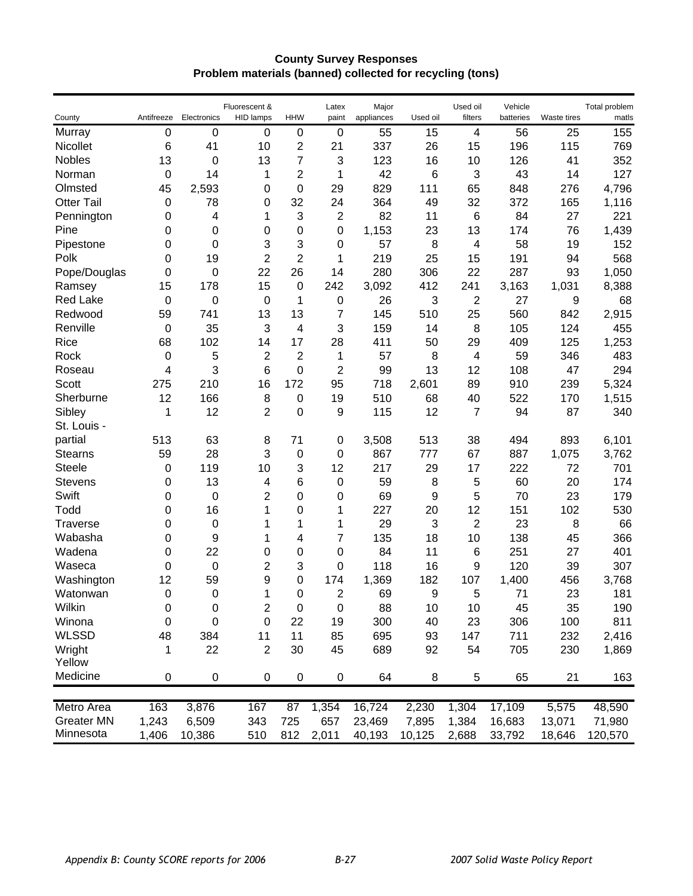#### **County Survey Responses Problem materials (banned) collected for recycling (tons)**

| County            | Antifreeze       | Electronics | Fluorescent &<br>HID lamps | <b>HHW</b>       | Latex<br>paint | Major<br>appliances | Used oil | Used oil<br>filters | Vehicle<br>batteries | Waste tires | Total problem<br>matis |
|-------------------|------------------|-------------|----------------------------|------------------|----------------|---------------------|----------|---------------------|----------------------|-------------|------------------------|
| Murray            | 0                | 0           | $\mathbf 0$                | $\mathbf 0$      | 0              | 55                  | 15       | 4                   | 56                   | 25          | 155                    |
| Nicollet          | 6                | 41          | 10                         | 2                | 21             | 337                 | 26       | 15                  | 196                  | 115         | 769                    |
| <b>Nobles</b>     | 13               | 0           | 13                         | 7                | 3              | 123                 | 16       | 10                  | 126                  | 41          | 352                    |
| Norman            | $\mathbf 0$      | 14          | 1                          | 2                | 1              | 42                  | 6        | 3                   | 43                   | 14          | 127                    |
| Olmsted           | 45               | 2,593       | 0                          | $\mathbf 0$      | 29             | 829                 | 111      | 65                  | 848                  | 276         | 4,796                  |
| <b>Otter Tail</b> | $\mathbf 0$      | 78          | 0                          | 32               | 24             | 364                 | 49       | 32                  | 372                  | 165         | 1,116                  |
| Pennington        | 0                | 4           | 1                          | 3                | 2              | 82                  | 11       | 6                   | 84                   | 27          | 221                    |
| Pine              | 0                | 0           | 0                          | 0                | 0              | 1,153               | 23       | 13                  | 174                  | 76          | 1,439                  |
| Pipestone         | 0                | 0           | 3                          | 3                | 0              | 57                  | 8        | 4                   | 58                   | 19          | 152                    |
| Polk              | 0                | 19          | $\overline{2}$             | $\overline{2}$   | 1              | 219                 | 25       | 15                  | 191                  | 94          | 568                    |
| Pope/Douglas      | 0                | 0           | 22                         | 26               | 14             | 280                 | 306      | 22                  | 287                  | 93          | 1,050                  |
| Ramsey            | 15               | 178         | 15                         | $\boldsymbol{0}$ | 242            | 3,092               | 412      | 241                 | 3,163                | 1,031       | 8,388                  |
| <b>Red Lake</b>   | $\boldsymbol{0}$ | 0           | $\mathbf 0$                | 1                | 0              | 26                  | 3        | 2                   | 27                   | 9           | 68                     |
| Redwood           | 59               | 741         | 13                         | 13               | 7              | 145                 | 510      | 25                  | 560                  | 842         | 2,915                  |
| Renville          | $\mathbf 0$      | 35          | 3                          | $\overline{4}$   | 3              | 159                 | 14       | 8                   | 105                  | 124         | 455                    |
| Rice              | 68               | 102         | 14                         | 17               | 28             | 411                 | 50       | 29                  | 409                  | 125         | 1,253                  |
| Rock              | $\mathbf 0$      | 5           | $\overline{2}$             | $\overline{c}$   | 1              | 57                  | 8        | 4                   | 59                   | 346         | 483                    |
| Roseau            | 4                | 3           | 6                          | $\mathbf 0$      | 2              | 99                  | 13       | 12                  | 108                  | 47          | 294                    |
| Scott             | 275              | 210         | 16                         | 172              | 95             | 718                 | 2,601    | 89                  | 910                  | 239         | 5,324                  |
| Sherburne         | 12               | 166         | 8                          | $\mathbf 0$      | 19             | 510                 | 68       | 40                  | 522                  | 170         | 1,515                  |
| Sibley            | 1                | 12          | $\overline{2}$             | $\mathbf 0$      | 9              | 115                 | 12       | 7                   | 94                   | 87          | 340                    |
| St. Louis -       |                  |             |                            |                  |                |                     |          |                     |                      |             |                        |
| partial           | 513              | 63          | 8                          | 71               | 0              | 3,508               | 513      | 38                  | 494                  | 893         | 6,101                  |
| <b>Stearns</b>    | 59               | 28          | 3                          | 0                | 0              | 867                 | 777      | 67                  | 887                  | 1,075       | 3,762                  |
| <b>Steele</b>     | 0                | 119         | 10                         | 3                | 12             | 217                 | 29       | 17                  | 222                  | 72          | 701                    |
| <b>Stevens</b>    | 0                | 13          | 4                          | $6\phantom{1}6$  | $\mathbf 0$    | 59                  | 8        | 5                   | 60                   | 20          | 174                    |
| Swift             | 0                | $\mathbf 0$ | 2                          | $\boldsymbol{0}$ | 0              | 69                  | 9        | 5                   | 70                   | 23          | 179                    |
| Todd              | 0                | 16          | 1                          | $\mathbf 0$      | 1              | 227                 | 20       | 12                  | 151                  | 102         | 530                    |
| <b>Traverse</b>   | 0                | $\mathbf 0$ | 1                          | 1                | 1              | 29                  | 3        | $\mathbf 2$         | 23                   | 8           | 66                     |
| Wabasha           | 0                | 9           | 1                          | 4                | 7              | 135                 | 18       | 10                  | 138                  | 45          | 366                    |
| Wadena            | 0                | 22          | 0                          | $\mathbf 0$      | 0              | 84                  | 11       | 6                   | 251                  | 27          | 401                    |
| Waseca            | 0                | $\mathbf 0$ | 2                          | 3                | 0              | 118                 | 16       | 9                   | 120                  | 39          | 307                    |
| Washington        | 12               | 59          | 9                          | $\mathbf 0$      | 174            | 1,369               | 182      | 107                 | 1,400                | 456         | 3,768                  |
| Watonwan          | 0                | 0           | 1                          | $\mathbf 0$      | 2              | 69                  | 9        | 5                   | 71                   | 23          | 181                    |
| Wilkin            | 0                | 0           | $\overline{\mathbf{c}}$    | 0                | 0              | 88                  | 10       | 10                  | 45                   | 35          | 190                    |
| Winona            | 0                | 0           | $\mathbf 0$                | 22               | 19             | 300                 | 40       | 23                  | 306                  | 100         | 811                    |
| <b>WLSSD</b>      | 48               | 384         | 11                         | 11               | 85             | 695                 | 93       | 147                 | 711                  | 232         | 2,416                  |
| Wright            | 1                | 22          | $\overline{2}$             | 30               | 45             | 689                 | 92       | 54                  | 705                  | 230         | 1,869                  |
| Yellow            |                  |             |                            |                  |                |                     |          |                     |                      |             |                        |
| Medicine          | 0                | 0           | $\boldsymbol{0}$           | $\pmb{0}$        | 0              | 64                  | 8        | 5                   | 65                   | 21          | 163                    |
|                   |                  |             |                            |                  |                |                     |          |                     |                      |             |                        |
| Metro Area        | 163              | 3,876       | 167                        | 87               | 1,354          | 16,724              | 2,230    | 1,304               | 17,109               | 5,575       | 48,590                 |
| <b>Greater MN</b> | 1,243            | 6,509       | 343                        | 725              | 657            | 23,469              | 7,895    | 1,384               | 16,683               | 13,071      | 71,980                 |
| Minnesota         | 1,406            | 10,386      | 510                        | 812              | 2,011          | 40,193              | 10,125   | 2,688               | 33,792               | 18,646      | 120,570                |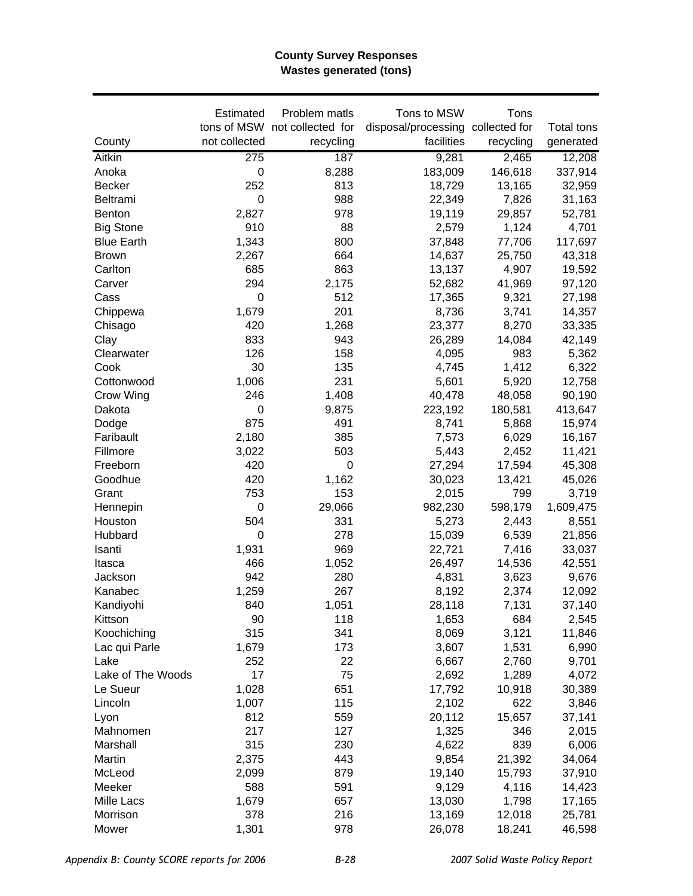#### **County Survey Responses Wastes generated (tons)**

|                   | Estimated        | Problem matls                 | Tons to MSW                       | Tons      |            |
|-------------------|------------------|-------------------------------|-----------------------------------|-----------|------------|
|                   |                  | tons of MSW not collected for | disposal/processing collected for |           | Total tons |
| County            | not collected    | recycling                     | facilities                        | recycling | generated  |
| Aitkin            | $\overline{275}$ | 187                           | 9,281                             | 2,465     | 12,208     |
| Anoka             | $\mathbf 0$      | 8,288                         | 183,009                           | 146,618   | 337,914    |
| <b>Becker</b>     | 252              | 813                           | 18,729                            | 13,165    | 32,959     |
| Beltrami          | $\mathbf 0$      | 988                           | 22,349                            | 7,826     | 31,163     |
| <b>Benton</b>     | 2,827            | 978                           | 19,119                            | 29,857    | 52,781     |
| <b>Big Stone</b>  | 910              | 88                            | 2,579                             | 1,124     | 4,701      |
| <b>Blue Earth</b> | 1,343            | 800                           | 37,848                            | 77,706    | 117,697    |
| <b>Brown</b>      | 2,267            | 664                           | 14,637                            | 25,750    | 43,318     |
| Carlton           | 685              | 863                           | 13,137                            | 4,907     | 19,592     |
| Carver            | 294              | 2,175                         | 52,682                            | 41,969    | 97,120     |
| Cass              | $\pmb{0}$        | 512                           | 17,365                            | 9,321     | 27,198     |
| Chippewa          | 1,679            | 201                           | 8,736                             | 3,741     | 14,357     |
| Chisago           | 420              | 1,268                         | 23,377                            | 8,270     | 33,335     |
| Clay              | 833              | 943                           | 26,289                            | 14,084    | 42,149     |
| Clearwater        | 126              | 158                           | 4,095                             | 983       | 5,362      |
| Cook              | 30               | 135                           | 4,745                             | 1,412     | 6,322      |
| Cottonwood        | 1,006            | 231                           | 5,601                             | 5,920     | 12,758     |
| Crow Wing         | 246              | 1,408                         | 40,478                            | 48,058    | 90,190     |
| Dakota            | $\mathbf 0$      | 9,875                         | 223,192                           | 180,581   | 413,647    |
| Dodge             | 875              | 491                           | 8,741                             | 5,868     | 15,974     |
| Faribault         | 2,180            | 385                           | 7,573                             | 6,029     | 16,167     |
| Fillmore          | 3,022            | 503                           | 5,443                             | 2,452     | 11,421     |
| Freeborn          | 420              | 0                             | 27,294                            | 17,594    | 45,308     |
| Goodhue           | 420              | 1,162                         | 30,023                            | 13,421    | 45,026     |
| Grant             | 753              | 153                           | 2,015                             | 799       | 3,719      |
| Hennepin          | 0                | 29,066                        | 982,230                           | 598,179   | 1,609,475  |
| Houston           | 504              | 331                           | 5,273                             | 2,443     | 8,551      |
| Hubbard           | $\mathbf 0$      | 278                           | 15,039                            | 6,539     | 21,856     |
| Isanti            | 1,931            | 969                           | 22,721                            | 7,416     | 33,037     |
| Itasca            | 466              | 1,052                         | 26,497                            | 14,536    | 42,551     |
| Jackson           | 942              | 280                           | 4,831                             | 3,623     | 9,676      |
| Kanabec           | 1,259            | 267                           | 8,192                             | 2,374     | 12,092     |
| Kandiyohi         | 840              | 1,051                         | 28,118                            | 7,131     | 37,140     |
| Kittson           | 90               | 118                           | 1,653                             | 684       | 2,545      |
| Koochiching       | 315              | 341                           | 8,069                             | 3,121     | 11,846     |
| Lac qui Parle     | 1,679            | 173                           | 3,607                             | 1,531     | 6,990      |
| Lake              | 252              | 22                            | 6,667                             | 2,760     | 9,701      |
| Lake of The Woods | 17               | 75                            | 2,692                             | 1,289     | 4,072      |
| Le Sueur          | 1,028            | 651                           | 17,792                            | 10,918    | 30,389     |
| Lincoln           | 1,007            | 115                           | 2,102                             | 622       | 3,846      |
| Lyon              | 812              | 559                           | 20,112                            | 15,657    | 37,141     |
| Mahnomen          | 217              | 127                           | 1,325                             | 346       | 2,015      |
| Marshall          | 315              | 230                           | 4,622                             | 839       | 6,006      |
| Martin            | 2,375            | 443                           | 9,854                             | 21,392    | 34,064     |
| McLeod            | 2,099            | 879                           | 19,140                            | 15,793    | 37,910     |
| Meeker            | 588              | 591                           | 9,129                             | 4,116     | 14,423     |
| Mille Lacs        | 1,679            | 657                           | 13,030                            | 1,798     | 17,165     |
| Morrison          | 378              | 216                           | 13,169                            | 12,018    | 25,781     |
| Mower             | 1,301            | 978                           | 26,078                            | 18,241    | 46,598     |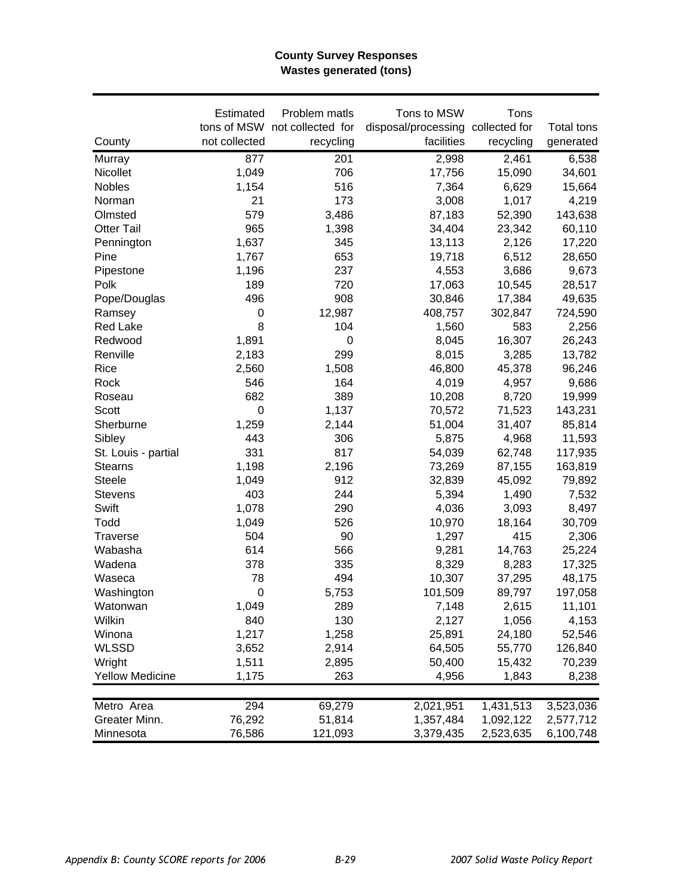### **County Survey Responses Wastes generated (tons)**

|                        | Estimated        | Problem matls                 | Tons to MSW                       | Tons      |            |
|------------------------|------------------|-------------------------------|-----------------------------------|-----------|------------|
|                        |                  | tons of MSW not collected for | disposal/processing collected for |           | Total tons |
| County                 | not collected    | recycling                     | facilities                        | recycling | generated  |
| Murray                 | 877              | 201                           | 2,998                             | 2,461     | 6,538      |
| Nicollet               | 1,049            | 706                           | 17,756                            | 15,090    | 34,601     |
| Nobles                 | 1,154            | 516                           | 7,364                             | 6,629     | 15,664     |
| Norman                 | 21               | 173                           | 3,008                             | 1,017     | 4,219      |
| Olmsted                | 579              | 3,486                         | 87,183                            | 52,390    | 143,638    |
| <b>Otter Tail</b>      | 965              | 1,398                         | 34,404                            | 23,342    | 60,110     |
| Pennington             | 1,637            | 345                           | 13,113                            | 2,126     | 17,220     |
| Pine                   | 1,767            | 653                           | 19,718                            | 6,512     | 28,650     |
| Pipestone              | 1,196            | 237                           | 4,553                             | 3,686     | 9,673      |
| Polk                   | 189              | 720                           | 17,063                            | 10,545    | 28,517     |
| Pope/Douglas           | 496              | 908                           | 30,846                            | 17,384    | 49,635     |
| Ramsey                 | 0                | 12,987                        | 408,757                           | 302,847   | 724,590    |
| Red Lake               | 8                | 104                           | 1,560                             | 583       | 2,256      |
| Redwood                | 1,891            | 0                             | 8,045                             | 16,307    | 26,243     |
| Renville               | 2,183            | 299                           | 8,015                             | 3,285     | 13,782     |
| Rice                   | 2,560            | 1,508                         | 46,800                            | 45,378    | 96,246     |
| Rock                   | 546              | 164                           | 4,019                             | 4,957     | 9,686      |
| Roseau                 | 682              | 389                           | 10,208                            | 8,720     | 19,999     |
| Scott                  | $\mathbf 0$      | 1,137                         | 70,572                            | 71,523    | 143,231    |
| Sherburne              | 1,259            | 2,144                         | 51,004                            | 31,407    | 85,814     |
| Sibley                 | 443              | 306                           | 5,875                             | 4,968     | 11,593     |
| St. Louis - partial    | 331              | 817                           | 54,039                            | 62,748    | 117,935    |
| <b>Stearns</b>         | 1,198            | 2,196                         | 73,269                            | 87,155    | 163,819    |
| <b>Steele</b>          | 1,049            | 912                           | 32,839                            | 45,092    | 79,892     |
| <b>Stevens</b>         | 403              | 244                           | 5,394                             | 1,490     | 7,532      |
| Swift                  | 1,078            | 290                           | 4,036                             | 3,093     | 8,497      |
| Todd                   | 1,049            | 526                           | 10,970                            | 18,164    | 30,709     |
| Traverse               | 504              | 90                            | 1,297                             | 415       | 2,306      |
| Wabasha                | 614              | 566                           | 9,281                             | 14,763    | 25,224     |
| Wadena                 | 378              | 335                           | 8,329                             | 8,283     | 17,325     |
| Waseca                 | 78               | 494                           | 10,307                            | 37,295    | 48,175     |
| Washington             | $\boldsymbol{0}$ | 5,753                         | 101,509                           | 89,797    | 197,058    |
| Watonwan               | 1,049            | 289                           | 7,148                             | 2,615     | 11,101     |
| Wilkin                 | 840              | 130                           | 2,127                             | 1,056     | 4,153      |
| Winona                 | 1,217            | 1,258                         | 25,891                            | 24,180    | 52,546     |
| <b>WLSSD</b>           | 3,652            | 2,914                         | 64,505                            | 55,770    | 126,840    |
| Wright                 | 1,511            | 2,895                         | 50,400                            | 15,432    | 70,239     |
| <b>Yellow Medicine</b> | 1,175            | 263                           | 4,956                             | 1,843     | 8,238      |
|                        |                  |                               |                                   |           |            |
| Metro Area             | 294              | 69,279                        | 2,021,951                         | 1,431,513 | 3,523,036  |
| Greater Minn.          | 76,292           | 51,814                        | 1,357,484                         | 1,092,122 | 2,577,712  |
| Minnesota              | 76,586           | 121,093                       | 3,379,435                         | 2,523,635 | 6,100,748  |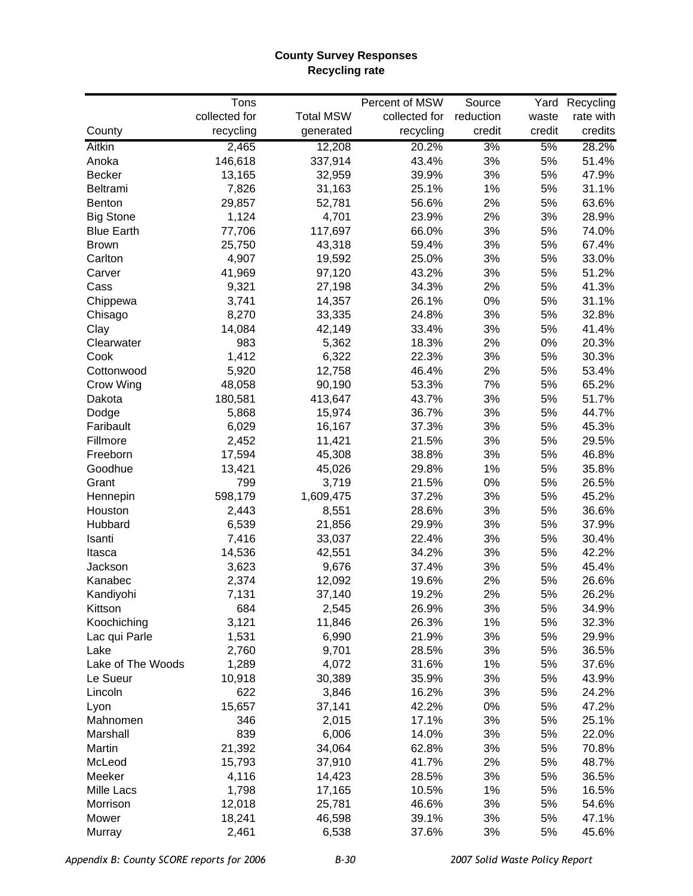### **County Survey Responses Recycling rate**

|                   | Tons          |                  | Percent of MSW | Source    |        | Yard Recycling |
|-------------------|---------------|------------------|----------------|-----------|--------|----------------|
|                   | collected for | <b>Total MSW</b> | collected for  | reduction | waste  | rate with      |
| County            | recycling     | generated        | recycling      | credit    | credit | credits        |
| Aitkin            | 2,465         | 12,208           | 20.2%          | 3%        | 5%     | 28.2%          |
| Anoka             | 146,618       | 337,914          | 43.4%          | 3%        | 5%     | 51.4%          |
| <b>Becker</b>     | 13,165        | 32,959           | 39.9%          | 3%        | 5%     | 47.9%          |
| Beltrami          | 7,826         | 31,163           | 25.1%          | 1%        | 5%     | 31.1%          |
| Benton            | 29,857        | 52,781           | 56.6%          | 2%        | 5%     | 63.6%          |
| <b>Big Stone</b>  | 1,124         | 4,701            | 23.9%          | 2%        | 3%     | 28.9%          |
| <b>Blue Earth</b> | 77,706        | 117,697          | 66.0%          | 3%        | 5%     | 74.0%          |
| Brown             | 25,750        | 43,318           | 59.4%          | 3%        | 5%     | 67.4%          |
| Carlton           | 4,907         | 19,592           | 25.0%          | 3%        | 5%     | 33.0%          |
| Carver            | 41,969        | 97,120           | 43.2%          | 3%        | 5%     | 51.2%          |
| Cass              | 9,321         | 27,198           | 34.3%          | 2%        | 5%     | 41.3%          |
| Chippewa          | 3,741         | 14,357           | 26.1%          | 0%        | 5%     | 31.1%          |
| Chisago           | 8,270         | 33,335           | 24.8%          | 3%        | 5%     | 32.8%          |
| Clay              | 14,084        | 42,149           | 33.4%          | 3%        | 5%     | 41.4%          |
| Clearwater        | 983           | 5,362            | 18.3%          | 2%        | $0\%$  | 20.3%          |
| Cook              | 1,412         | 6,322            | 22.3%          | 3%        | 5%     | 30.3%          |
| Cottonwood        | 5,920         | 12,758           | 46.4%          | 2%        | 5%     | 53.4%          |
| Crow Wing         | 48,058        | 90,190           | 53.3%          | 7%        | 5%     | 65.2%          |
| Dakota            | 180,581       | 413,647          | 43.7%          | 3%        | 5%     | 51.7%          |
| Dodge             | 5,868         | 15,974           | 36.7%          | 3%        | 5%     | 44.7%          |
| Faribault         | 6,029         | 16,167           | 37.3%          | 3%        | 5%     | 45.3%          |
| Fillmore          | 2,452         | 11,421           | 21.5%          | 3%        | 5%     | 29.5%          |
| Freeborn          | 17,594        | 45,308           | 38.8%          | 3%        | 5%     | 46.8%          |
| Goodhue           | 13,421        | 45,026           | 29.8%          | 1%        | 5%     | 35.8%          |
| Grant             | 799           | 3,719            | 21.5%          | 0%        | 5%     | 26.5%          |
| Hennepin          | 598,179       | 1,609,475        | 37.2%          | 3%        | 5%     | 45.2%          |
| Houston           | 2,443         | 8,551            | 28.6%          | 3%        | 5%     | 36.6%          |
| Hubbard           | 6,539         | 21,856           | 29.9%          | 3%        | 5%     | 37.9%          |
|                   |               |                  |                |           |        |                |
| Isanti            | 7,416         | 33,037           | 22.4%          | 3%        | 5%     | 30.4%          |
| Itasca            | 14,536        | 42,551           | 34.2%          | 3%        | 5%     | 42.2%          |
| Jackson           | 3,623         | 9,676            | 37.4%          | 3%        | 5%     | 45.4%          |
| Kanabec           | 2,374         | 12,092           | 19.6%          | 2%        | 5%     | 26.6%          |
| Kandiyohi         | 7,131         | 37,140           | 19.2%          | 2%        | 5%     | 26.2%          |
| Kittson           | 684           | 2,545            | 26.9%          | 3%        | 5%     | 34.9%          |
| Koochiching       | 3,121         | 11,846           | 26.3%          | 1%        | 5%     | 32.3%          |
| Lac qui Parle     | 1,531         | 6,990            | 21.9%          | 3%        | 5%     | 29.9%          |
| Lake              | 2,760         | 9,701            | 28.5%          | 3%        | 5%     | 36.5%          |
| Lake of The Woods | 1,289         | 4,072            | 31.6%          | 1%        | 5%     | 37.6%          |
| Le Sueur          | 10,918        | 30,389           | 35.9%          | 3%        | 5%     | 43.9%          |
| Lincoln           | 622           | 3,846            | 16.2%          | 3%        | 5%     | 24.2%          |
| Lyon              | 15,657        | 37,141           | 42.2%          | 0%        | 5%     | 47.2%          |
| Mahnomen          | 346           | 2,015            | 17.1%          | 3%        | 5%     | 25.1%          |
| Marshall          | 839           | 6,006            | 14.0%          | 3%        | 5%     | 22.0%          |
| Martin            | 21,392        | 34,064           | 62.8%          | 3%        | 5%     | 70.8%          |
| McLeod            | 15,793        | 37,910           | 41.7%          | 2%        | 5%     | 48.7%          |
| Meeker            | 4,116         | 14,423           | 28.5%          | 3%        | 5%     | 36.5%          |
| Mille Lacs        | 1,798         | 17,165           | 10.5%          | 1%        | 5%     | 16.5%          |
| Morrison          | 12,018        | 25,781           | 46.6%          | 3%        | 5%     | 54.6%          |
| Mower             | 18,241        | 46,598           | 39.1%          | 3%        | 5%     | 47.1%          |
| Murray            | 2,461         | 6,538            | 37.6%          | 3%        | 5%     | 45.6%          |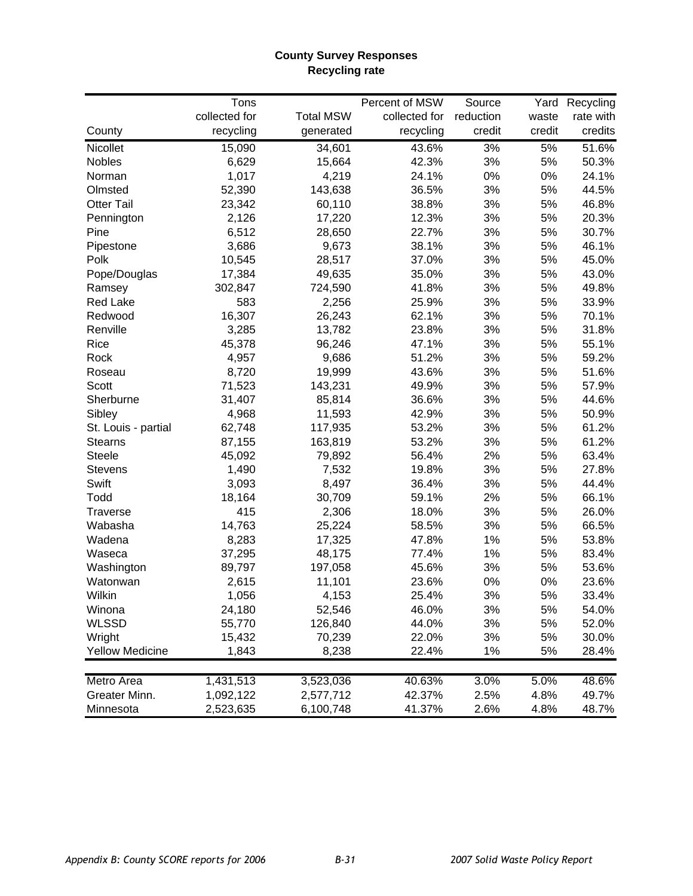### **County Survey Responses Recycling rate**

|                        | Tons          |                  | Percent of MSW | Source    |        | Yard Recycling |
|------------------------|---------------|------------------|----------------|-----------|--------|----------------|
|                        | collected for | <b>Total MSW</b> | collected for  | reduction | waste  | rate with      |
| County                 | recycling     | generated        | recycling      | credit    | credit | credits        |
| Nicollet               | 15,090        | 34,601           | 43.6%          | 3%        | 5%     | 51.6%          |
| Nobles                 | 6,629         | 15,664           | 42.3%          | 3%        | 5%     | 50.3%          |
| Norman                 | 1,017         | 4,219            | 24.1%          | 0%        | 0%     | 24.1%          |
| Olmsted                | 52,390        | 143,638          | 36.5%          | 3%        | 5%     | 44.5%          |
| <b>Otter Tail</b>      | 23,342        | 60,110           | 38.8%          | 3%        | 5%     | 46.8%          |
| Pennington             | 2,126         | 17,220           | 12.3%          | 3%        | 5%     | 20.3%          |
| Pine                   | 6,512         | 28,650           | 22.7%          | 3%        | 5%     | 30.7%          |
| Pipestone              | 3,686         | 9,673            | 38.1%          | 3%        | 5%     | 46.1%          |
| Polk                   | 10,545        | 28,517           | 37.0%          | 3%        | 5%     | 45.0%          |
| Pope/Douglas           | 17,384        | 49,635           | 35.0%          | 3%        | 5%     | 43.0%          |
| Ramsey                 | 302,847       | 724,590          | 41.8%          | 3%        | 5%     | 49.8%          |
| <b>Red Lake</b>        | 583           | 2,256            | 25.9%          | 3%        | 5%     | 33.9%          |
| Redwood                | 16,307        | 26,243           | 62.1%          | 3%        | 5%     | 70.1%          |
| Renville               | 3,285         | 13,782           | 23.8%          | 3%        | 5%     | 31.8%          |
| Rice                   | 45,378        | 96,246           | 47.1%          | 3%        | 5%     | 55.1%          |
| Rock                   | 4,957         | 9,686            | 51.2%          | 3%        | 5%     | 59.2%          |
| Roseau                 | 8,720         | 19,999           | 43.6%          | 3%        | 5%     | 51.6%          |
| Scott                  | 71,523        | 143,231          | 49.9%          | 3%        | 5%     | 57.9%          |
| Sherburne              | 31,407        | 85,814           | 36.6%          | 3%        | 5%     | 44.6%          |
| Sibley                 | 4,968         | 11,593           | 42.9%          | 3%        | 5%     | 50.9%          |
| St. Louis - partial    | 62,748        | 117,935          | 53.2%          | 3%        | 5%     | 61.2%          |
| <b>Stearns</b>         | 87,155        | 163,819          | 53.2%          | 3%        | 5%     | 61.2%          |
| <b>Steele</b>          | 45,092        | 79,892           | 56.4%          | 2%        | 5%     | 63.4%          |
| <b>Stevens</b>         | 1,490         | 7,532            | 19.8%          | 3%        | 5%     | 27.8%          |
| Swift                  | 3,093         | 8,497            | 36.4%          | 3%        | 5%     | 44.4%          |
| Todd                   | 18,164        | 30,709           | 59.1%          | 2%        | 5%     | 66.1%          |
| <b>Traverse</b>        | 415           | 2,306            | 18.0%          | 3%        | 5%     | 26.0%          |
| Wabasha                | 14,763        | 25,224           | 58.5%          | 3%        | 5%     | 66.5%          |
| Wadena                 | 8,283         | 17,325           | 47.8%          | 1%        | 5%     | 53.8%          |
| Waseca                 | 37,295        | 48,175           | 77.4%          | 1%        | 5%     | 83.4%          |
| Washington             | 89,797        | 197,058          | 45.6%          | 3%        | 5%     | 53.6%          |
| Watonwan               | 2,615         | 11,101           | 23.6%          | 0%        | $0\%$  | 23.6%          |
| Wilkin                 | 1,056         | 4,153            | 25.4%          | 3%        | 5%     | 33.4%          |
| Winona                 | 24,180        | 52,546           | 46.0%          | 3%        | 5%     | 54.0%          |
| <b>WLSSD</b>           | 55,770        | 126,840          | 44.0%          | 3%        | 5%     | 52.0%          |
| Wright                 | 15,432        | 70,239           | 22.0%          | 3%        | 5%     | 30.0%          |
| <b>Yellow Medicine</b> | 1,843         | 8,238            | 22.4%          | 1%        | 5%     | 28.4%          |
|                        |               |                  |                |           |        |                |
| Metro Area             | 1,431,513     | 3,523,036        | 40.63%         | 3.0%      | 5.0%   | 48.6%          |
| Greater Minn.          | 1,092,122     | 2,577,712        | 42.37%         | 2.5%      | 4.8%   | 49.7%          |
| Minnesota              | 2,523,635     | 6,100,748        | 41.37%         | 2.6%      | 4.8%   | 48.7%          |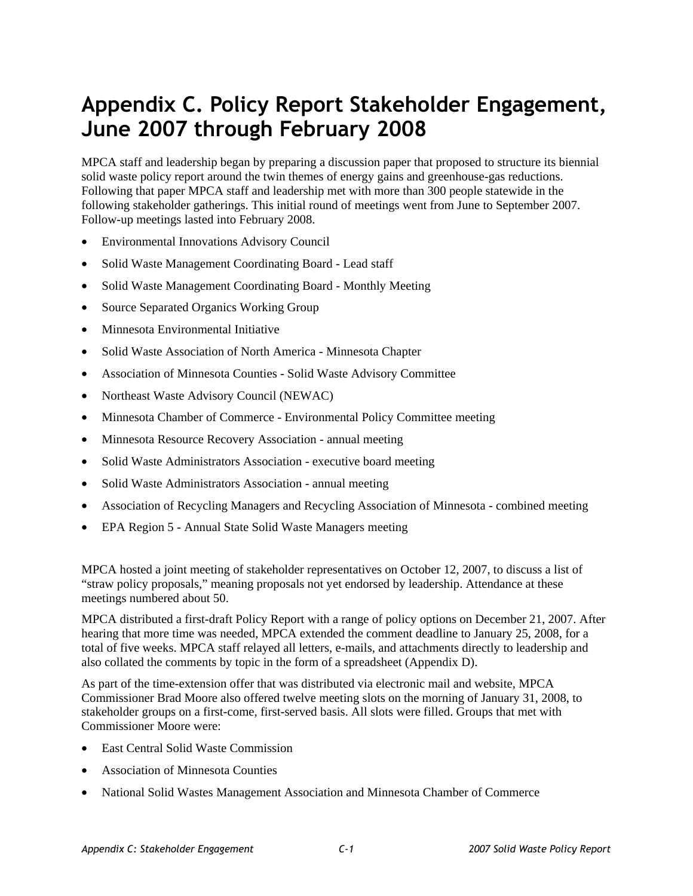# **Appendix C. Policy Report Stakeholder Engagement, June 2007 through February 2008**

MPCA staff and leadership began by preparing a discussion paper that proposed to structure its biennial solid waste policy report around the twin themes of energy gains and greenhouse-gas reductions. Following that paper MPCA staff and leadership met with more than 300 people statewide in the following stakeholder gatherings. This initial round of meetings went from June to September 2007. Follow-up meetings lasted into February 2008.

- Environmental Innovations Advisory Council
- Solid Waste Management Coordinating Board Lead staff
- Solid Waste Management Coordinating Board Monthly Meeting
- Source Separated Organics Working Group
- Minnesota Environmental Initiative
- Solid Waste Association of North America Minnesota Chapter
- Association of Minnesota Counties Solid Waste Advisory Committee
- Northeast Waste Advisory Council (NEWAC)
- Minnesota Chamber of Commerce Environmental Policy Committee meeting
- Minnesota Resource Recovery Association annual meeting
- Solid Waste Administrators Association executive board meeting
- Solid Waste Administrators Association annual meeting
- Association of Recycling Managers and Recycling Association of Minnesota combined meeting
- EPA Region 5 Annual State Solid Waste Managers meeting

MPCA hosted a joint meeting of stakeholder representatives on October 12, 2007, to discuss a list of "straw policy proposals," meaning proposals not yet endorsed by leadership. Attendance at these meetings numbered about 50.

MPCA distributed a first-draft Policy Report with a range of policy options on December 21, 2007. After hearing that more time was needed, MPCA extended the comment deadline to January 25, 2008, for a total of five weeks. MPCA staff relayed all letters, e-mails, and attachments directly to leadership and also collated the comments by topic in the form of a spreadsheet (Appendix D).

As part of the time-extension offer that was distributed via electronic mail and website, MPCA Commissioner Brad Moore also offered twelve meeting slots on the morning of January 31, 2008, to stakeholder groups on a first-come, first-served basis. All slots were filled. Groups that met with Commissioner Moore were:

- East Central Solid Waste Commission
- Association of Minnesota Counties
- National Solid Wastes Management Association and Minnesota Chamber of Commerce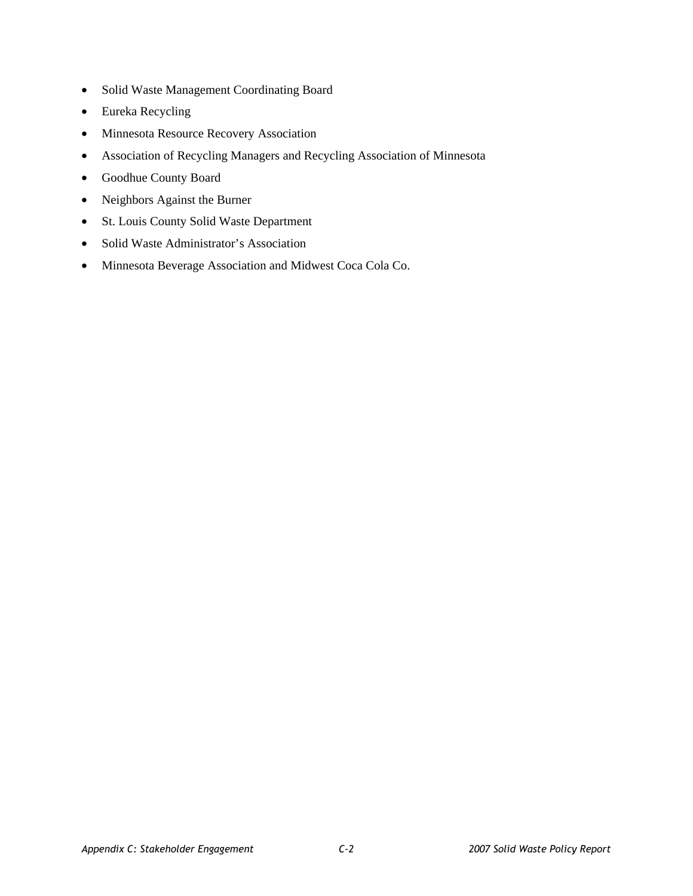- Solid Waste Management Coordinating Board
- Eureka Recycling
- Minnesota Resource Recovery Association
- Association of Recycling Managers and Recycling Association of Minnesota
- Goodhue County Board
- Neighbors Against the Burner
- St. Louis County Solid Waste Department
- Solid Waste Administrator's Association
- Minnesota Beverage Association and Midwest Coca Cola Co.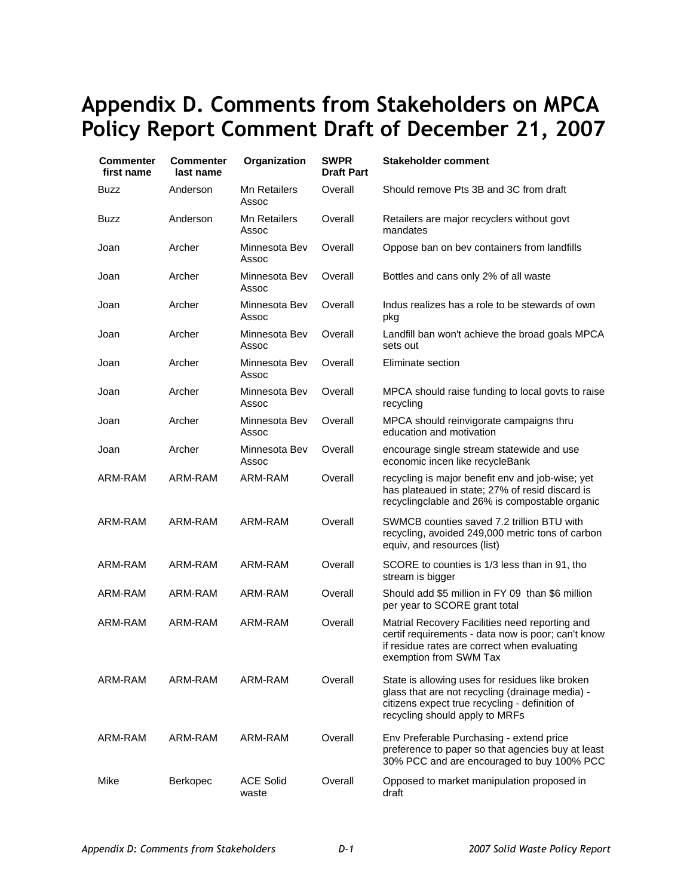# **Appendix D. Comments from Stakeholders on MPCA Policy Report Comment Draft of December 21, 2007**

| Commenter<br>first name | Commenter<br>last name | Organization                 | <b>SWPR</b><br><b>Draft Part</b> | <b>Stakeholder comment</b>                                                                                                                                                             |
|-------------------------|------------------------|------------------------------|----------------------------------|----------------------------------------------------------------------------------------------------------------------------------------------------------------------------------------|
| Buzz                    | Anderson               | <b>Mn Retailers</b><br>Assoc | Overall                          | Should remove Pts 3B and 3C from draft                                                                                                                                                 |
| <b>Buzz</b>             | Anderson               | <b>Mn Retailers</b><br>Assoc | Overall                          | Retailers are major recyclers without govt<br>mandates                                                                                                                                 |
| Joan                    | Archer                 | Minnesota Bev<br>Assoc       | Overall                          | Oppose ban on bev containers from landfills                                                                                                                                            |
| Joan                    | Archer                 | Minnesota Bev<br>Assoc       | Overall                          | Bottles and cans only 2% of all waste                                                                                                                                                  |
| Joan                    | Archer                 | Minnesota Bev<br>Assoc       | Overall                          | Indus realizes has a role to be stewards of own<br>pkg                                                                                                                                 |
| Joan                    | Archer                 | Minnesota Bev<br>Assoc       | Overall                          | Landfill ban won't achieve the broad goals MPCA<br>sets out                                                                                                                            |
| Joan                    | Archer                 | Minnesota Bev<br>Assoc       | Overall                          | Eliminate section                                                                                                                                                                      |
| Joan                    | Archer                 | Minnesota Bev<br>Assoc       | Overall                          | MPCA should raise funding to local govts to raise<br>recycling                                                                                                                         |
| Joan                    | Archer                 | Minnesota Bev<br>Assoc       | Overall                          | MPCA should reinvigorate campaigns thru<br>education and motivation                                                                                                                    |
| Joan                    | Archer                 | Minnesota Bev<br>Assoc       | Overall                          | encourage single stream statewide and use<br>economic incen like recycleBank                                                                                                           |
| ARM-RAM                 | ARM-RAM                | ARM-RAM                      | Overall                          | recycling is major benefit env and job-wise; yet<br>has plateaued in state; 27% of resid discard is<br>recyclingclable and 26% is compostable organic                                  |
| ARM-RAM                 | ARM-RAM                | ARM-RAM                      | Overall                          | SWMCB counties saved 7.2 trillion BTU with<br>recycling, avoided 249,000 metric tons of carbon<br>equiv, and resources (list)                                                          |
| ARM-RAM                 | ARM-RAM                | ARM-RAM                      | Overall                          | SCORE to counties is 1/3 less than in 91, tho<br>stream is bigger                                                                                                                      |
| ARM-RAM                 | ARM-RAM                | ARM-RAM                      | Overall                          | Should add \$5 million in FY 09 than \$6 million<br>per year to SCORE grant total                                                                                                      |
| ARM-RAM                 | ARM-RAM                | ARM-RAM                      | Overall                          | Matrial Recovery Facilities need reporting and<br>certif requirements - data now is poor; can't know<br>if residue rates are correct when evaluating<br>exemption from SWM Tax         |
| ARM-RAM                 | ARM-RAM                | ARM-RAM                      | Overall                          | State is allowing uses for residues like broken<br>glass that are not recycling (drainage media) -<br>citizens expect true recycling - definition of<br>recycling should apply to MRFs |
| ARM-RAM                 | ARM-RAM                | ARM-RAM                      | Overall                          | Env Preferable Purchasing - extend price<br>preference to paper so that agencies buy at least<br>30% PCC and are encouraged to buy 100% PCC                                            |
| Mike                    | Berkopec               | <b>ACE Solid</b><br>waste    | Overall                          | Opposed to market manipulation proposed in<br>draft                                                                                                                                    |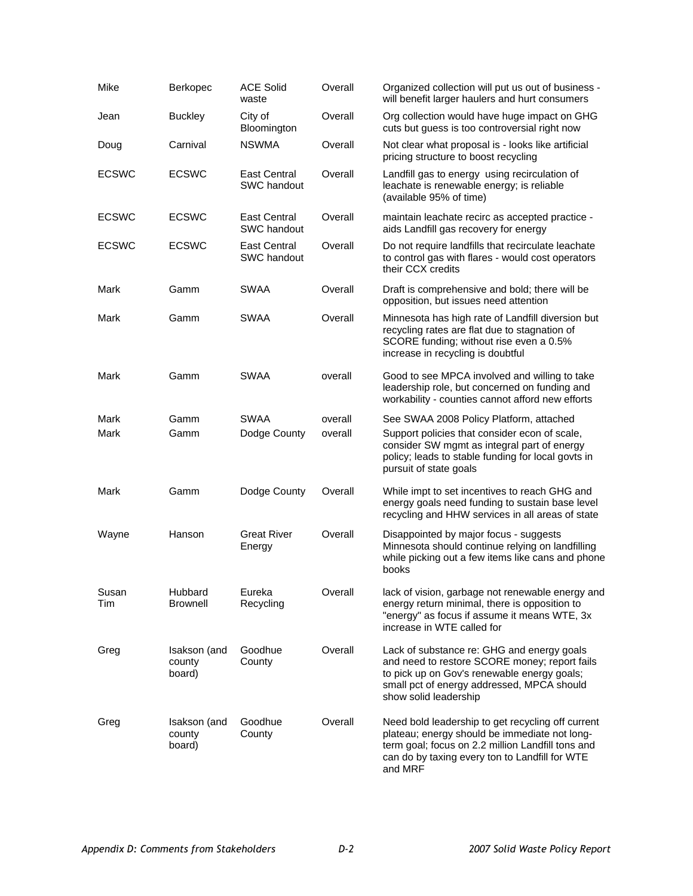| Mike         | <b>Berkopec</b>                  | <b>ACE Solid</b><br>waste          | Overall | Organized collection will put us out of business -<br>will benefit larger haulers and hurt consumers                                                                                                                 |
|--------------|----------------------------------|------------------------------------|---------|----------------------------------------------------------------------------------------------------------------------------------------------------------------------------------------------------------------------|
| Jean         | <b>Buckley</b>                   | City of<br>Bloomington             | Overall | Org collection would have huge impact on GHG<br>cuts but guess is too controversial right now                                                                                                                        |
| Doug         | Carnival                         | <b>NSWMA</b>                       | Overall | Not clear what proposal is - looks like artificial<br>pricing structure to boost recycling                                                                                                                           |
| <b>ECSWC</b> | <b>ECSWC</b>                     | <b>East Central</b><br>SWC handout | Overall | Landfill gas to energy using recirculation of<br>leachate is renewable energy; is reliable<br>(available 95% of time)                                                                                                |
| <b>ECSWC</b> | <b>ECSWC</b>                     | <b>East Central</b><br>SWC handout | Overall | maintain leachate recirc as accepted practice -<br>aids Landfill gas recovery for energy                                                                                                                             |
| <b>ECSWC</b> | <b>ECSWC</b>                     | East Central<br>SWC handout        | Overall | Do not require landfills that recirculate leachate<br>to control gas with flares - would cost operators<br>their CCX credits                                                                                         |
| Mark         | Gamm                             | SWAA                               | Overall | Draft is comprehensive and bold; there will be<br>opposition, but issues need attention                                                                                                                              |
| Mark         | Gamm                             | SWAA                               | Overall | Minnesota has high rate of Landfill diversion but<br>recycling rates are flat due to stagnation of<br>SCORE funding; without rise even a 0.5%<br>increase in recycling is doubtful                                   |
| Mark         | Gamm                             | SWAA                               | overall | Good to see MPCA involved and willing to take<br>leadership role, but concerned on funding and<br>workability - counties cannot afford new efforts                                                                   |
| Mark         | Gamm                             | <b>SWAA</b>                        | overall | See SWAA 2008 Policy Platform, attached                                                                                                                                                                              |
| Mark         | Gamm                             | Dodge County                       | overall | Support policies that consider econ of scale,<br>consider SW mgmt as integral part of energy<br>policy; leads to stable funding for local govts in<br>pursuit of state goals                                         |
| Mark         | Gamm                             | Dodge County                       | Overall | While impt to set incentives to reach GHG and<br>energy goals need funding to sustain base level<br>recycling and HHW services in all areas of state                                                                 |
| Wayne        | Hanson                           | <b>Great River</b><br>Energy       | Overall | Disappointed by major focus - suggests<br>Minnesota should continue relying on landfilling<br>while picking out a few items like cans and phone<br>books                                                             |
| Susan<br>Tim | Hubbard<br><b>Brownell</b>       | Eureka<br>Recycling                | Overall | lack of vision, garbage not renewable energy and<br>energy return minimal, there is opposition to<br>"energy" as focus if assume it means WTE, 3x<br>increase in WTE called for                                      |
| Greg         | Isakson (and<br>county<br>board) | Goodhue<br>County                  | Overall | Lack of substance re: GHG and energy goals<br>and need to restore SCORE money; report fails<br>to pick up on Gov's renewable energy goals;<br>small pct of energy addressed, MPCA should<br>show solid leadership    |
| Greg         | Isakson (and<br>county<br>board) | Goodhue<br>County                  | Overall | Need bold leadership to get recycling off current<br>plateau; energy should be immediate not long-<br>term goal; focus on 2.2 million Landfill tons and<br>can do by taxing every ton to Landfill for WTE<br>and MRF |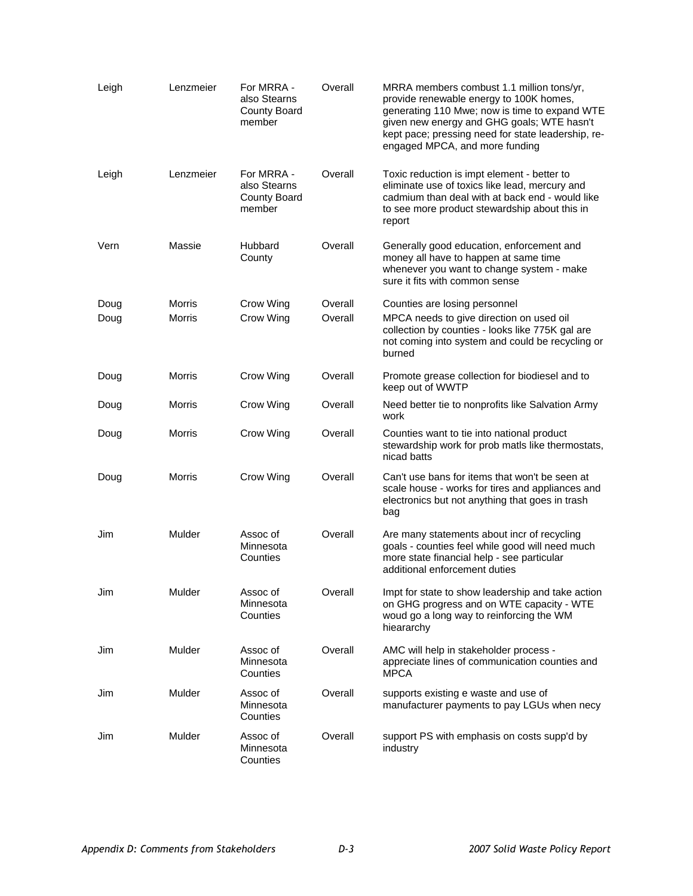| Leigh | Lenzmeier | For MRRA -<br>also Stearns<br>County Board<br>member        | Overall | MRRA members combust 1.1 million tons/yr,<br>provide renewable energy to 100K homes,<br>generating 110 Mwe; now is time to expand WTE<br>given new energy and GHG goals; WTE hasn't<br>kept pace; pressing need for state leadership, re-<br>engaged MPCA, and more funding |
|-------|-----------|-------------------------------------------------------------|---------|-----------------------------------------------------------------------------------------------------------------------------------------------------------------------------------------------------------------------------------------------------------------------------|
| Leigh | Lenzmeier | For MRRA -<br>also Stearns<br><b>County Board</b><br>member | Overall | Toxic reduction is impt element - better to<br>eliminate use of toxics like lead, mercury and<br>cadmium than deal with at back end - would like<br>to see more product stewardship about this in<br>report                                                                 |
| Vern  | Massie    | Hubbard<br>County                                           | Overall | Generally good education, enforcement and<br>money all have to happen at same time<br>whenever you want to change system - make<br>sure it fits with common sense                                                                                                           |
| Doug  | Morris    | Crow Wing                                                   | Overall | Counties are losing personnel                                                                                                                                                                                                                                               |
| Doug  | Morris    | Crow Wing                                                   | Overall | MPCA needs to give direction on used oil<br>collection by counties - looks like 775K gal are<br>not coming into system and could be recycling or<br>burned                                                                                                                  |
| Doug  | Morris    | Crow Wing                                                   | Overall | Promote grease collection for biodiesel and to<br>keep out of WWTP                                                                                                                                                                                                          |
| Doug  | Morris    | Crow Wing                                                   | Overall | Need better tie to nonprofits like Salvation Army<br>work                                                                                                                                                                                                                   |
| Doug  | Morris    | Crow Wing                                                   | Overall | Counties want to tie into national product<br>stewardship work for prob matls like thermostats,<br>nicad batts                                                                                                                                                              |
| Doug  | Morris    | Crow Wing                                                   | Overall | Can't use bans for items that won't be seen at<br>scale house - works for tires and appliances and<br>electronics but not anything that goes in trash<br>bag                                                                                                                |
| Jim   | Mulder    | Assoc of<br>Minnesota<br>Counties                           | Overall | Are many statements about incr of recycling<br>goals - counties feel while good will need much<br>more state financial help - see particular<br>additional enforcement duties                                                                                               |
| Jim   | Mulder    | Assoc of<br>Minnesota<br>Counties                           | Overall | Impt for state to show leadership and take action<br>on GHG progress and on WTE capacity - WTE<br>woud go a long way to reinforcing the WM<br>hieararchy                                                                                                                    |
| Jim   | Mulder    | Assoc of<br>Minnesota<br>Counties                           | Overall | AMC will help in stakeholder process -<br>appreciate lines of communication counties and<br><b>MPCA</b>                                                                                                                                                                     |
| Jim   | Mulder    | Assoc of<br>Minnesota<br>Counties                           | Overall | supports existing e waste and use of<br>manufacturer payments to pay LGUs when necy                                                                                                                                                                                         |
| Jim   | Mulder    | Assoc of<br>Minnesota<br>Counties                           | Overall | support PS with emphasis on costs supp'd by<br>industry                                                                                                                                                                                                                     |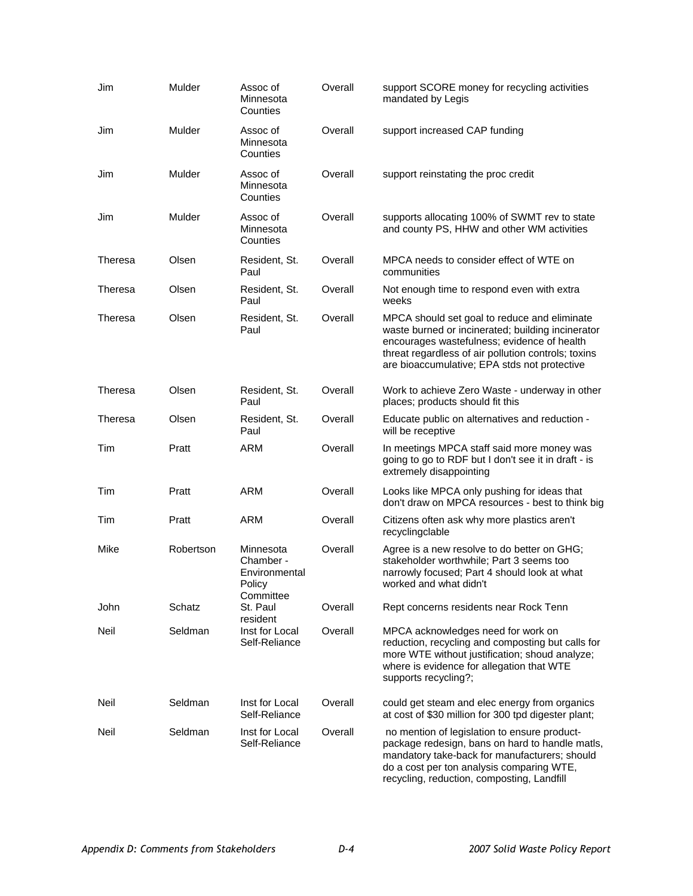| Jim            | Mulder    | Assoc of<br>Minnesota<br>Counties                 | Overall | support SCORE money for recycling activities<br>mandated by Legis                                                                                                                                                                                       |
|----------------|-----------|---------------------------------------------------|---------|---------------------------------------------------------------------------------------------------------------------------------------------------------------------------------------------------------------------------------------------------------|
| Jim            | Mulder    | Assoc of<br>Minnesota<br>Counties                 | Overall | support increased CAP funding                                                                                                                                                                                                                           |
| Jim            | Mulder    | Assoc of<br>Minnesota<br>Counties                 | Overall | support reinstating the proc credit                                                                                                                                                                                                                     |
| Jim            | Mulder    | Assoc of<br>Minnesota<br>Counties                 | Overall | supports allocating 100% of SWMT rev to state<br>and county PS, HHW and other WM activities                                                                                                                                                             |
| <b>Theresa</b> | Olsen     | Resident, St.<br>Paul                             | Overall | MPCA needs to consider effect of WTE on<br>communities                                                                                                                                                                                                  |
| Theresa        | Olsen     | Resident, St.<br>Paul                             | Overall | Not enough time to respond even with extra<br>weeks                                                                                                                                                                                                     |
| Theresa        | Olsen     | Resident, St.<br>Paul                             | Overall | MPCA should set goal to reduce and eliminate<br>waste burned or incinerated; building incinerator<br>encourages wastefulness; evidence of health<br>threat regardless of air pollution controls; toxins<br>are bioaccumulative; EPA stds not protective |
| Theresa        | Olsen     | Resident, St.<br>Paul                             | Overall | Work to achieve Zero Waste - underway in other<br>places; products should fit this                                                                                                                                                                      |
| Theresa        | Olsen     | Resident, St.<br>Paul                             | Overall | Educate public on alternatives and reduction -<br>will be receptive                                                                                                                                                                                     |
| Tim            | Pratt     | <b>ARM</b>                                        | Overall | In meetings MPCA staff said more money was<br>going to go to RDF but I don't see it in draft - is<br>extremely disappointing                                                                                                                            |
| Tim            | Pratt     | ARM                                               | Overall | Looks like MPCA only pushing for ideas that<br>don't draw on MPCA resources - best to think big                                                                                                                                                         |
| Tim            | Pratt     | ARM                                               | Overall | Citizens often ask why more plastics aren't<br>recyclingclable                                                                                                                                                                                          |
| Mike           | Robertson | Minnesota<br>Chamber -<br>Environmental<br>Policy | Overall | Agree is a new resolve to do better on GHG;<br>stakeholder worthwhile; Part 3 seems too<br>narrowly focused; Part 4 should look at what<br>worked and what didn't                                                                                       |
| John           | Schatz    | Committee<br>St. Paul<br>resident                 | Overall | Rept concerns residents near Rock Tenn                                                                                                                                                                                                                  |
| Neil           | Seldman   | Inst for Local<br>Self-Reliance                   | Overall | MPCA acknowledges need for work on<br>reduction, recycling and composting but calls for<br>more WTE without justification; shoud analyze;<br>where is evidence for allegation that WTE<br>supports recycling?;                                          |
| Neil           | Seldman   | Inst for Local<br>Self-Reliance                   | Overall | could get steam and elec energy from organics<br>at cost of \$30 million for 300 tpd digester plant;                                                                                                                                                    |
| Neil           | Seldman   | Inst for Local<br>Self-Reliance                   | Overall | no mention of legislation to ensure product-<br>package redesign, bans on hard to handle matls,<br>mandatory take-back for manufacturers; should<br>do a cost per ton analysis comparing WTE,<br>recycling, reduction, composting, Landfill             |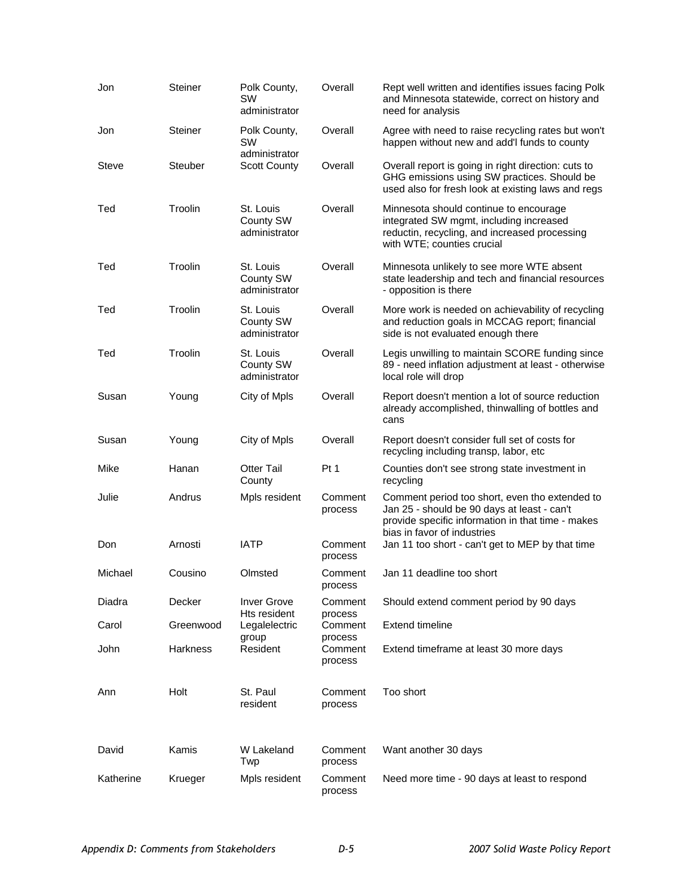| Jon       | <b>Steiner</b>  | Polk County,<br>sw<br>administrator     | Overall                       | Rept well written and identifies issues facing Polk<br>and Minnesota statewide, correct on history and<br>need for analysis                                                       |
|-----------|-----------------|-----------------------------------------|-------------------------------|-----------------------------------------------------------------------------------------------------------------------------------------------------------------------------------|
| Jon       | <b>Steiner</b>  | Polk County,<br>SW                      | Overall                       | Agree with need to raise recycling rates but won't<br>happen without new and add'I funds to county                                                                                |
| Steve     | <b>Steuber</b>  | administrator<br><b>Scott County</b>    | Overall                       | Overall report is going in right direction: cuts to<br>GHG emissions using SW practices. Should be<br>used also for fresh look at existing laws and regs                          |
| Ted       | Troolin         | St. Louis<br>County SW<br>administrator | Overall                       | Minnesota should continue to encourage<br>integrated SW mgmt, including increased<br>reductin, recycling, and increased processing<br>with WTE; counties crucial                  |
| Ted       | Troolin         | St. Louis<br>County SW<br>administrator | Overall                       | Minnesota unlikely to see more WTE absent<br>state leadership and tech and financial resources<br>- opposition is there                                                           |
| Ted       | Troolin         | St. Louis<br>County SW<br>administrator | Overall                       | More work is needed on achievability of recycling<br>and reduction goals in MCCAG report; financial<br>side is not evaluated enough there                                         |
| Ted       | Troolin         | St. Louis<br>County SW<br>administrator | Overall                       | Legis unwilling to maintain SCORE funding since<br>89 - need inflation adjustment at least - otherwise<br>local role will drop                                                    |
| Susan     | Young           | City of Mpls                            | Overall                       | Report doesn't mention a lot of source reduction<br>already accomplished, thinwalling of bottles and<br>cans                                                                      |
| Susan     | Young           | City of Mpls                            | Overall                       | Report doesn't consider full set of costs for<br>recycling including transp, labor, etc                                                                                           |
| Mike      | Hanan           | <b>Otter Tail</b><br>County             | Pt 1                          | Counties don't see strong state investment in<br>recycling                                                                                                                        |
| Julie     | Andrus          | Mpls resident                           | Comment<br>process            | Comment period too short, even tho extended to<br>Jan 25 - should be 90 days at least - can't<br>provide specific information in that time - makes<br>bias in favor of industries |
| Don       | Arnosti         | <b>IATP</b>                             | Comment<br>process            | Jan 11 too short - can't get to MEP by that time                                                                                                                                  |
| Michael   | Cousino         | Olmsted                                 | Comment<br>process            | Jan 11 deadline too short                                                                                                                                                         |
| Diadra    | Decker          | <b>Inver Grove</b><br>Hts resident      | Comment<br>process            | Should extend comment period by 90 days                                                                                                                                           |
| Carol     | Greenwood       | Legalelectric                           | Comment                       | <b>Extend timeline</b>                                                                                                                                                            |
| John      | <b>Harkness</b> | group<br>Resident                       | process<br>Comment<br>process | Extend timeframe at least 30 more days                                                                                                                                            |
| Ann       | Holt            | St. Paul<br>resident                    | Comment<br>process            | Too short                                                                                                                                                                         |
| David     | Kamis           | W Lakeland<br>Twp                       | Comment<br>process            | Want another 30 days                                                                                                                                                              |
| Katherine | Krueger         | Mpls resident                           | Comment<br>process            | Need more time - 90 days at least to respond                                                                                                                                      |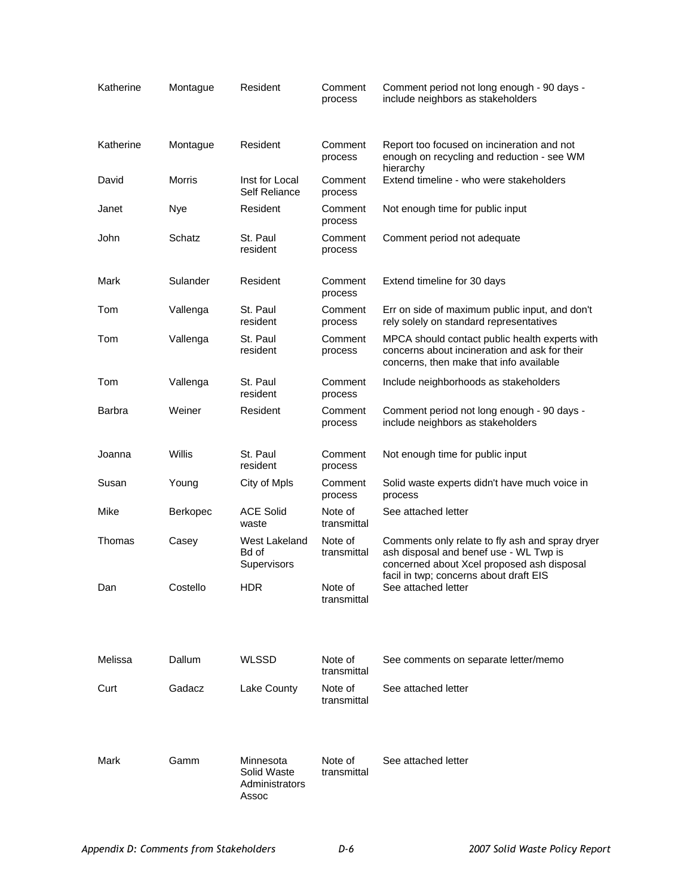| Katherine | Montague | Resident                                            | Comment<br>process     | Comment period not long enough - 90 days -<br>include neighbors as stakeholders                                                                                                   |
|-----------|----------|-----------------------------------------------------|------------------------|-----------------------------------------------------------------------------------------------------------------------------------------------------------------------------------|
| Katherine | Montague | Resident                                            | Comment<br>process     | Report too focused on incineration and not<br>enough on recycling and reduction - see WM<br>hierarchy                                                                             |
| David     | Morris   | Inst for Local<br><b>Self Reliance</b>              | Comment<br>process     | Extend timeline - who were stakeholders                                                                                                                                           |
| Janet     | Nye      | Resident                                            | Comment<br>process     | Not enough time for public input                                                                                                                                                  |
| John      | Schatz   | St. Paul<br>resident                                | Comment<br>process     | Comment period not adequate                                                                                                                                                       |
| Mark      | Sulander | Resident                                            | Comment<br>process     | Extend timeline for 30 days                                                                                                                                                       |
| Tom       | Vallenga | St. Paul<br>resident                                | Comment<br>process     | Err on side of maximum public input, and don't<br>rely solely on standard representatives                                                                                         |
| Tom       | Vallenga | St. Paul<br>resident                                | Comment<br>process     | MPCA should contact public health experts with<br>concerns about incineration and ask for their<br>concerns, then make that info available                                        |
| Tom       | Vallenga | St. Paul<br>resident                                | Comment<br>process     | Include neighborhoods as stakeholders                                                                                                                                             |
| Barbra    | Weiner   | Resident                                            | Comment<br>process     | Comment period not long enough - 90 days -<br>include neighbors as stakeholders                                                                                                   |
| Joanna    | Willis   | St. Paul<br>resident                                | Comment<br>process     | Not enough time for public input                                                                                                                                                  |
| Susan     | Young    | City of Mpls                                        | Comment<br>process     | Solid waste experts didn't have much voice in<br>process                                                                                                                          |
| Mike      | Berkopec | <b>ACE Solid</b><br>waste                           | Note of<br>transmittal | See attached letter                                                                                                                                                               |
| Thomas    | Casey    | West Lakeland<br>Bd of<br>Supervisors               | Note of<br>transmittal | Comments only relate to fly ash and spray dryer<br>ash disposal and benef use - WL Twp is<br>concerned about Xcel proposed ash disposal<br>facil in twp; concerns about draft EIS |
| Dan       | Costello | <b>HDR</b>                                          | Note of<br>transmittal | See attached letter                                                                                                                                                               |
| Melissa   | Dallum   | <b>WLSSD</b>                                        | Note of<br>transmittal | See comments on separate letter/memo                                                                                                                                              |
| Curt      | Gadacz   | Lake County                                         | Note of<br>transmittal | See attached letter                                                                                                                                                               |
| Mark      | Gamm     | Minnesota<br>Solid Waste<br>Administrators<br>Assoc | Note of<br>transmittal | See attached letter                                                                                                                                                               |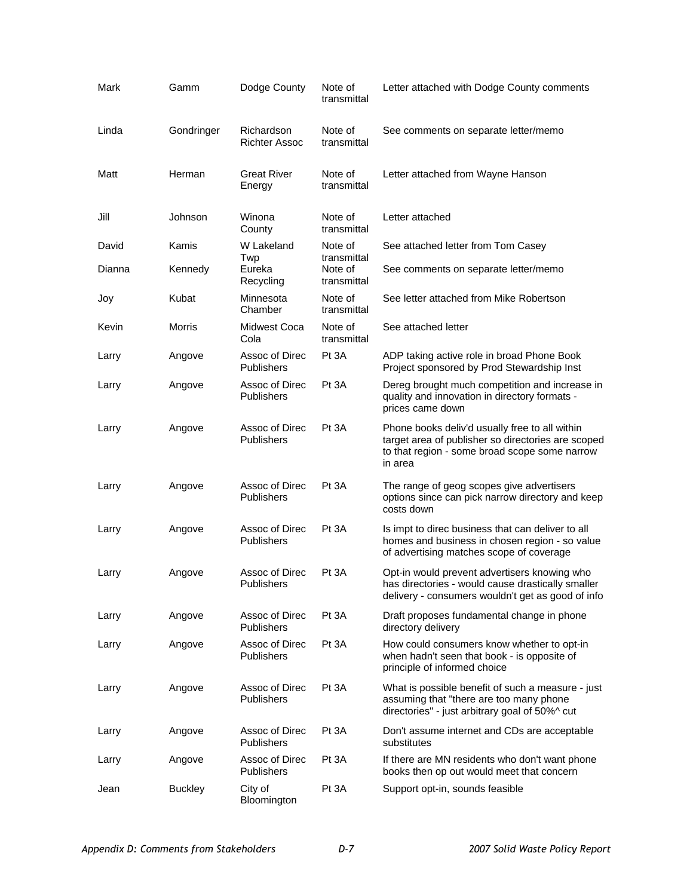| Mark   | Gamm           | Dodge County                        | Note of<br>transmittal                | Letter attached with Dodge County comments                                                                                                                       |
|--------|----------------|-------------------------------------|---------------------------------------|------------------------------------------------------------------------------------------------------------------------------------------------------------------|
| Linda  | Gondringer     | Richardson<br><b>Richter Assoc</b>  | Note of<br>transmittal                | See comments on separate letter/memo                                                                                                                             |
| Matt   | Herman         | <b>Great River</b><br>Energy        | Note of<br>transmittal                | Letter attached from Wayne Hanson                                                                                                                                |
| Jill   | Johnson        | Winona<br>County                    | Note of<br>transmittal                | Letter attached                                                                                                                                                  |
| David  | Kamis          | W Lakeland                          | Note of                               | See attached letter from Tom Casey                                                                                                                               |
| Dianna | Kennedy        | Twp<br>Eureka<br>Recycling          | transmittal<br>Note of<br>transmittal | See comments on separate letter/memo                                                                                                                             |
| Joy    | Kubat          | Minnesota<br>Chamber                | Note of<br>transmittal                | See letter attached from Mike Robertson                                                                                                                          |
| Kevin  | Morris         | <b>Midwest Coca</b><br>Cola         | Note of<br>transmittal                | See attached letter                                                                                                                                              |
| Larry  | Angove         | Assoc of Direc<br><b>Publishers</b> | Pt 3A                                 | ADP taking active role in broad Phone Book<br>Project sponsored by Prod Stewardship Inst                                                                         |
| Larry  | Angove         | Assoc of Direc<br>Publishers        | Pt 3A                                 | Dereg brought much competition and increase in<br>quality and innovation in directory formats -<br>prices came down                                              |
| Larry  | Angove         | Assoc of Direc<br><b>Publishers</b> | Pt 3A                                 | Phone books deliv'd usually free to all within<br>target area of publisher so directories are scoped<br>to that region - some broad scope some narrow<br>in area |
| Larry  | Angove         | Assoc of Direc<br>Publishers        | Pt 3A                                 | The range of geog scopes give advertisers<br>options since can pick narrow directory and keep<br>costs down                                                      |
| Larry  | Angove         | Assoc of Direc<br>Publishers        | Pt 3A                                 | Is impt to direc business that can deliver to all<br>homes and business in chosen region - so value<br>of advertising matches scope of coverage                  |
| Larry  | Angove         | Assoc of Direc<br>Publishers        | Pt 3A                                 | Opt-in would prevent advertisers knowing who<br>has directories - would cause drastically smaller<br>delivery - consumers wouldn't get as good of info           |
| Larry  | Angove         | Assoc of Direc<br>Publishers        | Pt 3A                                 | Draft proposes fundamental change in phone<br>directory delivery                                                                                                 |
| Larry  | Angove         | Assoc of Direc<br><b>Publishers</b> | Pt 3A                                 | How could consumers know whether to opt-in<br>when hadn't seen that book - is opposite of<br>principle of informed choice                                        |
| Larry  | Angove         | Assoc of Direc<br>Publishers        | Pt 3A                                 | What is possible benefit of such a measure - just<br>assuming that "there are too many phone<br>directories" - just arbitrary goal of 50%^ cut                   |
| Larry  | Angove         | Assoc of Direc<br>Publishers        | Pt 3A                                 | Don't assume internet and CDs are acceptable<br>substitutes                                                                                                      |
| Larry  | Angove         | Assoc of Direc<br><b>Publishers</b> | Pt 3A                                 | If there are MN residents who don't want phone<br>books then op out would meet that concern                                                                      |
| Jean   | <b>Buckley</b> | City of<br>Bloomington              | Pt 3A                                 | Support opt-in, sounds feasible                                                                                                                                  |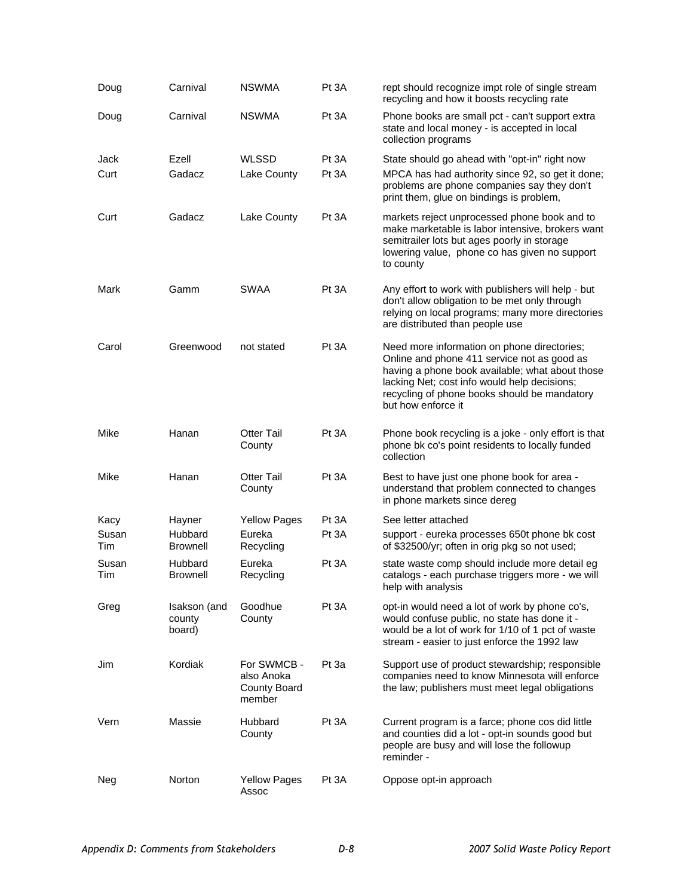| Doug         | Carnival                         | <b>NSWMA</b>                                        | Pt 3A          | rept should recognize impt role of single stream<br>recycling and how it boosts recycling rate                                                                                                                                                                      |
|--------------|----------------------------------|-----------------------------------------------------|----------------|---------------------------------------------------------------------------------------------------------------------------------------------------------------------------------------------------------------------------------------------------------------------|
| Doug         | Carnival                         | <b>NSWMA</b>                                        | Pt 3A          | Phone books are small pct - can't support extra<br>state and local money - is accepted in local<br>collection programs                                                                                                                                              |
| Jack<br>Curt | Ezell<br>Gadacz                  | <b>WLSSD</b><br>Lake County                         | Pt 3A<br>Pt 3A | State should go ahead with "opt-in" right now<br>MPCA has had authority since 92, so get it done;<br>problems are phone companies say they don't<br>print them, glue on bindings is problem,                                                                        |
| Curt         | Gadacz                           | Lake County                                         | Pt 3A          | markets reject unprocessed phone book and to<br>make marketable is labor intensive, brokers want<br>semitrailer lots but ages poorly in storage<br>lowering value, phone co has given no support<br>to county                                                       |
| Mark         | Gamm                             | SWAA                                                | Pt 3A          | Any effort to work with publishers will help - but<br>don't allow obligation to be met only through<br>relying on local programs; many more directories<br>are distributed than people use                                                                          |
| Carol        | Greenwood                        | not stated                                          | Pt 3A          | Need more information on phone directories;<br>Online and phone 411 service not as good as<br>having a phone book available; what about those<br>lacking Net; cost info would help decisions;<br>recycling of phone books should be mandatory<br>but how enforce it |
| Mike         | Hanan                            | <b>Otter Tail</b><br>County                         | Pt 3A          | Phone book recycling is a joke - only effort is that<br>phone bk co's point residents to locally funded<br>collection                                                                                                                                               |
| Mike         | Hanan                            | <b>Otter Tail</b><br>County                         | Pt 3A          | Best to have just one phone book for area -<br>understand that problem connected to changes<br>in phone markets since dereg                                                                                                                                         |
| Kacy         | Hayner                           | <b>Yellow Pages</b>                                 | Pt 3A          | See letter attached                                                                                                                                                                                                                                                 |
| Susan<br>Tim | Hubbard<br><b>Brownell</b>       | Eureka<br>Recycling                                 | Pt 3A          | support - eureka processes 650t phone bk cost<br>of \$32500/yr; often in orig pkg so not used;                                                                                                                                                                      |
| Susan<br>Tim | Hubbard<br><b>Brownell</b>       | Eureka<br>Recycling                                 | Pt 3A          | state waste comp should include more detail eg<br>catalogs - each purchase triggers more - we will<br>help with analysis                                                                                                                                            |
| Greg         | Isakson (and<br>county<br>board) | Goodhue<br>County                                   | Pt 3A          | opt-in would need a lot of work by phone co's,<br>would confuse public, no state has done it -<br>would be a lot of work for 1/10 of 1 pct of waste<br>stream - easier to just enforce the 1992 law                                                                 |
| Jim          | Kordiak                          | For SWMCB -<br>also Anoka<br>County Board<br>member | Pt 3a          | Support use of product stewardship; responsible<br>companies need to know Minnesota will enforce<br>the law; publishers must meet legal obligations                                                                                                                 |
| Vern         | Massie                           | Hubbard<br>County                                   | Pt 3A          | Current program is a farce; phone cos did little<br>and counties did a lot - opt-in sounds good but<br>people are busy and will lose the followup<br>reminder -                                                                                                     |
| Neg          | Norton                           | <b>Yellow Pages</b><br>Assoc                        | Pt 3A          | Oppose opt-in approach                                                                                                                                                                                                                                              |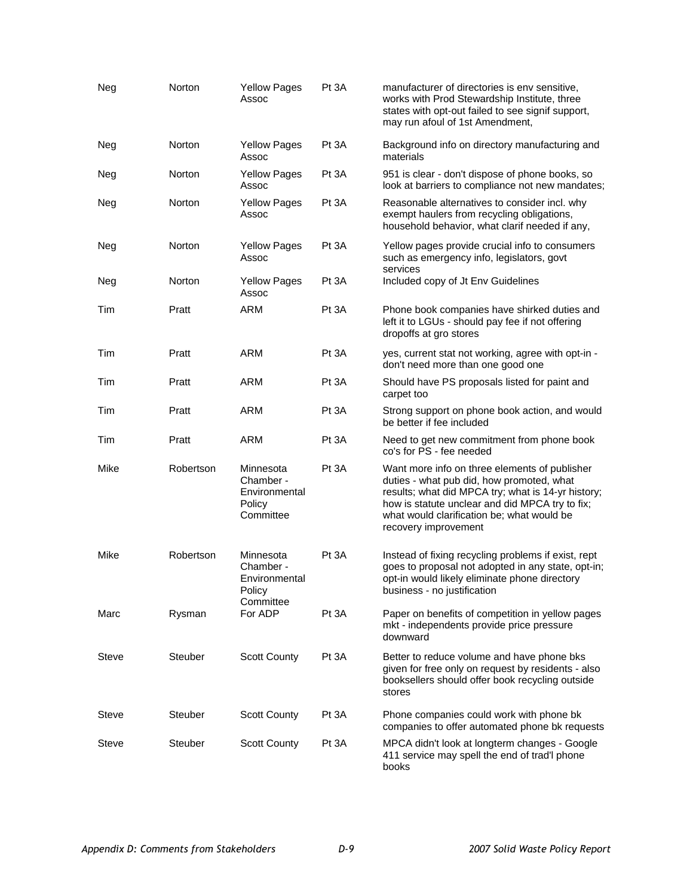| Neg   | Norton         | <b>Yellow Pages</b><br>Assoc                                   | Pt 3A | manufacturer of directories is env sensitive,<br>works with Prod Stewardship Institute, three<br>states with opt-out failed to see signif support,<br>may run afoul of 1st Amendment,                                                                                     |
|-------|----------------|----------------------------------------------------------------|-------|---------------------------------------------------------------------------------------------------------------------------------------------------------------------------------------------------------------------------------------------------------------------------|
| Neg   | Norton         | <b>Yellow Pages</b><br>Assoc                                   | Pt 3A | Background info on directory manufacturing and<br>materials                                                                                                                                                                                                               |
| Neg   | Norton         | <b>Yellow Pages</b><br>Assoc                                   | Pt 3A | 951 is clear - don't dispose of phone books, so<br>look at barriers to compliance not new mandates;                                                                                                                                                                       |
| Neg   | Norton         | <b>Yellow Pages</b><br>Assoc                                   | Pt 3A | Reasonable alternatives to consider incl. why<br>exempt haulers from recycling obligations,<br>household behavior, what clarif needed if any,                                                                                                                             |
| Neg   | Norton         | <b>Yellow Pages</b><br>Assoc                                   | Pt 3A | Yellow pages provide crucial info to consumers<br>such as emergency info, legislators, govt                                                                                                                                                                               |
| Neg   | Norton         | <b>Yellow Pages</b><br>Assoc                                   | Pt 3A | services<br>Included copy of Jt Env Guidelines                                                                                                                                                                                                                            |
| Tim   | Pratt          | <b>ARM</b>                                                     | Pt 3A | Phone book companies have shirked duties and<br>left it to LGUs - should pay fee if not offering<br>dropoffs at gro stores                                                                                                                                                |
| Tim   | Pratt          | <b>ARM</b>                                                     | Pt 3A | yes, current stat not working, agree with opt-in -<br>don't need more than one good one                                                                                                                                                                                   |
| Tim   | Pratt          | <b>ARM</b>                                                     | Pt 3A | Should have PS proposals listed for paint and<br>carpet too                                                                                                                                                                                                               |
| Tim   | Pratt          | <b>ARM</b>                                                     | Pt 3A | Strong support on phone book action, and would<br>be better if fee included                                                                                                                                                                                               |
| Tim   | Pratt          | <b>ARM</b>                                                     | Pt 3A | Need to get new commitment from phone book<br>co's for PS - fee needed                                                                                                                                                                                                    |
| Mike  | Robertson      | Minnesota<br>Chamber -<br>Environmental<br>Policy<br>Committee | Pt 3A | Want more info on three elements of publisher<br>duties - what pub did, how promoted, what<br>results; what did MPCA try; what is 14-yr history;<br>how is statute unclear and did MPCA try to fix;<br>what would clarification be; what would be<br>recovery improvement |
| Mike  | Robertson      | Minnesota<br>Chamber -<br>Environmental<br>Policy<br>Committee | Pt 3A | Instead of fixing recycling problems if exist, rept<br>goes to proposal not adopted in any state, opt-in;<br>opt-in would likely eliminate phone directory<br>business - no justification                                                                                 |
| Marc  | Rysman         | For ADP                                                        | Pt 3A | Paper on benefits of competition in yellow pages<br>mkt - independents provide price pressure<br>downward                                                                                                                                                                 |
| Steve | <b>Steuber</b> | <b>Scott County</b>                                            | Pt 3A | Better to reduce volume and have phone bks<br>given for free only on request by residents - also<br>booksellers should offer book recycling outside<br>stores                                                                                                             |
| Steve | Steuber        | <b>Scott County</b>                                            | Pt 3A | Phone companies could work with phone bk<br>companies to offer automated phone bk requests                                                                                                                                                                                |
| Steve | Steuber        | <b>Scott County</b>                                            | Pt 3A | MPCA didn't look at longterm changes - Google<br>411 service may spell the end of trad'l phone<br>books                                                                                                                                                                   |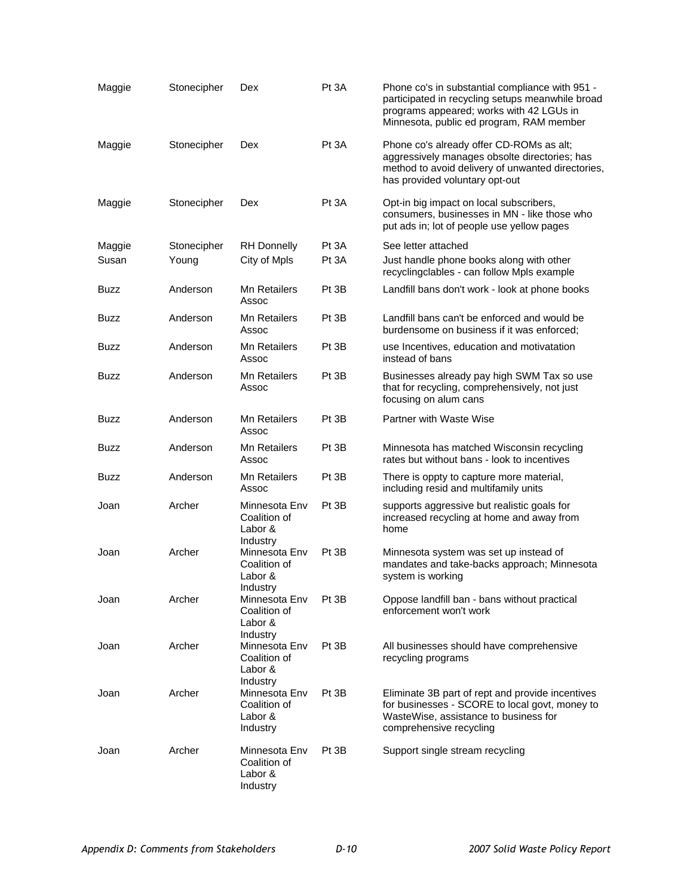| Maggie      | Stonecipher | Dex                                                              | Pt 3A | Phone co's in substantial compliance with 951 -<br>participated in recycling setups meanwhile broad<br>programs appeared; works with 42 LGUs in<br>Minnesota, public ed program, RAM member |
|-------------|-------------|------------------------------------------------------------------|-------|---------------------------------------------------------------------------------------------------------------------------------------------------------------------------------------------|
| Maggie      | Stonecipher | Dex                                                              | Pt 3A | Phone co's already offer CD-ROMs as alt;<br>aggressively manages obsolte directories; has<br>method to avoid delivery of unwanted directories,<br>has provided voluntary opt-out            |
| Maggie      | Stonecipher | Dex                                                              | Pt 3A | Opt-in big impact on local subscribers,<br>consumers, businesses in MN - like those who<br>put ads in; lot of people use yellow pages                                                       |
| Maggie      | Stonecipher | <b>RH</b> Donnelly                                               | Pt 3A | See letter attached                                                                                                                                                                         |
| Susan       | Young       | City of Mpls                                                     | Pt 3A | Just handle phone books along with other<br>recyclingclables - can follow Mpls example                                                                                                      |
| Buzz        | Anderson    | <b>Mn Retailers</b><br>Assoc                                     | Pt 3B | Landfill bans don't work - look at phone books                                                                                                                                              |
| <b>Buzz</b> | Anderson    | <b>Mn Retailers</b><br>Assoc                                     | Pt 3B | Landfill bans can't be enforced and would be<br>burdensome on business if it was enforced;                                                                                                  |
| Buzz        | Anderson    | <b>Mn Retailers</b><br>Assoc                                     | Pt 3B | use Incentives, education and motivatation<br>instead of bans                                                                                                                               |
| Buzz        | Anderson    | <b>Mn Retailers</b><br>Assoc                                     | Pt 3B | Businesses already pay high SWM Tax so use<br>that for recycling, comprehensively, not just<br>focusing on alum cans                                                                        |
| Buzz        | Anderson    | <b>Mn Retailers</b><br>Assoc                                     | Pt 3B | <b>Partner with Waste Wise</b>                                                                                                                                                              |
| Buzz        | Anderson    | <b>Mn Retailers</b><br>Assoc                                     | Pt 3B | Minnesota has matched Wisconsin recycling<br>rates but without bans - look to incentives                                                                                                    |
| Buzz        | Anderson    | <b>Mn Retailers</b><br>Assoc                                     | Pt 3B | There is oppty to capture more material,<br>including resid and multifamily units                                                                                                           |
| Joan        | Archer      | Minnesota Env<br>Coalition of<br>Labor &<br>Industry             | Pt 3B | supports aggressive but realistic goals for<br>increased recycling at home and away from<br>home                                                                                            |
| Joan        | Archer      | Minnesota Env<br>Coalition of<br>Labor &<br>Industry             | Pt 3B | Minnesota system was set up instead of<br>mandates and take-backs approach; Minnesota<br>system is working                                                                                  |
| Joan        | Archer      | Minnesota Env<br>Coalition of<br>Labor &                         | Pt 3B | Oppose landfill ban - bans without practical<br>enforcement won't work                                                                                                                      |
| Joan        | Archer      | Industry<br>Minnesota Env<br>Coalition of<br>Labor &<br>Industry | Pt 3B | All businesses should have comprehensive<br>recycling programs                                                                                                                              |
| Joan        | Archer      | Minnesota Env<br>Coalition of<br>Labor &<br>Industry             | Pt 3B | Eliminate 3B part of rept and provide incentives<br>for businesses - SCORE to local govt, money to<br>WasteWise, assistance to business for<br>comprehensive recycling                      |
| Joan        | Archer      | Minnesota Env<br>Coalition of<br>Labor &<br>Industry             | Pt 3B | Support single stream recycling                                                                                                                                                             |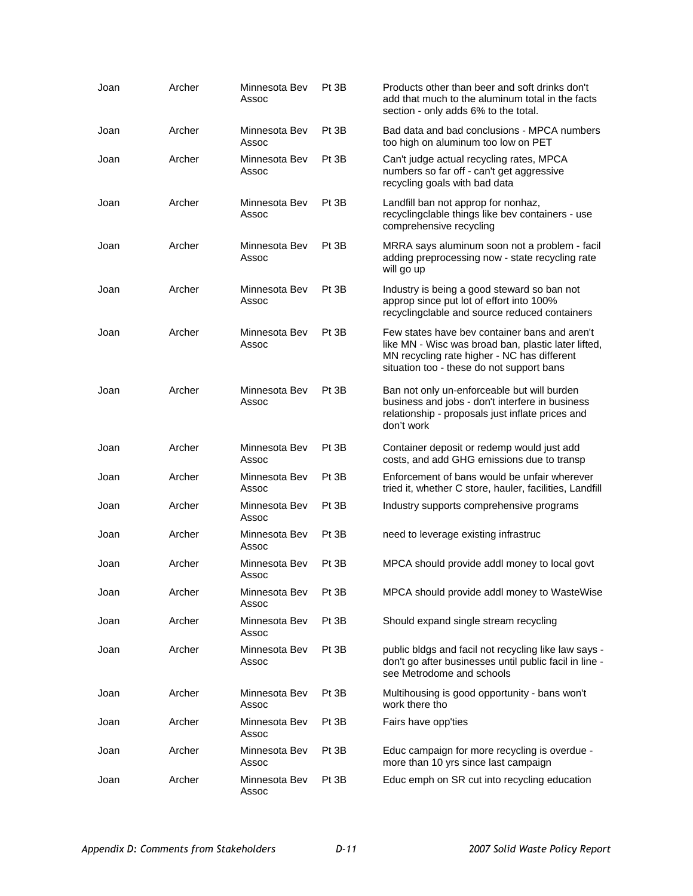| Joan | Archer | Minnesota Bev<br>Assoc | Pt 3B | Products other than beer and soft drinks don't<br>add that much to the aluminum total in the facts<br>section - only adds 6% to the total.                                                       |
|------|--------|------------------------|-------|--------------------------------------------------------------------------------------------------------------------------------------------------------------------------------------------------|
| Joan | Archer | Minnesota Bev<br>Assoc | Pt 3B | Bad data and bad conclusions - MPCA numbers<br>too high on aluminum too low on PET                                                                                                               |
| Joan | Archer | Minnesota Bev<br>Assoc | Pt 3B | Can't judge actual recycling rates, MPCA<br>numbers so far off - can't get aggressive<br>recycling goals with bad data                                                                           |
| Joan | Archer | Minnesota Bev<br>Assoc | Pt 3B | Landfill ban not approp for nonhaz,<br>recyclingclable things like bev containers - use<br>comprehensive recycling                                                                               |
| Joan | Archer | Minnesota Bev<br>Assoc | Pt 3B | MRRA says aluminum soon not a problem - facil<br>adding preprocessing now - state recycling rate<br>will go up                                                                                   |
| Joan | Archer | Minnesota Bev<br>Assoc | Pt 3B | Industry is being a good steward so ban not<br>approp since put lot of effort into 100%<br>recyclingclable and source reduced containers                                                         |
| Joan | Archer | Minnesota Bev<br>Assoc | Pt 3B | Few states have bey container bans and aren't<br>like MN - Wisc was broad ban, plastic later lifted,<br>MN recycling rate higher - NC has different<br>situation too - these do not support bans |
| Joan | Archer | Minnesota Bev<br>Assoc | Pt 3B | Ban not only un-enforceable but will burden<br>business and jobs - don't interfere in business<br>relationship - proposals just inflate prices and<br>don't work                                 |
| Joan | Archer | Minnesota Bev<br>Assoc | Pt 3B | Container deposit or redemp would just add<br>costs, and add GHG emissions due to transp                                                                                                         |
| Joan | Archer | Minnesota Bev<br>Assoc | Pt 3B | Enforcement of bans would be unfair wherever<br>tried it, whether C store, hauler, facilities, Landfill                                                                                          |
| Joan | Archer | Minnesota Bev<br>Assoc | Pt 3B | Industry supports comprehensive programs                                                                                                                                                         |
| Joan | Archer | Minnesota Bev<br>Assoc | Pt 3B | need to leverage existing infrastruc                                                                                                                                                             |
| Joan | Archer | Minnesota Bev<br>Assoc | Pt 3B | MPCA should provide addl money to local govt                                                                                                                                                     |
| Joan | Archer | Minnesota Bev<br>Assoc | Pt 3B | MPCA should provide addl money to WasteWise                                                                                                                                                      |
| Joan | Archer | Minnesota Bev<br>Assoc | Pt 3B | Should expand single stream recycling                                                                                                                                                            |
| Joan | Archer | Minnesota Bev<br>Assoc | Pt 3B | public bldgs and facil not recycling like law says -<br>don't go after businesses until public facil in line -<br>see Metrodome and schools                                                      |
| Joan | Archer | Minnesota Bev<br>Assoc | Pt 3B | Multihousing is good opportunity - bans won't<br>work there tho                                                                                                                                  |
| Joan | Archer | Minnesota Bev<br>Assoc | Pt 3B | Fairs have opp'ties                                                                                                                                                                              |
| Joan | Archer | Minnesota Bev<br>Assoc | Pt 3B | Educ campaign for more recycling is overdue -<br>more than 10 yrs since last campaign                                                                                                            |
| Joan | Archer | Minnesota Bev<br>Assoc | Pt 3B | Educ emph on SR cut into recycling education                                                                                                                                                     |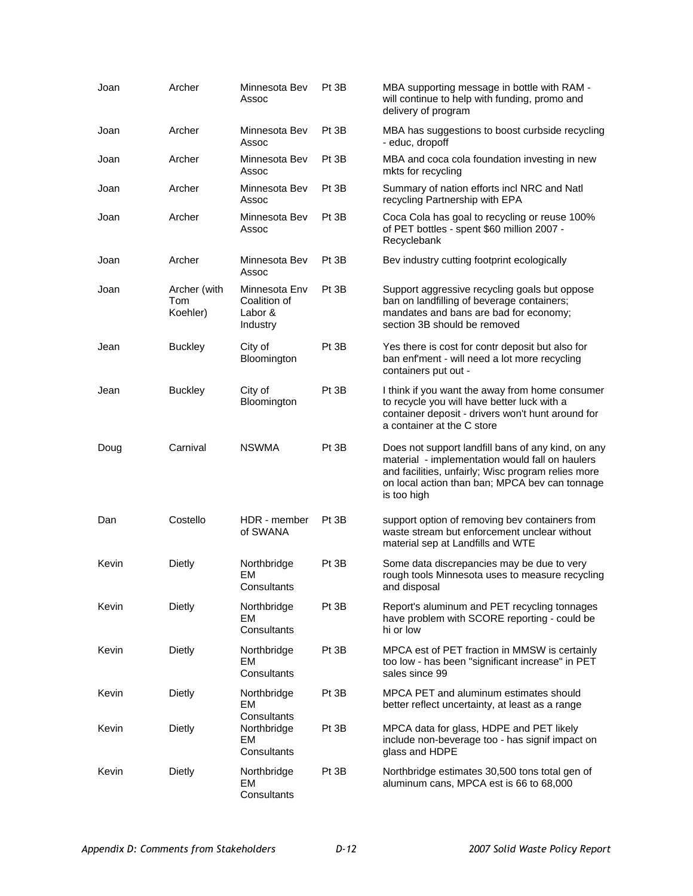| Joan  | Archer                          | Minnesota Bev<br>Assoc                                 | Pt 3B | MBA supporting message in bottle with RAM -<br>will continue to help with funding, promo and<br>delivery of program                                                                                                          |
|-------|---------------------------------|--------------------------------------------------------|-------|------------------------------------------------------------------------------------------------------------------------------------------------------------------------------------------------------------------------------|
| Joan  | Archer                          | Minnesota Bev<br>Assoc                                 | Pt 3B | MBA has suggestions to boost curbside recycling<br>- educ, dropoff                                                                                                                                                           |
| Joan  | Archer                          | Minnesota Bev<br>Assoc                                 | Pt 3B | MBA and coca cola foundation investing in new<br>mkts for recycling                                                                                                                                                          |
| Joan  | Archer                          | Minnesota Bev<br>Assoc                                 | Pt 3B | Summary of nation efforts incl NRC and Natl<br>recycling Partnership with EPA                                                                                                                                                |
| Joan  | Archer                          | Minnesota Bev<br>Assoc                                 | Pt 3B | Coca Cola has goal to recycling or reuse 100%<br>of PET bottles - spent \$60 million 2007 -<br>Recyclebank                                                                                                                   |
| Joan  | Archer                          | Minnesota Bev<br>Assoc                                 | Pt 3B | Bev industry cutting footprint ecologically                                                                                                                                                                                  |
| Joan  | Archer (with<br>Tom<br>Koehler) | Minnesota Env<br>Coalition of<br>Labor &<br>Industry   | Pt 3B | Support aggressive recycling goals but oppose<br>ban on landfilling of beverage containers;<br>mandates and bans are bad for economy;<br>section 3B should be removed                                                        |
| Jean  | <b>Buckley</b>                  | City of<br>Bloomington                                 | Pt 3B | Yes there is cost for contr deposit but also for<br>ban enf'ment - will need a lot more recycling<br>containers put out -                                                                                                    |
| Jean  | <b>Buckley</b>                  | City of<br>Bloomington                                 | Pt 3B | I think if you want the away from home consumer<br>to recycle you will have better luck with a<br>container deposit - drivers won't hunt around for<br>a container at the C store                                            |
| Doug  | Carnival                        | <b>NSWMA</b>                                           | Pt 3B | Does not support landfill bans of any kind, on any<br>material - implementation would fall on haulers<br>and facilities, unfairly; Wisc program relies more<br>on local action than ban; MPCA bev can tonnage<br>is too high |
| Dan   | Costello                        | HDR - member<br>of SWANA                               | Pt 3B | support option of removing bev containers from<br>waste stream but enforcement unclear without<br>material sep at Landfills and WTE                                                                                          |
| Kevin | Dietly                          | Northbridge<br>EM<br>Consultants                       | Pt 3B | Some data discrepancies may be due to very<br>rough tools Minnesota uses to measure recycling<br>and disposal                                                                                                                |
| Kevin | <b>Dietly</b>                   | Northbridge<br><b>EM</b><br>Consultants                | Pt 3B | Report's aluminum and PET recycling tonnages<br>have problem with SCORE reporting - could be<br>hi or low                                                                                                                    |
| Kevin | <b>Dietly</b>                   | Northbridge<br><b>EM</b><br>Consultants                | Pt 3B | MPCA est of PET fraction in MMSW is certainly<br>too low - has been "significant increase" in PET<br>sales since 99                                                                                                          |
| Kevin | Dietly                          | Northbridge<br>EM                                      | Pt 3B | MPCA PET and aluminum estimates should<br>better reflect uncertainty, at least as a range                                                                                                                                    |
| Kevin | <b>Dietly</b>                   | Consultants<br>Northbridge<br><b>EM</b><br>Consultants | Pt 3B | MPCA data for glass, HDPE and PET likely<br>include non-beverage too - has signif impact on<br>glass and HDPE                                                                                                                |
| Kevin | Dietly                          | Northbridge<br><b>EM</b><br>Consultants                | Pt 3B | Northbridge estimates 30,500 tons total gen of<br>aluminum cans, MPCA est is 66 to 68,000                                                                                                                                    |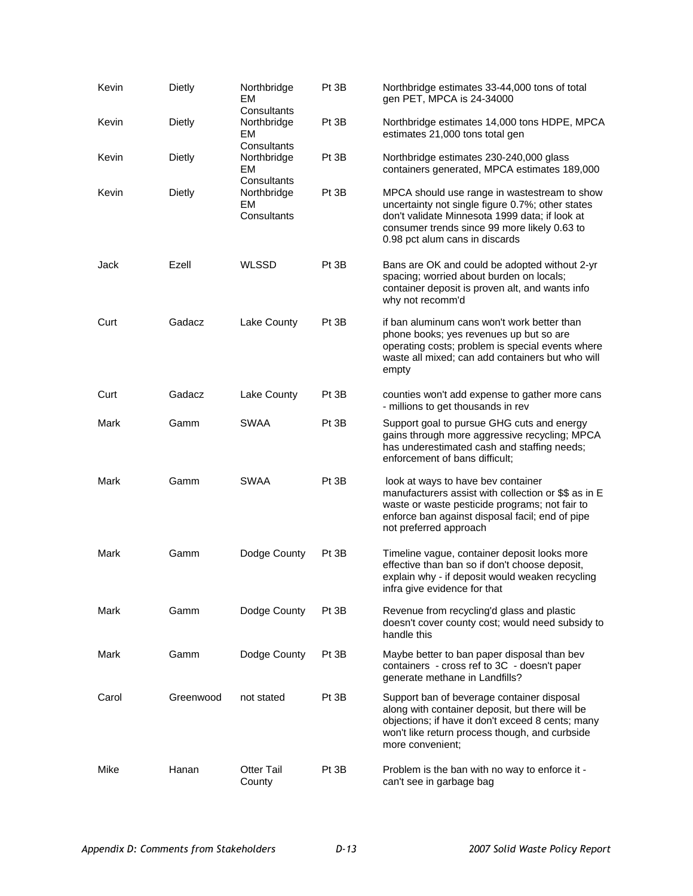| Kevin | <b>Dietly</b> | Northbridge<br>EM                                      | Pt 3B | Northbridge estimates 33-44,000 tons of total<br>gen PET, MPCA is 24-34000                                                                                                                                                           |
|-------|---------------|--------------------------------------------------------|-------|--------------------------------------------------------------------------------------------------------------------------------------------------------------------------------------------------------------------------------------|
| Kevin | <b>Dietly</b> | Consultants<br>Northbridge<br><b>EM</b><br>Consultants | Pt 3B | Northbridge estimates 14,000 tons HDPE, MPCA<br>estimates 21,000 tons total gen                                                                                                                                                      |
| Kevin | <b>Dietly</b> | Northbridge<br><b>EM</b><br>Consultants                | Pt 3B | Northbridge estimates 230-240,000 glass<br>containers generated, MPCA estimates 189,000                                                                                                                                              |
| Kevin | Dietly        | Northbridge<br>EM<br>Consultants                       | Pt 3B | MPCA should use range in wastestream to show<br>uncertainty not single figure 0.7%; other states<br>don't validate Minnesota 1999 data; if look at<br>consumer trends since 99 more likely 0.63 to<br>0.98 pct alum cans in discards |
| Jack  | Ezell         | <b>WLSSD</b>                                           | Pt 3B | Bans are OK and could be adopted without 2-yr<br>spacing; worried about burden on locals;<br>container deposit is proven alt, and wants info<br>why not recomm'd                                                                     |
| Curt  | Gadacz        | Lake County                                            | Pt 3B | if ban aluminum cans won't work better than<br>phone books; yes revenues up but so are<br>operating costs; problem is special events where<br>waste all mixed; can add containers but who will<br>empty                              |
| Curt  | Gadacz        | Lake County                                            | Pt 3B | counties won't add expense to gather more cans<br>- millions to get thousands in rev                                                                                                                                                 |
| Mark  | Gamm          | SWAA                                                   | Pt 3B | Support goal to pursue GHG cuts and energy<br>gains through more aggressive recycling; MPCA<br>has underestimated cash and staffing needs;<br>enforcement of bans difficult;                                                         |
| Mark  | Gamm          | <b>SWAA</b>                                            | Pt 3B | look at ways to have bev container<br>manufacturers assist with collection or \$\$ as in E<br>waste or waste pesticide programs; not fair to<br>enforce ban against disposal facil; end of pipe<br>not preferred approach            |
| Mark  | Gamm          | Dodge County                                           | Pt 3B | Timeline vague, container deposit looks more<br>effective than ban so if don't choose deposit,<br>explain why - if deposit would weaken recycling<br>infra give evidence for that                                                    |
| Mark  | Gamm          | Dodge County                                           | Pt 3B | Revenue from recycling'd glass and plastic<br>doesn't cover county cost; would need subsidy to<br>handle this                                                                                                                        |
| Mark  | Gamm          | Dodge County                                           | Pt 3B | Maybe better to ban paper disposal than bev<br>containers - cross ref to 3C - doesn't paper<br>generate methane in Landfills?                                                                                                        |
| Carol | Greenwood     | not stated                                             | Pt 3B | Support ban of beverage container disposal<br>along with container deposit, but there will be<br>objections; if have it don't exceed 8 cents; many<br>won't like return process though, and curbside<br>more convenient;             |
| Mike  | Hanan         | <b>Otter Tail</b><br>County                            | Pt 3B | Problem is the ban with no way to enforce it -<br>can't see in garbage bag                                                                                                                                                           |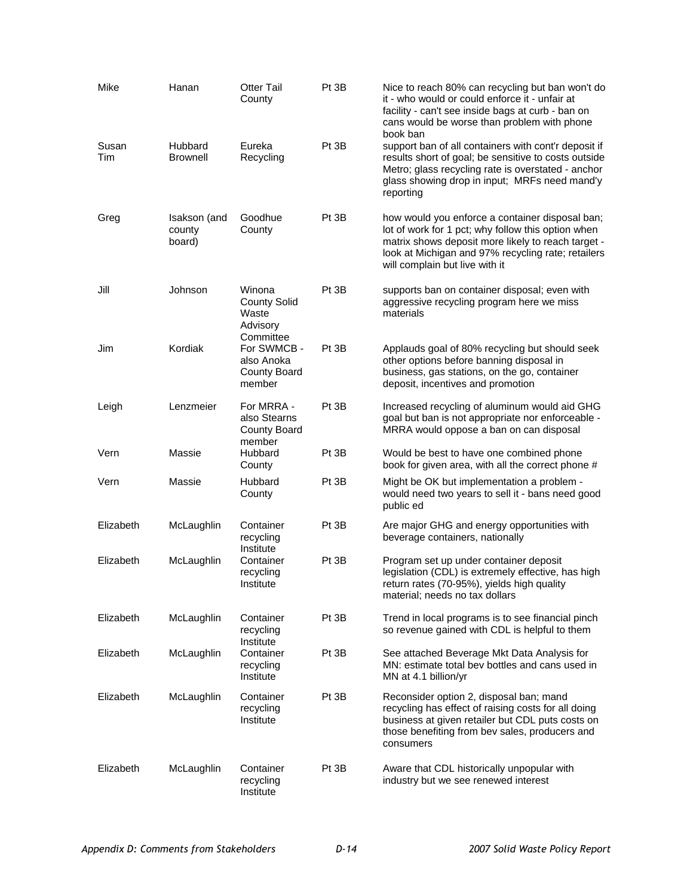| Mike         | Hanan                            | <b>Otter Tail</b><br>County                                             | Pt 3B | Nice to reach 80% can recycling but ban won't do<br>it - who would or could enforce it - unfair at<br>facility - can't see inside bags at curb - ban on<br>cans would be worse than problem with phone<br>book ban                                  |
|--------------|----------------------------------|-------------------------------------------------------------------------|-------|-----------------------------------------------------------------------------------------------------------------------------------------------------------------------------------------------------------------------------------------------------|
| Susan<br>Tim | Hubbard<br><b>Brownell</b>       | Eureka<br>Recycling                                                     | Pt 3B | support ban of all containers with cont'r deposit if<br>results short of goal; be sensitive to costs outside<br>Metro; glass recycling rate is overstated - anchor<br>glass showing drop in input; MRFs need mand'y<br>reporting                    |
| Greg         | Isakson (and<br>county<br>board) | Goodhue<br>County                                                       | Pt 3B | how would you enforce a container disposal ban;<br>lot of work for 1 pct; why follow this option when<br>matrix shows deposit more likely to reach target -<br>look at Michigan and 97% recycling rate; retailers<br>will complain but live with it |
| Jill         | Johnson                          | Winona<br><b>County Solid</b><br>Waste<br>Advisory                      | Pt 3B | supports ban on container disposal; even with<br>aggressive recycling program here we miss<br>materials                                                                                                                                             |
| Jim          | Kordiak                          | Committee<br>For SWMCB -<br>also Anoka<br><b>County Board</b><br>member | Pt 3B | Applauds goal of 80% recycling but should seek<br>other options before banning disposal in<br>business, gas stations, on the go, container<br>deposit, incentives and promotion                                                                     |
| Leigh        | Lenzmeier                        | For MRRA -<br>also Stearns<br>County Board                              | Pt 3B | Increased recycling of aluminum would aid GHG<br>goal but ban is not appropriate nor enforceable -<br>MRRA would oppose a ban on can disposal                                                                                                       |
| Vern         | Massie                           | member<br>Hubbard<br>County                                             | Pt 3B | Would be best to have one combined phone<br>book for given area, with all the correct phone #                                                                                                                                                       |
| Vern         | Massie                           | Hubbard<br>County                                                       | Pt 3B | Might be OK but implementation a problem -<br>would need two years to sell it - bans need good<br>public ed                                                                                                                                         |
| Elizabeth    | McLaughlin                       | Container<br>recycling<br>Institute                                     | Pt 3B | Are major GHG and energy opportunities with<br>beverage containers, nationally                                                                                                                                                                      |
| Elizabeth    | McLaughlin                       | Container<br>recycling<br>Institute                                     | Pt 3B | Program set up under container deposit<br>legislation (CDL) is extremely effective, has high<br>return rates (70-95%), yields high quality<br>material; needs no tax dollars                                                                        |
| Elizabeth    | McLaughlin                       | Container<br>recycling                                                  | Pt 3B | Trend in local programs is to see financial pinch<br>so revenue gained with CDL is helpful to them                                                                                                                                                  |
| Elizabeth    | McLaughlin                       | Institute<br>Container<br>recycling<br>Institute                        | Pt 3B | See attached Beverage Mkt Data Analysis for<br>MN: estimate total bev bottles and cans used in<br>MN at 4.1 billion/yr                                                                                                                              |
| Elizabeth    | McLaughlin                       | Container<br>recycling<br>Institute                                     | Pt 3B | Reconsider option 2, disposal ban; mand<br>recycling has effect of raising costs for all doing<br>business at given retailer but CDL puts costs on<br>those benefiting from bev sales, producers and<br>consumers                                   |
| Elizabeth    | McLaughlin                       | Container<br>recycling<br>Institute                                     | Pt 3B | Aware that CDL historically unpopular with<br>industry but we see renewed interest                                                                                                                                                                  |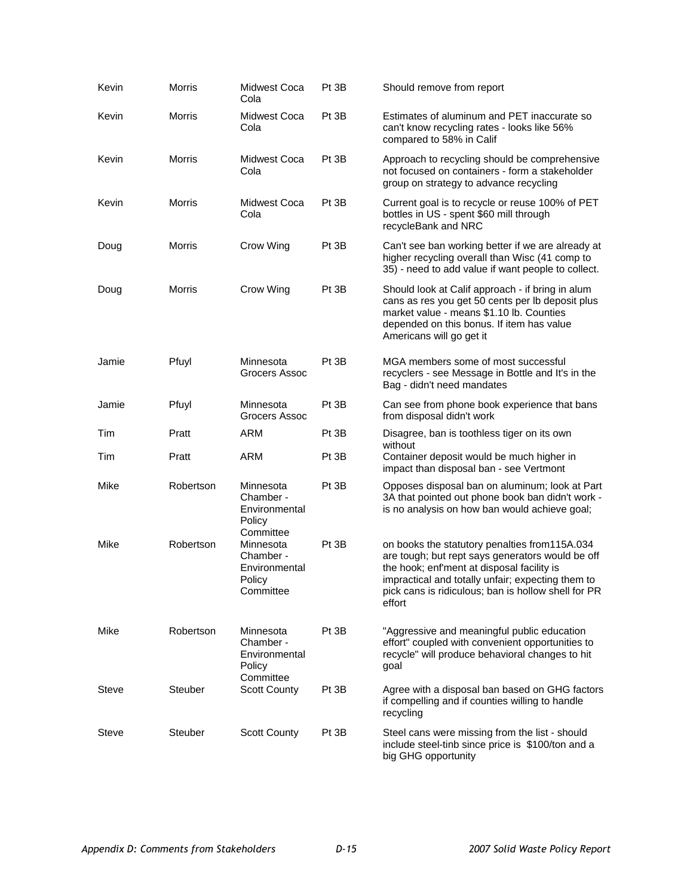| Kevin | <b>Morris</b>  | <b>Midwest Coca</b><br>Cola                                                 | Pt 3B | Should remove from report                                                                                                                                                                                                                                             |
|-------|----------------|-----------------------------------------------------------------------------|-------|-----------------------------------------------------------------------------------------------------------------------------------------------------------------------------------------------------------------------------------------------------------------------|
| Kevin | Morris         | Midwest Coca<br>Cola                                                        | Pt 3B | Estimates of aluminum and PET inaccurate so<br>can't know recycling rates - looks like 56%<br>compared to 58% in Calif                                                                                                                                                |
| Kevin | Morris         | Midwest Coca<br>Cola                                                        | Pt 3B | Approach to recycling should be comprehensive<br>not focused on containers - form a stakeholder<br>group on strategy to advance recycling                                                                                                                             |
| Kevin | <b>Morris</b>  | Midwest Coca<br>Cola                                                        | Pt 3B | Current goal is to recycle or reuse 100% of PET<br>bottles in US - spent \$60 mill through<br>recycleBank and NRC                                                                                                                                                     |
| Doug  | <b>Morris</b>  | Crow Wing                                                                   | Pt 3B | Can't see ban working better if we are already at<br>higher recycling overall than Wisc (41 comp to<br>35) - need to add value if want people to collect.                                                                                                             |
| Doug  | <b>Morris</b>  | Crow Wing                                                                   | Pt 3B | Should look at Calif approach - if bring in alum<br>cans as res you get 50 cents per lb deposit plus<br>market value - means \$1.10 lb. Counties<br>depended on this bonus. If item has value<br>Americans will go get it                                             |
| Jamie | Pfuyl          | Minnesota<br>Grocers Assoc                                                  | Pt 3B | MGA members some of most successful<br>recyclers - see Message in Bottle and It's in the<br>Bag - didn't need mandates                                                                                                                                                |
| Jamie | Pfuyl          | Minnesota<br>Grocers Assoc                                                  | Pt 3B | Can see from phone book experience that bans<br>from disposal didn't work                                                                                                                                                                                             |
| Tim   | Pratt          | <b>ARM</b>                                                                  | Pt 3B | Disagree, ban is toothless tiger on its own<br>without                                                                                                                                                                                                                |
| Tim   | Pratt          | ARM                                                                         | Pt 3B | Container deposit would be much higher in<br>impact than disposal ban - see Vertmont                                                                                                                                                                                  |
| Mike  | Robertson      | Minnesota<br>Chamber -<br>Environmental<br>Policy                           | Pt 3B | Opposes disposal ban on aluminum; look at Part<br>3A that pointed out phone book ban didn't work -<br>is no analysis on how ban would achieve goal;                                                                                                                   |
| Mike  | Robertson      | Committee<br>Minnesota<br>Chamber -<br>Environmental<br>Policy<br>Committee | Pt 3B | on books the statutory penalties from115A.034<br>are tough; but rept says generators would be off<br>the hook; enf'ment at disposal facility is<br>impractical and totally unfair; expecting them to<br>pick cans is ridiculous; ban is hollow shell for PR<br>effort |
| Mike  | Robertson      | Minnesota<br>Chamber -<br>Environmental<br>Policy                           | Pt 3B | "Aggressive and meaningful public education<br>effort" coupled with convenient opportunities to<br>recycle" will produce behavioral changes to hit<br>goal                                                                                                            |
| Steve | Steuber        | Committee<br><b>Scott County</b>                                            | Pt 3B | Agree with a disposal ban based on GHG factors<br>if compelling and if counties willing to handle<br>recycling                                                                                                                                                        |
| Steve | <b>Steuber</b> | Scott County                                                                | Pt 3B | Steel cans were missing from the list - should<br>include steel-tinb since price is \$100/ton and a<br>big GHG opportunity                                                                                                                                            |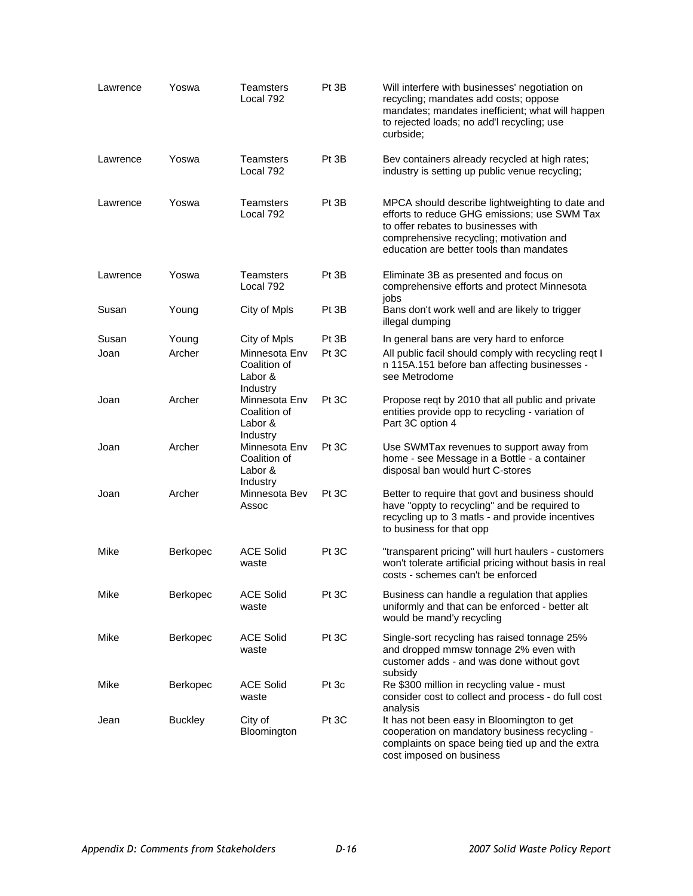| Lawrence | Yoswa           | Teamsters<br>Local 792                               | Pt 3B | Will interfere with businesses' negotiation on<br>recycling; mandates add costs; oppose<br>mandates; mandates inefficient; what will happen<br>to rejected loads; no add'l recycling; use<br>curbside:                        |
|----------|-----------------|------------------------------------------------------|-------|-------------------------------------------------------------------------------------------------------------------------------------------------------------------------------------------------------------------------------|
| Lawrence | Yoswa           | <b>Teamsters</b><br>Local 792                        | Pt 3B | Bev containers already recycled at high rates;<br>industry is setting up public venue recycling;                                                                                                                              |
| Lawrence | Yoswa           | Teamsters<br>Local 792                               | Pt 3B | MPCA should describe lightweighting to date and<br>efforts to reduce GHG emissions; use SWM Tax<br>to offer rebates to businesses with<br>comprehensive recycling; motivation and<br>education are better tools than mandates |
| Lawrence | Yoswa           | Teamsters<br>Local 792                               | Pt 3B | Eliminate 3B as presented and focus on<br>comprehensive efforts and protect Minnesota<br>jobs                                                                                                                                 |
| Susan    | Young           | City of Mpls                                         | Pt 3B | Bans don't work well and are likely to trigger<br>illegal dumping                                                                                                                                                             |
| Susan    | Young           | City of Mpls                                         | Pt 3B | In general bans are very hard to enforce                                                                                                                                                                                      |
| Joan     | Archer          | Minnesota Env<br>Coalition of<br>Labor &<br>Industry | Pt 3C | All public facil should comply with recycling reqt I<br>n 115A.151 before ban affecting businesses -<br>see Metrodome                                                                                                         |
| Joan     | Archer          | Minnesota Env<br>Coalition of<br>Labor &<br>Industry | Pt 3C | Propose reqt by 2010 that all public and private<br>entities provide opp to recycling - variation of<br>Part 3C option 4                                                                                                      |
| Joan     | Archer          | Minnesota Env<br>Coalition of<br>Labor &<br>Industry | Pt 3C | Use SWMTax revenues to support away from<br>home - see Message in a Bottle - a container<br>disposal ban would hurt C-stores                                                                                                  |
| Joan     | Archer          | Minnesota Bev<br>Assoc                               | Pt 3C | Better to require that govt and business should<br>have "oppty to recycling" and be required to<br>recycling up to 3 matls - and provide incentives<br>to business for that opp                                               |
| Mike     | Berkopec        | <b>ACE Solid</b><br>waste                            | Pt 3C | "transparent pricing" will hurt haulers - customers<br>won't tolerate artificial pricing without basis in real<br>costs - schemes can't be enforced                                                                           |
| Mike     | Berkopec        | <b>ACE Solid</b><br>waste                            | Pt 3C | Business can handle a regulation that applies<br>uniformly and that can be enforced - better alt<br>would be mand'y recycling                                                                                                 |
| Mike     | Berkopec        | <b>ACE Solid</b><br>waste                            | Pt 3C | Single-sort recycling has raised tonnage 25%<br>and dropped mmsw tonnage 2% even with<br>customer adds - and was done without govt<br>subsidy                                                                                 |
| Mike     | <b>Berkopec</b> | <b>ACE Solid</b><br>waste                            | Pt 3c | Re \$300 million in recycling value - must<br>consider cost to collect and process - do full cost<br>analysis                                                                                                                 |
| Jean     | <b>Buckley</b>  | City of<br>Bloomington                               | Pt 3C | It has not been easy in Bloomington to get<br>cooperation on mandatory business recycling -<br>complaints on space being tied up and the extra<br>cost imposed on business                                                    |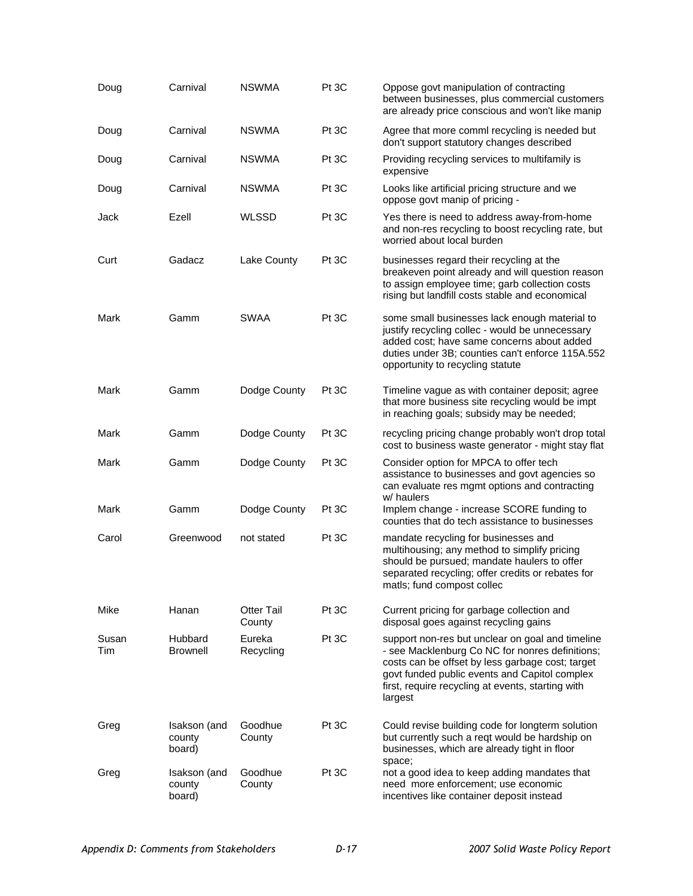| Doug         | Carnival                         | <b>NSWMA</b>                | Pt 3C | Oppose govt manipulation of contracting<br>between businesses, plus commercial customers<br>are already price conscious and won't like manip                                                                                                                             |
|--------------|----------------------------------|-----------------------------|-------|--------------------------------------------------------------------------------------------------------------------------------------------------------------------------------------------------------------------------------------------------------------------------|
| Doug         | Carnival                         | <b>NSWMA</b>                | Pt 3C | Agree that more comml recycling is needed but<br>don't support statutory changes described                                                                                                                                                                               |
| Doug         | Carnival                         | <b>NSWMA</b>                | Pt 3C | Providing recycling services to multifamily is<br>expensive                                                                                                                                                                                                              |
| Doug         | Carnival                         | <b>NSWMA</b>                | Pt 3C | Looks like artificial pricing structure and we<br>oppose govt manip of pricing -                                                                                                                                                                                         |
| Jack         | Ezell                            | <b>WLSSD</b>                | Pt 3C | Yes there is need to address away-from-home<br>and non-res recycling to boost recycling rate, but<br>worried about local burden                                                                                                                                          |
| Curt         | Gadacz                           | Lake County                 | Pt 3C | businesses regard their recycling at the<br>breakeven point already and will question reason<br>to assign employee time; garb collection costs<br>rising but landfill costs stable and economical                                                                        |
| Mark         | Gamm                             | <b>SWAA</b>                 | Pt 3C | some small businesses lack enough material to<br>justify recycling collec - would be unnecessary<br>added cost; have same concerns about added<br>duties under 3B; counties can't enforce 115A.552<br>opportunity to recycling statute                                   |
| Mark         | Gamm                             | Dodge County                | Pt 3C | Timeline vague as with container deposit; agree<br>that more business site recycling would be impt<br>in reaching goals; subsidy may be needed;                                                                                                                          |
| Mark         | Gamm                             | Dodge County                | Pt 3C | recycling pricing change probably won't drop total<br>cost to business waste generator - might stay flat                                                                                                                                                                 |
| Mark         | Gamm                             | Dodge County                | Pt 3C | Consider option for MPCA to offer tech<br>assistance to businesses and govt agencies so<br>can evaluate res mgmt options and contracting<br>w/ haulers                                                                                                                   |
| Mark         | Gamm                             | Dodge County                | Pt 3C | Implem change - increase SCORE funding to<br>counties that do tech assistance to businesses                                                                                                                                                                              |
| Carol        | Greenwood                        | not stated                  | Pt 3C | mandate recycling for businesses and<br>multihousing; any method to simplify pricing<br>should be pursued; mandate haulers to offer<br>separated recycling; offer credits or rebates for<br>matls; fund compost collec                                                   |
| Mike         | Hanan                            | <b>Otter Tail</b><br>County | Pt 3C | Current pricing for garbage collection and<br>disposal goes against recycling gains                                                                                                                                                                                      |
| Susan<br>Tim | Hubbard<br><b>Brownell</b>       | Eureka<br>Recycling         | Pt 3C | support non-res but unclear on goal and timeline<br>- see Macklenburg Co NC for nonres definitions;<br>costs can be offset by less garbage cost; target<br>govt funded public events and Capitol complex<br>first, require recycling at events, starting with<br>largest |
| Greg         | Isakson (and<br>county<br>board) | Goodhue<br>County           | Pt 3C | Could revise building code for longterm solution<br>but currently such a reqt would be hardship on<br>businesses, which are already tight in floor<br>space;                                                                                                             |
| Greg         | Isakson (and<br>county<br>board) | Goodhue<br>County           | Pt 3C | not a good idea to keep adding mandates that<br>need more enforcement; use economic<br>incentives like container deposit instead                                                                                                                                         |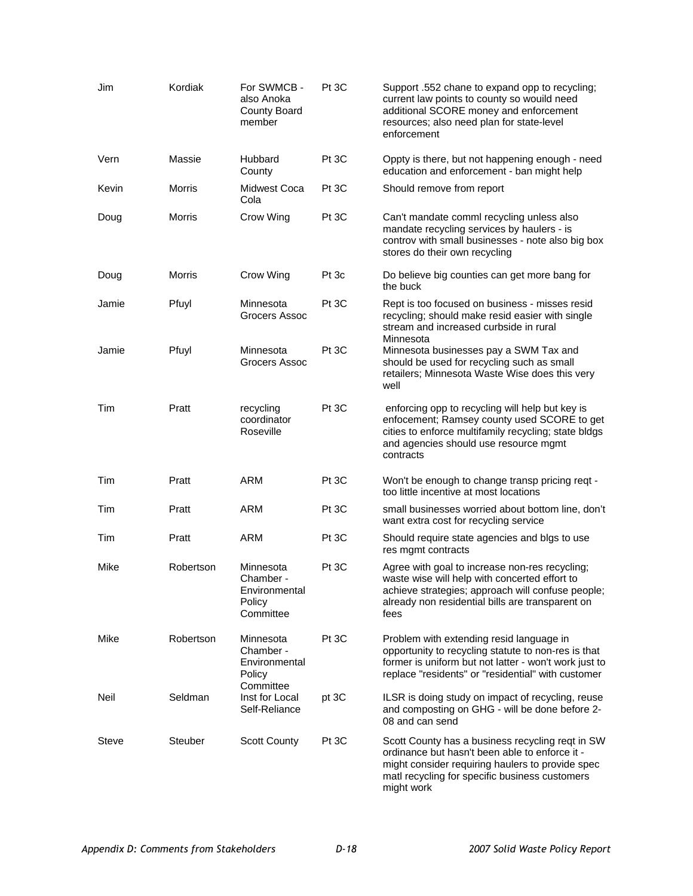| Jim          | Kordiak   | For SWMCB -<br>also Anoka<br>County Board<br>member            | Pt 3C | Support .552 chane to expand opp to recycling;<br>current law points to county so wouild need<br>additional SCORE money and enforcement<br>resources; also need plan for state-level<br>enforcement                    |
|--------------|-----------|----------------------------------------------------------------|-------|------------------------------------------------------------------------------------------------------------------------------------------------------------------------------------------------------------------------|
| Vern         | Massie    | Hubbard<br>County                                              | Pt 3C | Oppty is there, but not happening enough - need<br>education and enforcement - ban might help                                                                                                                          |
| Kevin        | Morris    | Midwest Coca<br>Cola                                           | Pt 3C | Should remove from report                                                                                                                                                                                              |
| Doug         | Morris    | Crow Wing                                                      | Pt 3C | Can't mandate comml recycling unless also<br>mandate recycling services by haulers - is<br>controv with small businesses - note also big box<br>stores do their own recycling                                          |
| Doug         | Morris    | Crow Wing                                                      | Pt 3c | Do believe big counties can get more bang for<br>the buck                                                                                                                                                              |
| Jamie        | Pfuyl     | Minnesota<br>Grocers Assoc                                     | Pt 3C | Rept is too focused on business - misses resid<br>recycling; should make resid easier with single<br>stream and increased curbside in rural<br>Minnesota                                                               |
| Jamie        | Pfuyl     | Minnesota<br>Grocers Assoc                                     | Pt 3C | Minnesota businesses pay a SWM Tax and<br>should be used for recycling such as small<br>retailers; Minnesota Waste Wise does this very<br>well                                                                         |
| Tim          | Pratt     | recycling<br>coordinator<br>Roseville                          | Pt 3C | enforcing opp to recycling will help but key is<br>enfocement; Ramsey county used SCORE to get<br>cities to enforce multifamily recycling; state bldgs<br>and agencies should use resource mgmt<br>contracts           |
| Tim          | Pratt     | <b>ARM</b>                                                     | Pt 3C | Won't be enough to change transp pricing reqt -<br>too little incentive at most locations                                                                                                                              |
| Tim          | Pratt     | <b>ARM</b>                                                     | Pt 3C | small businesses worried about bottom line, don't<br>want extra cost for recycling service                                                                                                                             |
| Tim          | Pratt     | <b>ARM</b>                                                     | Pt 3C | Should require state agencies and blgs to use<br>res mgmt contracts                                                                                                                                                    |
| Mike         | Robertson | Minnesota<br>Chamber -<br>Environmental<br>Policy<br>Committee | Pt 3C | Agree with goal to increase non-res recycling;<br>waste wise will help with concerted effort to<br>achieve strategies; approach will confuse people;<br>already non residential bills are transparent on<br>fees       |
| Mike         | Robertson | Minnesota<br>Chamber -<br>Environmental<br>Policy<br>Committee | Pt 3C | Problem with extending resid language in<br>opportunity to recycling statute to non-res is that<br>former is uniform but not latter - won't work just to<br>replace "residents" or "residential" with customer         |
| Neil         | Seldman   | Inst for Local<br>Self-Reliance                                | pt 3C | ILSR is doing study on impact of recycling, reuse<br>and composting on GHG - will be done before 2-<br>08 and can send                                                                                                 |
| <b>Steve</b> | Steuber   | <b>Scott County</b>                                            | Pt 3C | Scott County has a business recycling reqt in SW<br>ordinance but hasn't been able to enforce it -<br>might consider requiring haulers to provide spec<br>matl recycling for specific business customers<br>might work |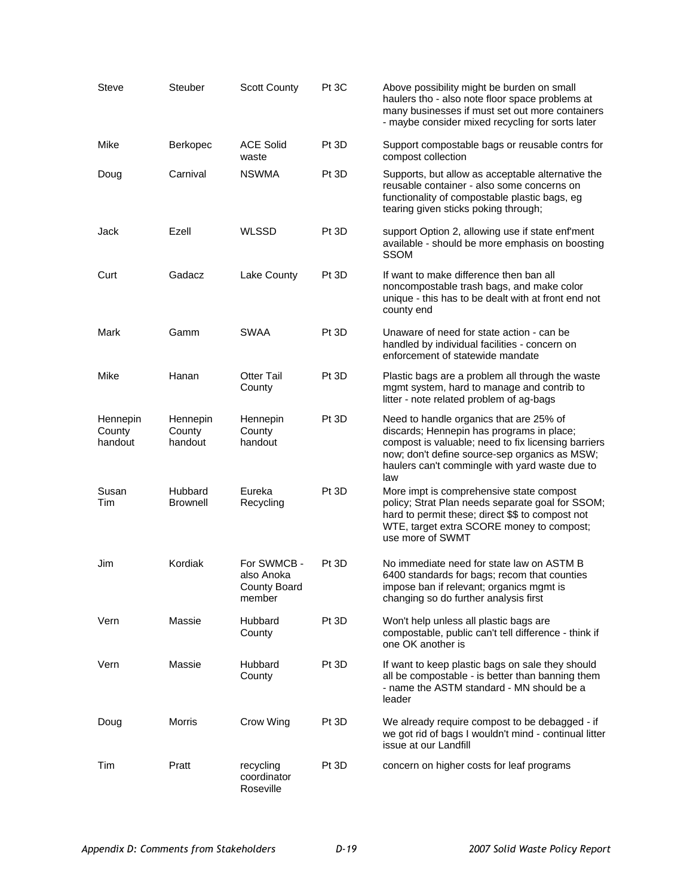| Steve                         | Steuber                       | <b>Scott County</b>                                        | Pt 3C | Above possibility might be burden on small<br>haulers tho - also note floor space problems at<br>many businesses if must set out more containers<br>- maybe consider mixed recycling for sorts later                                                  |
|-------------------------------|-------------------------------|------------------------------------------------------------|-------|-------------------------------------------------------------------------------------------------------------------------------------------------------------------------------------------------------------------------------------------------------|
| Mike                          | Berkopec                      | <b>ACE Solid</b><br>waste                                  | Pt 3D | Support compostable bags or reusable contrs for<br>compost collection                                                                                                                                                                                 |
| Doug                          | Carnival                      | <b>NSWMA</b>                                               | Pt 3D | Supports, but allow as acceptable alternative the<br>reusable container - also some concerns on<br>functionality of compostable plastic bags, eg<br>tearing given sticks poking through;                                                              |
| Jack                          | Ezell                         | <b>WLSSD</b>                                               | Pt 3D | support Option 2, allowing use if state enf'ment<br>available - should be more emphasis on boosting<br><b>SSOM</b>                                                                                                                                    |
| Curt                          | Gadacz                        | Lake County                                                | Pt 3D | If want to make difference then ban all<br>noncompostable trash bags, and make color<br>unique - this has to be dealt with at front end not<br>county end                                                                                             |
| Mark                          | Gamm                          | SWAA                                                       | Pt 3D | Unaware of need for state action - can be<br>handled by individual facilities - concern on<br>enforcement of statewide mandate                                                                                                                        |
| Mike                          | Hanan                         | <b>Otter Tail</b><br>County                                | Pt 3D | Plastic bags are a problem all through the waste<br>mgmt system, hard to manage and contrib to<br>litter - note related problem of ag-bags                                                                                                            |
| Hennepin<br>County<br>handout | Hennepin<br>County<br>handout | Hennepin<br>County<br>handout                              | Pt 3D | Need to handle organics that are 25% of<br>discards; Hennepin has programs in place;<br>compost is valuable; need to fix licensing barriers<br>now; don't define source-sep organics as MSW;<br>haulers can't commingle with yard waste due to<br>law |
| Susan<br>Tim                  | Hubbard<br>Brownell           | Eureka<br>Recycling                                        | Pt 3D | More impt is comprehensive state compost<br>policy; Strat Plan needs separate goal for SSOM;<br>hard to permit these; direct \$\$ to compost not<br>WTE, target extra SCORE money to compost;<br>use more of SWMT                                     |
| Jim                           | Kordiak                       | For SWMCB -<br>also Anoka<br><b>County Board</b><br>member | Pt 3D | No immediate need for state law on ASTM B<br>6400 standards for bags; recom that counties<br>impose ban if relevant; organics mgmt is<br>changing so do further analysis first                                                                        |
| Vern                          | Massie                        | Hubbard<br>County                                          | Pt 3D | Won't help unless all plastic bags are<br>compostable, public can't tell difference - think if<br>one OK another is                                                                                                                                   |
| Vern                          | Massie                        | Hubbard<br>County                                          | Pt 3D | If want to keep plastic bags on sale they should<br>all be compostable - is better than banning them<br>- name the ASTM standard - MN should be a<br>leader                                                                                           |
| Doug                          | <b>Morris</b>                 | Crow Wing                                                  | Pt 3D | We already require compost to be debagged - if<br>we got rid of bags I wouldn't mind - continual litter<br>issue at our Landfill                                                                                                                      |
| Tim                           | Pratt                         | recycling<br>coordinator<br>Roseville                      | Pt 3D | concern on higher costs for leaf programs                                                                                                                                                                                                             |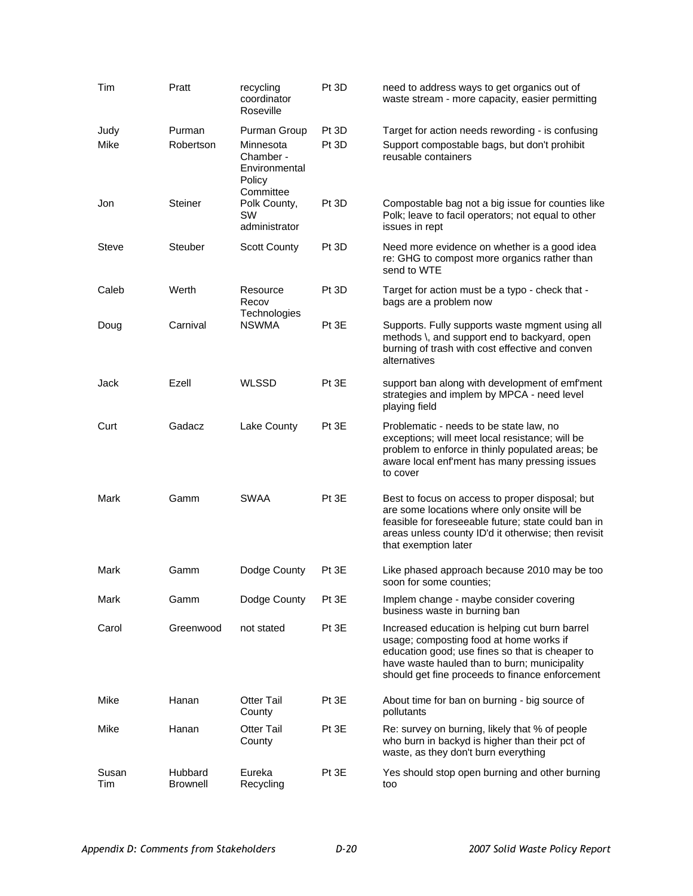| Tim          | Pratt                      | recycling<br>coordinator<br>Roseville                                          | Pt 3D          | need to address ways to get organics out of<br>waste stream - more capacity, easier permitting                                                                                                                                                  |
|--------------|----------------------------|--------------------------------------------------------------------------------|----------------|-------------------------------------------------------------------------------------------------------------------------------------------------------------------------------------------------------------------------------------------------|
| Judy<br>Mike | Purman<br>Robertson        | Purman Group<br>Minnesota<br>Chamber -<br>Environmental<br>Policy<br>Committee | Pt 3D<br>Pt 3D | Target for action needs rewording - is confusing<br>Support compostable bags, but don't prohibit<br>reusable containers                                                                                                                         |
| Jon          | Steiner                    | Polk County,<br>SW<br>administrator                                            | Pt 3D          | Compostable bag not a big issue for counties like<br>Polk; leave to facil operators; not equal to other<br>issues in rept                                                                                                                       |
| <b>Steve</b> | <b>Steuber</b>             | Scott County                                                                   | Pt 3D          | Need more evidence on whether is a good idea<br>re: GHG to compost more organics rather than<br>send to WTE                                                                                                                                     |
| Caleb        | Werth                      | Resource<br>Recov<br>Technologies                                              | Pt 3D          | Target for action must be a typo - check that -<br>bags are a problem now                                                                                                                                                                       |
| Doug         | Carnival                   | <b>NSWMA</b>                                                                   | Pt 3E          | Supports. Fully supports waste mgment using all<br>methods \, and support end to backyard, open<br>burning of trash with cost effective and conven<br>alternatives                                                                              |
| Jack         | Ezell                      | <b>WLSSD</b>                                                                   | Pt 3E          | support ban along with development of emf'ment<br>strategies and implem by MPCA - need level<br>playing field                                                                                                                                   |
| Curt         | Gadacz                     | Lake County                                                                    | Pt 3E          | Problematic - needs to be state law, no<br>exceptions; will meet local resistance; will be<br>problem to enforce in thinly populated areas; be<br>aware local enf'ment has many pressing issues<br>to cover                                     |
| Mark         | Gamm                       | <b>SWAA</b>                                                                    | Pt 3E          | Best to focus on access to proper disposal; but<br>are some locations where only onsite will be<br>feasible for foreseeable future; state could ban in<br>areas unless county ID'd it otherwise; then revisit<br>that exemption later           |
| Mark         | Gamm                       | Dodge County                                                                   | Pt 3E          | Like phased approach because 2010 may be too<br>soon for some counties;                                                                                                                                                                         |
| Mark         | Gamm                       | Dodge County                                                                   | Pt 3E          | Implem change - maybe consider covering<br>business waste in burning ban                                                                                                                                                                        |
| Carol        | Greenwood                  | not stated                                                                     | Pt 3E          | Increased education is helping cut burn barrel<br>usage; composting food at home works if<br>education good; use fines so that is cheaper to<br>have waste hauled than to burn; municipality<br>should get fine proceeds to finance enforcement |
| Mike         | Hanan                      | <b>Otter Tail</b><br>County                                                    | Pt 3E          | About time for ban on burning - big source of<br>pollutants                                                                                                                                                                                     |
| Mike         | Hanan                      | <b>Otter Tail</b><br>County                                                    | Pt 3E          | Re: survey on burning, likely that % of people<br>who burn in backyd is higher than their pct of<br>waste, as they don't burn everything                                                                                                        |
| Susan<br>Tim | Hubbard<br><b>Brownell</b> | Eureka<br>Recycling                                                            | Pt 3E          | Yes should stop open burning and other burning<br>too                                                                                                                                                                                           |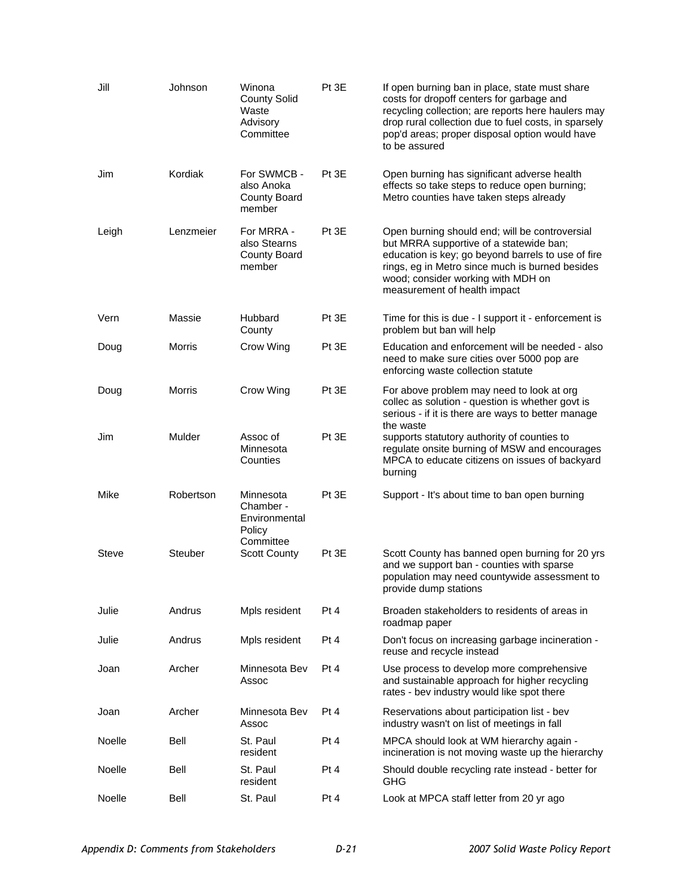| Jill   | Johnson       | Winona<br><b>County Solid</b><br>Waste<br>Advisory<br>Committee | Pt 3E | If open burning ban in place, state must share<br>costs for dropoff centers for garbage and<br>recycling collection; are reports here haulers may<br>drop rural collection due to fuel costs, in sparsely<br>pop'd areas; proper disposal option would have<br>to be assured |
|--------|---------------|-----------------------------------------------------------------|-------|------------------------------------------------------------------------------------------------------------------------------------------------------------------------------------------------------------------------------------------------------------------------------|
| Jim    | Kordiak       | For SWMCB -<br>also Anoka<br><b>County Board</b><br>member      | Pt 3E | Open burning has significant adverse health<br>effects so take steps to reduce open burning;<br>Metro counties have taken steps already                                                                                                                                      |
| Leigh  | Lenzmeier     | For MRRA -<br>also Stearns<br><b>County Board</b><br>member     | Pt 3E | Open burning should end; will be controversial<br>but MRRA supportive of a statewide ban;<br>education is key; go beyond barrels to use of fire<br>rings, eg in Metro since much is burned besides<br>wood; consider working with MDH on<br>measurement of health impact     |
| Vern   | Massie        | Hubbard<br>County                                               | Pt 3E | Time for this is due - I support it - enforcement is<br>problem but ban will help                                                                                                                                                                                            |
| Doug   | <b>Morris</b> | Crow Wing                                                       | Pt 3E | Education and enforcement will be needed - also<br>need to make sure cities over 5000 pop are<br>enforcing waste collection statute                                                                                                                                          |
| Doug   | Morris        | Crow Wing                                                       | Pt 3E | For above problem may need to look at org<br>collec as solution - question is whether govt is<br>serious - if it is there are ways to better manage<br>the waste                                                                                                             |
| Jim    | Mulder        | Assoc of<br>Minnesota<br>Counties                               | Pt 3E | supports statutory authority of counties to<br>regulate onsite burning of MSW and encourages<br>MPCA to educate citizens on issues of backyard<br>burning                                                                                                                    |
| Mike   | Robertson     | Minnesota<br>Chamber -<br>Environmental<br>Policy               | Pt 3E | Support - It's about time to ban open burning                                                                                                                                                                                                                                |
| Steve  | Steuber       | Committee<br><b>Scott County</b>                                | Pt 3E | Scott County has banned open burning for 20 yrs<br>and we support ban - counties with sparse<br>population may need countywide assessment to<br>provide dump stations                                                                                                        |
| Julie  | Andrus        | Mpls resident                                                   | Pt 4  | Broaden stakeholders to residents of areas in<br>roadmap paper                                                                                                                                                                                                               |
| Julie  | Andrus        | Mpls resident                                                   | Pt 4  | Don't focus on increasing garbage incineration -<br>reuse and recycle instead                                                                                                                                                                                                |
| Joan   | Archer        | Minnesota Bev<br>Assoc                                          | Pt 4  | Use process to develop more comprehensive<br>and sustainable approach for higher recycling<br>rates - bev industry would like spot there                                                                                                                                     |
| Joan   | Archer        | Minnesota Bev<br>Assoc                                          | Pt 4  | Reservations about participation list - bev<br>industry wasn't on list of meetings in fall                                                                                                                                                                                   |
| Noelle | Bell          | St. Paul<br>resident                                            | Pt 4  | MPCA should look at WM hierarchy again -<br>incineration is not moving waste up the hierarchy                                                                                                                                                                                |
| Noelle | Bell          | St. Paul<br>resident                                            | Pt 4  | Should double recycling rate instead - better for<br><b>GHG</b>                                                                                                                                                                                                              |
| Noelle | Bell          | St. Paul                                                        | Pt 4  | Look at MPCA staff letter from 20 yr ago                                                                                                                                                                                                                                     |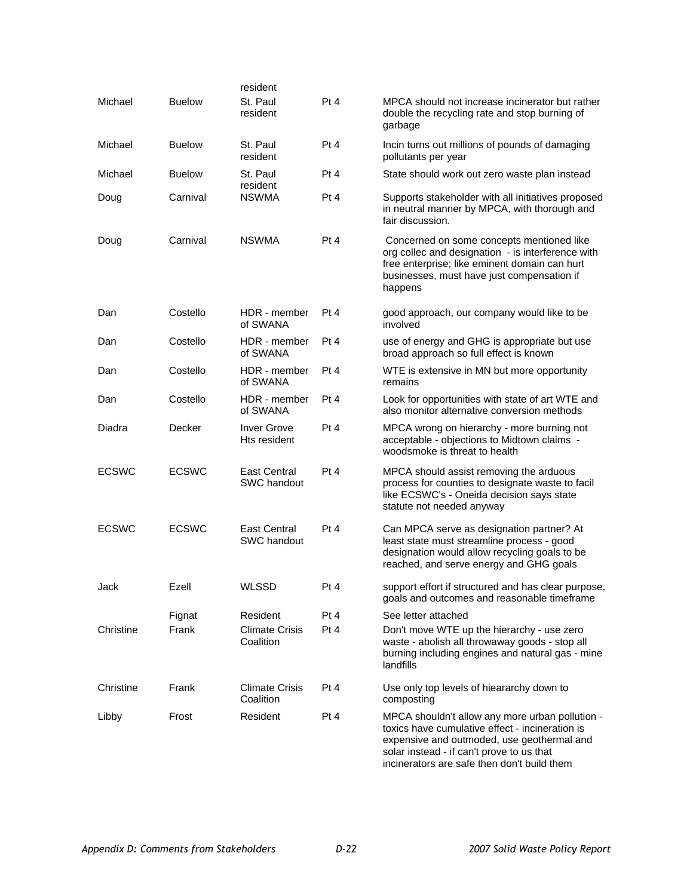|              |               | resident                           |      |                                                                                                                                                                                                                                              |
|--------------|---------------|------------------------------------|------|----------------------------------------------------------------------------------------------------------------------------------------------------------------------------------------------------------------------------------------------|
| Michael      | <b>Buelow</b> | St. Paul<br>resident               | Pt 4 | MPCA should not increase incinerator but rather<br>double the recycling rate and stop burning of<br>garbage                                                                                                                                  |
| Michael      | <b>Buelow</b> | St. Paul<br>resident               | Pt 4 | Incin turns out millions of pounds of damaging<br>pollutants per year                                                                                                                                                                        |
| Michael      | <b>Buelow</b> | St. Paul<br>resident               | Pt 4 | State should work out zero waste plan instead                                                                                                                                                                                                |
| Doug         | Carnival      | <b>NSWMA</b>                       | Pt 4 | Supports stakeholder with all initiatives proposed<br>in neutral manner by MPCA, with thorough and<br>fair discussion.                                                                                                                       |
| Doug         | Carnival      | <b>NSWMA</b>                       | Pt 4 | Concerned on some concepts mentioned like<br>org collec and designation - is interference with<br>free enterprise; like eminent domain can hurt<br>businesses, must have just compensation if<br>happens                                     |
| Dan          | Costello      | HDR - member<br>of SWANA           | Pt 4 | good approach, our company would like to be<br>involved                                                                                                                                                                                      |
| Dan          | Costello      | HDR - member<br>of SWANA           | Pt 4 | use of energy and GHG is appropriate but use<br>broad approach so full effect is known                                                                                                                                                       |
| Dan          | Costello      | HDR - member<br>of SWANA           | Pt 4 | WTE is extensive in MN but more opportunity<br>remains                                                                                                                                                                                       |
| Dan          | Costello      | HDR - member<br>of SWANA           | Pt 4 | Look for opportunities with state of art WTE and<br>also monitor alternative conversion methods                                                                                                                                              |
| Diadra       | Decker        | <b>Inver Grove</b><br>Hts resident | Pt 4 | MPCA wrong on hierarchy - more burning not<br>acceptable - objections to Midtown claims -<br>woodsmoke is threat to health                                                                                                                   |
| <b>ECSWC</b> | <b>ECSWC</b>  | <b>East Central</b><br>SWC handout | Pt 4 | MPCA should assist removing the arduous<br>process for counties to designate waste to facil<br>like ECSWC's - Oneida decision says state<br>statute not needed anyway                                                                        |
| <b>ECSWC</b> | <b>ECSWC</b>  | <b>East Central</b><br>SWC handout | Pt 4 | Can MPCA serve as designation partner? At<br>least state must streamline process - good<br>designation would allow recycling goals to be<br>reached, and serve energy and GHG goals                                                          |
| Jack         | Ezell         | <b>WLSSD</b>                       | Pt 4 | support effort if structured and has clear purpose,<br>goals and outcomes and reasonable timeframe                                                                                                                                           |
|              | Fignat        | Resident                           | Pt 4 | See letter attached                                                                                                                                                                                                                          |
| Christine    | Frank         | <b>Climate Crisis</b><br>Coalition | Pt 4 | Don't move WTE up the hierarchy - use zero<br>waste - abolish all throwaway goods - stop all<br>burning including engines and natural gas - mine<br>landfills                                                                                |
| Christine    | Frank         | <b>Climate Crisis</b><br>Coalition | Pt 4 | Use only top levels of hieararchy down to<br>composting                                                                                                                                                                                      |
| Libby        | Frost         | Resident                           | Pt 4 | MPCA shouldn't allow any more urban pollution -<br>toxics have cumulative effect - incineration is<br>expensive and outmoded, use geothermal and<br>solar instead - if can't prove to us that<br>incinerators are safe then don't build them |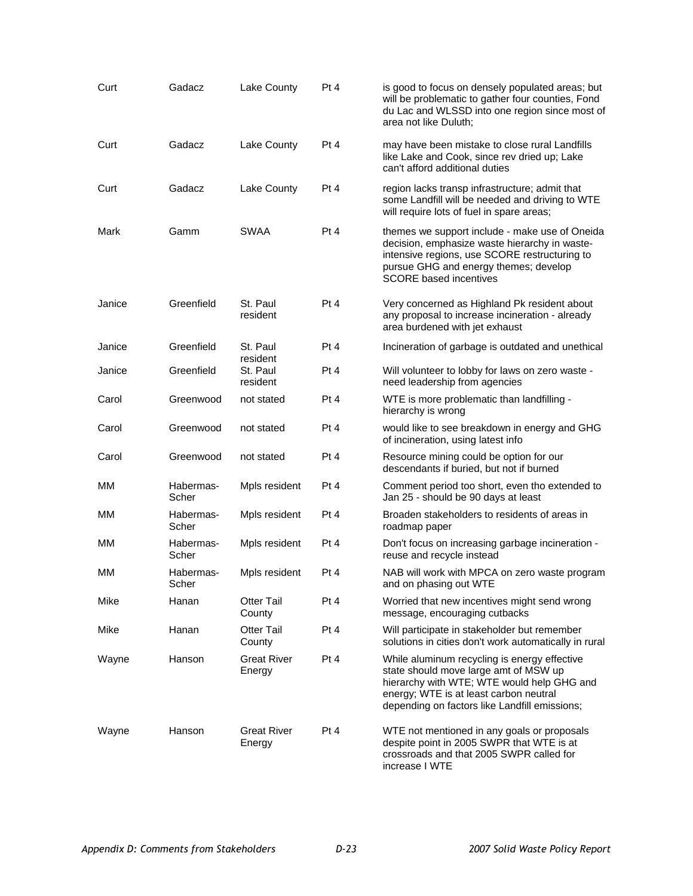| Curt   | Gadacz             | Lake County                  | Pt 4 | is good to focus on densely populated areas; but<br>will be problematic to gather four counties, Fond<br>du Lac and WLSSD into one region since most of<br>area not like Duluth;                                               |
|--------|--------------------|------------------------------|------|--------------------------------------------------------------------------------------------------------------------------------------------------------------------------------------------------------------------------------|
| Curt   | Gadacz             | Lake County                  | Pt 4 | may have been mistake to close rural Landfills<br>like Lake and Cook, since rev dried up; Lake<br>can't afford additional duties                                                                                               |
| Curt   | Gadacz             | Lake County                  | Pt 4 | region lacks transp infrastructure; admit that<br>some Landfill will be needed and driving to WTE<br>will require lots of fuel in spare areas;                                                                                 |
| Mark   | Gamm               | <b>SWAA</b>                  | Pt 4 | themes we support include - make use of Oneida<br>decision, emphasize waste hierarchy in waste-<br>intensive regions, use SCORE restructuring to<br>pursue GHG and energy themes; develop<br><b>SCORE</b> based incentives     |
| Janice | Greenfield         | St. Paul<br>resident         | Pt 4 | Very concerned as Highland Pk resident about<br>any proposal to increase incineration - already<br>area burdened with jet exhaust                                                                                              |
| Janice | Greenfield         | St. Paul<br>resident         | Pt 4 | Incineration of garbage is outdated and unethical                                                                                                                                                                              |
| Janice | Greenfield         | St. Paul<br>resident         | Pt 4 | Will volunteer to lobby for laws on zero waste -<br>need leadership from agencies                                                                                                                                              |
| Carol  | Greenwood          | not stated                   | Pt 4 | WTE is more problematic than landfilling -<br>hierarchy is wrong                                                                                                                                                               |
| Carol  | Greenwood          | not stated                   | Pt 4 | would like to see breakdown in energy and GHG<br>of incineration, using latest info                                                                                                                                            |
| Carol  | Greenwood          | not stated                   | Pt 4 | Resource mining could be option for our<br>descendants if buried, but not if burned                                                                                                                                            |
| MМ     | Habermas-<br>Scher | Mpls resident                | Pt 4 | Comment period too short, even tho extended to<br>Jan 25 - should be 90 days at least                                                                                                                                          |
| мм     | Habermas-<br>Scher | Mpls resident                | Pt 4 | Broaden stakeholders to residents of areas in<br>roadmap paper                                                                                                                                                                 |
| мм     | Habermas-<br>Scher | Mpls resident                | Pt 4 | Don't focus on increasing garbage incineration -<br>reuse and recycle instead                                                                                                                                                  |
| ΜМ     | Habermas-<br>Scher | Mpls resident                | Pt 4 | NAB will work with MPCA on zero waste program<br>and on phasing out WTE                                                                                                                                                        |
| Mike   | Hanan              | <b>Otter Tail</b><br>County  | Pt 4 | Worried that new incentives might send wrong<br>message, encouraging cutbacks                                                                                                                                                  |
| Mike   | Hanan              | <b>Otter Tail</b><br>County  | Pt 4 | Will participate in stakeholder but remember<br>solutions in cities don't work automatically in rural                                                                                                                          |
| Wayne  | Hanson             | <b>Great River</b><br>Energy | Pt 4 | While aluminum recycling is energy effective<br>state should move large amt of MSW up<br>hierarchy with WTE; WTE would help GHG and<br>energy; WTE is at least carbon neutral<br>depending on factors like Landfill emissions; |
| Wayne  | Hanson             | <b>Great River</b><br>Energy | Pt 4 | WTE not mentioned in any goals or proposals<br>despite point in 2005 SWPR that WTE is at<br>crossroads and that 2005 SWPR called for<br>increase I WTE                                                                         |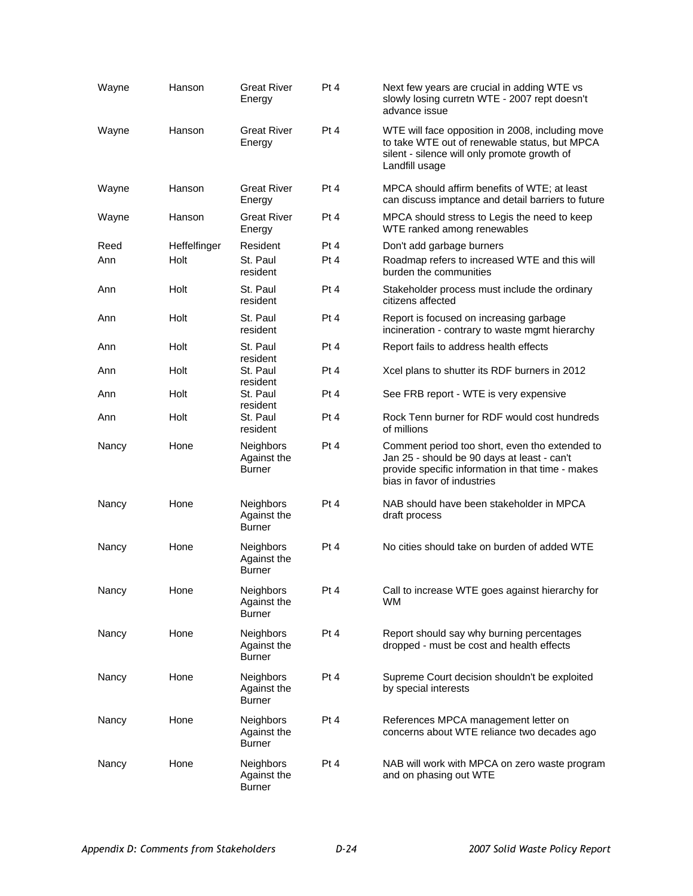| Wayne | Hanson       | <b>Great River</b><br>Energy                     | Pt 4 | Next few years are crucial in adding WTE vs<br>slowly losing curretn WTE - 2007 rept doesn't<br>advance issue                                                                     |
|-------|--------------|--------------------------------------------------|------|-----------------------------------------------------------------------------------------------------------------------------------------------------------------------------------|
| Wayne | Hanson       | <b>Great River</b><br>Energy                     | Pt 4 | WTE will face opposition in 2008, including move<br>to take WTE out of renewable status, but MPCA<br>silent - silence will only promote growth of<br>Landfill usage               |
| Wayne | Hanson       | <b>Great River</b><br>Energy                     | Pt 4 | MPCA should affirm benefits of WTE; at least<br>can discuss imptance and detail barriers to future                                                                                |
| Wayne | Hanson       | <b>Great River</b><br>Energy                     | Pt 4 | MPCA should stress to Legis the need to keep<br>WTE ranked among renewables                                                                                                       |
| Reed  | Heffelfinger | Resident                                         | Pt 4 | Don't add garbage burners                                                                                                                                                         |
| Ann   | Holt         | St. Paul<br>resident                             | Pt 4 | Roadmap refers to increased WTE and this will<br>burden the communities                                                                                                           |
| Ann   | Holt         | St. Paul<br>resident                             | Pt 4 | Stakeholder process must include the ordinary<br>citizens affected                                                                                                                |
| Ann   | Holt         | St. Paul<br>resident                             | Pt 4 | Report is focused on increasing garbage<br>incineration - contrary to waste mgmt hierarchy                                                                                        |
| Ann   | Holt         | St. Paul<br>resident                             | Pt 4 | Report fails to address health effects                                                                                                                                            |
| Ann   | Holt         | St. Paul<br>resident                             | Pt 4 | Xcel plans to shutter its RDF burners in 2012                                                                                                                                     |
| Ann   | Holt         | St. Paul<br>resident                             | Pt 4 | See FRB report - WTE is very expensive                                                                                                                                            |
| Ann   | Holt         | St. Paul<br>resident                             | Pt 4 | Rock Tenn burner for RDF would cost hundreds<br>of millions                                                                                                                       |
| Nancy | Hone         | <b>Neighbors</b><br>Against the<br><b>Burner</b> | Pt 4 | Comment period too short, even tho extended to<br>Jan 25 - should be 90 days at least - can't<br>provide specific information in that time - makes<br>bias in favor of industries |
| Nancy | Hone         | <b>Neighbors</b><br>Against the<br><b>Burner</b> | Pt 4 | NAB should have been stakeholder in MPCA<br>draft process                                                                                                                         |
| Nancy | Hone         | <b>Neighbors</b><br>Against the<br>Burner        | Pt 4 | No cities should take on burden of added WTE                                                                                                                                      |
| Nancy | Hone         | Neighbors<br>Against the<br>Burner               | Pt 4 | Call to increase WTE goes against hierarchy for<br>WM                                                                                                                             |
| Nancy | Hone         | <b>Neighbors</b><br>Against the<br><b>Burner</b> | Pt 4 | Report should say why burning percentages<br>dropped - must be cost and health effects                                                                                            |
| Nancy | Hone         | <b>Neighbors</b><br>Against the<br><b>Burner</b> | Pt 4 | Supreme Court decision shouldn't be exploited<br>by special interests                                                                                                             |
| Nancy | Hone         | <b>Neighbors</b><br>Against the<br><b>Burner</b> | Pt 4 | References MPCA management letter on<br>concerns about WTE reliance two decades ago                                                                                               |
| Nancy | Hone         | <b>Neighbors</b><br>Against the<br><b>Burner</b> | Pt 4 | NAB will work with MPCA on zero waste program<br>and on phasing out WTE                                                                                                           |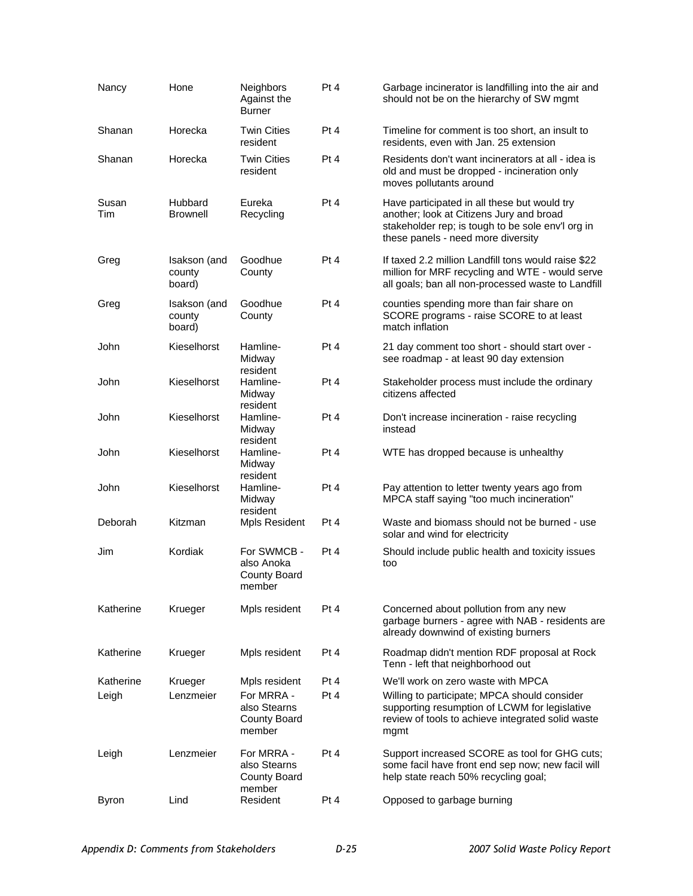| Nancy        | Hone                             | <b>Neighbors</b><br>Against the<br><b>Burner</b>            | Pt 4 | Garbage incinerator is landfilling into the air and<br>should not be on the hierarchy of SW mgmt                                                                                    |
|--------------|----------------------------------|-------------------------------------------------------------|------|-------------------------------------------------------------------------------------------------------------------------------------------------------------------------------------|
| Shanan       | Horecka                          | <b>Twin Cities</b><br>resident                              | Pt 4 | Timeline for comment is too short, an insult to<br>residents, even with Jan. 25 extension                                                                                           |
| Shanan       | Horecka                          | <b>Twin Cities</b><br>resident                              | Pt 4 | Residents don't want incinerators at all - idea is<br>old and must be dropped - incineration only<br>moves pollutants around                                                        |
| Susan<br>Tim | Hubbard<br><b>Brownell</b>       | Eureka<br>Recycling                                         | Pt 4 | Have participated in all these but would try<br>another; look at Citizens Jury and broad<br>stakeholder rep; is tough to be sole env'l org in<br>these panels - need more diversity |
| Greg         | Isakson (and<br>county<br>board) | Goodhue<br>County                                           | Pt 4 | If taxed 2.2 million Landfill tons would raise \$22<br>million for MRF recycling and WTE - would serve<br>all goals; ban all non-processed waste to Landfill                        |
| Greg         | Isakson (and<br>county<br>board) | Goodhue<br>County                                           | Pt 4 | counties spending more than fair share on<br>SCORE programs - raise SCORE to at least<br>match inflation                                                                            |
| John         | Kieselhorst                      | Hamline-<br>Midway                                          | Pt 4 | 21 day comment too short - should start over -<br>see roadmap - at least 90 day extension                                                                                           |
| John         | Kieselhorst                      | resident<br>Hamline-<br>Midway<br>resident                  | Pt 4 | Stakeholder process must include the ordinary<br>citizens affected                                                                                                                  |
| John         | Kieselhorst                      | Hamline-<br>Midway<br>resident                              | Pt 4 | Don't increase incineration - raise recycling<br>instead                                                                                                                            |
| John         | Kieselhorst                      | Hamline-<br>Midway<br>resident                              | Pt 4 | WTE has dropped because is unhealthy                                                                                                                                                |
| John         | Kieselhorst                      | Hamline-<br>Midway<br>resident                              | Pt 4 | Pay attention to letter twenty years ago from<br>MPCA staff saying "too much incineration"                                                                                          |
| Deborah      | Kitzman                          | Mpls Resident                                               | Pt 4 | Waste and biomass should not be burned - use<br>solar and wind for electricity                                                                                                      |
| Jim          | Kordiak                          | For SWMCB -<br>also Anoka<br><b>County Board</b><br>member  | Pt 4 | Should include public health and toxicity issues<br>too                                                                                                                             |
| Katherine    | Krueger                          | Mpls resident                                               | Pt 4 | Concerned about pollution from any new<br>garbage burners - agree with NAB - residents are<br>already downwind of existing burners                                                  |
| Katherine    | Krueger                          | Mpls resident                                               | Pt 4 | Roadmap didn't mention RDF proposal at Rock<br>Tenn - left that neighborhood out                                                                                                    |
| Katherine    | Krueger                          | Mpls resident                                               | Pt 4 | We'll work on zero waste with MPCA                                                                                                                                                  |
| Leigh        | Lenzmeier                        | For MRRA -<br>also Stearns<br><b>County Board</b><br>member | Pt 4 | Willing to participate; MPCA should consider<br>supporting resumption of LCWM for legislative<br>review of tools to achieve integrated solid waste<br>mgmt                          |
| Leigh        | Lenzmeier                        | For MRRA -<br>also Stearns<br><b>County Board</b>           | Pt 4 | Support increased SCORE as tool for GHG cuts;<br>some facil have front end sep now; new facil will<br>help state reach 50% recycling goal;                                          |
| <b>Byron</b> | Lind                             | member<br>Resident                                          | Pt 4 | Opposed to garbage burning                                                                                                                                                          |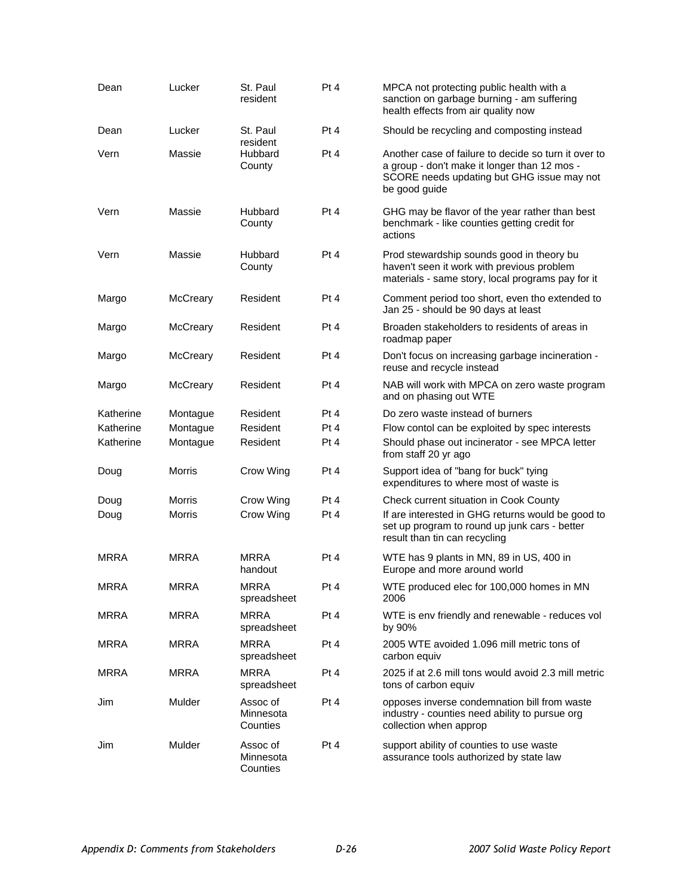| Dean        | Lucker          | St. Paul<br>resident              | Pt 4            | MPCA not protecting public health with a<br>sanction on garbage burning - am suffering<br>health effects from air quality now                                       |
|-------------|-----------------|-----------------------------------|-----------------|---------------------------------------------------------------------------------------------------------------------------------------------------------------------|
| Dean        | Lucker          | St. Paul<br>resident              | Pt <sub>4</sub> | Should be recycling and composting instead                                                                                                                          |
| Vern        | Massie          | Hubbard<br>County                 | Pt 4            | Another case of failure to decide so turn it over to<br>a group - don't make it longer than 12 mos -<br>SCORE needs updating but GHG issue may not<br>be good guide |
| Vern        | Massie          | Hubbard<br>County                 | Pt 4            | GHG may be flavor of the year rather than best<br>benchmark - like counties getting credit for<br>actions                                                           |
| Vern        | Massie          | Hubbard<br>County                 | Pt 4            | Prod stewardship sounds good in theory bu<br>haven't seen it work with previous problem<br>materials - same story, local programs pay for it                        |
| Margo       | McCreary        | Resident                          | Pt 4            | Comment period too short, even tho extended to<br>Jan 25 - should be 90 days at least                                                                               |
| Margo       | <b>McCreary</b> | Resident                          | Pt 4            | Broaden stakeholders to residents of areas in<br>roadmap paper                                                                                                      |
| Margo       | McCreary        | Resident                          | Pt 4            | Don't focus on increasing garbage incineration -<br>reuse and recycle instead                                                                                       |
| Margo       | McCreary        | Resident                          | Pt 4            | NAB will work with MPCA on zero waste program<br>and on phasing out WTE                                                                                             |
| Katherine   | Montague        | Resident                          | Pt 4            | Do zero waste instead of burners                                                                                                                                    |
| Katherine   | Montague        | Resident                          | Pt 4            | Flow contol can be exploited by spec interests                                                                                                                      |
| Katherine   | Montague        | Resident                          | Pt 4            | Should phase out incinerator - see MPCA letter<br>from staff 20 yr ago                                                                                              |
| Doug        | <b>Morris</b>   | Crow Wing                         | Pt 4            | Support idea of "bang for buck" tying<br>expenditures to where most of waste is                                                                                     |
| Doug        | Morris          | Crow Wing                         | Pt 4            | Check current situation in Cook County                                                                                                                              |
| Doug        | <b>Morris</b>   | Crow Wing                         | Pt 4            | If are interested in GHG returns would be good to<br>set up program to round up junk cars - better<br>result than tin can recycling                                 |
| <b>MRRA</b> | <b>MRRA</b>     | <b>MRRA</b><br>handout            | Pt 4            | WTE has 9 plants in MN, 89 in US, 400 in<br>Europe and more around world                                                                                            |
| <b>MRRA</b> | <b>MRRA</b>     | <b>MRRA</b><br>spreadsheet        | Pt 4            | WTE produced elec for 100,000 homes in MN<br>2006                                                                                                                   |
| <b>MRRA</b> | <b>MRRA</b>     | <b>MRRA</b><br>spreadsheet        | Pt 4            | WTE is env friendly and renewable - reduces vol<br>by 90%                                                                                                           |
| <b>MRRA</b> | <b>MRRA</b>     | <b>MRRA</b><br>spreadsheet        | Pt 4            | 2005 WTE avoided 1.096 mill metric tons of<br>carbon equiv                                                                                                          |
| <b>MRRA</b> | <b>MRRA</b>     | MRRA<br>spreadsheet               | Pt 4            | 2025 if at 2.6 mill tons would avoid 2.3 mill metric<br>tons of carbon equiv                                                                                        |
| Jim         | Mulder          | Assoc of<br>Minnesota<br>Counties | Pt 4            | opposes inverse condemnation bill from waste<br>industry - counties need ability to pursue org<br>collection when approp                                            |
| Jim         | Mulder          | Assoc of<br>Minnesota<br>Counties | Pt 4            | support ability of counties to use waste<br>assurance tools authorized by state law                                                                                 |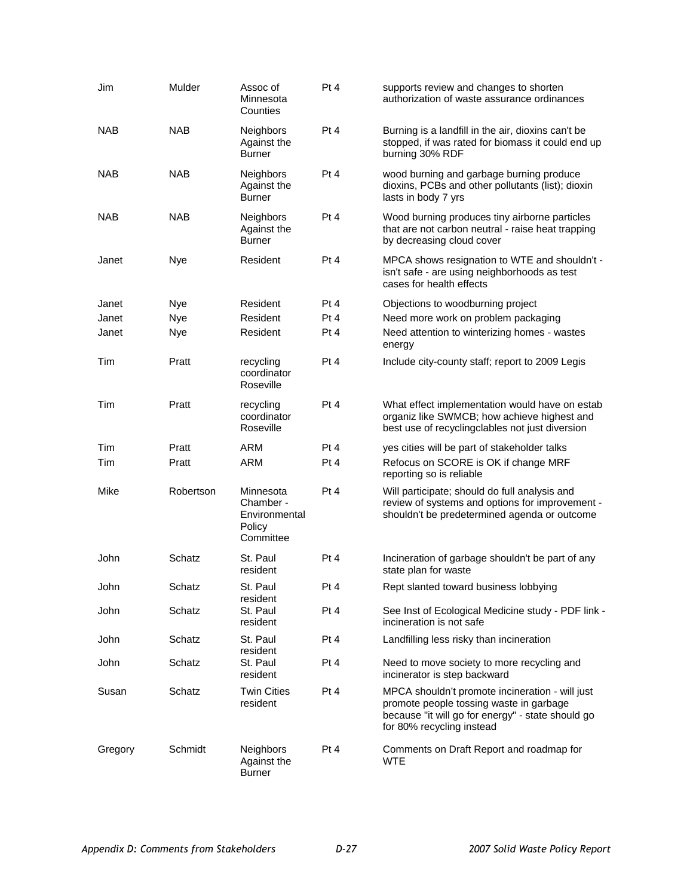| Jim        | Mulder     | Assoc of<br>Minnesota<br>Counties                              | Pt 4 | supports review and changes to shorten<br>authorization of waste assurance ordinances                                                                                        |
|------------|------------|----------------------------------------------------------------|------|------------------------------------------------------------------------------------------------------------------------------------------------------------------------------|
| <b>NAB</b> | <b>NAB</b> | Neighbors<br>Against the<br><b>Burner</b>                      | Pt 4 | Burning is a landfill in the air, dioxins can't be<br>stopped, if was rated for biomass it could end up<br>burning 30% RDF                                                   |
| <b>NAB</b> | <b>NAB</b> | Neighbors<br>Against the<br><b>Burner</b>                      | Pt 4 | wood burning and garbage burning produce<br>dioxins, PCBs and other pollutants (list); dioxin<br>lasts in body 7 yrs                                                         |
| <b>NAB</b> | <b>NAB</b> | <b>Neighbors</b><br>Against the<br><b>Burner</b>               | Pt 4 | Wood burning produces tiny airborne particles<br>that are not carbon neutral - raise heat trapping<br>by decreasing cloud cover                                              |
| Janet      | Nye        | Resident                                                       | Pt 4 | MPCA shows resignation to WTE and shouldn't -<br>isn't safe - are using neighborhoods as test<br>cases for health effects                                                    |
| Janet      | <b>Nye</b> | Resident                                                       | Pt 4 | Objections to woodburning project                                                                                                                                            |
| Janet      | <b>Nye</b> | Resident                                                       | Pt 4 | Need more work on problem packaging                                                                                                                                          |
| Janet      | <b>Nye</b> | Resident                                                       | Pt 4 | Need attention to winterizing homes - wastes<br>energy                                                                                                                       |
| Tim        | Pratt      | recycling<br>coordinator<br>Roseville                          | Pt 4 | Include city-county staff; report to 2009 Legis                                                                                                                              |
| Tim        | Pratt      | recycling<br>coordinator<br>Roseville                          | Pt 4 | What effect implementation would have on estab<br>organiz like SWMCB; how achieve highest and<br>best use of recyclingclables not just diversion                             |
| Tim        | Pratt      | ARM                                                            | Pt 4 | yes cities will be part of stakeholder talks                                                                                                                                 |
| Tim        | Pratt      | <b>ARM</b>                                                     | Pt 4 | Refocus on SCORE is OK if change MRF<br>reporting so is reliable                                                                                                             |
| Mike       | Robertson  | Minnesota<br>Chamber -<br>Environmental<br>Policy<br>Committee | Pt 4 | Will participate; should do full analysis and<br>review of systems and options for improvement -<br>shouldn't be predetermined agenda or outcome                             |
| John       | Schatz     | St. Paul<br>resident                                           | Pt 4 | Incineration of garbage shouldn't be part of any<br>state plan for waste                                                                                                     |
| John       | Schatz     | St. Paul<br>resident                                           | Pt 4 | Rept slanted toward business lobbying                                                                                                                                        |
| John       | Schatz     | St. Paul<br>resident                                           | Pt 4 | See Inst of Ecological Medicine study - PDF link -<br>incineration is not safe                                                                                               |
| John       | Schatz     | St. Paul<br>resident                                           | Pt 4 | Landfilling less risky than incineration                                                                                                                                     |
| John       | Schatz     | St. Paul<br>resident                                           | Pt 4 | Need to move society to more recycling and<br>incinerator is step backward                                                                                                   |
| Susan      | Schatz     | <b>Twin Cities</b><br>resident                                 | Pt 4 | MPCA shouldn't promote incineration - will just<br>promote people tossing waste in garbage<br>because "it will go for energy" - state should go<br>for 80% recycling instead |
| Gregory    | Schmidt    | <b>Neighbors</b><br>Against the<br><b>Burner</b>               | Pt 4 | Comments on Draft Report and roadmap for<br><b>WTE</b>                                                                                                                       |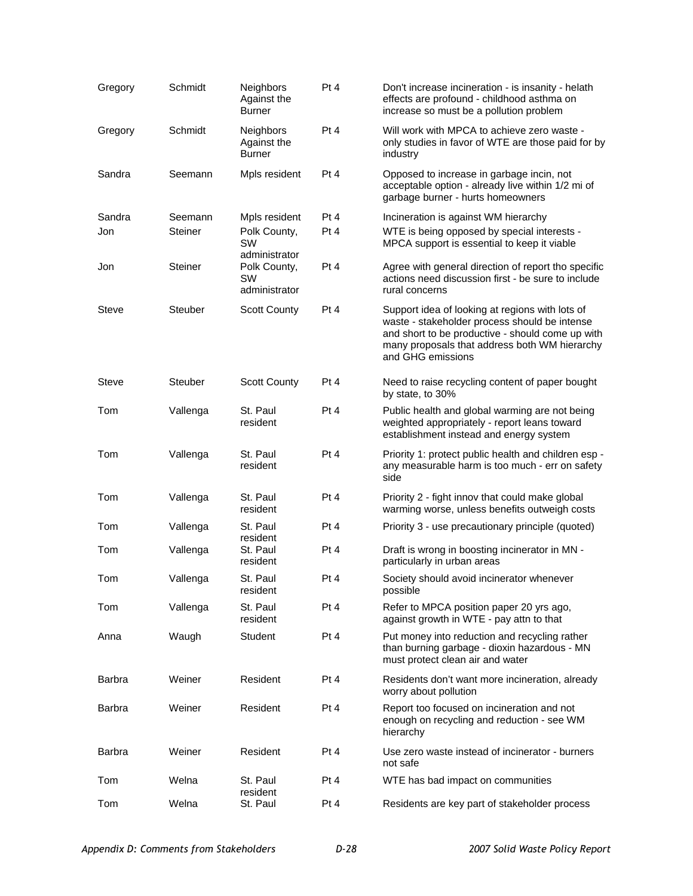| Gregory       | Schmidt                   | <b>Neighbors</b><br>Against the<br><b>Burner</b>            | Pt 4            | Don't increase incineration - is insanity - helath<br>effects are profound - childhood asthma on<br>increase so must be a pollution problem                                                                                |
|---------------|---------------------------|-------------------------------------------------------------|-----------------|----------------------------------------------------------------------------------------------------------------------------------------------------------------------------------------------------------------------------|
| Gregory       | Schmidt                   | <b>Neighbors</b><br>Against the<br><b>Burner</b>            | Pt 4            | Will work with MPCA to achieve zero waste -<br>only studies in favor of WTE are those paid for by<br>industry                                                                                                              |
| Sandra        | Seemann                   | Mpls resident                                               | Pt <sub>4</sub> | Opposed to increase in garbage incin, not<br>acceptable option - already live within 1/2 mi of<br>garbage burner - hurts homeowners                                                                                        |
| Sandra<br>Jon | Seemann<br><b>Steiner</b> | Mpls resident<br>Polk County,<br><b>SW</b><br>administrator | Pt 4<br>Pt 4    | Incineration is against WM hierarchy<br>WTE is being opposed by special interests -<br>MPCA support is essential to keep it viable                                                                                         |
| Jon           | Steiner                   | Polk County,<br><b>SW</b><br>administrator                  | Pt 4            | Agree with general direction of report tho specific<br>actions need discussion first - be sure to include<br>rural concerns                                                                                                |
| <b>Steve</b>  | <b>Steuber</b>            | Scott County                                                | Pt 4            | Support idea of looking at regions with lots of<br>waste - stakeholder process should be intense<br>and short to be productive - should come up with<br>many proposals that address both WM hierarchy<br>and GHG emissions |
| Steve         | <b>Steuber</b>            | <b>Scott County</b>                                         | Pt 4            | Need to raise recycling content of paper bought<br>by state, to 30%                                                                                                                                                        |
| Tom           | Vallenga                  | St. Paul<br>resident                                        | Pt 4            | Public health and global warming are not being<br>weighted appropriately - report leans toward<br>establishment instead and energy system                                                                                  |
| Tom           | Vallenga                  | St. Paul<br>resident                                        | Pt 4            | Priority 1: protect public health and children esp -<br>any measurable harm is too much - err on safety<br>side                                                                                                            |
| Tom           | Vallenga                  | St. Paul<br>resident                                        | Pt 4            | Priority 2 - fight innov that could make global<br>warming worse, unless benefits outweigh costs                                                                                                                           |
| Tom           | Vallenga                  | St. Paul                                                    | Pt 4            | Priority 3 - use precautionary principle (quoted)                                                                                                                                                                          |
| Tom           | Vallenga                  | resident<br>St. Paul<br>resident                            | Pt 4            | Draft is wrong in boosting incinerator in MN -<br>particularly in urban areas                                                                                                                                              |
| Tom           | Vallenga                  | St. Paul<br>resident                                        | Pt 4            | Society should avoid incinerator whenever<br>possible                                                                                                                                                                      |
| Tom           | Vallenga                  | St. Paul<br>resident                                        | Pt 4            | Refer to MPCA position paper 20 yrs ago,<br>against growth in WTE - pay attn to that                                                                                                                                       |
| Anna          | Waugh                     | <b>Student</b>                                              | Pt 4            | Put money into reduction and recycling rather<br>than burning garbage - dioxin hazardous - MN<br>must protect clean air and water                                                                                          |
| Barbra        | Weiner                    | Resident                                                    | Pt 4            | Residents don't want more incineration, already<br>worry about pollution                                                                                                                                                   |
| Barbra        | Weiner                    | Resident                                                    | Pt 4            | Report too focused on incineration and not<br>enough on recycling and reduction - see WM<br>hierarchy                                                                                                                      |
| Barbra        | Weiner                    | Resident                                                    | Pt 4            | Use zero waste instead of incinerator - burners<br>not safe                                                                                                                                                                |
| Tom           | Welna                     | St. Paul                                                    | Pt 4            | WTE has bad impact on communities                                                                                                                                                                                          |
| Tom           | Welna                     | resident<br>St. Paul                                        | Pt 4            | Residents are key part of stakeholder process                                                                                                                                                                              |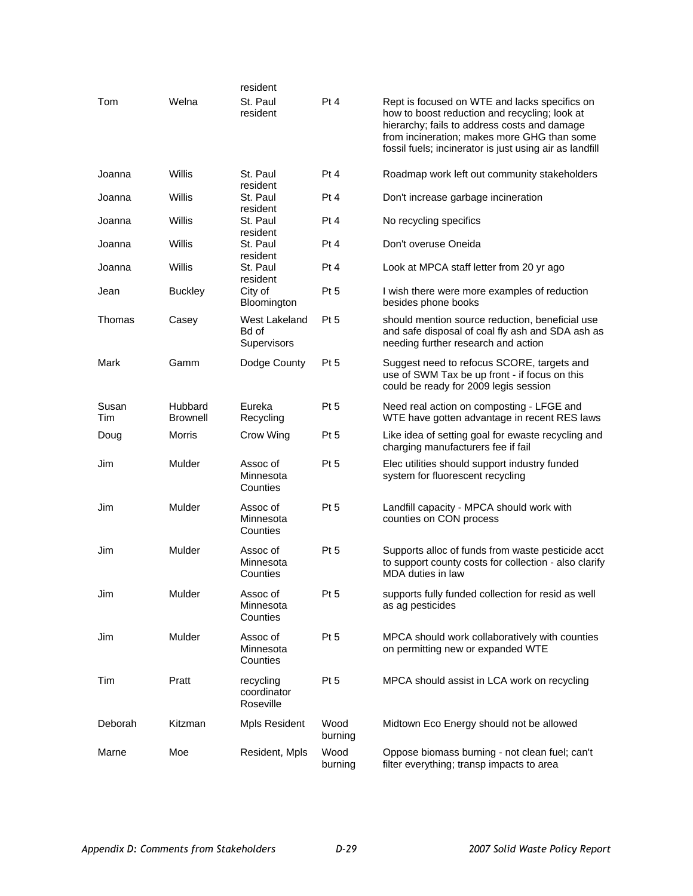|              |                            | resident                              |                 |                                                                                                                                                                                                                                                          |
|--------------|----------------------------|---------------------------------------|-----------------|----------------------------------------------------------------------------------------------------------------------------------------------------------------------------------------------------------------------------------------------------------|
| Tom          | Welna                      | St. Paul<br>resident                  | Pt 4            | Rept is focused on WTE and lacks specifics on<br>how to boost reduction and recycling; look at<br>hierarchy; fails to address costs and damage<br>from incineration; makes more GHG than some<br>fossil fuels; incinerator is just using air as landfill |
| Joanna       | Willis                     | St. Paul<br>resident                  | Pt 4            | Roadmap work left out community stakeholders                                                                                                                                                                                                             |
| Joanna       | Willis                     | St. Paul<br>resident                  | Pt 4            | Don't increase garbage incineration                                                                                                                                                                                                                      |
| Joanna       | Willis                     | St. Paul<br>resident                  | Pt <sub>4</sub> | No recycling specifics                                                                                                                                                                                                                                   |
| Joanna       | Willis                     | St. Paul<br>resident                  | Pt 4            | Don't overuse Oneida                                                                                                                                                                                                                                     |
| Joanna       | Willis                     | St. Paul<br>resident                  | Pt 4            | Look at MPCA staff letter from 20 yr ago                                                                                                                                                                                                                 |
| Jean         | <b>Buckley</b>             | City of<br>Bloomington                | Pt <sub>5</sub> | I wish there were more examples of reduction<br>besides phone books                                                                                                                                                                                      |
| Thomas       | Casey                      | West Lakeland<br>Bd of<br>Supervisors | Pt <sub>5</sub> | should mention source reduction, beneficial use<br>and safe disposal of coal fly ash and SDA ash as<br>needing further research and action                                                                                                               |
| Mark         | Gamm                       | Dodge County                          | Pt <sub>5</sub> | Suggest need to refocus SCORE, targets and<br>use of SWM Tax be up front - if focus on this<br>could be ready for 2009 legis session                                                                                                                     |
| Susan<br>Tim | Hubbard<br><b>Brownell</b> | Eureka<br>Recycling                   | Pt <sub>5</sub> | Need real action on composting - LFGE and<br>WTE have gotten advantage in recent RES laws                                                                                                                                                                |
| Doug         | Morris                     | Crow Wing                             | Pt <sub>5</sub> | Like idea of setting goal for ewaste recycling and<br>charging manufacturers fee if fail                                                                                                                                                                 |
| Jim          | Mulder                     | Assoc of<br>Minnesota<br>Counties     | Pt <sub>5</sub> | Elec utilities should support industry funded<br>system for fluorescent recycling                                                                                                                                                                        |
| Jim          | Mulder                     | Assoc of<br>Minnesota<br>Counties     | Pt <sub>5</sub> | Landfill capacity - MPCA should work with<br>counties on CON process                                                                                                                                                                                     |
| Jim          | Mulder                     | Assoc of<br>Minnesota<br>Counties     | Pt <sub>5</sub> | Supports alloc of funds from waste pesticide acct<br>to support county costs for collection - also clarify<br>MDA duties in law                                                                                                                          |
| Jim          | Mulder                     | Assoc of<br>Minnesota<br>Counties     | Pt 5            | supports fully funded collection for resid as well<br>as ag pesticides                                                                                                                                                                                   |
| Jim          | Mulder                     | Assoc of<br>Minnesota<br>Counties     | Pt <sub>5</sub> | MPCA should work collaboratively with counties<br>on permitting new or expanded WTE                                                                                                                                                                      |
| Tim          | Pratt                      | recycling<br>coordinator<br>Roseville | Pt <sub>5</sub> | MPCA should assist in LCA work on recycling                                                                                                                                                                                                              |
| Deborah      | Kitzman                    | <b>Mpls Resident</b>                  | Wood<br>burning | Midtown Eco Energy should not be allowed                                                                                                                                                                                                                 |
| Marne        | Moe                        | Resident, Mpls                        | Wood<br>burning | Oppose biomass burning - not clean fuel; can't<br>filter everything; transp impacts to area                                                                                                                                                              |